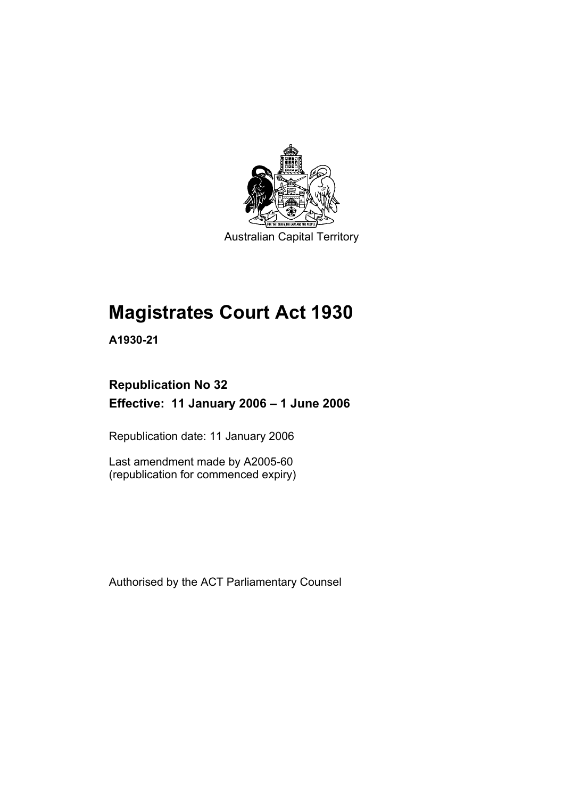

Australian Capital Territory

# **Magistrates Court Act 1930**

**A1930-21** 

# **Republication No 32 Effective: 11 January 2006 – 1 June 2006**

Republication date: 11 January 2006

Last amendment made by A2005-60 (republication for commenced expiry)

Authorised by the ACT Parliamentary Counsel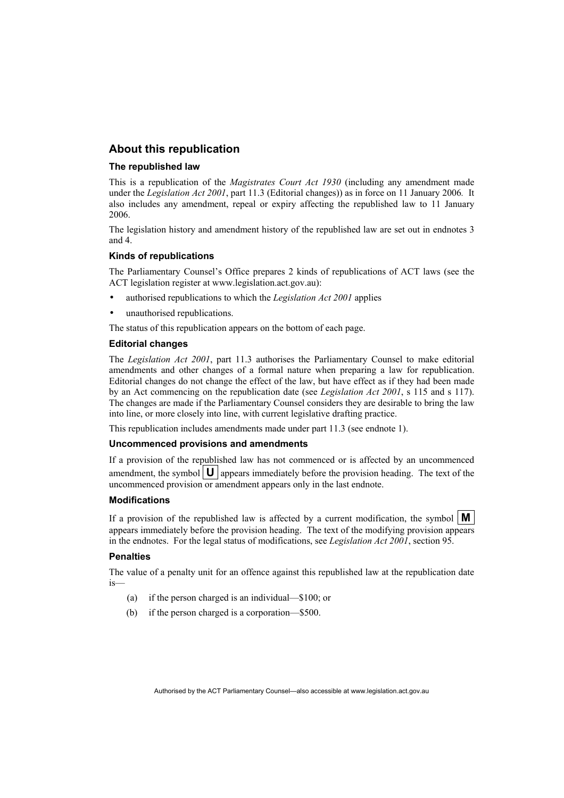#### **About this republication**

#### **The republished law**

This is a republication of the *Magistrates Court Act 1930* (including any amendment made under the *Legislation Act 2001*, part 11.3 (Editorial changes)) as in force on 11 January 2006*.* It also includes any amendment, repeal or expiry affecting the republished law to 11 January 2006.

The legislation history and amendment history of the republished law are set out in endnotes 3 and 4.

#### **Kinds of republications**

The Parliamentary Counsel's Office prepares 2 kinds of republications of ACT laws (see the ACT legislation register at www.legislation.act.gov.au):

- authorised republications to which the *Legislation Act 2001* applies
- unauthorised republications.

The status of this republication appears on the bottom of each page.

#### **Editorial changes**

The *Legislation Act 2001*, part 11.3 authorises the Parliamentary Counsel to make editorial amendments and other changes of a formal nature when preparing a law for republication. Editorial changes do not change the effect of the law, but have effect as if they had been made by an Act commencing on the republication date (see *Legislation Act 2001*, s 115 and s 117). The changes are made if the Parliamentary Counsel considers they are desirable to bring the law into line, or more closely into line, with current legislative drafting practice.

This republication includes amendments made under part 11.3 (see endnote 1).

#### **Uncommenced provisions and amendments**

If a provision of the republished law has not commenced or is affected by an uncommenced amendment, the symbol  $\mathbf{U}$  appears immediately before the provision heading. The text of the uncommenced provision or amendment appears only in the last endnote.

#### **Modifications**

If a provision of the republished law is affected by a current modification, the symbol  $\mathbf{M}$ appears immediately before the provision heading. The text of the modifying provision appears in the endnotes. For the legal status of modifications, see *Legislation Act 2001*, section 95.

#### **Penalties**

The value of a penalty unit for an offence against this republished law at the republication date is—

- (a) if the person charged is an individual—\$100; or
- (b) if the person charged is a corporation—\$500.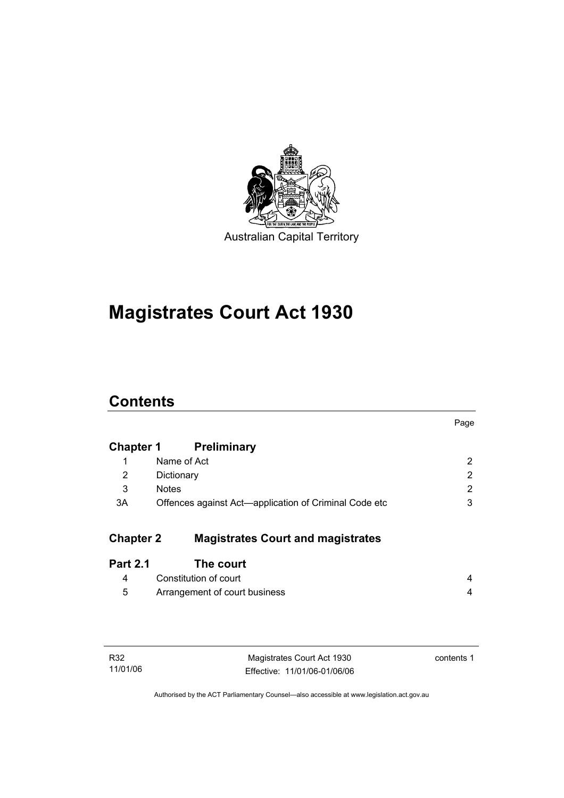

# **Magistrates Court Act 1930**

# **Contents**

|                  |                                                       | Page |
|------------------|-------------------------------------------------------|------|
| <b>Chapter 1</b> | <b>Preliminary</b>                                    |      |
| 1                | Name of Act                                           | 2    |
| 2                | Dictionary                                            | 2    |
| 3                | <b>Notes</b>                                          | 2    |
| 3A               | Offences against Act—application of Criminal Code etc | 3    |
| <b>Chapter 2</b> | <b>Magistrates Court and magistrates</b>              |      |
| <b>Part 2.1</b>  | The court                                             |      |
| 4                | Constitution of court                                 | 4    |
| 5                | Arrangement of court business                         | 4    |
|                  |                                                       |      |

| R32      |  |
|----------|--|
| 11/01/06 |  |

Magistrates Court Act 1930 Effective: 11/01/06-01/06/06 contents 1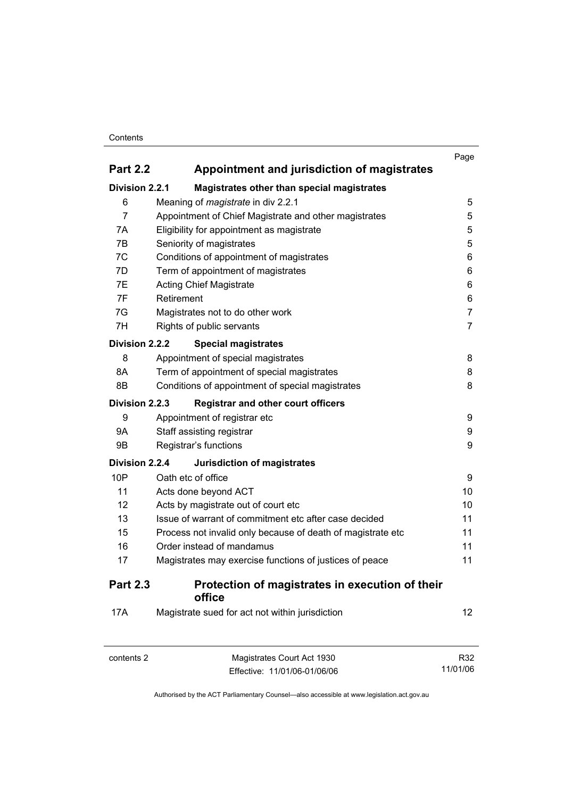#### **Contents**

|                 |                                                             | Page           |
|-----------------|-------------------------------------------------------------|----------------|
| <b>Part 2.2</b> | Appointment and jurisdiction of magistrates                 |                |
| Division 2.2.1  | Magistrates other than special magistrates                  |                |
| 6               | Meaning of <i>magistrate</i> in div 2.2.1                   | 5              |
| $\overline{7}$  | Appointment of Chief Magistrate and other magistrates       | 5              |
| 7A              | Eligibility for appointment as magistrate                   | 5              |
| 7B              | Seniority of magistrates                                    | 5              |
| 7C              | Conditions of appointment of magistrates                    | 6              |
| 7D              | Term of appointment of magistrates                          | 6              |
| 7E              | <b>Acting Chief Magistrate</b>                              | 6              |
| 7F              | Retirement                                                  | 6              |
| 7G              | Magistrates not to do other work                            | $\overline{7}$ |
| 7H              | Rights of public servants                                   | $\overline{7}$ |
| Division 2.2.2  | <b>Special magistrates</b>                                  |                |
| 8               | Appointment of special magistrates                          | 8              |
| 8A              | Term of appointment of special magistrates                  | 8              |
| 8B              | Conditions of appointment of special magistrates            | 8              |
| Division 2.2.3  | <b>Registrar and other court officers</b>                   |                |
| 9               | Appointment of registrar etc                                | 9              |
| <b>9A</b>       | Staff assisting registrar                                   | 9              |
| 9B              | Registrar's functions                                       | 9              |
| Division 2.2.4  | <b>Jurisdiction of magistrates</b>                          |                |
| 10P             | Oath etc of office                                          | 9              |
| 11              | Acts done beyond ACT                                        | 10             |
| 12              | Acts by magistrate out of court etc                         | 10             |
| 13              | Issue of warrant of commitment etc after case decided       | 11             |
| 15              | Process not invalid only because of death of magistrate etc | 11             |
| 16              | Order instead of mandamus                                   | 11             |
| 17              | Magistrates may exercise functions of justices of peace     | 11             |
| <b>Part 2.3</b> | Protection of magistrates in execution of their<br>office   |                |
| 17A             | Magistrate sued for act not within jurisdiction             | 12             |

| contents 2 | Magistrates Court Act 1930   | R32      |
|------------|------------------------------|----------|
|            | Effective: 11/01/06-01/06/06 | 11/01/06 |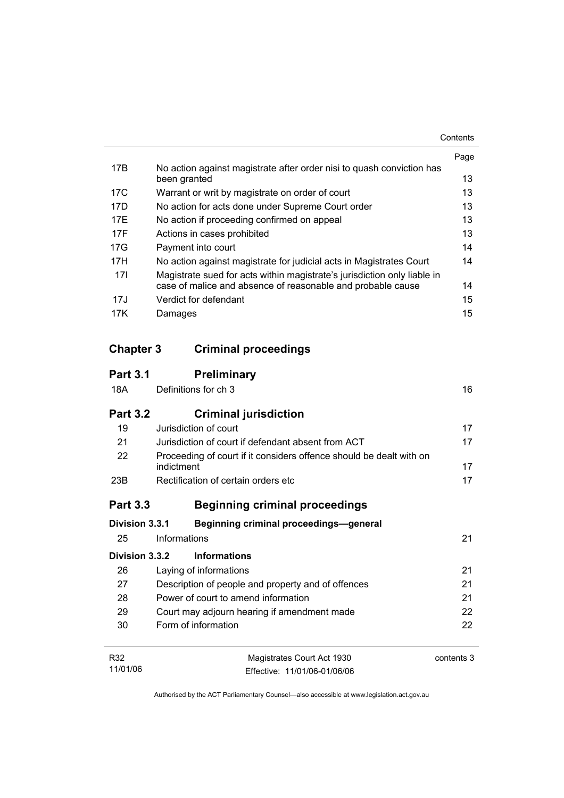|     |                                                                                       | Page |
|-----|---------------------------------------------------------------------------------------|------|
| 17B | No action against magistrate after order nisi to quash conviction has<br>been granted | 13   |
| 17C | Warrant or writ by magistrate on order of court                                       | 13   |
| 17D | No action for acts done under Supreme Court order                                     | 13   |
| 17F | No action if proceeding confirmed on appeal                                           | 13   |
| 17F | Actions in cases prohibited                                                           | 13   |
| 17G | Payment into court                                                                    | 14   |
| 17H | No action against magistrate for judicial acts in Magistrates Court                   | 14   |
| 17I | Magistrate sued for acts within magistrate's jurisdiction only liable in              |      |
|     | case of malice and absence of reasonable and probable cause                           | 14   |
| 17J | Verdict for defendant                                                                 | 15   |
| 17K | Damages                                                                               | 15   |

# **Chapter 3 Criminal proceedings**

| <b>Part 3.1</b> | <b>Preliminary</b>                                                                |            |
|-----------------|-----------------------------------------------------------------------------------|------------|
| 18A             | Definitions for ch 3                                                              | 16         |
| <b>Part 3.2</b> | <b>Criminal jurisdiction</b>                                                      |            |
| 19              | Jurisdiction of court                                                             | 17         |
| 21              | Jurisdiction of court if defendant absent from ACT                                | 17         |
| 22              | Proceeding of court if it considers offence should be dealt with on<br>indictment | 17         |
| 23B             | Rectification of certain orders etc.                                              | 17         |
| <b>Part 3.3</b> | <b>Beginning criminal proceedings</b>                                             |            |
| Division 3.3.1  | <b>Beginning criminal proceedings-general</b>                                     |            |
| 25              | Informations                                                                      | 21         |
| Division 3.3.2  | <b>Informations</b>                                                               |            |
| 26              | Laying of informations                                                            | 21         |
| 27              | Description of people and property and of offences                                | 21         |
| 28              | Power of court to amend information                                               | 21         |
| 29              | Court may adjourn hearing if amendment made                                       | 22         |
| 30              | Form of information                                                               | 22         |
| R32             | Magistrates Court Act 1930                                                        | contents 3 |
| 11/01/06        | Effective: 11/01/06-01/06/06                                                      |            |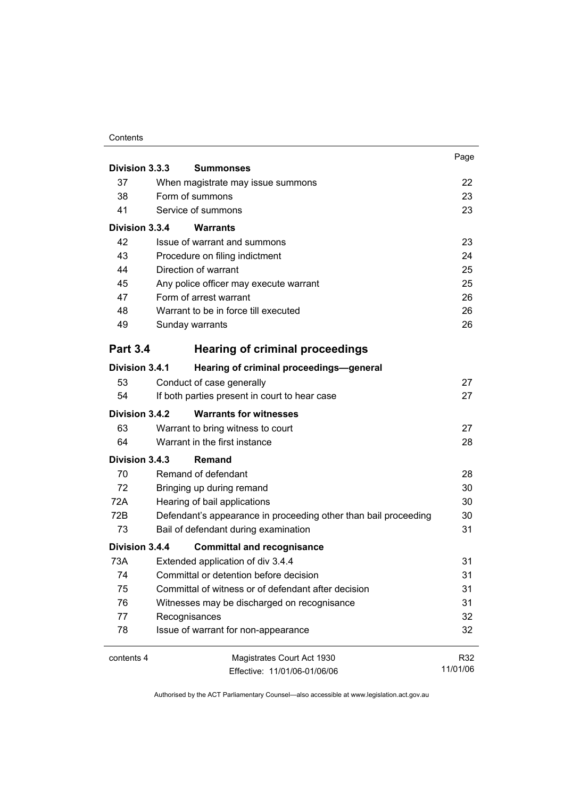#### **Contents**

|                 |                                                                 | Page     |
|-----------------|-----------------------------------------------------------------|----------|
| Division 3.3.3  | <b>Summonses</b>                                                |          |
| 37              | When magistrate may issue summons                               | 22       |
| 38              | Form of summons                                                 | 23       |
| 41              | Service of summons                                              | 23       |
| Division 3.3.4  | Warrants                                                        |          |
| 42              | Issue of warrant and summons                                    | 23       |
| 43              | Procedure on filing indictment                                  | 24       |
| 44              | Direction of warrant                                            | 25       |
| 45              | Any police officer may execute warrant                          | 25       |
| 47              | Form of arrest warrant                                          | 26       |
| 48              | Warrant to be in force till executed                            | 26       |
| 49              | Sunday warrants                                                 | 26       |
| <b>Part 3.4</b> | <b>Hearing of criminal proceedings</b>                          |          |
| Division 3.4.1  | Hearing of criminal proceedings-general                         |          |
| 53              | Conduct of case generally                                       | 27       |
| 54              | If both parties present in court to hear case                   | 27       |
| Division 3.4.2  | <b>Warrants for witnesses</b>                                   |          |
| 63              | Warrant to bring witness to court                               | 27       |
| 64              | Warrant in the first instance                                   | 28       |
|                 |                                                                 |          |
| Division 3.4.3  | <b>Remand</b>                                                   |          |
| 70              | Remand of defendant                                             | 28       |
| 72              | Bringing up during remand                                       | 30       |
| 72A             | Hearing of bail applications                                    | 30       |
| 72B             | Defendant's appearance in proceeding other than bail proceeding | 30       |
| 73              | Bail of defendant during examination                            | 31       |
| Division 3.4.4  | <b>Committal and recognisance</b>                               |          |
| 73A             | Extended application of div 3.4.4                               | 31       |
| 74              | Committal or detention before decision                          | 31       |
| 75              | Committal of witness or of defendant after decision             | 31       |
| 76              | Witnesses may be discharged on recognisance                     | 31       |
| 77              | Recognisances                                                   | 32       |
| 78              | Issue of warrant for non-appearance                             | 32       |
| contents 4      | Magistrates Court Act 1930                                      | R32      |
|                 | Effective: 11/01/06-01/06/06                                    | 11/01/06 |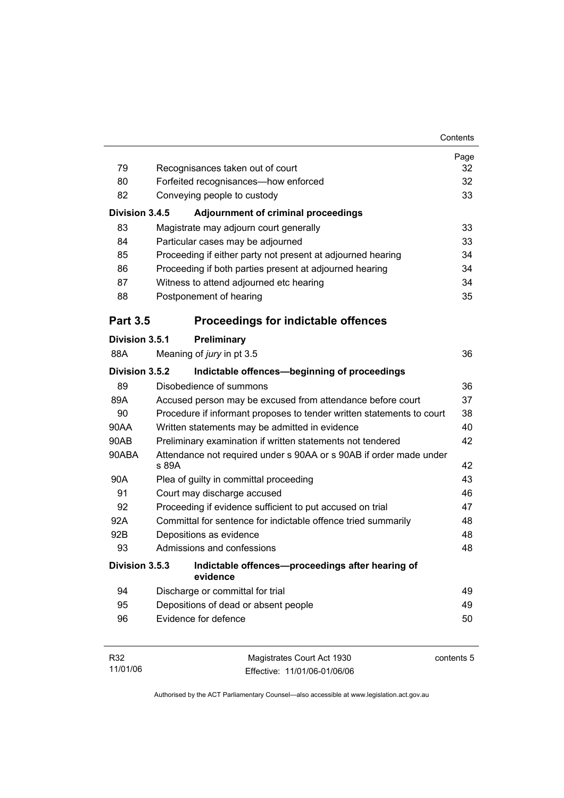|                                                                       | Contents |
|-----------------------------------------------------------------------|----------|
|                                                                       | Page     |
| Recognisances taken out of court                                      | 32       |
| Forfeited recognisances-how enforced                                  | 32       |
| Conveying people to custody                                           | 33       |
| <b>Adjournment of criminal proceedings</b>                            |          |
| Magistrate may adjourn court generally                                | 33       |
| Particular cases may be adjourned                                     | 33       |
| Proceeding if either party not present at adjourned hearing           | 34       |
| Proceeding if both parties present at adjourned hearing               | 34       |
| Witness to attend adjourned etc hearing                               | 34       |
| Postponement of hearing                                               | 35       |
| <b>Proceedings for indictable offences</b>                            |          |
| Preliminary                                                           |          |
| Meaning of jury in pt 3.5                                             | 36       |
| Indictable offences-beginning of proceedings                          |          |
| Disobedience of summons                                               | 36       |
| Accused person may be excused from attendance before court            | 37       |
| Procedure if informant proposes to tender written statements to court | 38       |
| Written statements may be admitted in evidence                        | 40       |
| Preliminary examination if written statements not tendered            | 42       |
| Attendance not required under s 90AA or s 90AB if order made under    | 42       |
| Plea of guilty in committal proceeding                                | 43       |
| Court may discharge accused                                           | 46       |
| Proceeding if evidence sufficient to put accused on trial             | 47       |
| Committal for sentence for indictable offence tried summarily         | 48       |
| Depositions as evidence                                               | 48       |
| Admissions and confessions                                            | 48       |
| Indictable offences-proceedings after hearing of<br>evidence          |          |
| Discharge or committal for trial                                      | 49       |
| Depositions of dead or absent people                                  | 49       |
| Evidence for defence                                                  | 50       |
|                                                                       |          |

| R32      | Magistrates Court Act 1930   | contents 5 |
|----------|------------------------------|------------|
| 11/01/06 | Effective: 11/01/06-01/06/06 |            |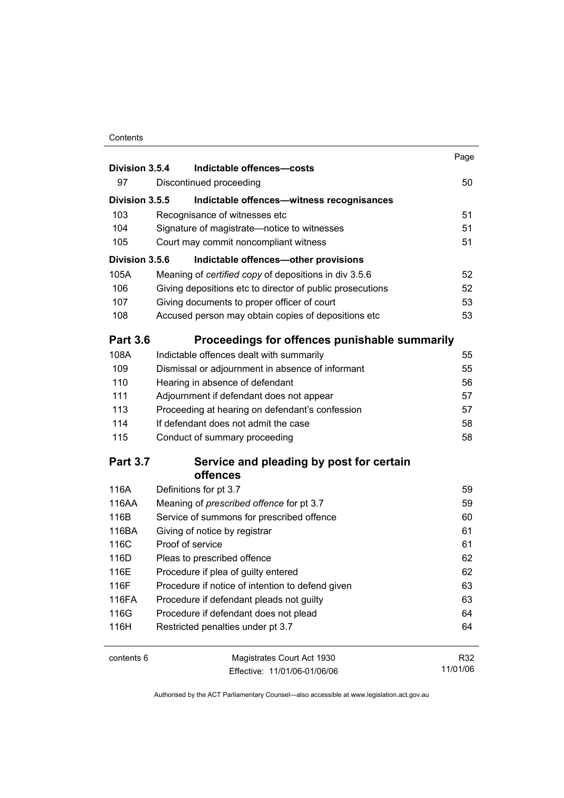#### **Contents**

| Division 3.5.4  | Indictable offences-costs                                                               | Page     |
|-----------------|-----------------------------------------------------------------------------------------|----------|
| 97              | Discontinued proceeding                                                                 | 50       |
| Division 3.5.5  | Indictable offences-witness recognisances                                               |          |
| 103             | Recognisance of witnesses etc                                                           | 51       |
| 104             | Signature of magistrate-notice to witnesses                                             | 51       |
| 105             | Court may commit noncompliant witness                                                   | 51       |
| Division 3.5.6  | Indictable offences-other provisions                                                    |          |
| 105A            | Meaning of certified copy of depositions in div 3.5.6                                   | 52       |
| 106             | Giving depositions etc to director of public prosecutions                               | 52       |
| 107             | Giving documents to proper officer of court                                             | 53       |
| 108             | Accused person may obtain copies of depositions etc                                     | 53       |
| <b>Part 3.6</b> | Proceedings for offences punishable summarily                                           |          |
| 108A            | Indictable offences dealt with summarily                                                | 55       |
| 109             | Dismissal or adjournment in absence of informant                                        | 55       |
| 110             | Hearing in absence of defendant                                                         | 56       |
| 111             | Adjournment if defendant does not appear                                                | 57       |
| 113             | Proceeding at hearing on defendant's confession                                         | 57       |
| 114             | If defendant does not admit the case                                                    | 58       |
| 115             | Conduct of summary proceeding                                                           | 58       |
| <b>Part 3.7</b> | Service and pleading by post for certain                                                |          |
|                 | offences                                                                                |          |
| 116A            | Definitions for pt 3.7                                                                  | 59       |
| 116AA           | Meaning of prescribed offence for pt 3.7                                                | 59       |
| 116B            | Service of summons for prescribed offence                                               | 60       |
| 116BA<br>116C   | Giving of notice by registrar<br>Proof of service                                       | 61<br>61 |
| 116D            | Pleas to prescribed offence                                                             | 62       |
| 116E            |                                                                                         | 62       |
| 116F            | Procedure if plea of guilty entered<br>Procedure if notice of intention to defend given | 63       |
| 116FA           | Procedure if defendant pleads not guilty                                                | 63       |
| 116G            | Procedure if defendant does not plead                                                   | 64       |
| 116H            | Restricted penalties under pt 3.7                                                       | 64       |
| contents 6      | Magistrates Court Act 1930                                                              | R32      |
|                 | Fffective: 11/01/06-01/06/06                                                            | 11/01/06 |

Effective: 11/01/06-01/06/06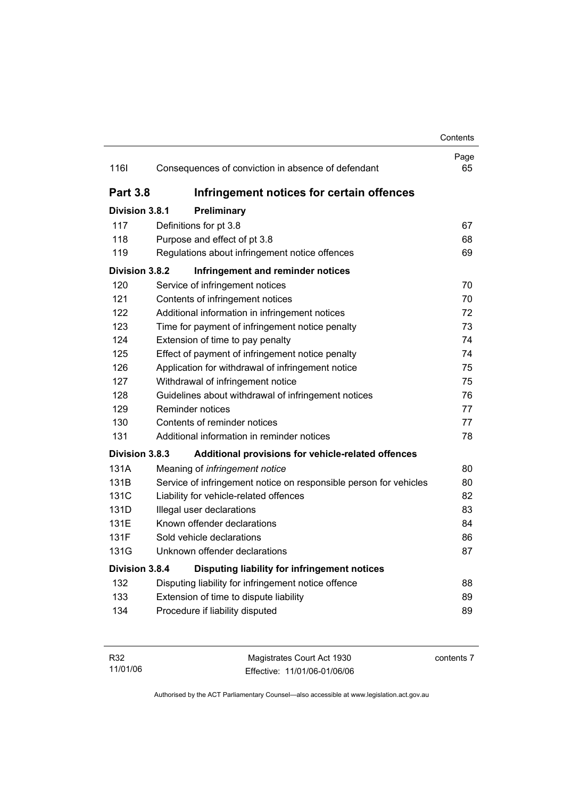### **Contents** Page 116I Consequences of conviction in absence of defendant 65 **Part 3.8 Infringement notices for certain offences Division 3.8.1 Preliminary** 117 Definitions for pt 3.8 67 118 Purpose and effect of pt 3.8 68 119 Regulations about infringement notice offences 69 **Division 3.8.2 Infringement and reminder notices** 120 Service of infringement notices 70 121 Contents of infringement notices 70 122 Additional information in infringement notices 72 123 Time for payment of infringement notice penalty 73 124 Extension of time to pay penalty 124 Extension of time to pay penalty 125 Effect of payment of infringement notice penalty 74 126 Application for withdrawal of infringement notice 75 127 Withdrawal of infringement notice 75 128 Guidelines about withdrawal of infringement notices 76 129 Reminder notices 77 130 Contents of reminder notices 77 131 Additional information in reminder notices 78 **Division 3.8.3 Additional provisions for vehicle-related offences** 131A Meaning of *infringement notice* 80 131B Service of infringement notice on responsible person for vehicles 80 131C Liability for vehicle-related offences 82 131D Illegal user declarations 83 131E Known offender declarations 84 131F Sold vehicle declarations 86 131G Unknown offender declarations 87 **Division 3.8.4 Disputing liability for infringement notices** 132 Disputing liability for infringement notice offence 88 133 Extension of time to dispute liability **133** Extension of time to dispute liability 134 Procedure if liability disputed 89

| R32      | Magistrates Court Act 1930   | contents 7 |
|----------|------------------------------|------------|
| 11/01/06 | Effective: 11/01/06-01/06/06 |            |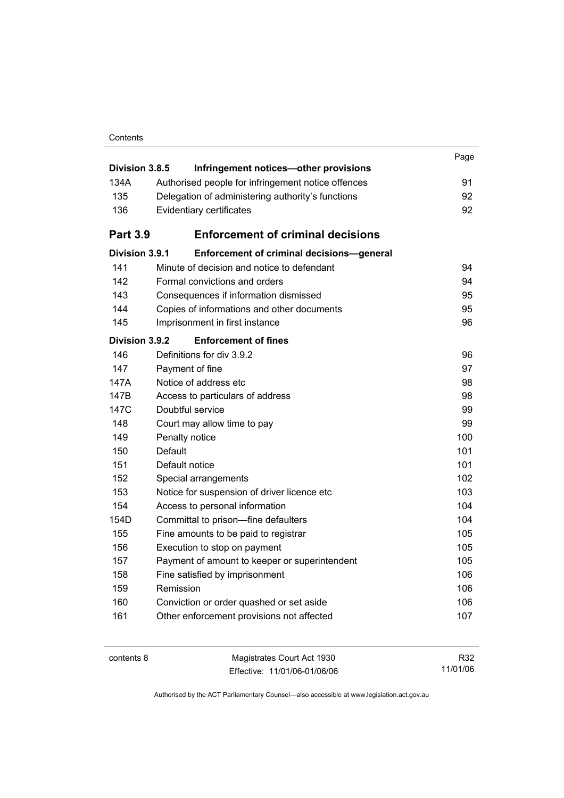| Division 3.8.5  | Infringement notices-other provisions              | Page |
|-----------------|----------------------------------------------------|------|
| 134A            | Authorised people for infringement notice offences | 91   |
| 135             | Delegation of administering authority's functions  | 92   |
| 136             | Evidentiary certificates                           | 92   |
|                 |                                                    |      |
| <b>Part 3.9</b> | <b>Enforcement of criminal decisions</b>           |      |
| Division 3.9.1  | Enforcement of criminal decisions-general          |      |
| 141             | Minute of decision and notice to defendant         | 94   |
| 142             | Formal convictions and orders                      | 94   |
| 143             | Consequences if information dismissed              | 95   |
| 144             | Copies of informations and other documents         | 95   |
| 145             | Imprisonment in first instance                     | 96   |
| Division 3.9.2  | <b>Enforcement of fines</b>                        |      |
| 146             | Definitions for div 3.9.2                          | 96   |
| 147             | Payment of fine                                    | 97   |
| 147A            | Notice of address etc.                             | 98   |
| 147B            | Access to particulars of address                   | 98   |
| 147C            | Doubtful service                                   | 99   |
| 148             | Court may allow time to pay                        | 99   |
| 149             | Penalty notice                                     | 100  |
| 150             | Default                                            | 101  |
| 151             | Default notice                                     | 101  |
| 152             | Special arrangements                               | 102  |
| 153             | Notice for suspension of driver licence etc        | 103  |
| 154             | Access to personal information                     | 104  |
| 154D            | Committal to prison-fine defaulters                | 104  |
| 155             | Fine amounts to be paid to registrar               | 105  |
| 156             | Execution to stop on payment                       | 105  |
| 157             | Payment of amount to keeper or superintendent      | 105  |
| 158             | Fine satisfied by imprisonment                     | 106  |
| 159             | Remission                                          | 106  |
| 160             | Conviction or order quashed or set aside           | 106  |
| 161             | Other enforcement provisions not affected          | 107  |
|                 |                                                    |      |

| contents 8 | Magistrates Court Act 1930   | R32      |
|------------|------------------------------|----------|
|            | Effective: 11/01/06-01/06/06 | 11/01/06 |

Authorised by the ACT Parliamentary Counsel—also accessible at www.legislation.act.gov.au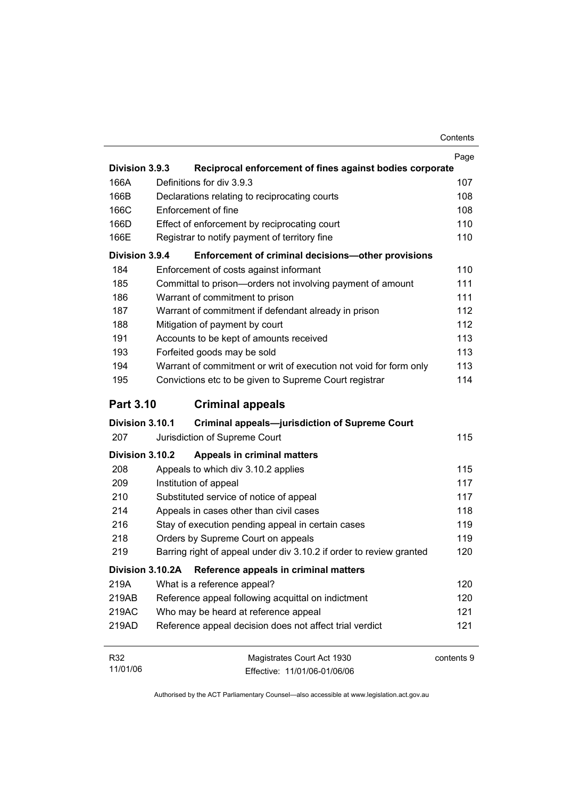|                  |                                                                     | Page       |
|------------------|---------------------------------------------------------------------|------------|
| Division 3.9.3   | Reciprocal enforcement of fines against bodies corporate            |            |
| 166A             | Definitions for div 3.9.3                                           | 107        |
| 166B             | Declarations relating to reciprocating courts                       | 108        |
| 166C             | Enforcement of fine                                                 | 108        |
| 166D             | Effect of enforcement by reciprocating court                        | 110        |
| 166E             | Registrar to notify payment of territory fine                       | 110        |
| Division 3.9.4   | Enforcement of criminal decisions-other provisions                  |            |
| 184              | Enforcement of costs against informant                              | 110        |
| 185              | Committal to prison-orders not involving payment of amount          | 111        |
| 186              | Warrant of commitment to prison                                     | 111        |
| 187              | Warrant of commitment if defendant already in prison                | 112        |
| 188              | Mitigation of payment by court                                      | 112        |
| 191              | Accounts to be kept of amounts received                             | 113        |
| 193              | Forfeited goods may be sold                                         | 113        |
| 194              | Warrant of commitment or writ of execution not void for form only   | 113        |
| 195              | Convictions etc to be given to Supreme Court registrar              | 114        |
|                  |                                                                     |            |
| <b>Part 3.10</b> | <b>Criminal appeals</b>                                             |            |
| Division 3.10.1  | <b>Criminal appeals-jurisdiction of Supreme Court</b>               |            |
| 207              | Jurisdiction of Supreme Court                                       | 115        |
| Division 3.10.2  | <b>Appeals in criminal matters</b>                                  |            |
| 208              | Appeals to which div 3.10.2 applies                                 | 115        |
| 209              | Institution of appeal                                               | 117        |
| 210              | Substituted service of notice of appeal                             | 117        |
| 214              | Appeals in cases other than civil cases                             | 118        |
| 216              | Stay of execution pending appeal in certain cases                   | 119        |
| 218              | Orders by Supreme Court on appeals                                  | 119        |
| 219              | Barring right of appeal under div 3.10.2 if order to review granted | 120        |
| Division 3.10.2A | Reference appeals in criminal matters                               |            |
| 219A             | What is a reference appeal?                                         | 120        |
| 219AB            | Reference appeal following acquittal on indictment                  | 120        |
| 219AC            | Who may be heard at reference appeal                                | 121        |
| 219AD            | Reference appeal decision does not affect trial verdict             | 121        |
|                  |                                                                     |            |
| R32              | Magistrates Court Act 1930                                          | contents 9 |

Authorised by the ACT Parliamentary Counsel—also accessible at www.legislation.act.gov.au

Effective: 11/01/06-01/06/06

11/01/06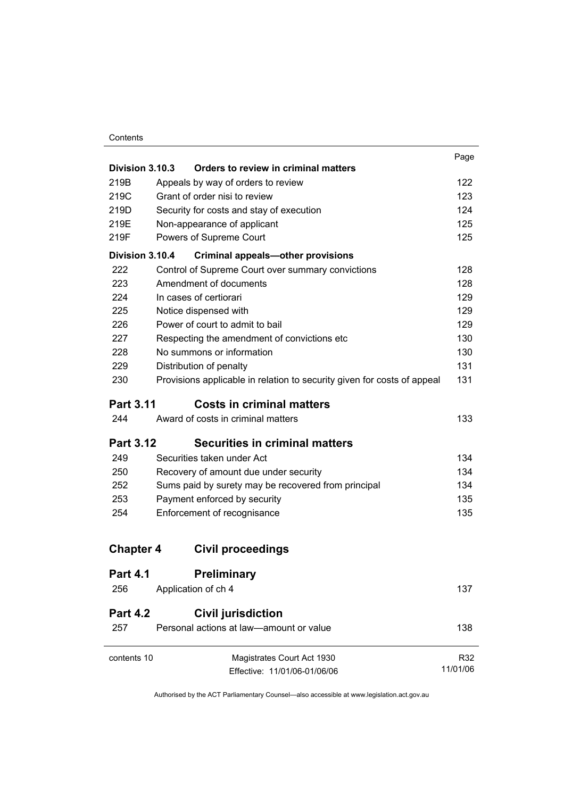#### **Contents**

|                  |                                                                         | Page     |
|------------------|-------------------------------------------------------------------------|----------|
| Division 3.10.3  | Orders to review in criminal matters                                    |          |
| 219B             | Appeals by way of orders to review                                      | 122      |
| 219C             | Grant of order nisi to review                                           | 123      |
| 219D             | Security for costs and stay of execution                                | 124      |
| 219E             | Non-appearance of applicant                                             | 125      |
| 219F             | Powers of Supreme Court                                                 | 125      |
| Division 3.10.4  | <b>Criminal appeals-other provisions</b>                                |          |
| 222              | Control of Supreme Court over summary convictions                       | 128      |
| 223              | Amendment of documents                                                  | 128      |
| 224              | In cases of certiorari                                                  | 129      |
| 225              | Notice dispensed with                                                   | 129      |
| 226              | Power of court to admit to bail                                         | 129      |
| 227              | Respecting the amendment of convictions etc                             | 130      |
| 228              | No summons or information                                               | 130      |
| 229              | Distribution of penalty                                                 | 131      |
| 230              | Provisions applicable in relation to security given for costs of appeal | 131      |
| <b>Part 3.11</b> | <b>Costs in criminal matters</b>                                        |          |
| 244              | Award of costs in criminal matters                                      | 133      |
| <b>Part 3.12</b> | <b>Securities in criminal matters</b>                                   |          |
| 249              | Securities taken under Act                                              | 134      |
| 250              | Recovery of amount due under security                                   | 134      |
| 252              | Sums paid by surety may be recovered from principal                     | 134      |
| 253              | Payment enforced by security                                            | 135      |
| 254              | Enforcement of recognisance                                             | 135      |
| <b>Chapter 4</b> | <b>Civil proceedings</b>                                                |          |
| <b>Part 4.1</b>  | <b>Preliminary</b>                                                      |          |
| 256              | Application of ch 4                                                     | 137      |
| <b>Part 4.2</b>  | <b>Civil jurisdiction</b>                                               |          |
| 257              | Personal actions at law-amount or value                                 | 138      |
| contents 10      | Magistrates Court Act 1930                                              | R32      |
|                  | Effective: 11/01/06-01/06/06                                            | 11/01/06 |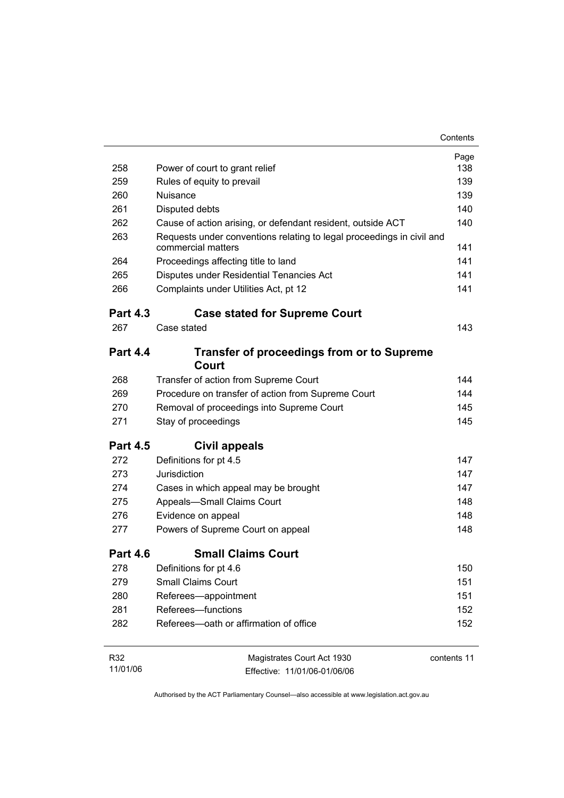|                 |                                                                                             | Contents    |
|-----------------|---------------------------------------------------------------------------------------------|-------------|
|                 |                                                                                             | Page        |
| 258             | Power of court to grant relief                                                              | 138         |
| 259             | Rules of equity to prevail                                                                  | 139         |
| 260             | Nuisance                                                                                    | 139         |
| 261             | Disputed debts                                                                              | 140         |
| 262             | Cause of action arising, or defendant resident, outside ACT                                 | 140         |
| 263             | Requests under conventions relating to legal proceedings in civil and<br>commercial matters | 141         |
| 264             | Proceedings affecting title to land                                                         | 141         |
| 265             | Disputes under Residential Tenancies Act                                                    | 141         |
| 266             | Complaints under Utilities Act, pt 12                                                       | 141         |
| <b>Part 4.3</b> | <b>Case stated for Supreme Court</b>                                                        |             |
| 267             | Case stated                                                                                 | 143         |
| <b>Part 4.4</b> | <b>Transfer of proceedings from or to Supreme</b><br>Court                                  |             |
| 268             | Transfer of action from Supreme Court                                                       | 144         |
| 269             | Procedure on transfer of action from Supreme Court                                          | 144         |
| 270             | Removal of proceedings into Supreme Court                                                   | 145         |
| 271             | Stay of proceedings                                                                         | 145         |
| <b>Part 4.5</b> | Civil appeals                                                                               |             |
| 272             | Definitions for pt 4.5                                                                      | 147         |
| 273             | Jurisdiction                                                                                | 147         |
| 274             | Cases in which appeal may be brought                                                        | 147         |
| 275             | Appeals-Small Claims Court                                                                  | 148         |
| 276             | Evidence on appeal                                                                          | 148         |
| 277             | Powers of Supreme Court on appeal                                                           | 148         |
| Part 4.6        | <b>Small Claims Court</b>                                                                   |             |
| 278             | Definitions for pt 4.6                                                                      | 150         |
| 279             | <b>Small Claims Court</b>                                                                   | 151         |
| 280             | Referees-appointment                                                                        | 151         |
| 281             | Referees-functions                                                                          | 152         |
| 282             | Referees-oath or affirmation of office                                                      | 152         |
| R32             | Magistrates Court Act 1930                                                                  | contents 11 |

11/01/06 Effective: 11/01/06-01/06/06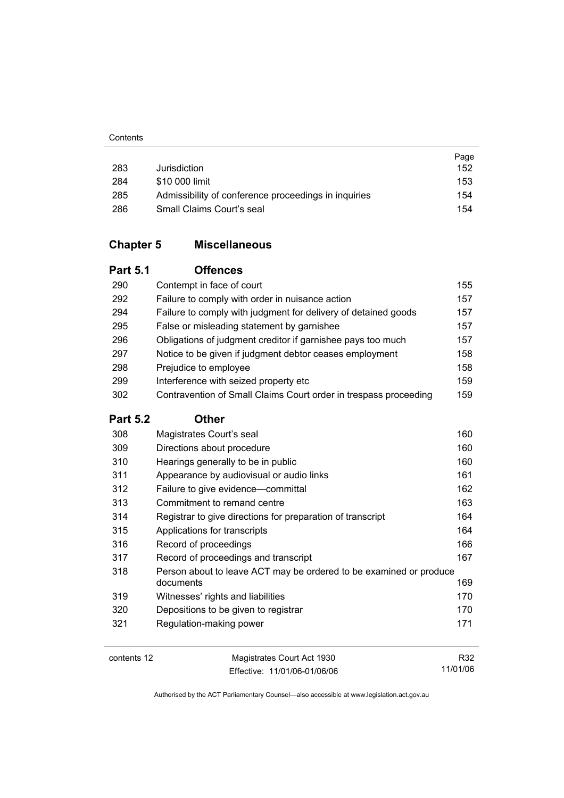|     |                                                      | Page |
|-----|------------------------------------------------------|------|
| 283 | Jurisdiction                                         | 152  |
| 284 | \$10 000 limit                                       | 153  |
| 285 | Admissibility of conference proceedings in inquiries | 154  |
| 286 | Small Claims Court's seal                            | 154  |

### **Chapter 5 Miscellaneous**

### **Part 5.1 Offences**

| 290 | Contempt in face of court                                        | 155 |
|-----|------------------------------------------------------------------|-----|
| 292 | Failure to comply with order in nuisance action                  | 157 |
| 294 | Failure to comply with judgment for delivery of detained goods   | 157 |
| 295 | False or misleading statement by garnishee                       | 157 |
| 296 | Obligations of judgment creditor if garnishee pays too much      | 157 |
| 297 | Notice to be given if judgment debtor ceases employment          | 158 |
| 298 | Prejudice to employee                                            | 158 |
| 299 | Interference with seized property etc                            | 159 |
| 302 | Contravention of Small Claims Court order in trespass proceeding | 159 |

#### **Part 5.2 Other**

| 308                                                                       | Magistrates Court's seal                                   | 160 |
|---------------------------------------------------------------------------|------------------------------------------------------------|-----|
| 309                                                                       | Directions about procedure                                 | 160 |
| 310                                                                       | Hearings generally to be in public                         | 160 |
| 311                                                                       | Appearance by audiovisual or audio links                   | 161 |
| 312                                                                       | Failure to give evidence—committal                         | 162 |
| 313                                                                       | Commitment to remand centre                                | 163 |
| 314                                                                       | Registrar to give directions for preparation of transcript | 164 |
| 315                                                                       | Applications for transcripts                               | 164 |
| 316                                                                       | Record of proceedings                                      | 166 |
| 317                                                                       | Record of proceedings and transcript                       | 167 |
| 318<br>Person about to leave ACT may be ordered to be examined or produce |                                                            |     |
|                                                                           | documents                                                  | 169 |
| 319                                                                       | Witnesses' rights and liabilities                          | 170 |
| 320                                                                       | Depositions to be given to registrar                       | 170 |
| 321                                                                       | Regulation-making power                                    | 171 |
|                                                                           |                                                            |     |
| contents 12<br>Magistrates Court Act 1930                                 |                                                            | R32 |

Effective: 11/01/06-01/06/06

R32 11/01/06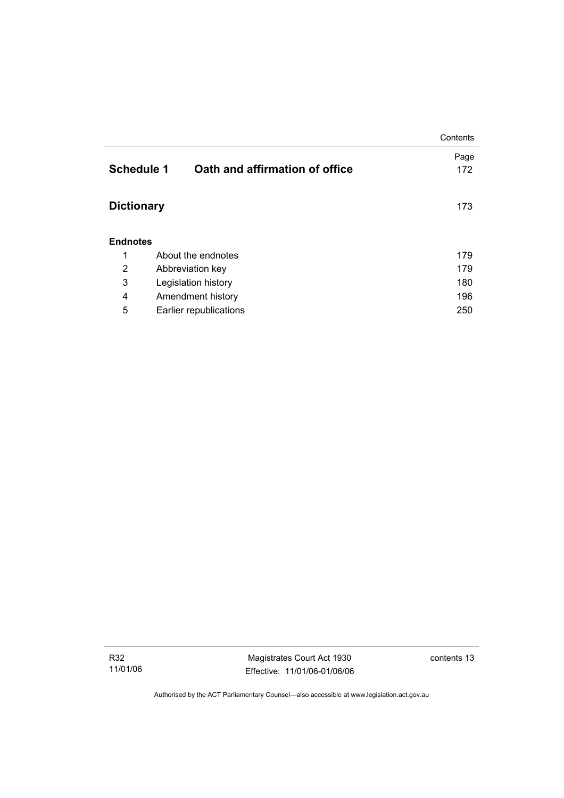|                   |                                | Contents |
|-------------------|--------------------------------|----------|
|                   |                                | Page     |
| <b>Schedule 1</b> | Oath and affirmation of office | 172      |
|                   |                                |          |
| <b>Dictionary</b> |                                |          |
|                   |                                | 173      |
|                   |                                |          |
| <b>Endnotes</b>   |                                |          |
| 1                 | About the endnotes             | 179      |
| 2                 | Abbreviation key               | 179      |
| 3                 | Legislation history            | 180      |
| 4                 | Amendment history              | 196      |
| 5                 | Earlier republications         | 250      |

Magistrates Court Act 1930 Effective: 11/01/06-01/06/06 contents 13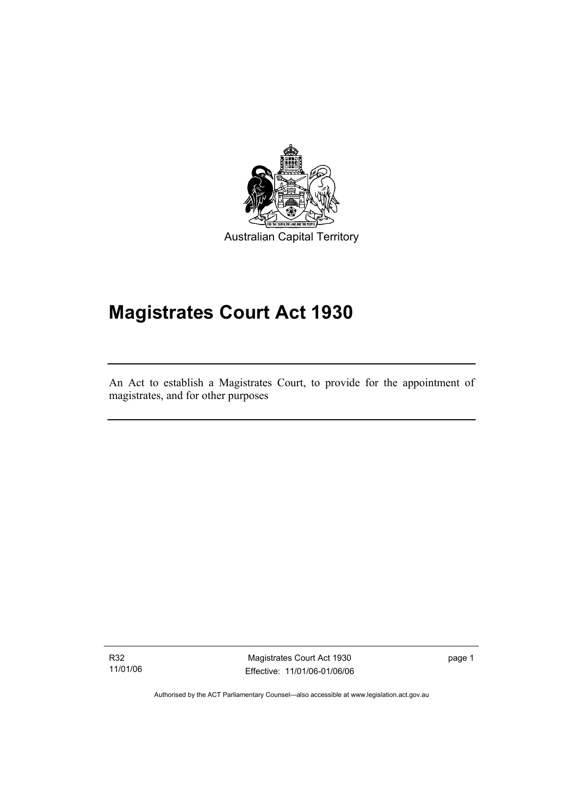

Australian Capital Territory

# **Magistrates Court Act 1930**

An Act to establish a Magistrates Court, to provide for the appointment of magistrates, and for other purposes

R32 11/01/06

I

Magistrates Court Act 1930 Effective: 11/01/06-01/06/06 page 1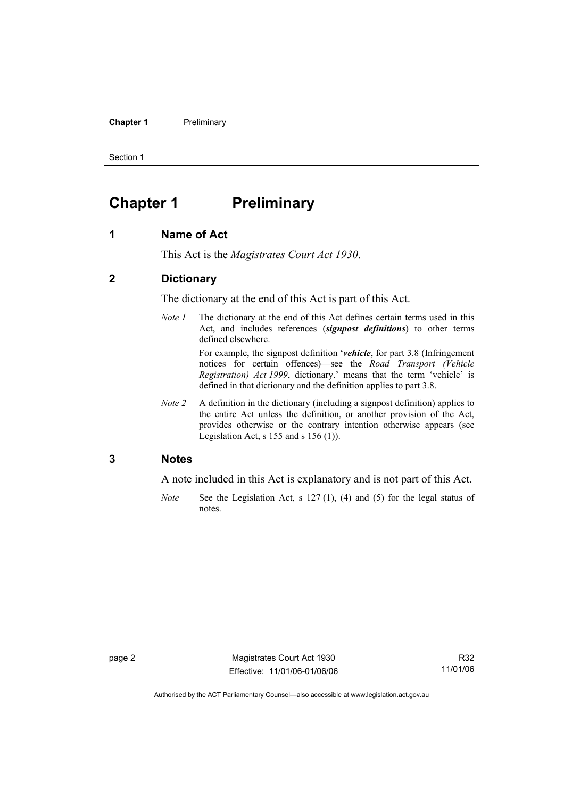**Chapter 1** Preliminary

Section 1

## **Chapter 1** Preliminary

#### **1 Name of Act**

This Act is the *Magistrates Court Act 1930*.

#### **2 Dictionary**

The dictionary at the end of this Act is part of this Act.

*Note 1* The dictionary at the end of this Act defines certain terms used in this Act, and includes references (*signpost definitions*) to other terms defined elsewhere.

> For example, the signpost definition '*vehicle*, for part 3.8 (Infringement notices for certain offences)—see the *Road Transport (Vehicle Registration) Act 1999*, dictionary.' means that the term 'vehicle' is defined in that dictionary and the definition applies to part 3.8.

*Note 2* A definition in the dictionary (including a signpost definition) applies to the entire Act unless the definition, or another provision of the Act, provides otherwise or the contrary intention otherwise appears (see Legislation Act,  $s$  155 and  $s$  156 (1)).

#### **3 Notes**

A note included in this Act is explanatory and is not part of this Act.

*Note* See the Legislation Act, s 127 (1), (4) and (5) for the legal status of notes.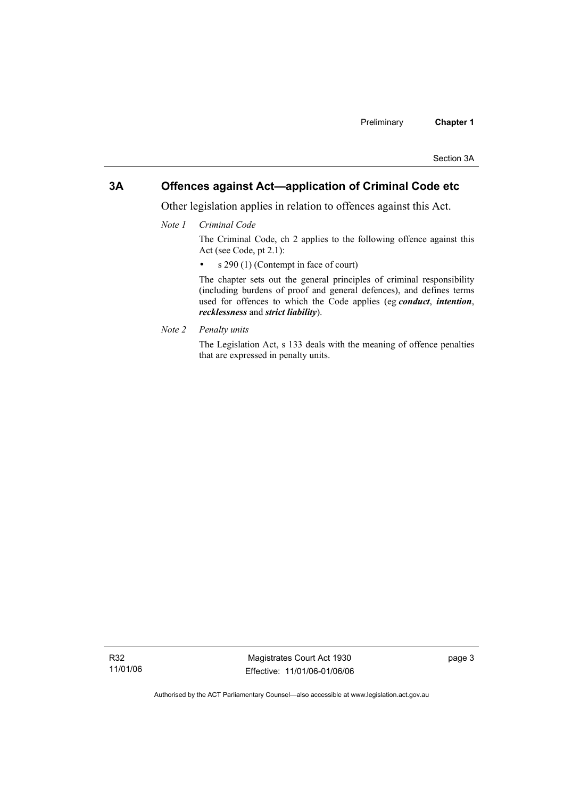#### **3A Offences against Act—application of Criminal Code etc**

Other legislation applies in relation to offences against this Act.

*Note 1 Criminal Code*

The Criminal Code, ch 2 applies to the following offence against this Act (see Code, pt 2.1):

• s 290 (1) (Contempt in face of court)

The chapter sets out the general principles of criminal responsibility (including burdens of proof and general defences), and defines terms used for offences to which the Code applies (eg *conduct*, *intention*, *recklessness* and *strict liability*).

*Note 2 Penalty units* 

The Legislation Act, s 133 deals with the meaning of offence penalties that are expressed in penalty units.

R32 11/01/06

Magistrates Court Act 1930 Effective: 11/01/06-01/06/06 page 3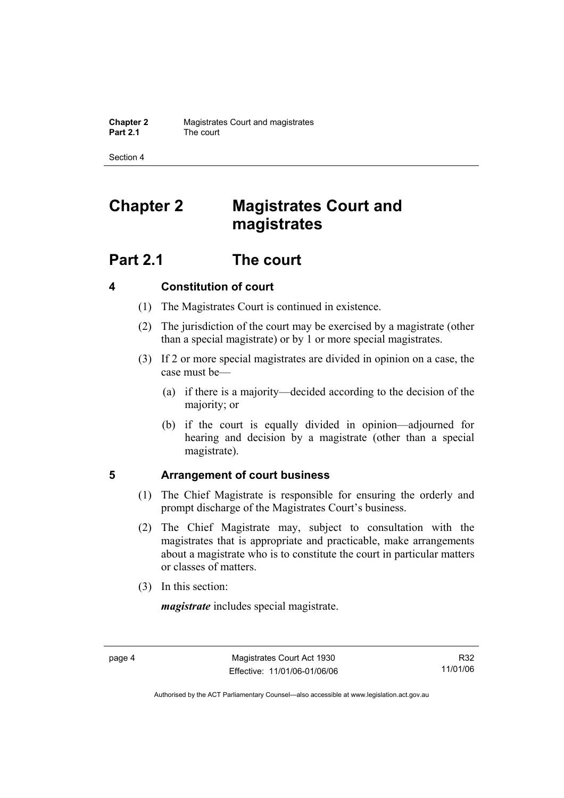Section 4

# **Chapter 2 Magistrates Court and magistrates**

## **Part 2.1 The court**

### **4 Constitution of court**

- (1) The Magistrates Court is continued in existence.
- (2) The jurisdiction of the court may be exercised by a magistrate (other than a special magistrate) or by 1 or more special magistrates.
- (3) If 2 or more special magistrates are divided in opinion on a case, the case must be—
	- (a) if there is a majority—decided according to the decision of the majority; or
	- (b) if the court is equally divided in opinion—adjourned for hearing and decision by a magistrate (other than a special magistrate).

#### **5 Arrangement of court business**

- (1) The Chief Magistrate is responsible for ensuring the orderly and prompt discharge of the Magistrates Court's business.
- (2) The Chief Magistrate may, subject to consultation with the magistrates that is appropriate and practicable, make arrangements about a magistrate who is to constitute the court in particular matters or classes of matters.
- (3) In this section:

*magistrate* includes special magistrate.

R32 11/01/06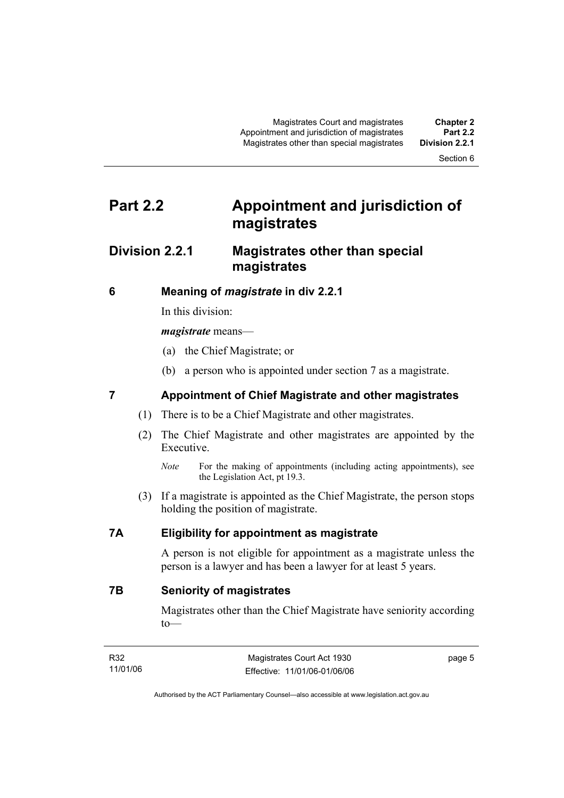Section 6

# **Part 2.2 Appointment and jurisdiction of magistrates**

### **Division 2.2.1 Magistrates other than special magistrates**

#### **6 Meaning of** *magistrate* **in div 2.2.1**

In this division:

#### *magistrate* means—

- (a) the Chief Magistrate; or
- (b) a person who is appointed under section 7 as a magistrate.

### **7 Appointment of Chief Magistrate and other magistrates**

- (1) There is to be a Chief Magistrate and other magistrates.
- (2) The Chief Magistrate and other magistrates are appointed by the Executive.
	- *Note* For the making of appointments (including acting appointments), see the Legislation Act, pt 19.3.
- (3) If a magistrate is appointed as the Chief Magistrate, the person stops holding the position of magistrate.

#### **7A Eligibility for appointment as magistrate**

A person is not eligible for appointment as a magistrate unless the person is a lawyer and has been a lawyer for at least 5 years.

**7B Seniority of magistrates** 

Magistrates other than the Chief Magistrate have seniority according to—

| R32      | Magistrates Court Act 1930   | page 5 |
|----------|------------------------------|--------|
| 11/01/06 | Effective: 11/01/06-01/06/06 |        |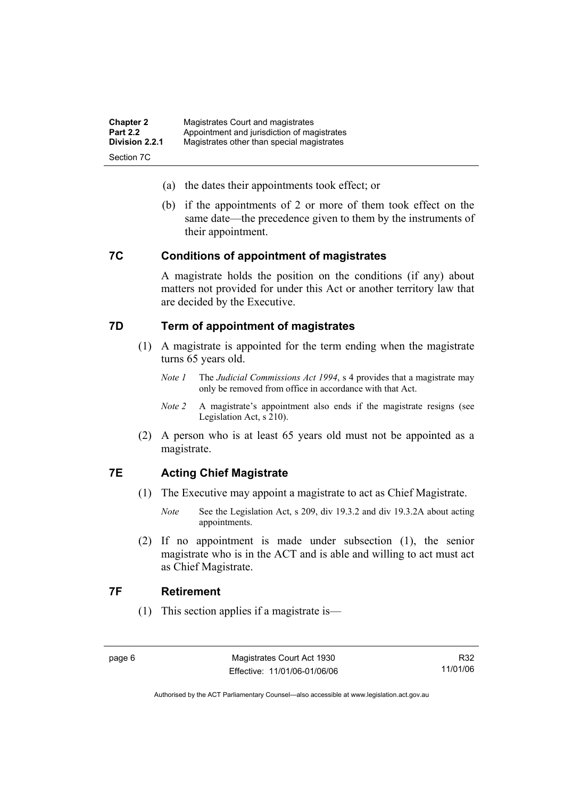| <b>Chapter 2</b> | Magistrates Court and magistrates           |
|------------------|---------------------------------------------|
| <b>Part 2.2</b>  | Appointment and jurisdiction of magistrates |
| Division 2.2.1   | Magistrates other than special magistrates  |
| Section 7C       |                                             |

- (a) the dates their appointments took effect; or
- (b) if the appointments of 2 or more of them took effect on the same date—the precedence given to them by the instruments of their appointment.

#### **7C Conditions of appointment of magistrates**

A magistrate holds the position on the conditions (if any) about matters not provided for under this Act or another territory law that are decided by the Executive.

#### **7D Term of appointment of magistrates**

- (1) A magistrate is appointed for the term ending when the magistrate turns 65 years old.
	- *Note 1* The *Judicial Commissions Act 1994*, s 4 provides that a magistrate may only be removed from office in accordance with that Act.
	- *Note 2* A magistrate's appointment also ends if the magistrate resigns (see Legislation Act, s 210).
- (2) A person who is at least 65 years old must not be appointed as a magistrate.

#### **7E Acting Chief Magistrate**

- (1) The Executive may appoint a magistrate to act as Chief Magistrate.
	- *Note* See the Legislation Act, s 209, div 19.3.2 and div 19.3.2A about acting appointments.
- (2) If no appointment is made under subsection (1), the senior magistrate who is in the ACT and is able and willing to act must act as Chief Magistrate.

#### **7F Retirement**

(1) This section applies if a magistrate is—

R32 11/01/06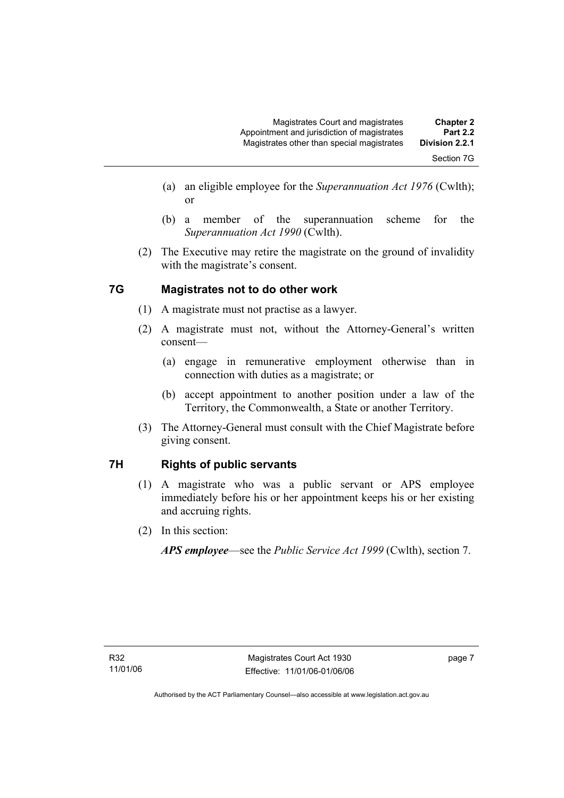- (a) an eligible employee for the *Superannuation Act 1976* (Cwlth); or
- (b) a member of the superannuation scheme for the *Superannuation Act 1990* (Cwlth).
- (2) The Executive may retire the magistrate on the ground of invalidity with the magistrate's consent.

### **7G Magistrates not to do other work**

- (1) A magistrate must not practise as a lawyer.
- (2) A magistrate must not, without the Attorney-General's written consent—
	- (a) engage in remunerative employment otherwise than in connection with duties as a magistrate; or
	- (b) accept appointment to another position under a law of the Territory, the Commonwealth, a State or another Territory.
- (3) The Attorney-General must consult with the Chief Magistrate before giving consent.

### **7H Rights of public servants**

- (1) A magistrate who was a public servant or APS employee immediately before his or her appointment keeps his or her existing and accruing rights.
- (2) In this section:

*APS employee*—see the *Public Service Act 1999* (Cwlth), section 7.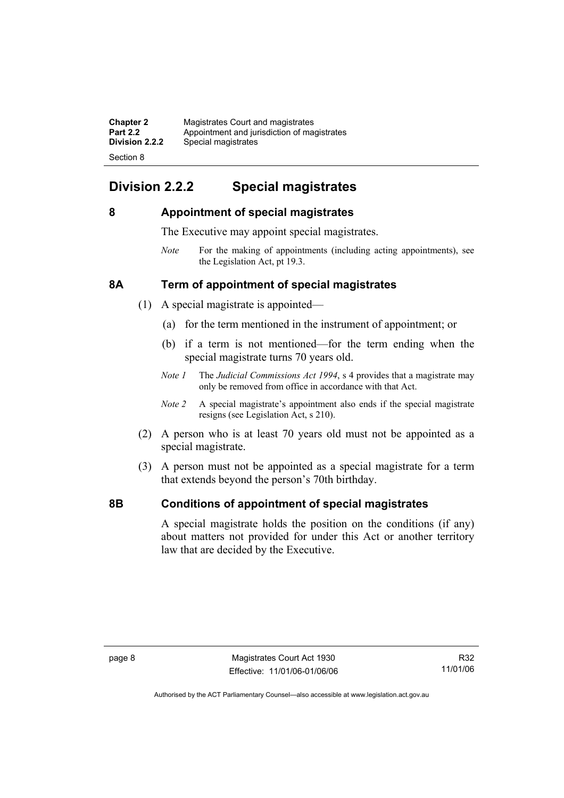| <b>Chapter 2</b> | Magistrates Court and magistrates           |
|------------------|---------------------------------------------|
| <b>Part 2.2</b>  | Appointment and jurisdiction of magistrates |
| Division 2.2.2   | Special magistrates                         |
| Section 8        |                                             |

### **Division 2.2.2 Special magistrates**

#### **8 Appointment of special magistrates**

The Executive may appoint special magistrates.

*Note* For the making of appointments (including acting appointments), see the Legislation Act, pt 19.3.

#### **8A Term of appointment of special magistrates**

- (1) A special magistrate is appointed—
	- (a) for the term mentioned in the instrument of appointment; or
	- (b) if a term is not mentioned—for the term ending when the special magistrate turns 70 years old.
	- *Note 1* The *Judicial Commissions Act 1994*, s 4 provides that a magistrate may only be removed from office in accordance with that Act.
	- *Note 2* A special magistrate's appointment also ends if the special magistrate resigns (see Legislation Act, s 210).
- (2) A person who is at least 70 years old must not be appointed as a special magistrate.
- (3) A person must not be appointed as a special magistrate for a term that extends beyond the person's 70th birthday.

#### **8B Conditions of appointment of special magistrates**

A special magistrate holds the position on the conditions (if any) about matters not provided for under this Act or another territory law that are decided by the Executive.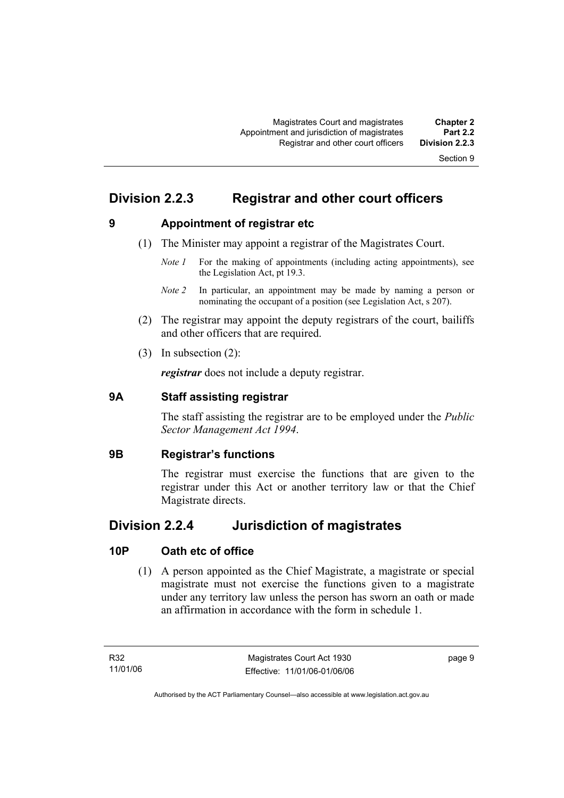### **Division 2.2.3 Registrar and other court officers**

**9 Appointment of registrar etc** 

- (1) The Minister may appoint a registrar of the Magistrates Court.
	- *Note 1* For the making of appointments (including acting appointments), see the Legislation Act, pt 19.3.
	- *Note 2* In particular, an appointment may be made by naming a person or nominating the occupant of a position (see Legislation Act, s 207).
- (2) The registrar may appoint the deputy registrars of the court, bailiffs and other officers that are required.
- (3) In subsection (2):

*registrar* does not include a deputy registrar.

#### **9A Staff assisting registrar**

The staff assisting the registrar are to be employed under the *Public Sector Management Act 1994*.

#### **9B Registrar's functions**

The registrar must exercise the functions that are given to the registrar under this Act or another territory law or that the Chief Magistrate directs.

### **Division 2.2.4 Jurisdiction of magistrates**

#### **10P Oath etc of office**

 (1) A person appointed as the Chief Magistrate, a magistrate or special magistrate must not exercise the functions given to a magistrate under any territory law unless the person has sworn an oath or made an affirmation in accordance with the form in schedule 1.

page 9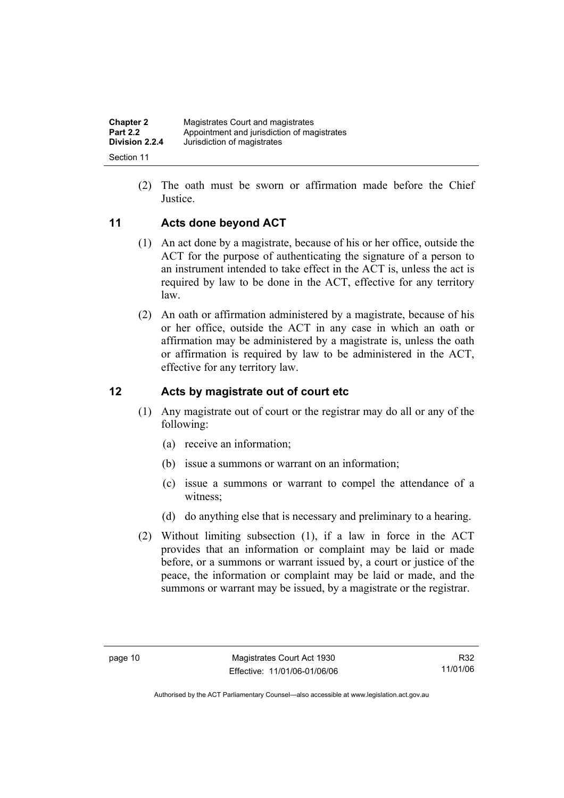| <b>Chapter 2</b> | Magistrates Court and magistrates           |
|------------------|---------------------------------------------|
| <b>Part 2.2</b>  | Appointment and jurisdiction of magistrates |
| Division 2.2.4   | Jurisdiction of magistrates                 |
| Section 11       |                                             |

 (2) The oath must be sworn or affirmation made before the Chief Justice.

#### **11 Acts done beyond ACT**

- (1) An act done by a magistrate, because of his or her office, outside the ACT for the purpose of authenticating the signature of a person to an instrument intended to take effect in the ACT is, unless the act is required by law to be done in the ACT, effective for any territory law.
- (2) An oath or affirmation administered by a magistrate, because of his or her office, outside the ACT in any case in which an oath or affirmation may be administered by a magistrate is, unless the oath or affirmation is required by law to be administered in the ACT, effective for any territory law.

#### **12 Acts by magistrate out of court etc**

- (1) Any magistrate out of court or the registrar may do all or any of the following:
	- (a) receive an information;
	- (b) issue a summons or warrant on an information;
	- (c) issue a summons or warrant to compel the attendance of a witness;
	- (d) do anything else that is necessary and preliminary to a hearing.
- (2) Without limiting subsection (1), if a law in force in the ACT provides that an information or complaint may be laid or made before, or a summons or warrant issued by, a court or justice of the peace, the information or complaint may be laid or made, and the summons or warrant may be issued, by a magistrate or the registrar.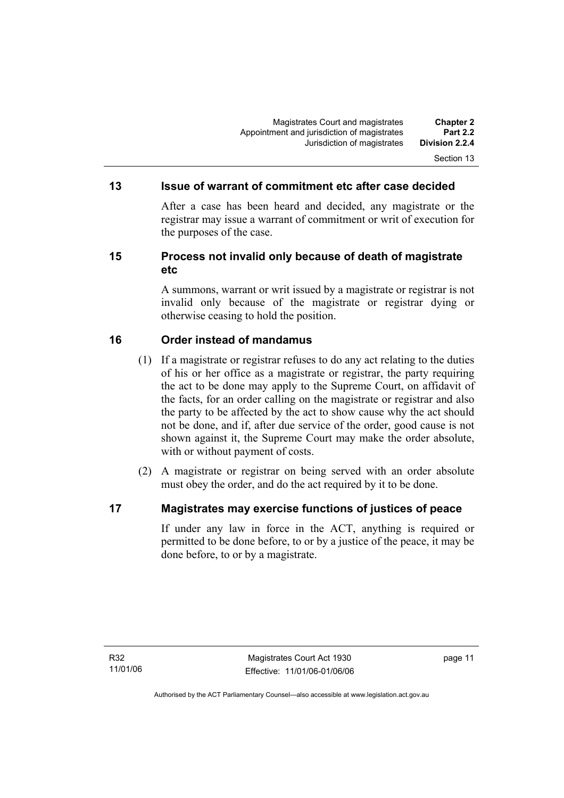#### **13 Issue of warrant of commitment etc after case decided**

After a case has been heard and decided, any magistrate or the registrar may issue a warrant of commitment or writ of execution for the purposes of the case.

#### **15 Process not invalid only because of death of magistrate etc**

A summons, warrant or writ issued by a magistrate or registrar is not invalid only because of the magistrate or registrar dying or otherwise ceasing to hold the position.

#### **16 Order instead of mandamus**

- (1) If a magistrate or registrar refuses to do any act relating to the duties of his or her office as a magistrate or registrar, the party requiring the act to be done may apply to the Supreme Court, on affidavit of the facts, for an order calling on the magistrate or registrar and also the party to be affected by the act to show cause why the act should not be done, and if, after due service of the order, good cause is not shown against it, the Supreme Court may make the order absolute, with or without payment of costs.
- (2) A magistrate or registrar on being served with an order absolute must obey the order, and do the act required by it to be done.

#### **17 Magistrates may exercise functions of justices of peace**

If under any law in force in the ACT, anything is required or permitted to be done before, to or by a justice of the peace, it may be done before, to or by a magistrate.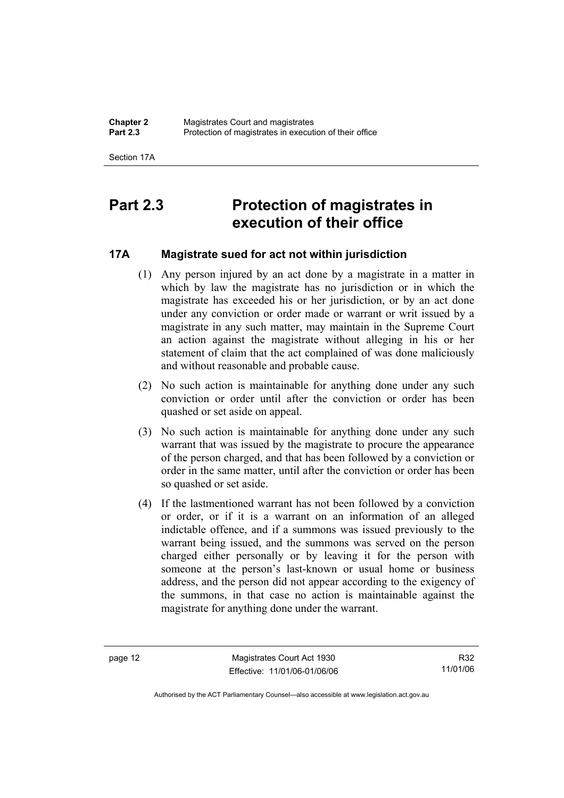Section 17A

# **Part 2.3 Protection of magistrates in execution of their office**

#### **17A Magistrate sued for act not within jurisdiction**

- (1) Any person injured by an act done by a magistrate in a matter in which by law the magistrate has no jurisdiction or in which the magistrate has exceeded his or her jurisdiction, or by an act done under any conviction or order made or warrant or writ issued by a magistrate in any such matter, may maintain in the Supreme Court an action against the magistrate without alleging in his or her statement of claim that the act complained of was done maliciously and without reasonable and probable cause.
- (2) No such action is maintainable for anything done under any such conviction or order until after the conviction or order has been quashed or set aside on appeal.
- (3) No such action is maintainable for anything done under any such warrant that was issued by the magistrate to procure the appearance of the person charged, and that has been followed by a conviction or order in the same matter, until after the conviction or order has been so quashed or set aside.
- (4) If the lastmentioned warrant has not been followed by a conviction or order, or if it is a warrant on an information of an alleged indictable offence, and if a summons was issued previously to the warrant being issued, and the summons was served on the person charged either personally or by leaving it for the person with someone at the person's last-known or usual home or business address, and the person did not appear according to the exigency of the summons, in that case no action is maintainable against the magistrate for anything done under the warrant.

page 12 Magistrates Court Act 1930 Effective: 11/01/06-01/06/06

R32 11/01/06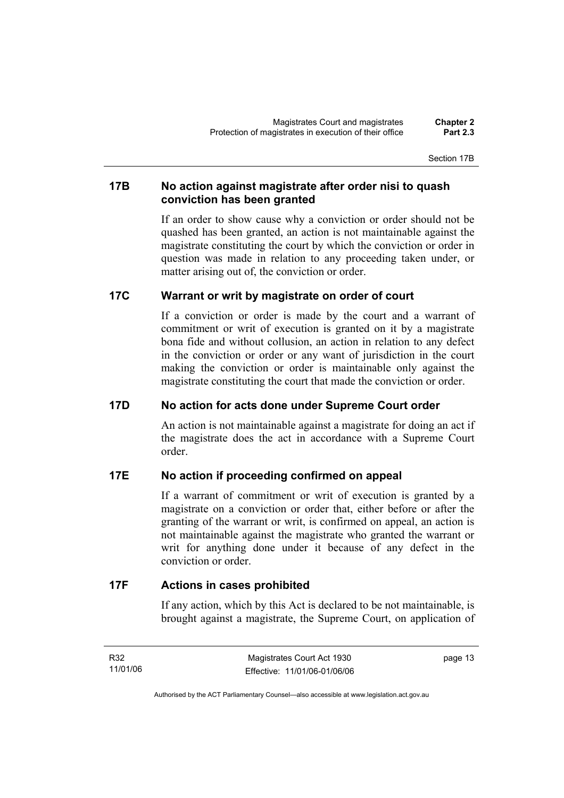Section 17B

#### **17B No action against magistrate after order nisi to quash conviction has been granted**

If an order to show cause why a conviction or order should not be quashed has been granted, an action is not maintainable against the magistrate constituting the court by which the conviction or order in question was made in relation to any proceeding taken under, or matter arising out of, the conviction or order.

#### **17C Warrant or writ by magistrate on order of court**

If a conviction or order is made by the court and a warrant of commitment or writ of execution is granted on it by a magistrate bona fide and without collusion, an action in relation to any defect in the conviction or order or any want of jurisdiction in the court making the conviction or order is maintainable only against the magistrate constituting the court that made the conviction or order.

#### **17D No action for acts done under Supreme Court order**

An action is not maintainable against a magistrate for doing an act if the magistrate does the act in accordance with a Supreme Court order.

#### **17E No action if proceeding confirmed on appeal**

If a warrant of commitment or writ of execution is granted by a magistrate on a conviction or order that, either before or after the granting of the warrant or writ, is confirmed on appeal, an action is not maintainable against the magistrate who granted the warrant or writ for anything done under it because of any defect in the conviction or order.

#### **17F Actions in cases prohibited**

If any action, which by this Act is declared to be not maintainable, is brought against a magistrate, the Supreme Court, on application of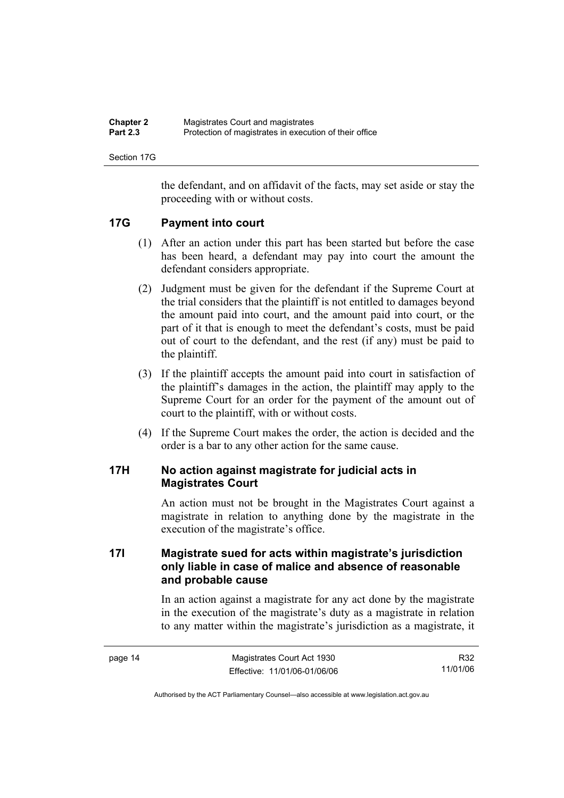| <b>Chapter 2</b> | Magistrates Court and magistrates                      |
|------------------|--------------------------------------------------------|
| <b>Part 2.3</b>  | Protection of magistrates in execution of their office |

Section 17G

the defendant, and on affidavit of the facts, may set aside or stay the proceeding with or without costs.

#### **17G Payment into court**

- (1) After an action under this part has been started but before the case has been heard, a defendant may pay into court the amount the defendant considers appropriate.
- (2) Judgment must be given for the defendant if the Supreme Court at the trial considers that the plaintiff is not entitled to damages beyond the amount paid into court, and the amount paid into court, or the part of it that is enough to meet the defendant's costs, must be paid out of court to the defendant, and the rest (if any) must be paid to the plaintiff.
- (3) If the plaintiff accepts the amount paid into court in satisfaction of the plaintiff's damages in the action, the plaintiff may apply to the Supreme Court for an order for the payment of the amount out of court to the plaintiff, with or without costs.
- (4) If the Supreme Court makes the order, the action is decided and the order is a bar to any other action for the same cause.

#### **17H No action against magistrate for judicial acts in Magistrates Court**

An action must not be brought in the Magistrates Court against a magistrate in relation to anything done by the magistrate in the execution of the magistrate's office.

#### **17I Magistrate sued for acts within magistrate's jurisdiction only liable in case of malice and absence of reasonable and probable cause**

In an action against a magistrate for any act done by the magistrate in the execution of the magistrate's duty as a magistrate in relation to any matter within the magistrate's jurisdiction as a magistrate, it

| page 14 | Magistrates Court Act 1930   | R32      |
|---------|------------------------------|----------|
|         | Effective: 11/01/06-01/06/06 | 11/01/06 |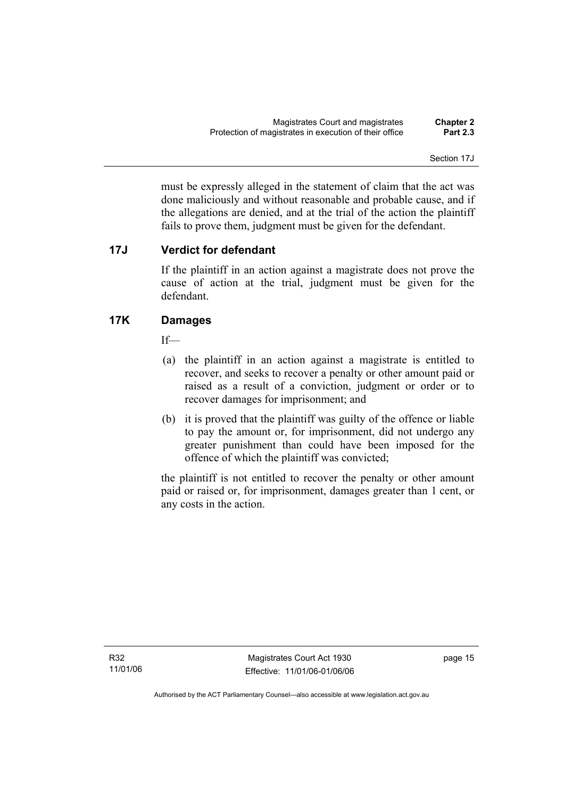Section 17J

must be expressly alleged in the statement of claim that the act was done maliciously and without reasonable and probable cause, and if the allegations are denied, and at the trial of the action the plaintiff fails to prove them, judgment must be given for the defendant.

#### **17J Verdict for defendant**

If the plaintiff in an action against a magistrate does not prove the cause of action at the trial, judgment must be given for the defendant.

#### **17K Damages**

If—

- (a) the plaintiff in an action against a magistrate is entitled to recover, and seeks to recover a penalty or other amount paid or raised as a result of a conviction, judgment or order or to recover damages for imprisonment; and
- (b) it is proved that the plaintiff was guilty of the offence or liable to pay the amount or, for imprisonment, did not undergo any greater punishment than could have been imposed for the offence of which the plaintiff was convicted;

the plaintiff is not entitled to recover the penalty or other amount paid or raised or, for imprisonment, damages greater than 1 cent, or any costs in the action.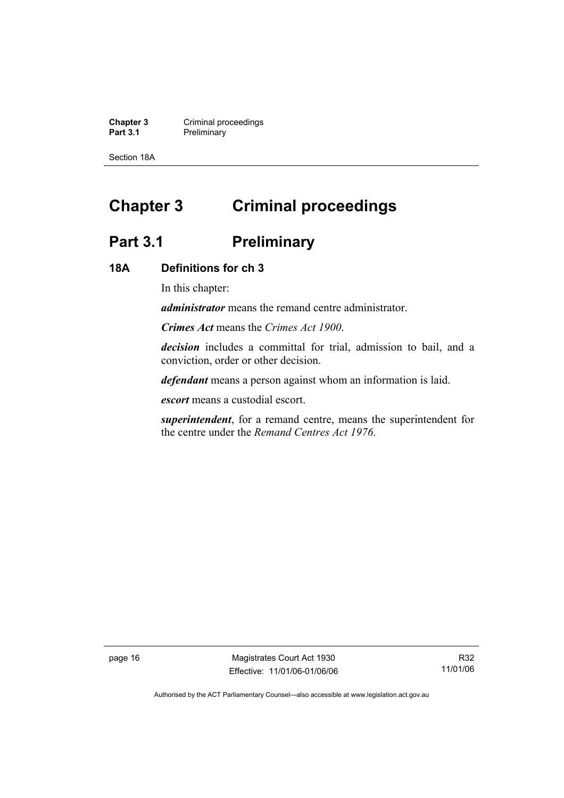**Chapter 3 Criminal proceedings**<br> **Part 3.1 Preliminary Preliminary** 

Section 18A

# **Chapter 3 Criminal proceedings**

## Part 3.1 **Preliminary**

#### **18A Definitions for ch 3**

In this chapter:

*administrator* means the remand centre administrator.

*Crimes Act* means the *Crimes Act 1900*.

*decision* includes a committal for trial, admission to bail, and a conviction, order or other decision.

*defendant* means a person against whom an information is laid.

*escort* means a custodial escort.

*superintendent*, for a remand centre, means the superintendent for the centre under the *Remand Centres Act 1976*.

page 16 Magistrates Court Act 1930 Effective: 11/01/06-01/06/06

R32 11/01/06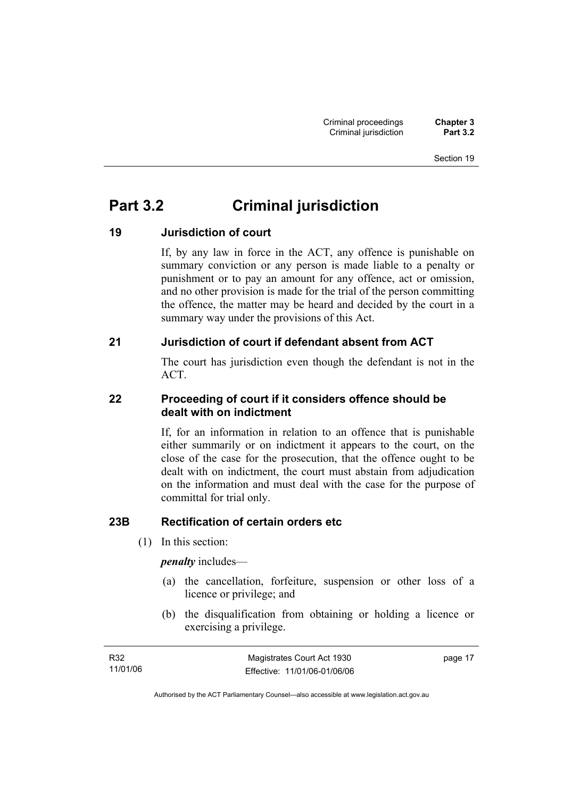# **Part 3.2 Criminal jurisdiction**

### **19 Jurisdiction of court**

If, by any law in force in the ACT, any offence is punishable on summary conviction or any person is made liable to a penalty or punishment or to pay an amount for any offence, act or omission, and no other provision is made for the trial of the person committing the offence, the matter may be heard and decided by the court in a summary way under the provisions of this Act.

#### **21 Jurisdiction of court if defendant absent from ACT**

The court has jurisdiction even though the defendant is not in the ACT.

#### **22 Proceeding of court if it considers offence should be dealt with on indictment**

If, for an information in relation to an offence that is punishable either summarily or on indictment it appears to the court, on the close of the case for the prosecution, that the offence ought to be dealt with on indictment, the court must abstain from adjudication on the information and must deal with the case for the purpose of committal for trial only.

#### **23B Rectification of certain orders etc**

(1) In this section:

*penalty* includes—

- (a) the cancellation, forfeiture, suspension or other loss of a licence or privilege; and
- (b) the disqualification from obtaining or holding a licence or exercising a privilege.

| R32      | Magistrates Court Act 1930   | page 17 |
|----------|------------------------------|---------|
| 11/01/06 | Effective: 11/01/06-01/06/06 |         |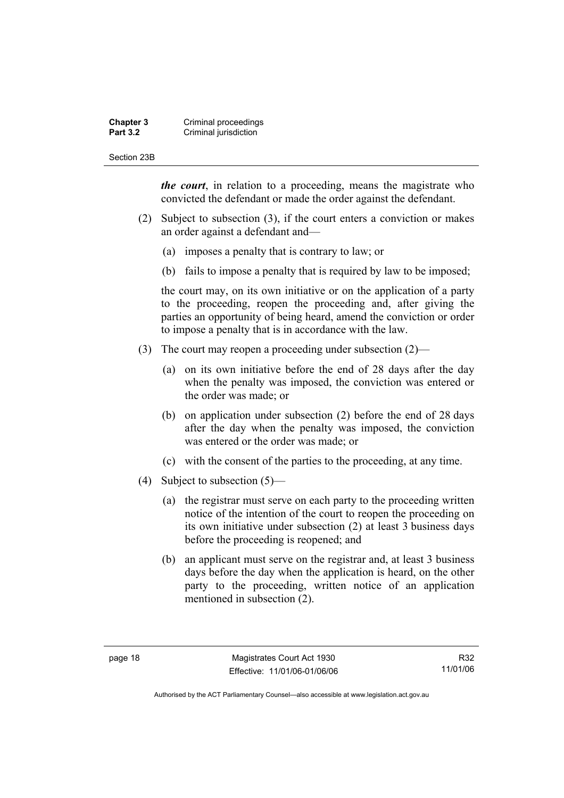#### **Chapter 3 Criminal proceedings**<br>**Part 3.2 Criminal jurisdiction Criminal jurisdiction**

#### Section 23B

*the court*, in relation to a proceeding, means the magistrate who convicted the defendant or made the order against the defendant.

- (2) Subject to subsection (3), if the court enters a conviction or makes an order against a defendant and—
	- (a) imposes a penalty that is contrary to law; or
	- (b) fails to impose a penalty that is required by law to be imposed;

the court may, on its own initiative or on the application of a party to the proceeding, reopen the proceeding and, after giving the parties an opportunity of being heard, amend the conviction or order to impose a penalty that is in accordance with the law.

- (3) The court may reopen a proceeding under subsection (2)—
	- (a) on its own initiative before the end of 28 days after the day when the penalty was imposed, the conviction was entered or the order was made; or
	- (b) on application under subsection (2) before the end of 28 days after the day when the penalty was imposed, the conviction was entered or the order was made; or
	- (c) with the consent of the parties to the proceeding, at any time.
- (4) Subject to subsection (5)—
	- (a) the registrar must serve on each party to the proceeding written notice of the intention of the court to reopen the proceeding on its own initiative under subsection (2) at least 3 business days before the proceeding is reopened; and
	- (b) an applicant must serve on the registrar and, at least 3 business days before the day when the application is heard, on the other party to the proceeding, written notice of an application mentioned in subsection (2).

R32 11/01/06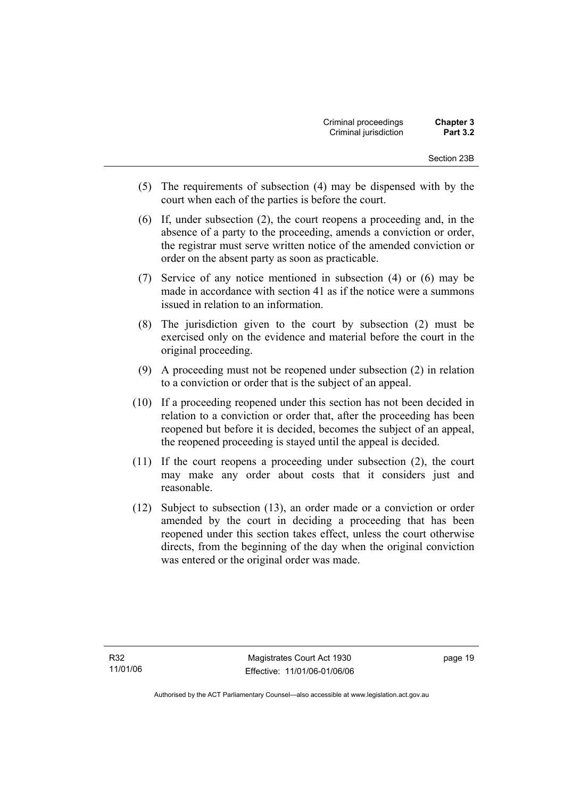- (5) The requirements of subsection (4) may be dispensed with by the court when each of the parties is before the court.
- (6) If, under subsection (2), the court reopens a proceeding and, in the absence of a party to the proceeding, amends a conviction or order, the registrar must serve written notice of the amended conviction or order on the absent party as soon as practicable.
- (7) Service of any notice mentioned in subsection (4) or (6) may be made in accordance with section 41 as if the notice were a summons issued in relation to an information.
- (8) The jurisdiction given to the court by subsection (2) must be exercised only on the evidence and material before the court in the original proceeding.
- (9) A proceeding must not be reopened under subsection (2) in relation to a conviction or order that is the subject of an appeal.
- (10) If a proceeding reopened under this section has not been decided in relation to a conviction or order that, after the proceeding has been reopened but before it is decided, becomes the subject of an appeal, the reopened proceeding is stayed until the appeal is decided.
- (11) If the court reopens a proceeding under subsection (2), the court may make any order about costs that it considers just and reasonable.
- (12) Subject to subsection (13), an order made or a conviction or order amended by the court in deciding a proceeding that has been reopened under this section takes effect, unless the court otherwise directs, from the beginning of the day when the original conviction was entered or the original order was made.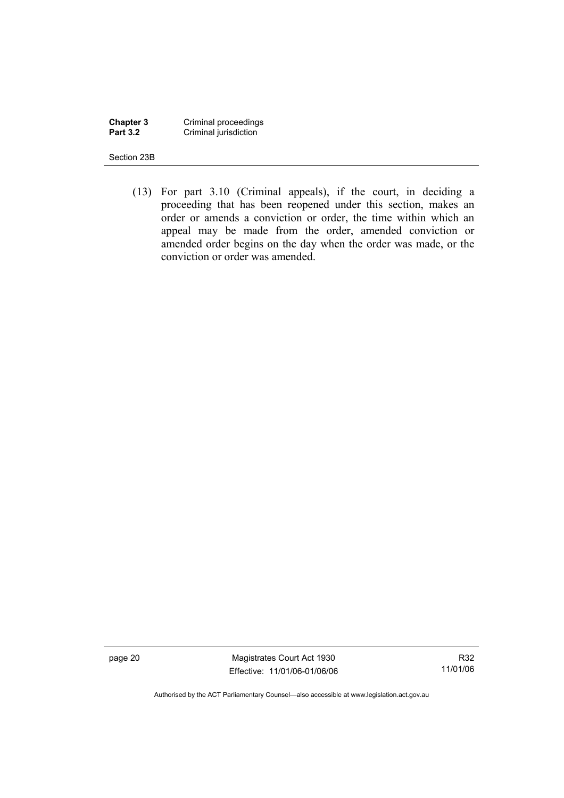**Chapter 3** Criminal proceedings **Part 3.2 Criminal jurisdiction** 

Section 23B

 (13) For part 3.10 (Criminal appeals), if the court, in deciding a proceeding that has been reopened under this section, makes an order or amends a conviction or order, the time within which an appeal may be made from the order, amended conviction or amended order begins on the day when the order was made, or the conviction or order was amended.

page 20 Magistrates Court Act 1930 Effective: 11/01/06-01/06/06

R32 11/01/06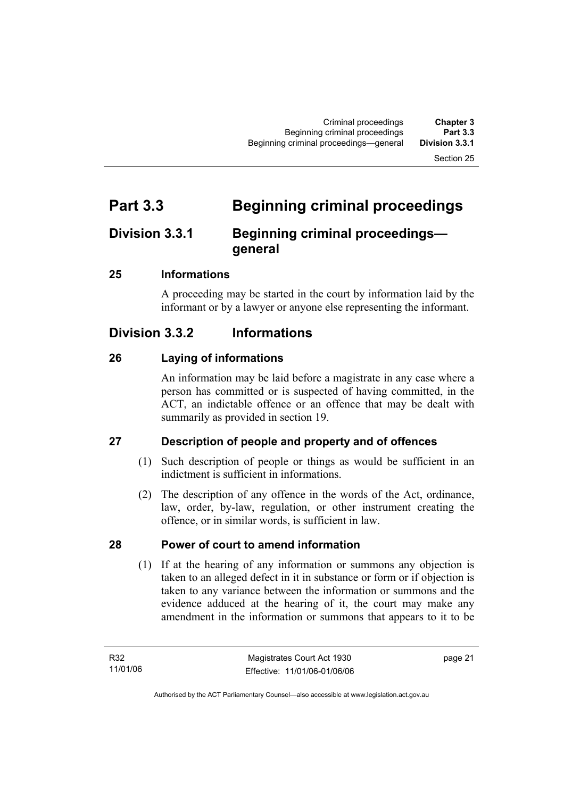# **Part 3.3 Beginning criminal proceedings**

# **Division 3.3.1 Beginning criminal proceedings general**

# **25 Informations**

A proceeding may be started in the court by information laid by the informant or by a lawyer or anyone else representing the informant.

# **Division 3.3.2 Informations**

# **26 Laying of informations**

An information may be laid before a magistrate in any case where a person has committed or is suspected of having committed, in the ACT, an indictable offence or an offence that may be dealt with summarily as provided in section 19.

# **27 Description of people and property and of offences**

- (1) Such description of people or things as would be sufficient in an indictment is sufficient in informations.
- (2) The description of any offence in the words of the Act, ordinance, law, order, by-law, regulation, or other instrument creating the offence, or in similar words, is sufficient in law.

# **28 Power of court to amend information**

 (1) If at the hearing of any information or summons any objection is taken to an alleged defect in it in substance or form or if objection is taken to any variance between the information or summons and the evidence adduced at the hearing of it, the court may make any amendment in the information or summons that appears to it to be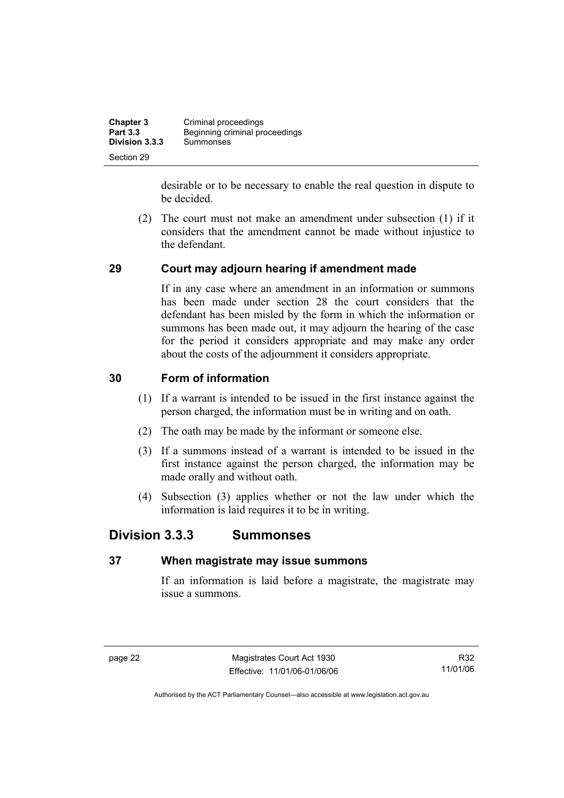| <b>Chapter 3</b> | Criminal proceedings           |
|------------------|--------------------------------|
| <b>Part 3.3</b>  | Beginning criminal proceedings |
| Division 3.3.3   | Summonses                      |
| Section 29       |                                |

desirable or to be necessary to enable the real question in dispute to be decided.

 (2) The court must not make an amendment under subsection (1) if it considers that the amendment cannot be made without injustice to the defendant.

#### **29 Court may adjourn hearing if amendment made**

If in any case where an amendment in an information or summons has been made under section 28 the court considers that the defendant has been misled by the form in which the information or summons has been made out, it may adjourn the hearing of the case for the period it considers appropriate and may make any order about the costs of the adjournment it considers appropriate.

#### **30 Form of information**

- (1) If a warrant is intended to be issued in the first instance against the person charged, the information must be in writing and on oath.
- (2) The oath may be made by the informant or someone else.
- (3) If a summons instead of a warrant is intended to be issued in the first instance against the person charged, the information may be made orally and without oath.
- (4) Subsection (3) applies whether or not the law under which the information is laid requires it to be in writing.

# **Division 3.3.3 Summonses**

# **37 When magistrate may issue summons**

If an information is laid before a magistrate, the magistrate may issue a summons.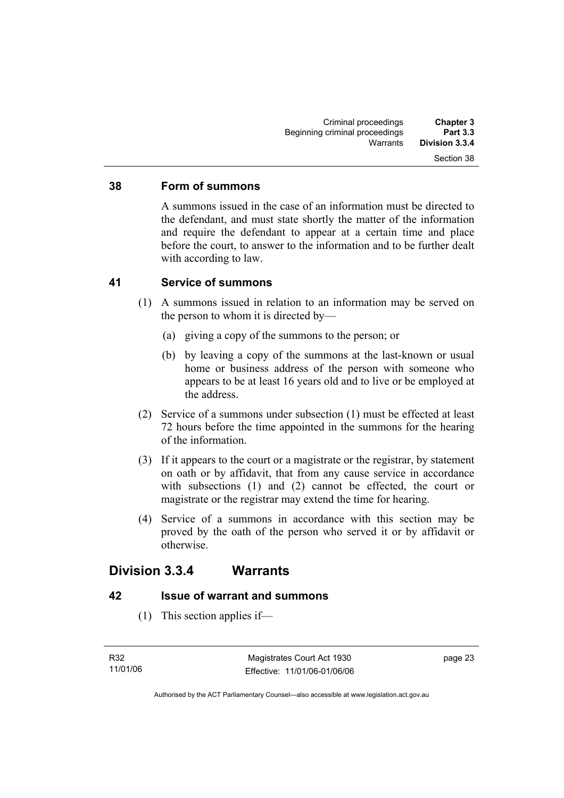#### **38 Form of summons**

A summons issued in the case of an information must be directed to the defendant, and must state shortly the matter of the information and require the defendant to appear at a certain time and place before the court, to answer to the information and to be further dealt with according to law.

#### **41 Service of summons**

- (1) A summons issued in relation to an information may be served on the person to whom it is directed by—
	- (a) giving a copy of the summons to the person; or
	- (b) by leaving a copy of the summons at the last-known or usual home or business address of the person with someone who appears to be at least 16 years old and to live or be employed at the address.
- (2) Service of a summons under subsection (1) must be effected at least 72 hours before the time appointed in the summons for the hearing of the information.
- (3) If it appears to the court or a magistrate or the registrar, by statement on oath or by affidavit, that from any cause service in accordance with subsections (1) and (2) cannot be effected, the court or magistrate or the registrar may extend the time for hearing.
- (4) Service of a summons in accordance with this section may be proved by the oath of the person who served it or by affidavit or otherwise.

# **Division 3.3.4 Warrants**

#### **42 Issue of warrant and summons**

(1) This section applies if—

page 23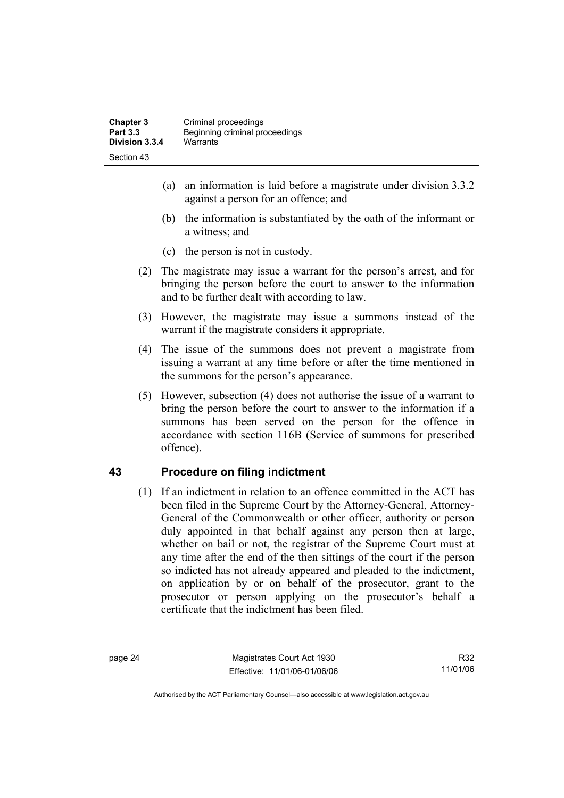- (a) an information is laid before a magistrate under division 3.3.2 against a person for an offence; and
- (b) the information is substantiated by the oath of the informant or a witness; and
- (c) the person is not in custody.
- (2) The magistrate may issue a warrant for the person's arrest, and for bringing the person before the court to answer to the information and to be further dealt with according to law.
- (3) However, the magistrate may issue a summons instead of the warrant if the magistrate considers it appropriate.
- (4) The issue of the summons does not prevent a magistrate from issuing a warrant at any time before or after the time mentioned in the summons for the person's appearance.
- (5) However, subsection (4) does not authorise the issue of a warrant to bring the person before the court to answer to the information if a summons has been served on the person for the offence in accordance with section 116B (Service of summons for prescribed offence).

# **43 Procedure on filing indictment**

 (1) If an indictment in relation to an offence committed in the ACT has been filed in the Supreme Court by the Attorney-General, Attorney-General of the Commonwealth or other officer, authority or person duly appointed in that behalf against any person then at large, whether on bail or not, the registrar of the Supreme Court must at any time after the end of the then sittings of the court if the person so indicted has not already appeared and pleaded to the indictment, on application by or on behalf of the prosecutor, grant to the prosecutor or person applying on the prosecutor's behalf a certificate that the indictment has been filed.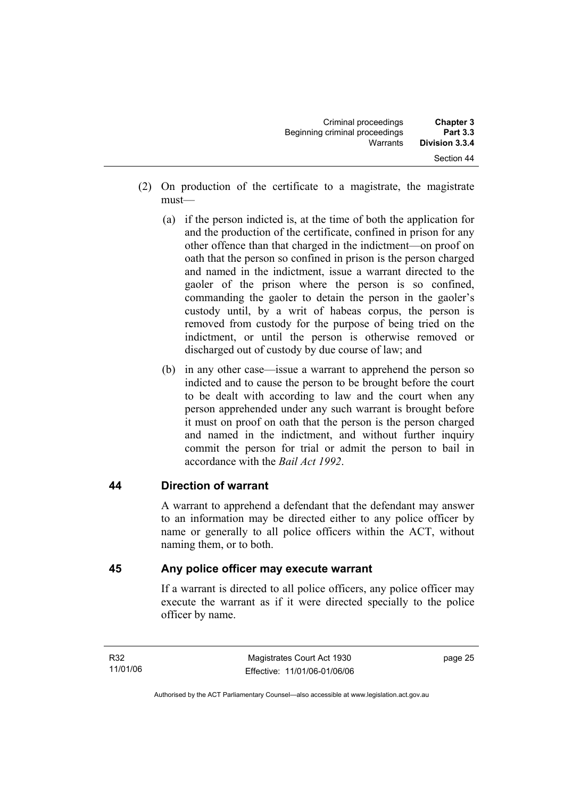| <b>Chapter 3</b><br><b>Part 3.3</b> | Criminal proceedings<br>Beginning criminal proceedings |  |
|-------------------------------------|--------------------------------------------------------|--|
| Division 3.3.4                      | Warrants                                               |  |
| Section 44                          |                                                        |  |

- (2) On production of the certificate to a magistrate, the magistrate must—
	- (a) if the person indicted is, at the time of both the application for and the production of the certificate, confined in prison for any other offence than that charged in the indictment—on proof on oath that the person so confined in prison is the person charged and named in the indictment, issue a warrant directed to the gaoler of the prison where the person is so confined, commanding the gaoler to detain the person in the gaoler's custody until, by a writ of habeas corpus, the person is removed from custody for the purpose of being tried on the indictment, or until the person is otherwise removed or discharged out of custody by due course of law; and
	- (b) in any other case—issue a warrant to apprehend the person so indicted and to cause the person to be brought before the court to be dealt with according to law and the court when any person apprehended under any such warrant is brought before it must on proof on oath that the person is the person charged and named in the indictment, and without further inquiry commit the person for trial or admit the person to bail in accordance with the *Bail Act 1992*.

#### **44 Direction of warrant**

A warrant to apprehend a defendant that the defendant may answer to an information may be directed either to any police officer by name or generally to all police officers within the ACT, without naming them, or to both.

#### **45 Any police officer may execute warrant**

If a warrant is directed to all police officers, any police officer may execute the warrant as if it were directed specially to the police officer by name.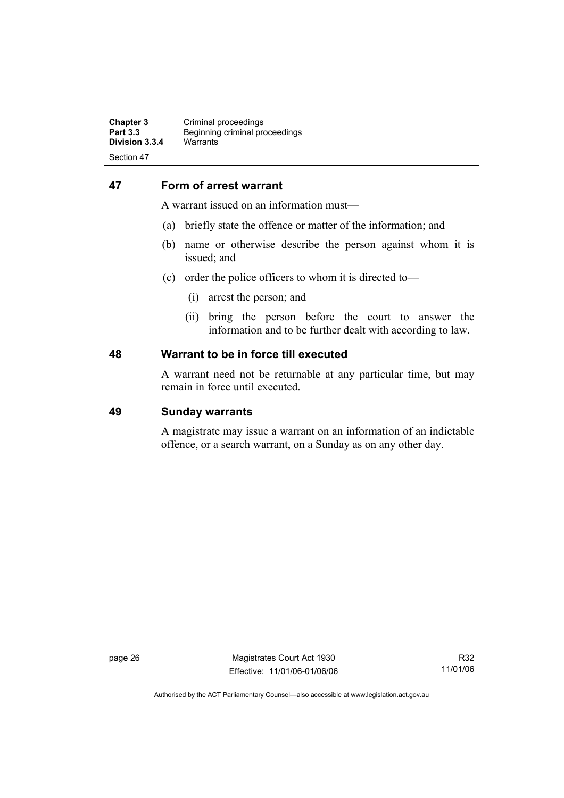#### **47 Form of arrest warrant**

A warrant issued on an information must—

- (a) briefly state the offence or matter of the information; and
- (b) name or otherwise describe the person against whom it is issued; and
- (c) order the police officers to whom it is directed to—
	- (i) arrest the person; and
	- (ii) bring the person before the court to answer the information and to be further dealt with according to law.

#### **48 Warrant to be in force till executed**

A warrant need not be returnable at any particular time, but may remain in force until executed.

#### **49 Sunday warrants**

A magistrate may issue a warrant on an information of an indictable offence, or a search warrant, on a Sunday as on any other day.

page 26 Magistrates Court Act 1930 Effective: 11/01/06-01/06/06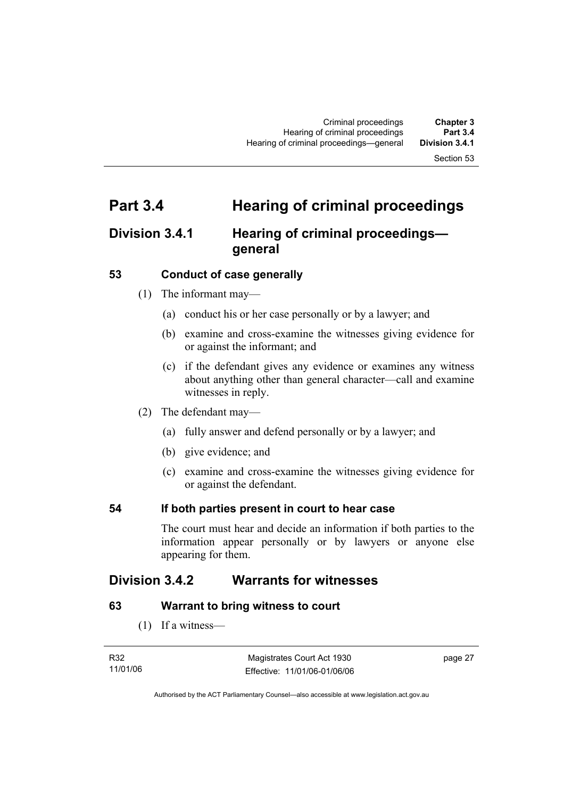# **Part 3.4 Hearing of criminal proceedings**

# **Division 3.4.1 Hearing of criminal proceedings general**

#### **53 Conduct of case generally**

- (1) The informant may—
	- (a) conduct his or her case personally or by a lawyer; and
	- (b) examine and cross-examine the witnesses giving evidence for or against the informant; and
	- (c) if the defendant gives any evidence or examines any witness about anything other than general character—call and examine witnesses in reply.
- (2) The defendant may—
	- (a) fully answer and defend personally or by a lawyer; and
	- (b) give evidence; and
	- (c) examine and cross-examine the witnesses giving evidence for or against the defendant.

# **54 If both parties present in court to hear case**

The court must hear and decide an information if both parties to the information appear personally or by lawyers or anyone else appearing for them.

# **Division 3.4.2 Warrants for witnesses**

# **63 Warrant to bring witness to court**

(1) If a witness—

| R32      | Magistrates Court Act 1930   | page 27 |
|----------|------------------------------|---------|
| 11/01/06 | Effective: 11/01/06-01/06/06 |         |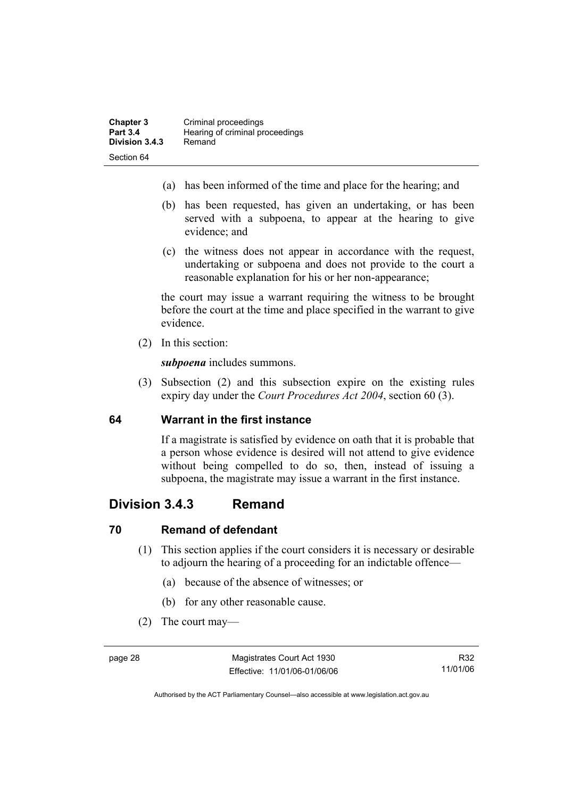- (a) has been informed of the time and place for the hearing; and
- (b) has been requested, has given an undertaking, or has been served with a subpoena, to appear at the hearing to give evidence; and
- (c) the witness does not appear in accordance with the request, undertaking or subpoena and does not provide to the court a reasonable explanation for his or her non-appearance;

the court may issue a warrant requiring the witness to be brought before the court at the time and place specified in the warrant to give evidence.

(2) In this section:

*subpoena* includes summons.

 (3) Subsection (2) and this subsection expire on the existing rules expiry day under the *Court Procedures Act 2004*, section 60 (3).

# **64 Warrant in the first instance**

If a magistrate is satisfied by evidence on oath that it is probable that a person whose evidence is desired will not attend to give evidence without being compelled to do so, then, instead of issuing a subpoena, the magistrate may issue a warrant in the first instance.

# **Division 3.4.3 Remand**

# **70 Remand of defendant**

- (1) This section applies if the court considers it is necessary or desirable to adjourn the hearing of a proceeding for an indictable offence—
	- (a) because of the absence of witnesses; or
	- (b) for any other reasonable cause.
- (2) The court may—

Authorised by the ACT Parliamentary Counsel—also accessible at www.legislation.act.gov.au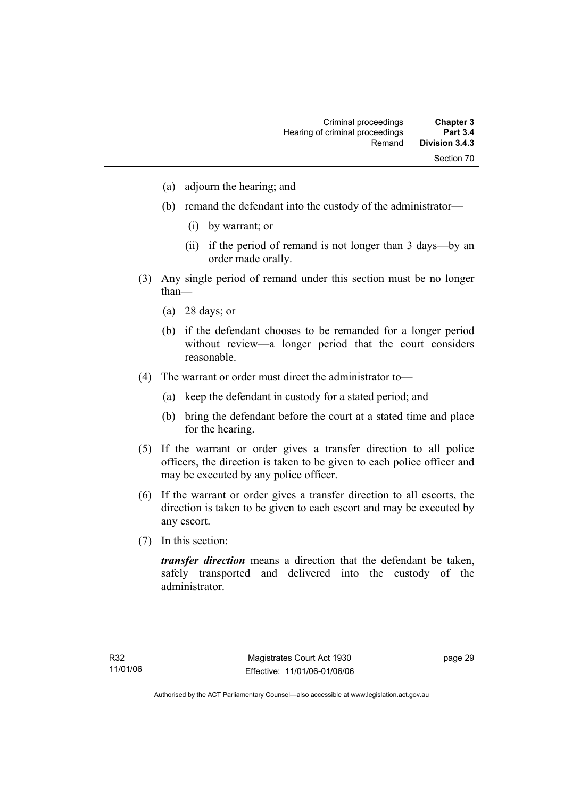- (a) adjourn the hearing; and
- (b) remand the defendant into the custody of the administrator—
	- (i) by warrant; or
	- (ii) if the period of remand is not longer than 3 days—by an order made orally.
- (3) Any single period of remand under this section must be no longer than—
	- (a) 28 days; or
	- (b) if the defendant chooses to be remanded for a longer period without review—a longer period that the court considers reasonable.
- (4) The warrant or order must direct the administrator to—
	- (a) keep the defendant in custody for a stated period; and
	- (b) bring the defendant before the court at a stated time and place for the hearing.
- (5) If the warrant or order gives a transfer direction to all police officers, the direction is taken to be given to each police officer and may be executed by any police officer.
- (6) If the warrant or order gives a transfer direction to all escorts, the direction is taken to be given to each escort and may be executed by any escort.
- (7) In this section:

*transfer direction* means a direction that the defendant be taken, safely transported and delivered into the custody of the administrator.

page 29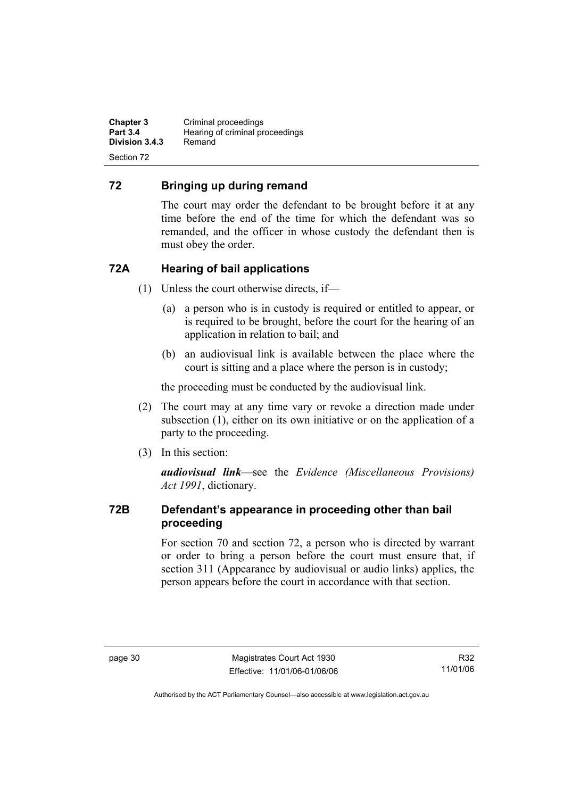**Chapter 3 Criminal proceedings**<br>**Part 3.4 Hearing of criminal property Hearing of criminal proceedings**<br>Remand **Division 3.4.3** Section 72

# **72 Bringing up during remand**

The court may order the defendant to be brought before it at any time before the end of the time for which the defendant was so remanded, and the officer in whose custody the defendant then is must obey the order.

# **72A Hearing of bail applications**

- (1) Unless the court otherwise directs, if—
	- (a) a person who is in custody is required or entitled to appear, or is required to be brought, before the court for the hearing of an application in relation to bail; and
	- (b) an audiovisual link is available between the place where the court is sitting and a place where the person is in custody;

the proceeding must be conducted by the audiovisual link.

- (2) The court may at any time vary or revoke a direction made under subsection (1), either on its own initiative or on the application of a party to the proceeding.
- (3) In this section:

*audiovisual link*—see the *Evidence (Miscellaneous Provisions) Act 1991*, dictionary.

# **72B Defendant's appearance in proceeding other than bail proceeding**

For section 70 and section 72, a person who is directed by warrant or order to bring a person before the court must ensure that, if section 311 (Appearance by audiovisual or audio links) applies, the person appears before the court in accordance with that section.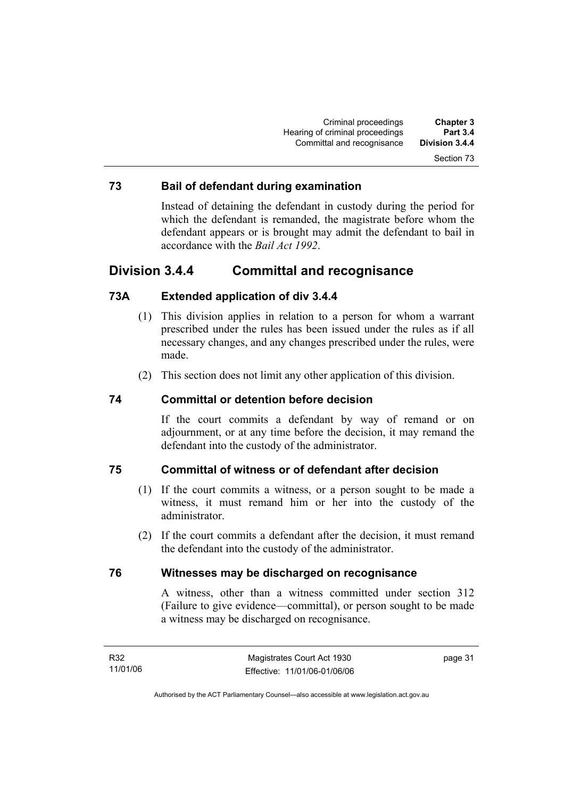#### **73 Bail of defendant during examination**

Instead of detaining the defendant in custody during the period for which the defendant is remanded, the magistrate before whom the defendant appears or is brought may admit the defendant to bail in accordance with the *Bail Act 1992*.

# **Division 3.4.4 Committal and recognisance**

# **73A Extended application of div 3.4.4**

- (1) This division applies in relation to a person for whom a warrant prescribed under the rules has been issued under the rules as if all necessary changes, and any changes prescribed under the rules, were made.
- (2) This section does not limit any other application of this division.

#### **74 Committal or detention before decision**

If the court commits a defendant by way of remand or on adjournment, or at any time before the decision, it may remand the defendant into the custody of the administrator.

#### **75 Committal of witness or of defendant after decision**

- (1) If the court commits a witness, or a person sought to be made a witness, it must remand him or her into the custody of the administrator.
- (2) If the court commits a defendant after the decision, it must remand the defendant into the custody of the administrator.

#### **76 Witnesses may be discharged on recognisance**

A witness, other than a witness committed under section 312 (Failure to give evidence—committal), or person sought to be made a witness may be discharged on recognisance.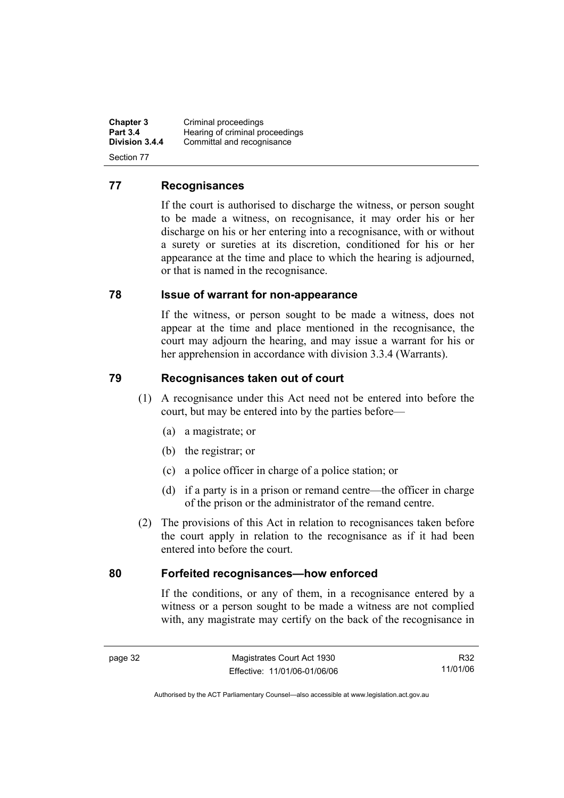**Chapter 3 Criminal proceedings**<br>**Part 3.4 Hearing of criminal property Part 3.4 Hearing of criminal proceedings**<br>**Division 3.4.4** Committal and recognisance Committal and recognisance Section 77

#### **77 Recognisances**

If the court is authorised to discharge the witness, or person sought to be made a witness, on recognisance, it may order his or her discharge on his or her entering into a recognisance, with or without a surety or sureties at its discretion, conditioned for his or her appearance at the time and place to which the hearing is adjourned, or that is named in the recognisance.

#### **78 Issue of warrant for non-appearance**

If the witness, or person sought to be made a witness, does not appear at the time and place mentioned in the recognisance, the court may adjourn the hearing, and may issue a warrant for his or her apprehension in accordance with division 3.3.4 (Warrants).

# **79 Recognisances taken out of court**

- (1) A recognisance under this Act need not be entered into before the court, but may be entered into by the parties before—
	- (a) a magistrate; or
	- (b) the registrar; or
	- (c) a police officer in charge of a police station; or
	- (d) if a party is in a prison or remand centre—the officer in charge of the prison or the administrator of the remand centre.
- (2) The provisions of this Act in relation to recognisances taken before the court apply in relation to the recognisance as if it had been entered into before the court.

#### **80 Forfeited recognisances—how enforced**

If the conditions, or any of them, in a recognisance entered by a witness or a person sought to be made a witness are not complied with, any magistrate may certify on the back of the recognisance in

R32 11/01/06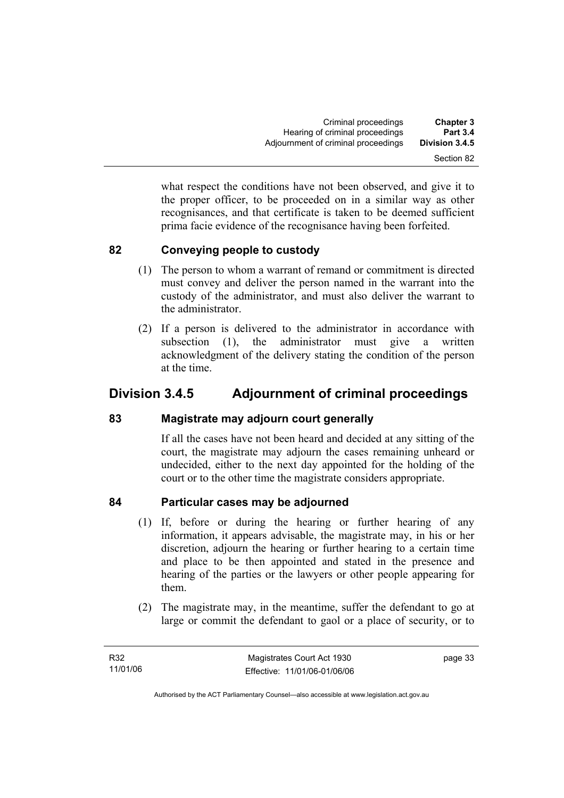what respect the conditions have not been observed, and give it to the proper officer, to be proceeded on in a similar way as other recognisances, and that certificate is taken to be deemed sufficient prima facie evidence of the recognisance having been forfeited.

# **82 Conveying people to custody**

- (1) The person to whom a warrant of remand or commitment is directed must convey and deliver the person named in the warrant into the custody of the administrator, and must also deliver the warrant to the administrator.
- (2) If a person is delivered to the administrator in accordance with subsection (1), the administrator must give a written acknowledgment of the delivery stating the condition of the person at the time.

# **Division 3.4.5 Adjournment of criminal proceedings**

# **83 Magistrate may adjourn court generally**

If all the cases have not been heard and decided at any sitting of the court, the magistrate may adjourn the cases remaining unheard or undecided, either to the next day appointed for the holding of the court or to the other time the magistrate considers appropriate.

# **84 Particular cases may be adjourned**

- (1) If, before or during the hearing or further hearing of any information, it appears advisable, the magistrate may, in his or her discretion, adjourn the hearing or further hearing to a certain time and place to be then appointed and stated in the presence and hearing of the parties or the lawyers or other people appearing for them.
- (2) The magistrate may, in the meantime, suffer the defendant to go at large or commit the defendant to gaol or a place of security, or to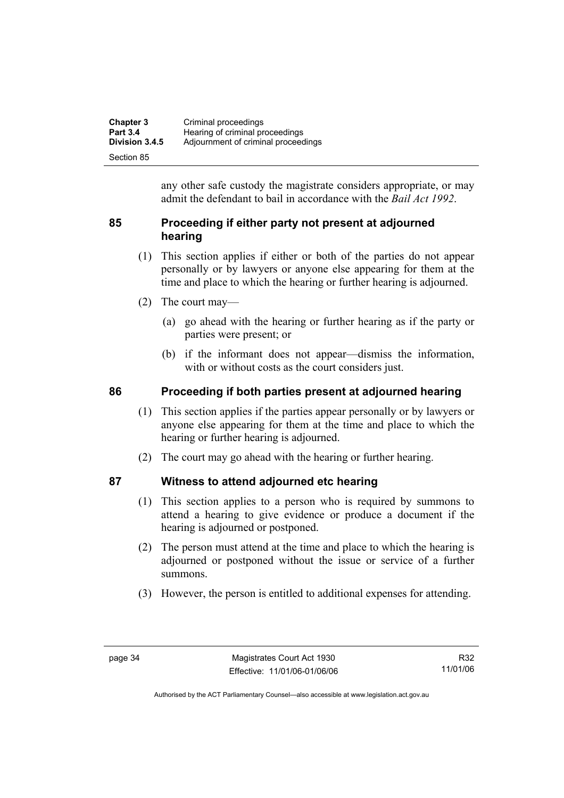| <b>Chapter 3</b> | Criminal proceedings                |
|------------------|-------------------------------------|
| <b>Part 3.4</b>  | Hearing of criminal proceedings     |
| Division 3.4.5   | Adjournment of criminal proceedings |
| Section 85       |                                     |

any other safe custody the magistrate considers appropriate, or may admit the defendant to bail in accordance with the *Bail Act 1992*.

# **85 Proceeding if either party not present at adjourned hearing**

- (1) This section applies if either or both of the parties do not appear personally or by lawyers or anyone else appearing for them at the time and place to which the hearing or further hearing is adjourned.
- (2) The court may—
	- (a) go ahead with the hearing or further hearing as if the party or parties were present; or
	- (b) if the informant does not appear—dismiss the information, with or without costs as the court considers just.

# **86 Proceeding if both parties present at adjourned hearing**

- (1) This section applies if the parties appear personally or by lawyers or anyone else appearing for them at the time and place to which the hearing or further hearing is adjourned.
- (2) The court may go ahead with the hearing or further hearing.

# **87 Witness to attend adjourned etc hearing**

- (1) This section applies to a person who is required by summons to attend a hearing to give evidence or produce a document if the hearing is adjourned or postponed.
- (2) The person must attend at the time and place to which the hearing is adjourned or postponed without the issue or service of a further summons.
- (3) However, the person is entitled to additional expenses for attending.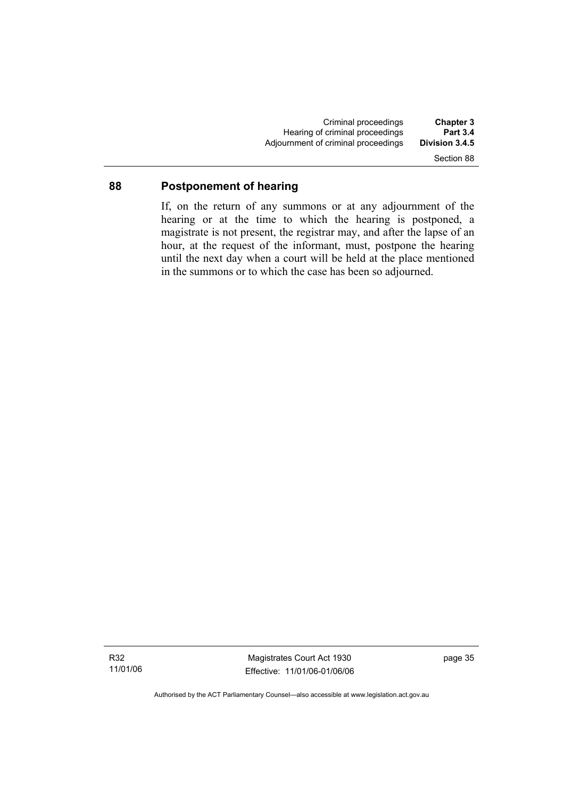Criminal proceedings **Chapter 3**  Hearing of criminal proceedings **Part 3.4**  Adjournment of criminal proceedings Section 88

#### **88 Postponement of hearing**

If, on the return of any summons or at any adjournment of the hearing or at the time to which the hearing is postponed, a magistrate is not present, the registrar may, and after the lapse of an hour, at the request of the informant, must, postpone the hearing until the next day when a court will be held at the place mentioned in the summons or to which the case has been so adjourned.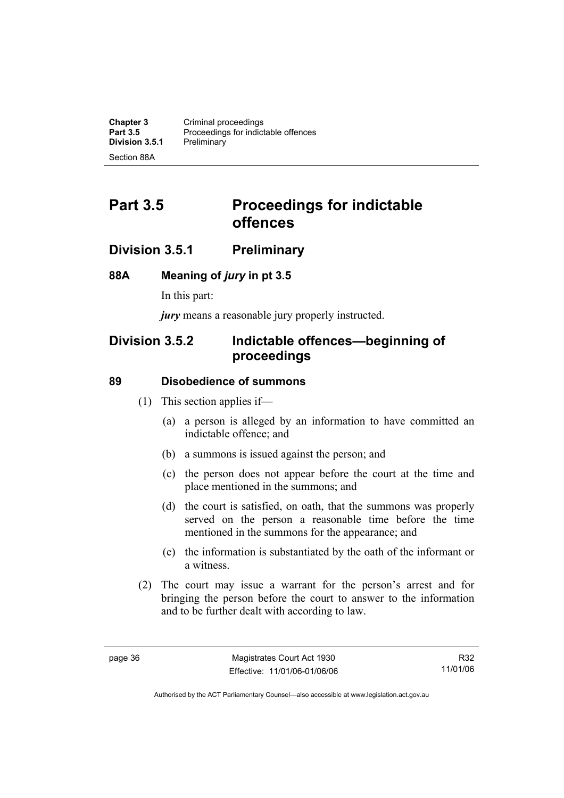**Chapter 3 Criminal proceedings**<br>**Part 3.5 Proceedings for indict** Proceedings for indictable offences<br>Preliminary **Division 3.5.1** Section 88A

# **Part 3.5** Proceedings for indictable **offences**

# **Division 3.5.1 Preliminary**

#### **88A Meaning of** *jury* **in pt 3.5**

In this part:

*jury* means a reasonable jury properly instructed.

# **Division 3.5.2 Indictable offences—beginning of proceedings**

#### **89 Disobedience of summons**

- (1) This section applies if—
	- (a) a person is alleged by an information to have committed an indictable offence; and
	- (b) a summons is issued against the person; and
	- (c) the person does not appear before the court at the time and place mentioned in the summons; and
	- (d) the court is satisfied, on oath, that the summons was properly served on the person a reasonable time before the time mentioned in the summons for the appearance; and
	- (e) the information is substantiated by the oath of the informant or a witness.
- (2) The court may issue a warrant for the person's arrest and for bringing the person before the court to answer to the information and to be further dealt with according to law.

R32 11/01/06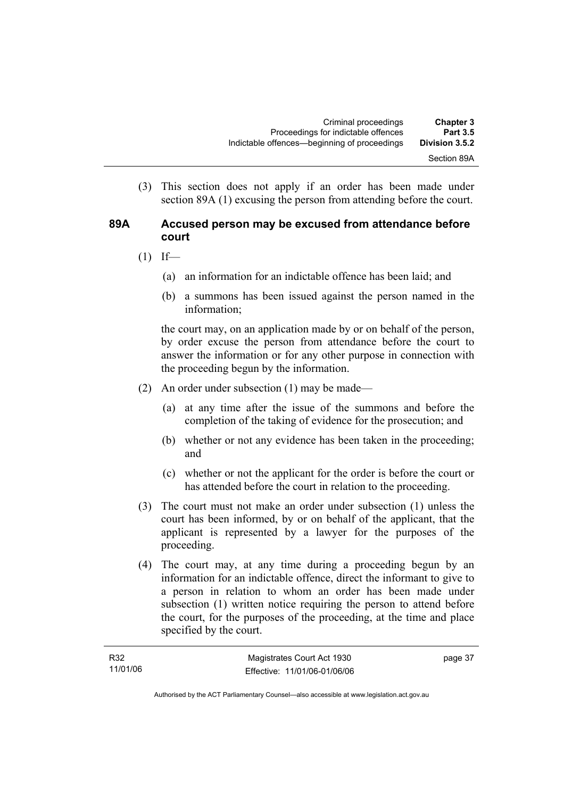(3) This section does not apply if an order has been made under section 89A (1) excusing the person from attending before the court.

#### **89A Accused person may be excused from attendance before court**

- $(1)$  If—
	- (a) an information for an indictable offence has been laid; and
	- (b) a summons has been issued against the person named in the information;

the court may, on an application made by or on behalf of the person, by order excuse the person from attendance before the court to answer the information or for any other purpose in connection with the proceeding begun by the information.

- (2) An order under subsection (1) may be made—
	- (a) at any time after the issue of the summons and before the completion of the taking of evidence for the prosecution; and
	- (b) whether or not any evidence has been taken in the proceeding; and
	- (c) whether or not the applicant for the order is before the court or has attended before the court in relation to the proceeding.
- (3) The court must not make an order under subsection (1) unless the court has been informed, by or on behalf of the applicant, that the applicant is represented by a lawyer for the purposes of the proceeding.
- (4) The court may, at any time during a proceeding begun by an information for an indictable offence, direct the informant to give to a person in relation to whom an order has been made under subsection (1) written notice requiring the person to attend before the court, for the purposes of the proceeding, at the time and place specified by the court.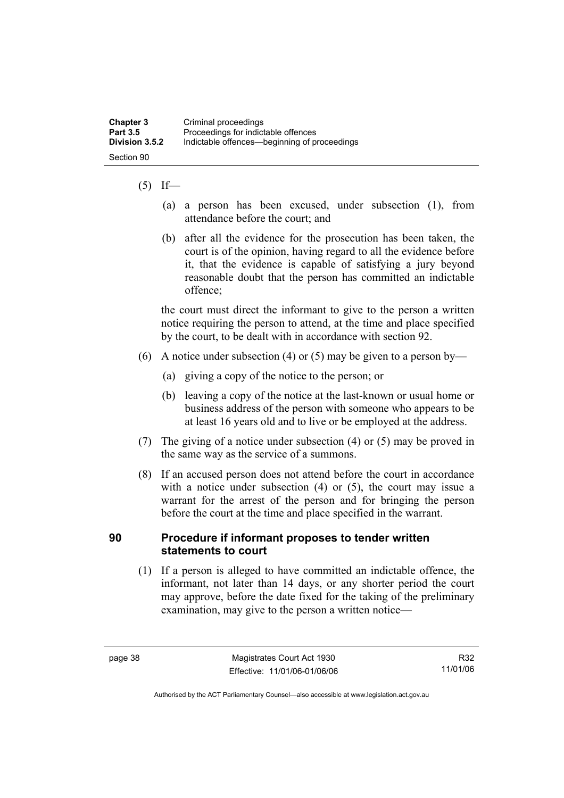# $(5)$  If—

- (a) a person has been excused, under subsection (1), from attendance before the court; and
- (b) after all the evidence for the prosecution has been taken, the court is of the opinion, having regard to all the evidence before it, that the evidence is capable of satisfying a jury beyond reasonable doubt that the person has committed an indictable offence;

the court must direct the informant to give to the person a written notice requiring the person to attend, at the time and place specified by the court, to be dealt with in accordance with section 92.

- (6) A notice under subsection (4) or (5) may be given to a person by—
	- (a) giving a copy of the notice to the person; or
	- (b) leaving a copy of the notice at the last-known or usual home or business address of the person with someone who appears to be at least 16 years old and to live or be employed at the address.
- (7) The giving of a notice under subsection (4) or (5) may be proved in the same way as the service of a summons.
- (8) If an accused person does not attend before the court in accordance with a notice under subsection (4) or (5), the court may issue a warrant for the arrest of the person and for bringing the person before the court at the time and place specified in the warrant.

#### **90 Procedure if informant proposes to tender written statements to court**

 (1) If a person is alleged to have committed an indictable offence, the informant, not later than 14 days, or any shorter period the court may approve, before the date fixed for the taking of the preliminary examination, may give to the person a written notice—

R32 11/01/06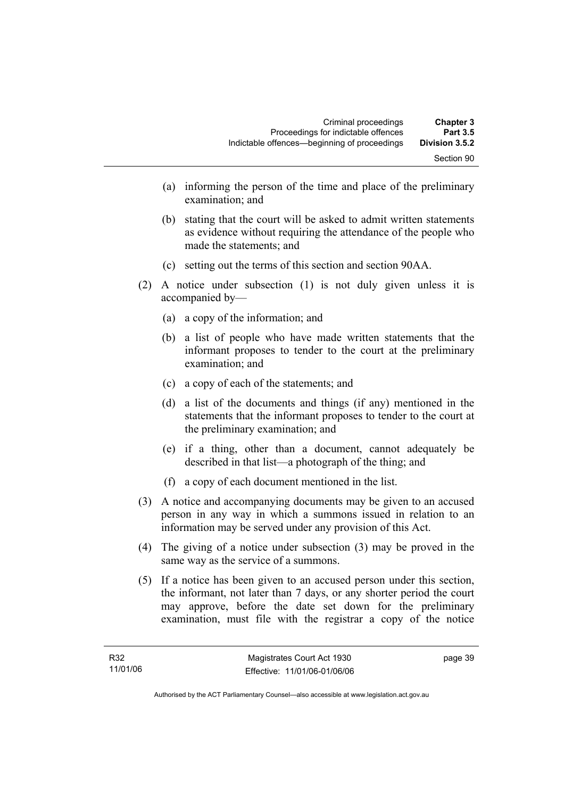- (a) informing the person of the time and place of the preliminary examination; and
- (b) stating that the court will be asked to admit written statements as evidence without requiring the attendance of the people who made the statements; and
- (c) setting out the terms of this section and section 90AA.
- (2) A notice under subsection (1) is not duly given unless it is accompanied by—
	- (a) a copy of the information; and
	- (b) a list of people who have made written statements that the informant proposes to tender to the court at the preliminary examination; and
	- (c) a copy of each of the statements; and
	- (d) a list of the documents and things (if any) mentioned in the statements that the informant proposes to tender to the court at the preliminary examination; and
	- (e) if a thing, other than a document, cannot adequately be described in that list—a photograph of the thing; and
	- (f) a copy of each document mentioned in the list.
- (3) A notice and accompanying documents may be given to an accused person in any way in which a summons issued in relation to an information may be served under any provision of this Act.
- (4) The giving of a notice under subsection (3) may be proved in the same way as the service of a summons.
- (5) If a notice has been given to an accused person under this section, the informant, not later than 7 days, or any shorter period the court may approve, before the date set down for the preliminary examination, must file with the registrar a copy of the notice

page 39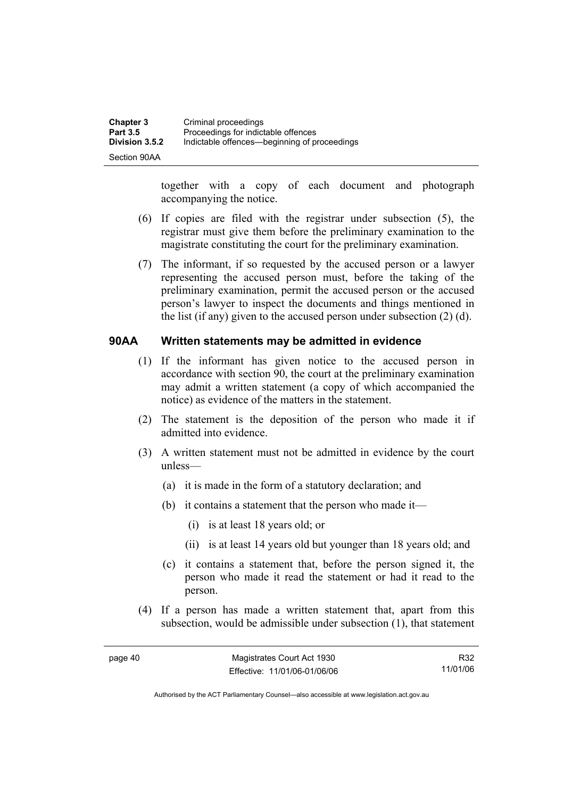| Chapter 3       | Criminal proceedings                         |
|-----------------|----------------------------------------------|
| <b>Part 3.5</b> | Proceedings for indictable offences          |
| Division 3.5.2  | Indictable offences—beginning of proceedings |
| Section 90AA    |                                              |

together with a copy of each document and photograph accompanying the notice.

- (6) If copies are filed with the registrar under subsection (5), the registrar must give them before the preliminary examination to the magistrate constituting the court for the preliminary examination.
- (7) The informant, if so requested by the accused person or a lawyer representing the accused person must, before the taking of the preliminary examination, permit the accused person or the accused person's lawyer to inspect the documents and things mentioned in the list (if any) given to the accused person under subsection (2) (d).

#### **90AA Written statements may be admitted in evidence**

- (1) If the informant has given notice to the accused person in accordance with section 90, the court at the preliminary examination may admit a written statement (a copy of which accompanied the notice) as evidence of the matters in the statement.
- (2) The statement is the deposition of the person who made it if admitted into evidence.
- (3) A written statement must not be admitted in evidence by the court unless—
	- (a) it is made in the form of a statutory declaration; and
	- (b) it contains a statement that the person who made it—
		- (i) is at least 18 years old; or
		- (ii) is at least 14 years old but younger than 18 years old; and
	- (c) it contains a statement that, before the person signed it, the person who made it read the statement or had it read to the person.
- (4) If a person has made a written statement that, apart from this subsection, would be admissible under subsection (1), that statement

R32 11/01/06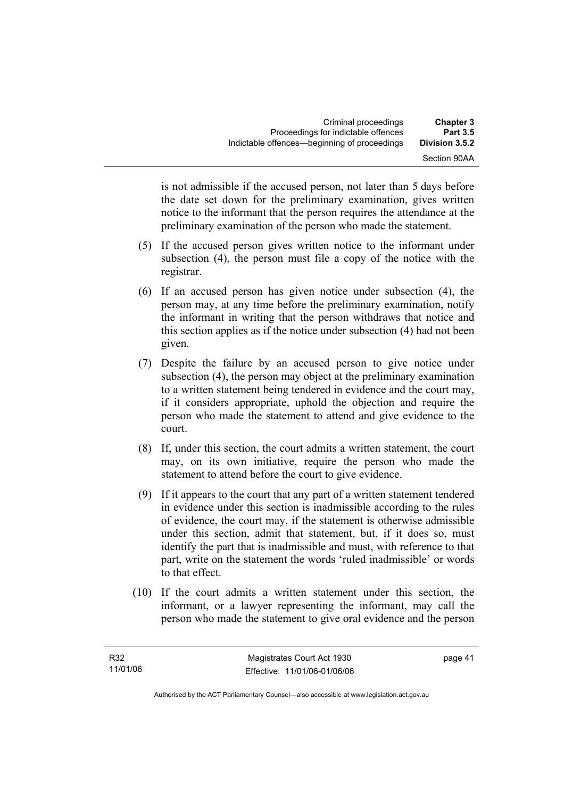is not admissible if the accused person, not later than 5 days before the date set down for the preliminary examination, gives written notice to the informant that the person requires the attendance at the preliminary examination of the person who made the statement.

- (5) If the accused person gives written notice to the informant under subsection (4), the person must file a copy of the notice with the registrar.
- (6) If an accused person has given notice under subsection (4), the person may, at any time before the preliminary examination, notify the informant in writing that the person withdraws that notice and this section applies as if the notice under subsection (4) had not been given.
- (7) Despite the failure by an accused person to give notice under subsection (4), the person may object at the preliminary examination to a written statement being tendered in evidence and the court may, if it considers appropriate, uphold the objection and require the person who made the statement to attend and give evidence to the court.
- (8) If, under this section, the court admits a written statement, the court may, on its own initiative, require the person who made the statement to attend before the court to give evidence.
- (9) If it appears to the court that any part of a written statement tendered in evidence under this section is inadmissible according to the rules of evidence, the court may, if the statement is otherwise admissible under this section, admit that statement, but, if it does so, must identify the part that is inadmissible and must, with reference to that part, write on the statement the words 'ruled inadmissible' or words to that effect.
- (10) If the court admits a written statement under this section, the informant, or a lawyer representing the informant, may call the person who made the statement to give oral evidence and the person

page 41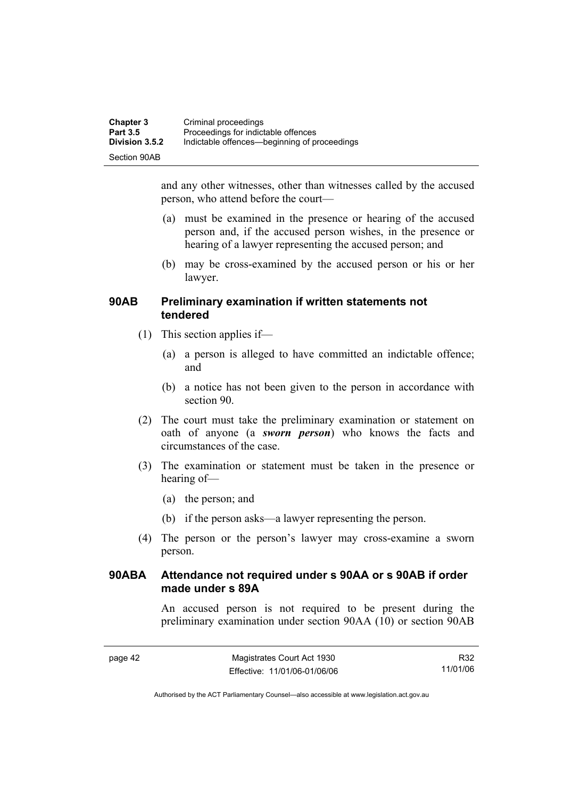| <b>Chapter 3</b> | Criminal proceedings                         |
|------------------|----------------------------------------------|
| <b>Part 3.5</b>  | Proceedings for indictable offences          |
| Division 3.5.2   | Indictable offences—beginning of proceedings |
| Section 90AB     |                                              |

and any other witnesses, other than witnesses called by the accused person, who attend before the court—

- (a) must be examined in the presence or hearing of the accused person and, if the accused person wishes, in the presence or hearing of a lawyer representing the accused person; and
- (b) may be cross-examined by the accused person or his or her lawyer.

#### **90AB Preliminary examination if written statements not tendered**

- (1) This section applies if—
	- (a) a person is alleged to have committed an indictable offence; and
	- (b) a notice has not been given to the person in accordance with section 90.
- (2) The court must take the preliminary examination or statement on oath of anyone (a *sworn person*) who knows the facts and circumstances of the case.
- (3) The examination or statement must be taken in the presence or hearing of—
	- (a) the person; and
	- (b) if the person asks—a lawyer representing the person.
- (4) The person or the person's lawyer may cross-examine a sworn person.

#### **90ABA Attendance not required under s 90AA or s 90AB if order made under s 89A**

An accused person is not required to be present during the preliminary examination under section 90AA (10) or section 90AB

R32 11/01/06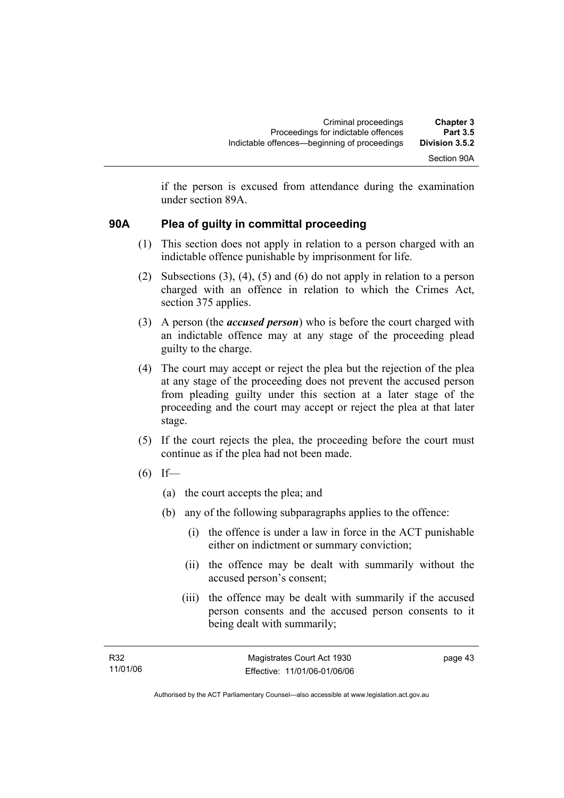if the person is excused from attendance during the examination under section 89A.

# **90A Plea of guilty in committal proceeding**

- (1) This section does not apply in relation to a person charged with an indictable offence punishable by imprisonment for life.
- (2) Subsections (3), (4), (5) and (6) do not apply in relation to a person charged with an offence in relation to which the Crimes Act, section 375 applies.
- (3) A person (the *accused person*) who is before the court charged with an indictable offence may at any stage of the proceeding plead guilty to the charge.
- (4) The court may accept or reject the plea but the rejection of the plea at any stage of the proceeding does not prevent the accused person from pleading guilty under this section at a later stage of the proceeding and the court may accept or reject the plea at that later stage.
- (5) If the court rejects the plea, the proceeding before the court must continue as if the plea had not been made.
- $(6)$  If—
	- (a) the court accepts the plea; and
	- (b) any of the following subparagraphs applies to the offence:
		- (i) the offence is under a law in force in the ACT punishable either on indictment or summary conviction;
		- (ii) the offence may be dealt with summarily without the accused person's consent;
		- (iii) the offence may be dealt with summarily if the accused person consents and the accused person consents to it being dealt with summarily;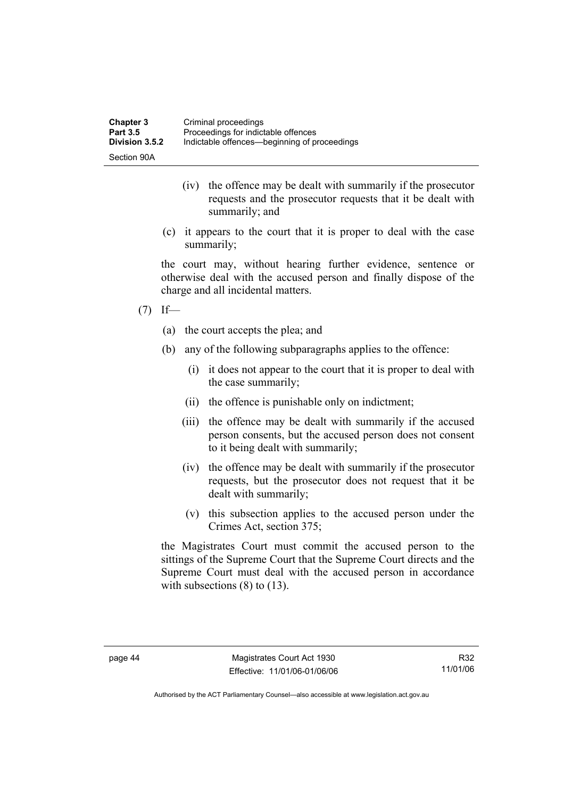| <b>Chapter 3</b> | Criminal proceedings                         |
|------------------|----------------------------------------------|
| <b>Part 3.5</b>  | Proceedings for indictable offences          |
| Division 3.5.2   | Indictable offences—beginning of proceedings |
| Section 90A      |                                              |

- (iv) the offence may be dealt with summarily if the prosecutor requests and the prosecutor requests that it be dealt with summarily; and
- (c) it appears to the court that it is proper to deal with the case summarily;

the court may, without hearing further evidence, sentence or otherwise deal with the accused person and finally dispose of the charge and all incidental matters.

- $(7)$  If—
	- (a) the court accepts the plea; and
	- (b) any of the following subparagraphs applies to the offence:
		- (i) it does not appear to the court that it is proper to deal with the case summarily;
		- (ii) the offence is punishable only on indictment;
		- (iii) the offence may be dealt with summarily if the accused person consents, but the accused person does not consent to it being dealt with summarily;
		- (iv) the offence may be dealt with summarily if the prosecutor requests, but the prosecutor does not request that it be dealt with summarily;
		- (v) this subsection applies to the accused person under the Crimes Act, section 375;

the Magistrates Court must commit the accused person to the sittings of the Supreme Court that the Supreme Court directs and the Supreme Court must deal with the accused person in accordance with subsections  $(8)$  to  $(13)$ .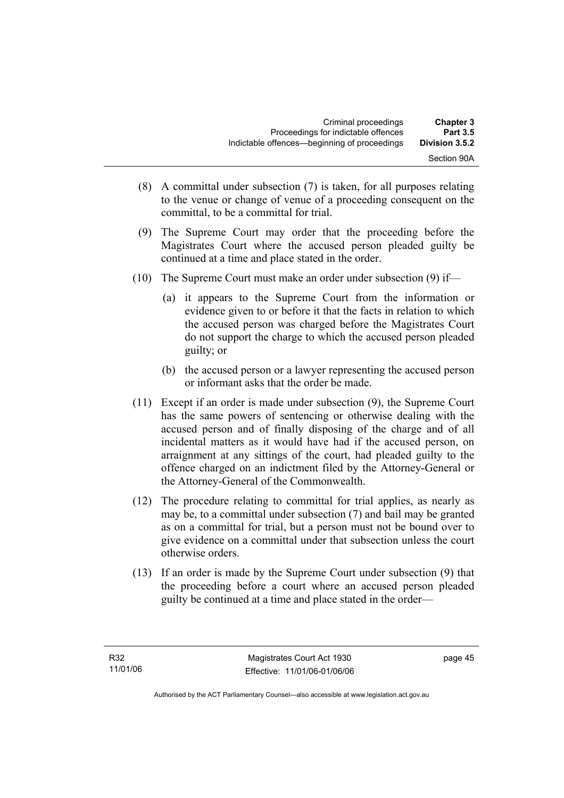| <b>Chapter 3</b><br><b>Part 3.5</b> | Criminal proceedings<br>Proceedings for indictable offences |
|-------------------------------------|-------------------------------------------------------------|
| Division 3.5.2                      | Indictable offences—beginning of proceedings                |
| Section 90A                         |                                                             |

- (8) A committal under subsection (7) is taken, for all purposes relating to the venue or change of venue of a proceeding consequent on the committal, to be a committal for trial.
- (9) The Supreme Court may order that the proceeding before the Magistrates Court where the accused person pleaded guilty be continued at a time and place stated in the order.
- (10) The Supreme Court must make an order under subsection (9) if—
	- (a) it appears to the Supreme Court from the information or evidence given to or before it that the facts in relation to which the accused person was charged before the Magistrates Court do not support the charge to which the accused person pleaded guilty; or
	- (b) the accused person or a lawyer representing the accused person or informant asks that the order be made.
- (11) Except if an order is made under subsection (9), the Supreme Court has the same powers of sentencing or otherwise dealing with the accused person and of finally disposing of the charge and of all incidental matters as it would have had if the accused person, on arraignment at any sittings of the court, had pleaded guilty to the offence charged on an indictment filed by the Attorney-General or the Attorney-General of the Commonwealth.
- (12) The procedure relating to committal for trial applies, as nearly as may be, to a committal under subsection (7) and bail may be granted as on a committal for trial, but a person must not be bound over to give evidence on a committal under that subsection unless the court otherwise orders.
- (13) If an order is made by the Supreme Court under subsection (9) that the proceeding before a court where an accused person pleaded guilty be continued at a time and place stated in the order—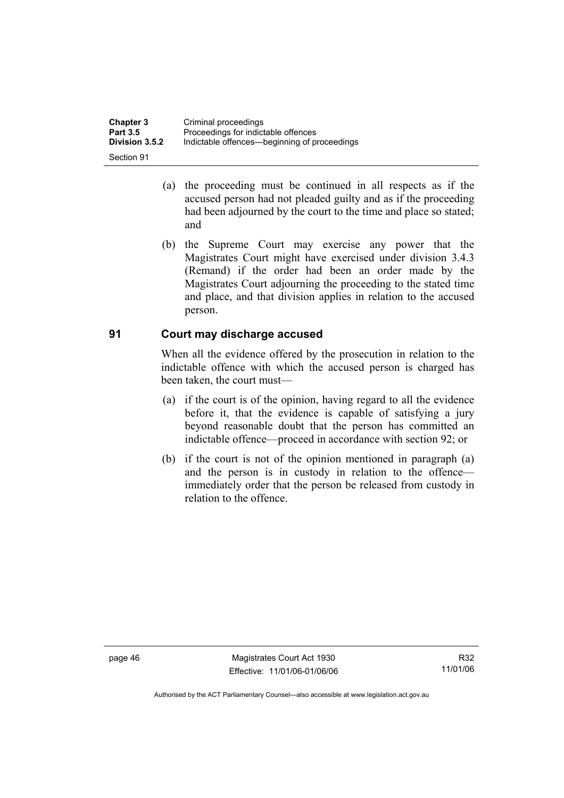| <b>Chapter 3</b> | Criminal proceedings                         |
|------------------|----------------------------------------------|
| <b>Part 3.5</b>  | Proceedings for indictable offences          |
| Division 3.5.2   | Indictable offences—beginning of proceedings |
| Section 91       |                                              |

- (a) the proceeding must be continued in all respects as if the accused person had not pleaded guilty and as if the proceeding had been adjourned by the court to the time and place so stated; and
- (b) the Supreme Court may exercise any power that the Magistrates Court might have exercised under division 3.4.3 (Remand) if the order had been an order made by the Magistrates Court adjourning the proceeding to the stated time and place, and that division applies in relation to the accused person.

#### **91 Court may discharge accused**

When all the evidence offered by the prosecution in relation to the indictable offence with which the accused person is charged has been taken, the court must—

- (a) if the court is of the opinion, having regard to all the evidence before it, that the evidence is capable of satisfying a jury beyond reasonable doubt that the person has committed an indictable offence—proceed in accordance with section 92; or
- (b) if the court is not of the opinion mentioned in paragraph (a) and the person is in custody in relation to the offence immediately order that the person be released from custody in relation to the offence.

page 46 Magistrates Court Act 1930 Effective: 11/01/06-01/06/06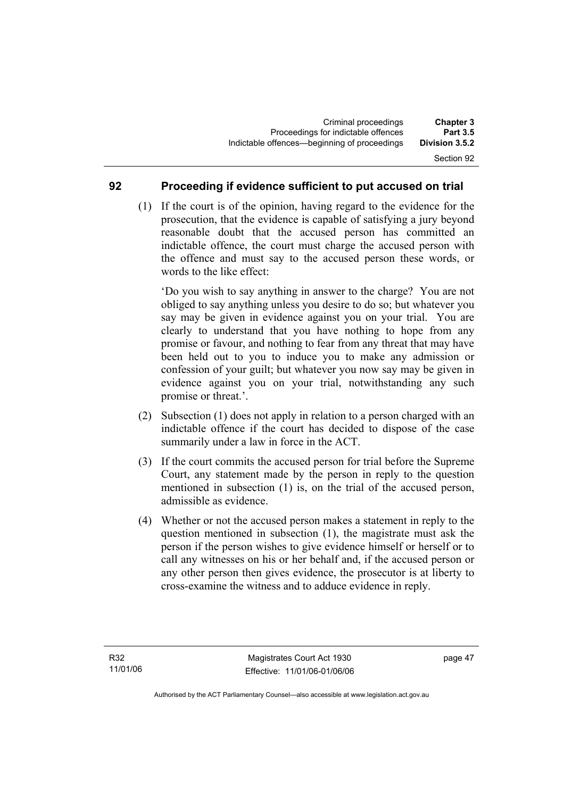#### **92 Proceeding if evidence sufficient to put accused on trial**

 (1) If the court is of the opinion, having regard to the evidence for the prosecution, that the evidence is capable of satisfying a jury beyond reasonable doubt that the accused person has committed an indictable offence, the court must charge the accused person with the offence and must say to the accused person these words, or words to the like effect:

'Do you wish to say anything in answer to the charge? You are not obliged to say anything unless you desire to do so; but whatever you say may be given in evidence against you on your trial. You are clearly to understand that you have nothing to hope from any promise or favour, and nothing to fear from any threat that may have been held out to you to induce you to make any admission or confession of your guilt; but whatever you now say may be given in evidence against you on your trial, notwithstanding any such promise or threat.'.

- (2) Subsection (1) does not apply in relation to a person charged with an indictable offence if the court has decided to dispose of the case summarily under a law in force in the ACT.
- (3) If the court commits the accused person for trial before the Supreme Court, any statement made by the person in reply to the question mentioned in subsection (1) is, on the trial of the accused person, admissible as evidence.
- (4) Whether or not the accused person makes a statement in reply to the question mentioned in subsection (1), the magistrate must ask the person if the person wishes to give evidence himself or herself or to call any witnesses on his or her behalf and, if the accused person or any other person then gives evidence, the prosecutor is at liberty to cross-examine the witness and to adduce evidence in reply.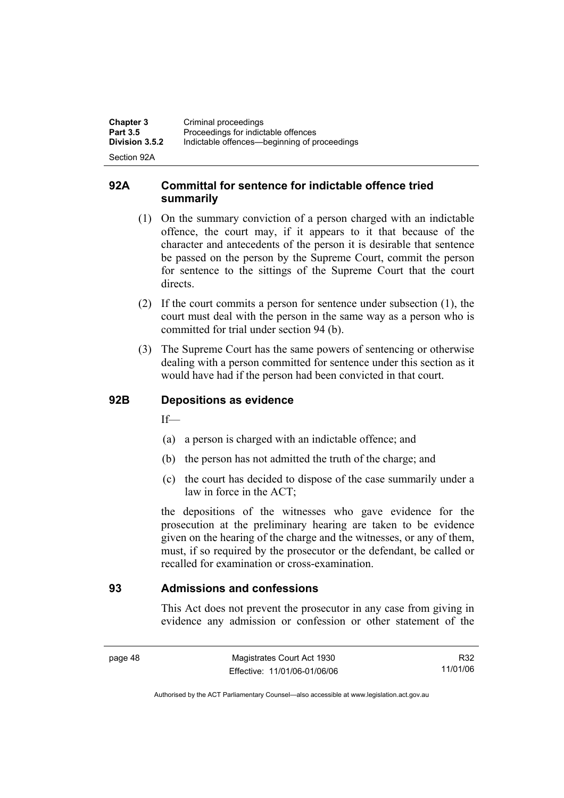| <b>Chapter 3</b><br><b>Part 3.5</b> | Criminal proceedings<br>Proceedings for indictable offences |
|-------------------------------------|-------------------------------------------------------------|
| <b>Division 3.5.2</b>               | Indictable offences—beginning of proceedings                |
| Section 92A                         |                                                             |

#### **92A Committal for sentence for indictable offence tried summarily**

- (1) On the summary conviction of a person charged with an indictable offence, the court may, if it appears to it that because of the character and antecedents of the person it is desirable that sentence be passed on the person by the Supreme Court, commit the person for sentence to the sittings of the Supreme Court that the court directs.
- (2) If the court commits a person for sentence under subsection (1), the court must deal with the person in the same way as a person who is committed for trial under section 94 (b).
- (3) The Supreme Court has the same powers of sentencing or otherwise dealing with a person committed for sentence under this section as it would have had if the person had been convicted in that court.

# **92B Depositions as evidence**

 $If$ —

- (a) a person is charged with an indictable offence; and
- (b) the person has not admitted the truth of the charge; and
- (c) the court has decided to dispose of the case summarily under a law in force in the ACT;

the depositions of the witnesses who gave evidence for the prosecution at the preliminary hearing are taken to be evidence given on the hearing of the charge and the witnesses, or any of them, must, if so required by the prosecutor or the defendant, be called or recalled for examination or cross-examination.

#### **93 Admissions and confessions**

This Act does not prevent the prosecutor in any case from giving in evidence any admission or confession or other statement of the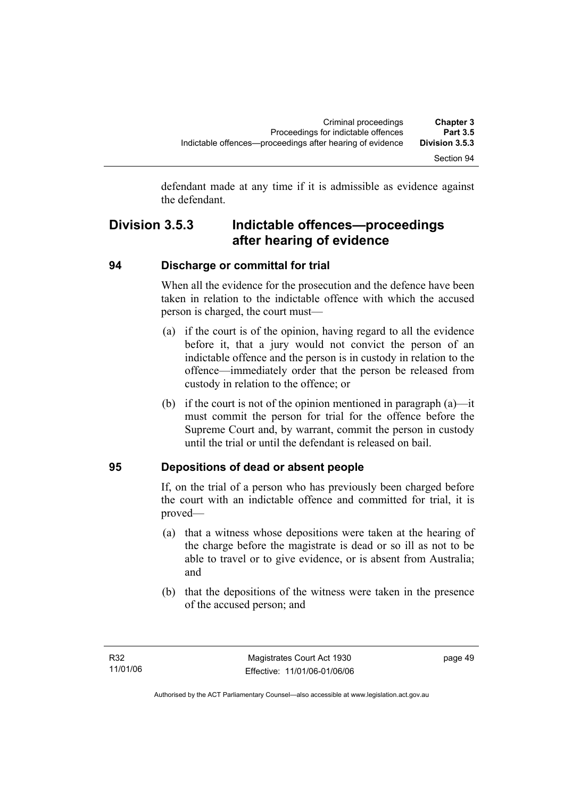defendant made at any time if it is admissible as evidence against the defendant.

# **Division 3.5.3 Indictable offences—proceedings after hearing of evidence**

# **94 Discharge or committal for trial**

When all the evidence for the prosecution and the defence have been taken in relation to the indictable offence with which the accused person is charged, the court must—

- (a) if the court is of the opinion, having regard to all the evidence before it, that a jury would not convict the person of an indictable offence and the person is in custody in relation to the offence—immediately order that the person be released from custody in relation to the offence; or
- (b) if the court is not of the opinion mentioned in paragraph (a)—it must commit the person for trial for the offence before the Supreme Court and, by warrant, commit the person in custody until the trial or until the defendant is released on bail.

# **95 Depositions of dead or absent people**

If, on the trial of a person who has previously been charged before the court with an indictable offence and committed for trial, it is proved—

- (a) that a witness whose depositions were taken at the hearing of the charge before the magistrate is dead or so ill as not to be able to travel or to give evidence, or is absent from Australia; and
- (b) that the depositions of the witness were taken in the presence of the accused person; and

page 49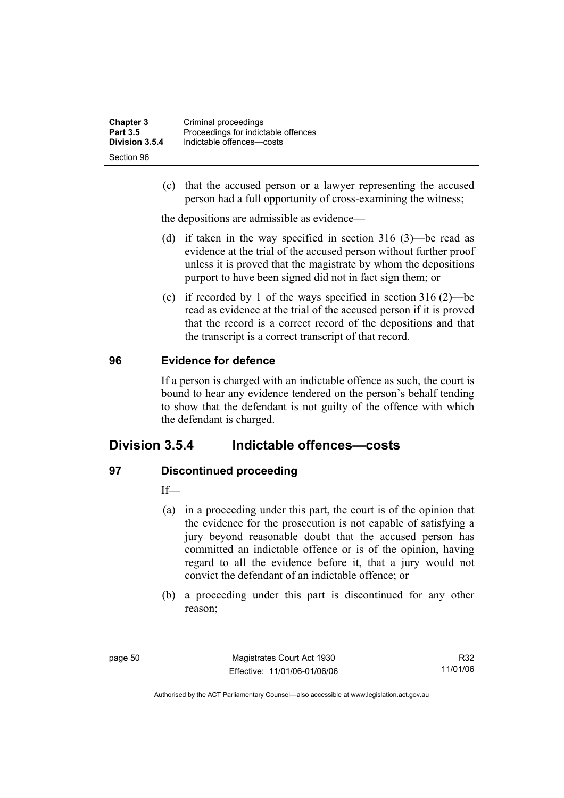| <b>Chapter 3</b> | Criminal proceedings                |
|------------------|-------------------------------------|
| <b>Part 3.5</b>  | Proceedings for indictable offences |
| Division 3.5.4   | Indictable offences-costs           |
| Section 96       |                                     |

 (c) that the accused person or a lawyer representing the accused person had a full opportunity of cross-examining the witness;

the depositions are admissible as evidence—

- (d) if taken in the way specified in section 316 (3)—be read as evidence at the trial of the accused person without further proof unless it is proved that the magistrate by whom the depositions purport to have been signed did not in fact sign them; or
- (e) if recorded by 1 of the ways specified in section 316 (2)—be read as evidence at the trial of the accused person if it is proved that the record is a correct record of the depositions and that the transcript is a correct transcript of that record.

# **96 Evidence for defence**

If a person is charged with an indictable offence as such, the court is bound to hear any evidence tendered on the person's behalf tending to show that the defendant is not guilty of the offence with which the defendant is charged.

# **Division 3.5.4 Indictable offences—costs**

# **97 Discontinued proceeding**

If—

- (a) in a proceeding under this part, the court is of the opinion that the evidence for the prosecution is not capable of satisfying a jury beyond reasonable doubt that the accused person has committed an indictable offence or is of the opinion, having regard to all the evidence before it, that a jury would not convict the defendant of an indictable offence; or
- (b) a proceeding under this part is discontinued for any other reason;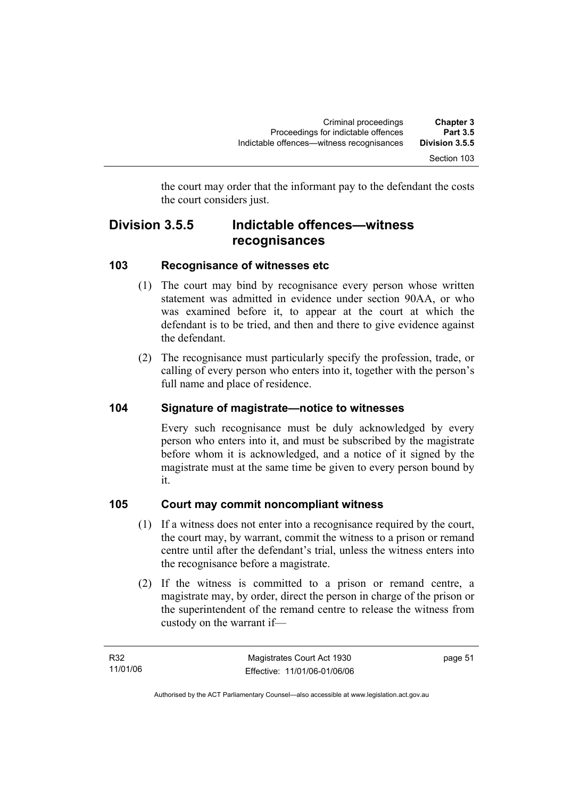the court may order that the informant pay to the defendant the costs the court considers just.

# **Division 3.5.5 Indictable offences—witness recognisances**

# **103 Recognisance of witnesses etc**

- (1) The court may bind by recognisance every person whose written statement was admitted in evidence under section 90AA, or who was examined before it, to appear at the court at which the defendant is to be tried, and then and there to give evidence against the defendant.
- (2) The recognisance must particularly specify the profession, trade, or calling of every person who enters into it, together with the person's full name and place of residence.

# **104 Signature of magistrate—notice to witnesses**

Every such recognisance must be duly acknowledged by every person who enters into it, and must be subscribed by the magistrate before whom it is acknowledged, and a notice of it signed by the magistrate must at the same time be given to every person bound by it.

# **105 Court may commit noncompliant witness**

- (1) If a witness does not enter into a recognisance required by the court, the court may, by warrant, commit the witness to a prison or remand centre until after the defendant's trial, unless the witness enters into the recognisance before a magistrate.
- (2) If the witness is committed to a prison or remand centre, a magistrate may, by order, direct the person in charge of the prison or the superintendent of the remand centre to release the witness from custody on the warrant if—

page 51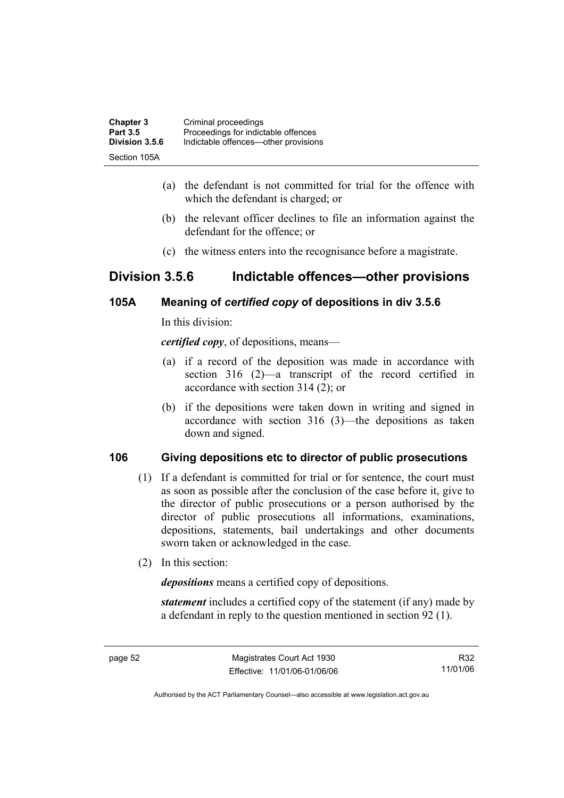| <b>Chapter 3</b> | Criminal proceedings                 |
|------------------|--------------------------------------|
| <b>Part 3.5</b>  | Proceedings for indictable offences  |
| Division 3.5.6   | Indictable offences—other provisions |
| Section 105A     |                                      |

- (a) the defendant is not committed for trial for the offence with which the defendant is charged; or
- (b) the relevant officer declines to file an information against the defendant for the offence; or
- (c) the witness enters into the recognisance before a magistrate.

# **Division 3.5.6 Indictable offences—other provisions**

# **105A Meaning of** *certified copy* **of depositions in div 3.5.6**

In this division:

*certified copy*, of depositions, means—

- (a) if a record of the deposition was made in accordance with section 316 (2)—a transcript of the record certified in accordance with section 314 (2); or
- (b) if the depositions were taken down in writing and signed in accordance with section 316 (3)—the depositions as taken down and signed.

# **106 Giving depositions etc to director of public prosecutions**

- (1) If a defendant is committed for trial or for sentence, the court must as soon as possible after the conclusion of the case before it, give to the director of public prosecutions or a person authorised by the director of public prosecutions all informations, examinations, depositions, statements, bail undertakings and other documents sworn taken or acknowledged in the case.
- (2) In this section:

*depositions* means a certified copy of depositions.

*statement* includes a certified copy of the statement (if any) made by a defendant in reply to the question mentioned in section 92 (1).

R32 11/01/06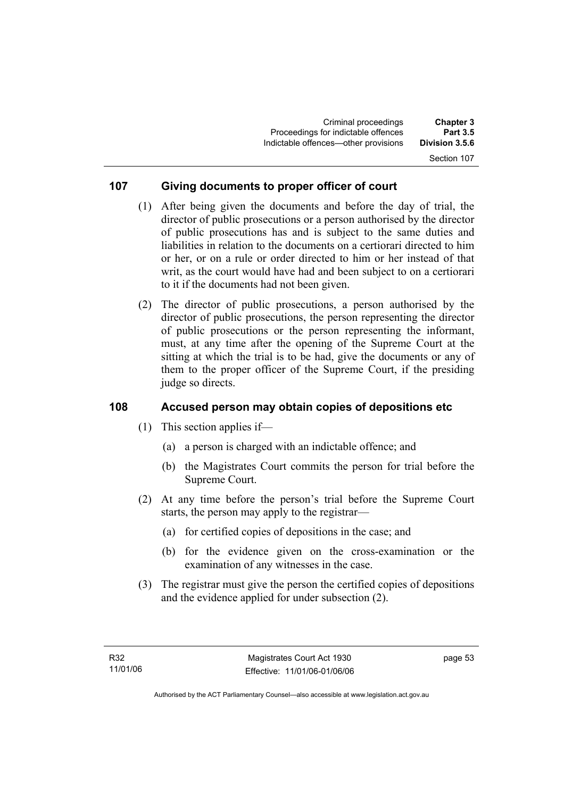# Section 107

#### **107 Giving documents to proper officer of court**

- (1) After being given the documents and before the day of trial, the director of public prosecutions or a person authorised by the director of public prosecutions has and is subject to the same duties and liabilities in relation to the documents on a certiorari directed to him or her, or on a rule or order directed to him or her instead of that writ, as the court would have had and been subject to on a certiorari to it if the documents had not been given.
- (2) The director of public prosecutions, a person authorised by the director of public prosecutions, the person representing the director of public prosecutions or the person representing the informant, must, at any time after the opening of the Supreme Court at the sitting at which the trial is to be had, give the documents or any of them to the proper officer of the Supreme Court, if the presiding judge so directs.

#### **108 Accused person may obtain copies of depositions etc**

- (1) This section applies if—
	- (a) a person is charged with an indictable offence; and
	- (b) the Magistrates Court commits the person for trial before the Supreme Court.
- (2) At any time before the person's trial before the Supreme Court starts, the person may apply to the registrar—
	- (a) for certified copies of depositions in the case; and
	- (b) for the evidence given on the cross-examination or the examination of any witnesses in the case.
- (3) The registrar must give the person the certified copies of depositions and the evidence applied for under subsection (2).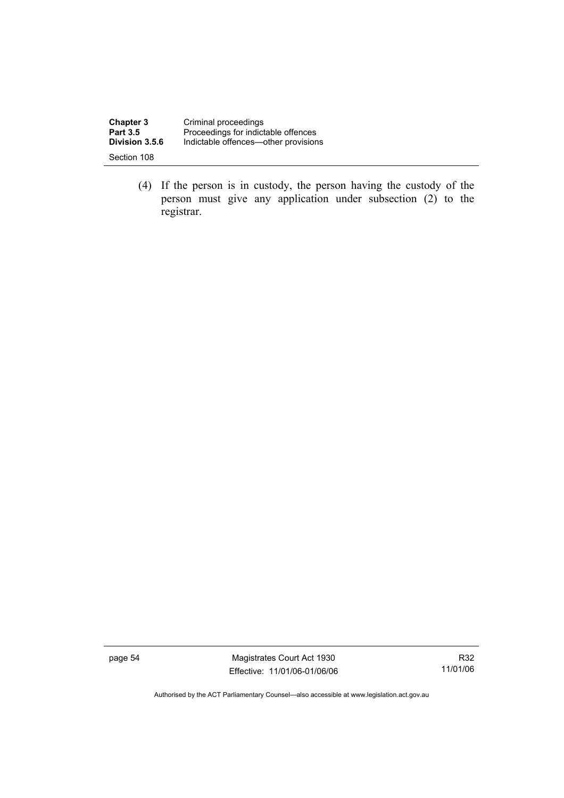| <b>Chapter 3</b> | Criminal proceedings                 |
|------------------|--------------------------------------|
| <b>Part 3.5</b>  | Proceedings for indictable offences  |
| Division 3.5.6   | Indictable offences—other provisions |
| Section 108      |                                      |

 (4) If the person is in custody, the person having the custody of the person must give any application under subsection (2) to the registrar.

page 54 Magistrates Court Act 1930 Effective: 11/01/06-01/06/06

R32 11/01/06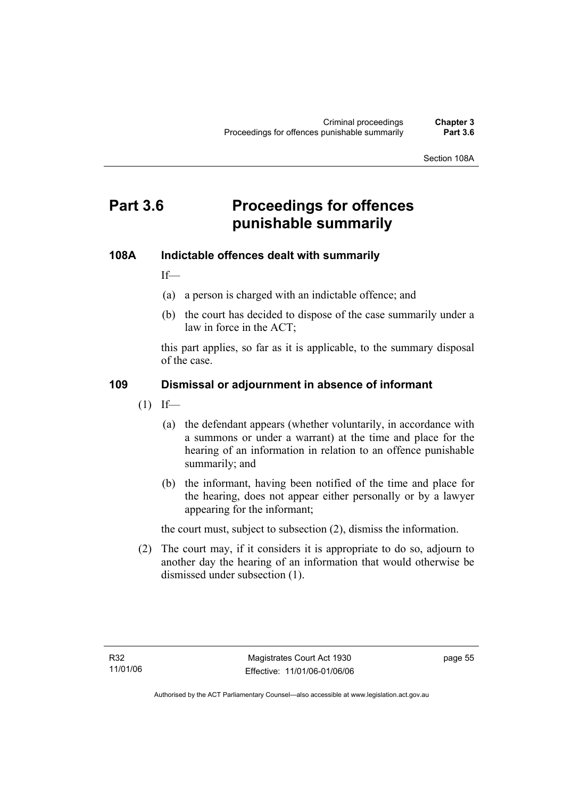Section 108A

# **Part 3.6 Proceedings for offences punishable summarily**

#### **108A Indictable offences dealt with summarily**

If—

- (a) a person is charged with an indictable offence; and
- (b) the court has decided to dispose of the case summarily under a law in force in the ACT;

this part applies, so far as it is applicable, to the summary disposal of the case.

#### **109 Dismissal or adjournment in absence of informant**

- $(1)$  If—
	- (a) the defendant appears (whether voluntarily, in accordance with a summons or under a warrant) at the time and place for the hearing of an information in relation to an offence punishable summarily; and
	- (b) the informant, having been notified of the time and place for the hearing, does not appear either personally or by a lawyer appearing for the informant;

the court must, subject to subsection (2), dismiss the information.

 (2) The court may, if it considers it is appropriate to do so, adjourn to another day the hearing of an information that would otherwise be dismissed under subsection (1).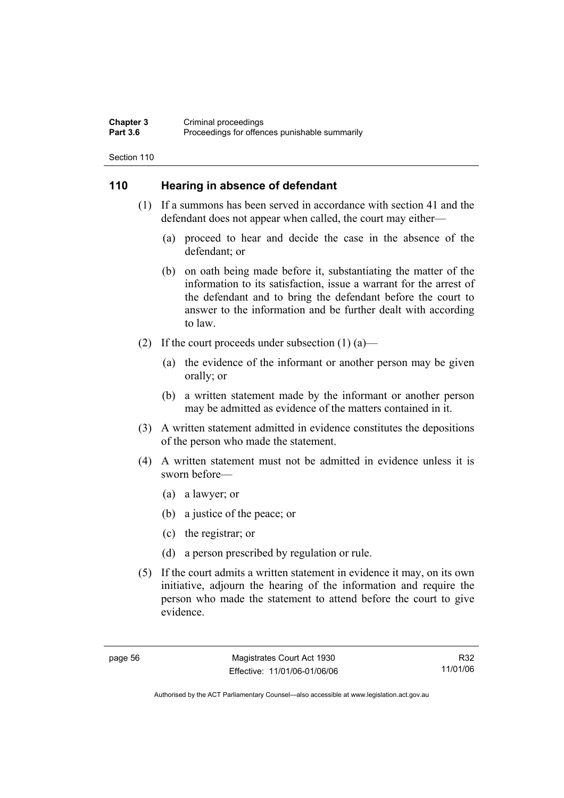#### **Chapter 3** Criminal proceedings<br> **Part 3.6** Proceedings for offen Proceedings for offences punishable summarily

Section 110

## **110 Hearing in absence of defendant**

- (1) If a summons has been served in accordance with section 41 and the defendant does not appear when called, the court may either—
	- (a) proceed to hear and decide the case in the absence of the defendant; or
	- (b) on oath being made before it, substantiating the matter of the information to its satisfaction, issue a warrant for the arrest of the defendant and to bring the defendant before the court to answer to the information and be further dealt with according to law.
- (2) If the court proceeds under subsection  $(1)$  (a)—
	- (a) the evidence of the informant or another person may be given orally; or
	- (b) a written statement made by the informant or another person may be admitted as evidence of the matters contained in it.
- (3) A written statement admitted in evidence constitutes the depositions of the person who made the statement.
- (4) A written statement must not be admitted in evidence unless it is sworn before—
	- (a) a lawyer; or
	- (b) a justice of the peace; or
	- (c) the registrar; or
	- (d) a person prescribed by regulation or rule.
- (5) If the court admits a written statement in evidence it may, on its own initiative, adjourn the hearing of the information and require the person who made the statement to attend before the court to give evidence.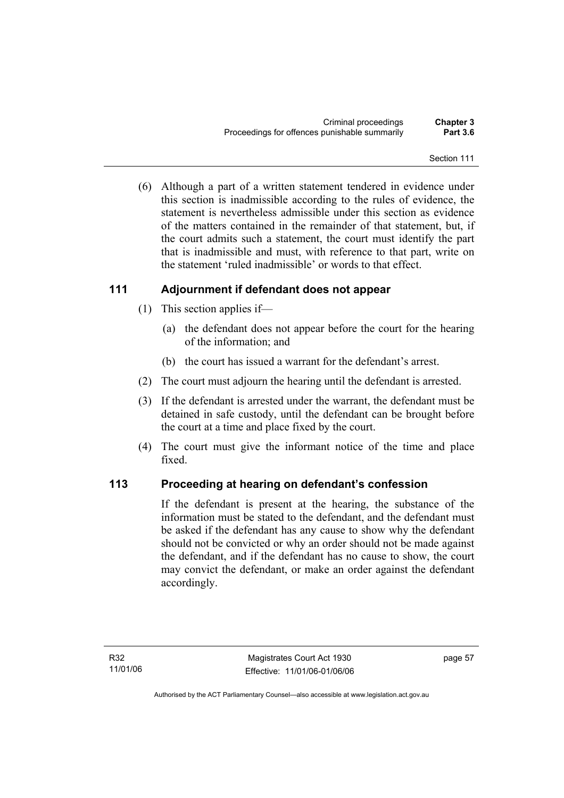(6) Although a part of a written statement tendered in evidence under this section is inadmissible according to the rules of evidence, the statement is nevertheless admissible under this section as evidence of the matters contained in the remainder of that statement, but, if the court admits such a statement, the court must identify the part that is inadmissible and must, with reference to that part, write on the statement 'ruled inadmissible' or words to that effect.

# **111 Adjournment if defendant does not appear**

- (1) This section applies if—
	- (a) the defendant does not appear before the court for the hearing of the information; and
	- (b) the court has issued a warrant for the defendant's arrest.
- (2) The court must adjourn the hearing until the defendant is arrested.
- (3) If the defendant is arrested under the warrant, the defendant must be detained in safe custody, until the defendant can be brought before the court at a time and place fixed by the court.
- (4) The court must give the informant notice of the time and place fixed.

# **113 Proceeding at hearing on defendant's confession**

If the defendant is present at the hearing, the substance of the information must be stated to the defendant, and the defendant must be asked if the defendant has any cause to show why the defendant should not be convicted or why an order should not be made against the defendant, and if the defendant has no cause to show, the court may convict the defendant, or make an order against the defendant accordingly.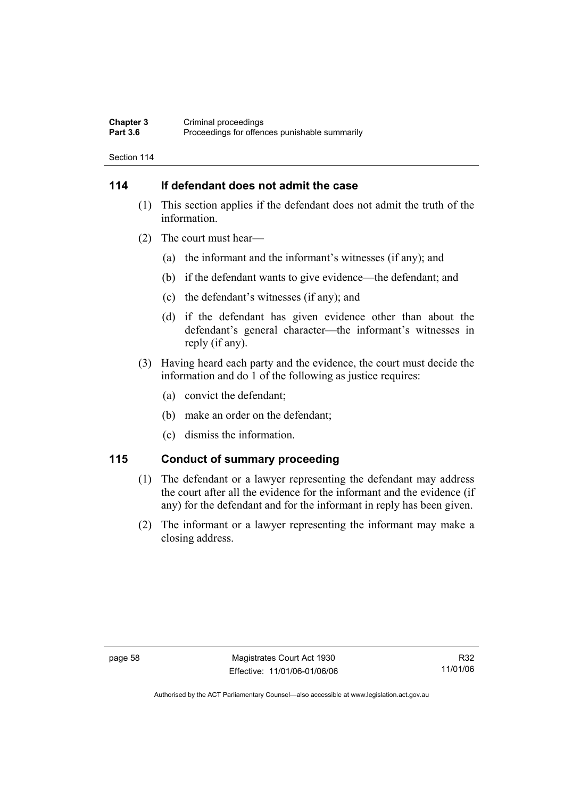#### **Chapter 3** Criminal proceedings<br> **Part 3.6** Proceedings for offen Proceedings for offences punishable summarily

Section 114

# **114 If defendant does not admit the case**

- (1) This section applies if the defendant does not admit the truth of the information.
- (2) The court must hear—
	- (a) the informant and the informant's witnesses (if any); and
	- (b) if the defendant wants to give evidence—the defendant; and
	- (c) the defendant's witnesses (if any); and
	- (d) if the defendant has given evidence other than about the defendant's general character—the informant's witnesses in reply (if any).
- (3) Having heard each party and the evidence, the court must decide the information and do 1 of the following as justice requires:
	- (a) convict the defendant;
	- (b) make an order on the defendant;
	- (c) dismiss the information.

### **115 Conduct of summary proceeding**

- (1) The defendant or a lawyer representing the defendant may address the court after all the evidence for the informant and the evidence (if any) for the defendant and for the informant in reply has been given.
- (2) The informant or a lawyer representing the informant may make a closing address.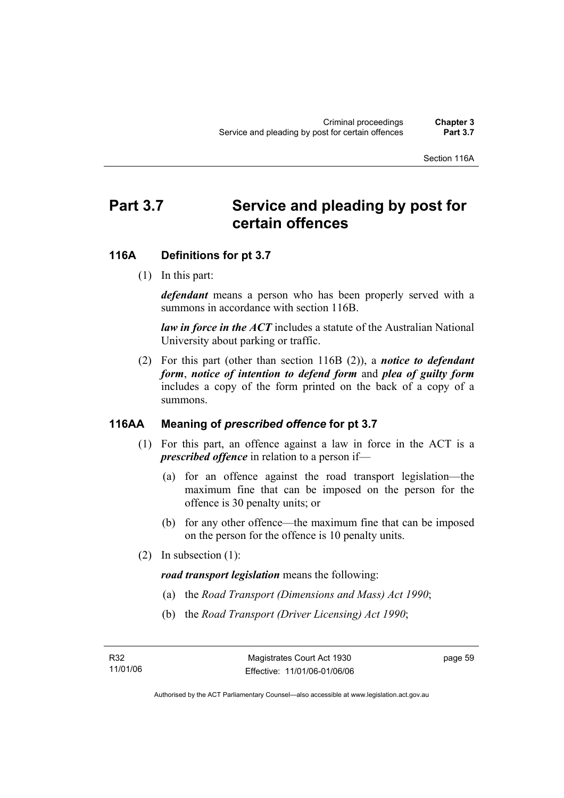# Part 3.7 Service and pleading by post for **certain offences**

# **116A Definitions for pt 3.7**

(1) In this part:

*defendant* means a person who has been properly served with a summons in accordance with section 116B.

*law in force in the ACT* includes a statute of the Australian National University about parking or traffic.

 (2) For this part (other than section 116B (2)), a *notice to defendant form*, *notice of intention to defend form* and *plea of guilty form* includes a copy of the form printed on the back of a copy of a summons.

## **116AA Meaning of** *prescribed offence* **for pt 3.7**

- (1) For this part, an offence against a law in force in the ACT is a *prescribed offence* in relation to a person if—
	- (a) for an offence against the road transport legislation—the maximum fine that can be imposed on the person for the offence is 30 penalty units; or
	- (b) for any other offence—the maximum fine that can be imposed on the person for the offence is 10 penalty units.
- (2) In subsection (1):

*road transport legislation* means the following:

- (a) the *Road Transport (Dimensions and Mass) Act 1990*;
- (b) the *Road Transport (Driver Licensing) Act 1990*;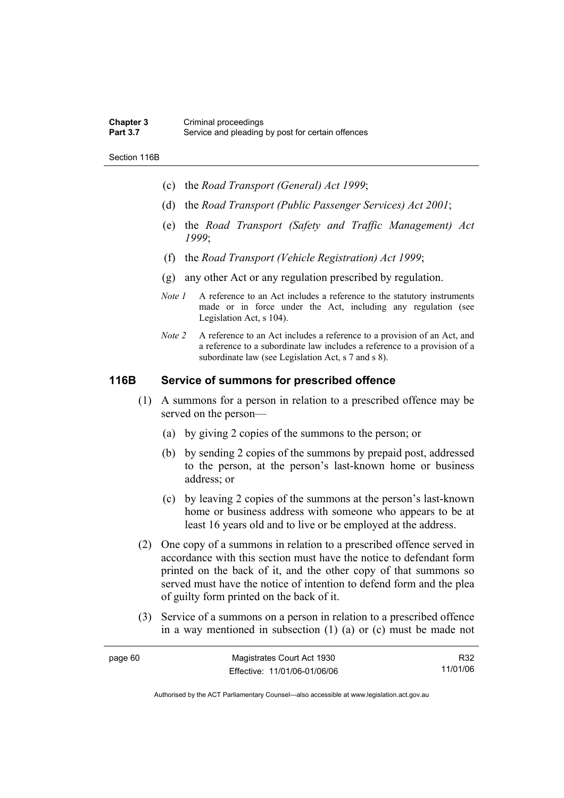#### **Chapter 3** Criminal proceedings<br> **Part 3.7** Service and pleading Service and pleading by post for certain offences

Section 116B

- (c) the *Road Transport (General) Act 1999*;
- (d) the *Road Transport (Public Passenger Services) Act 2001*;
- (e) the *Road Transport (Safety and Traffic Management) Act 1999*;
- (f) the *Road Transport (Vehicle Registration) Act 1999*;
- (g) any other Act or any regulation prescribed by regulation.
- *Note 1* A reference to an Act includes a reference to the statutory instruments made or in force under the Act, including any regulation (see Legislation Act, s 104).
- *Note 2* A reference to an Act includes a reference to a provision of an Act, and a reference to a subordinate law includes a reference to a provision of a subordinate law (see Legislation Act, s 7 and s 8).

# **116B Service of summons for prescribed offence**

- (1) A summons for a person in relation to a prescribed offence may be served on the person—
	- (a) by giving 2 copies of the summons to the person; or
	- (b) by sending 2 copies of the summons by prepaid post, addressed to the person, at the person's last-known home or business address; or
	- (c) by leaving 2 copies of the summons at the person's last-known home or business address with someone who appears to be at least 16 years old and to live or be employed at the address.
- (2) One copy of a summons in relation to a prescribed offence served in accordance with this section must have the notice to defendant form printed on the back of it, and the other copy of that summons so served must have the notice of intention to defend form and the plea of guilty form printed on the back of it.
- (3) Service of a summons on a person in relation to a prescribed offence in a way mentioned in subsection (1) (a) or (c) must be made not

| page 60 | Magistrates Court Act 1930   | R32      |
|---------|------------------------------|----------|
|         | Effective: 11/01/06-01/06/06 | 11/01/06 |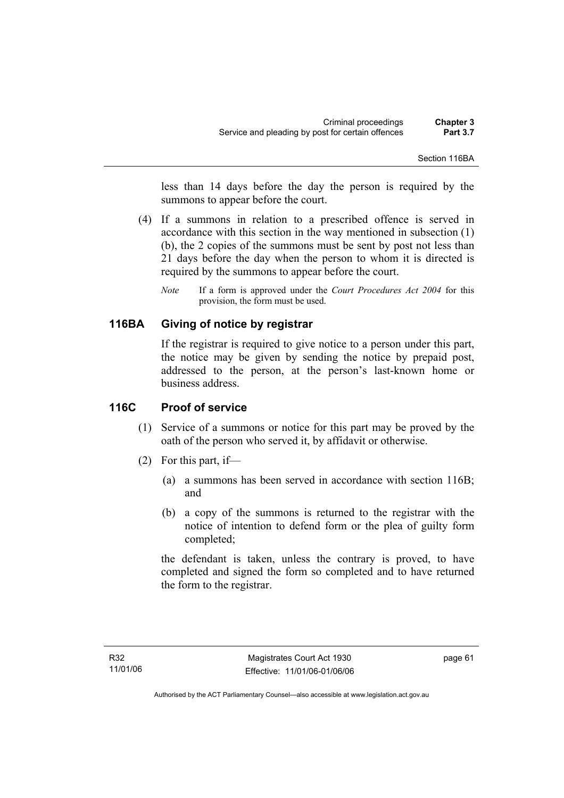less than 14 days before the day the person is required by the summons to appear before the court.

- (4) If a summons in relation to a prescribed offence is served in accordance with this section in the way mentioned in subsection (1) (b), the 2 copies of the summons must be sent by post not less than 21 days before the day when the person to whom it is directed is required by the summons to appear before the court.
	- *Note* If a form is approved under the *Court Procedures Act 2004* for this provision, the form must be used.

# **116BA Giving of notice by registrar**

If the registrar is required to give notice to a person under this part, the notice may be given by sending the notice by prepaid post, addressed to the person, at the person's last-known home or business address.

### **116C Proof of service**

- (1) Service of a summons or notice for this part may be proved by the oath of the person who served it, by affidavit or otherwise.
- (2) For this part, if—
	- (a) a summons has been served in accordance with section 116B; and
	- (b) a copy of the summons is returned to the registrar with the notice of intention to defend form or the plea of guilty form completed;

the defendant is taken, unless the contrary is proved, to have completed and signed the form so completed and to have returned the form to the registrar.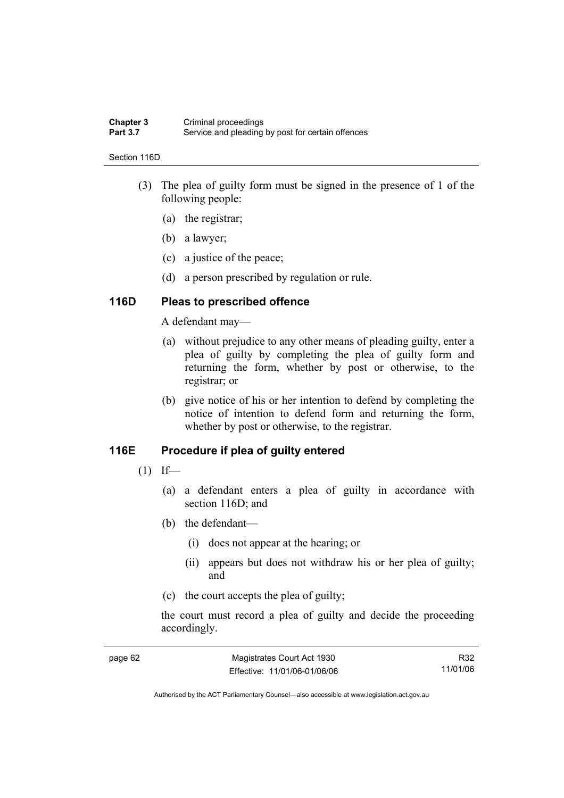#### **Chapter 3** Criminal proceedings<br> **Part 3.7** Service and pleading Service and pleading by post for certain offences

#### Section 116D

- (3) The plea of guilty form must be signed in the presence of 1 of the following people:
	- (a) the registrar;
	- (b) a lawyer;
	- (c) a justice of the peace;
	- (d) a person prescribed by regulation or rule.

### **116D Pleas to prescribed offence**

A defendant may—

- (a) without prejudice to any other means of pleading guilty, enter a plea of guilty by completing the plea of guilty form and returning the form, whether by post or otherwise, to the registrar; or
- (b) give notice of his or her intention to defend by completing the notice of intention to defend form and returning the form, whether by post or otherwise, to the registrar.

### **116E Procedure if plea of guilty entered**

- $(1)$  If—
	- (a) a defendant enters a plea of guilty in accordance with section 116D; and
	- (b) the defendant—
		- (i) does not appear at the hearing; or
		- (ii) appears but does not withdraw his or her plea of guilty; and
	- (c) the court accepts the plea of guilty;

the court must record a plea of guilty and decide the proceeding accordingly.

| page 62 | Magistrates Court Act 1930   | R32      |
|---------|------------------------------|----------|
|         | Effective: 11/01/06-01/06/06 | 11/01/06 |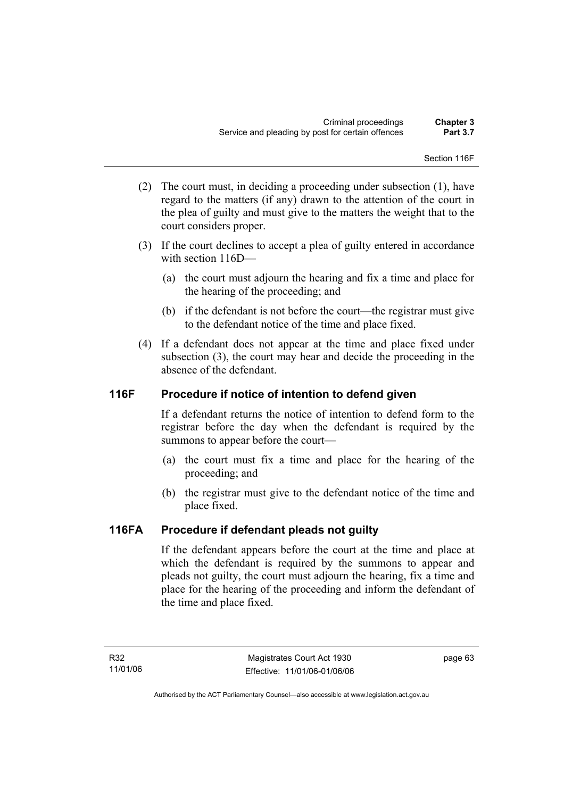Section 116F

- (2) The court must, in deciding a proceeding under subsection (1), have regard to the matters (if any) drawn to the attention of the court in the plea of guilty and must give to the matters the weight that to the court considers proper.
- (3) If the court declines to accept a plea of guilty entered in accordance with section 116D—
	- (a) the court must adjourn the hearing and fix a time and place for the hearing of the proceeding; and
	- (b) if the defendant is not before the court—the registrar must give to the defendant notice of the time and place fixed.
- (4) If a defendant does not appear at the time and place fixed under subsection (3), the court may hear and decide the proceeding in the absence of the defendant.

# **116F Procedure if notice of intention to defend given**

If a defendant returns the notice of intention to defend form to the registrar before the day when the defendant is required by the summons to appear before the court—

- (a) the court must fix a time and place for the hearing of the proceeding; and
- (b) the registrar must give to the defendant notice of the time and place fixed.

# **116FA Procedure if defendant pleads not guilty**

If the defendant appears before the court at the time and place at which the defendant is required by the summons to appear and pleads not guilty, the court must adjourn the hearing, fix a time and place for the hearing of the proceeding and inform the defendant of the time and place fixed.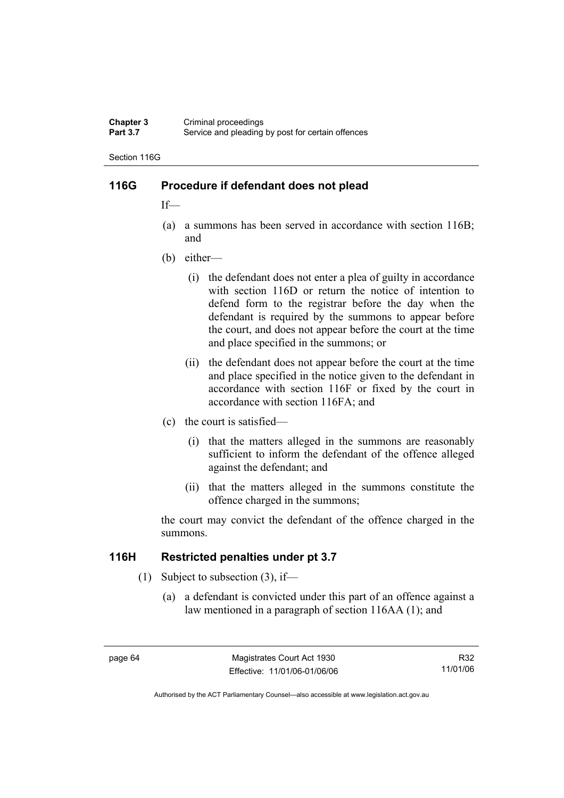#### **Chapter 3** Criminal proceedings<br> **Part 3.7** Service and pleading Service and pleading by post for certain offences

Section 116G

# **116G Procedure if defendant does not plead**

If—

- (a) a summons has been served in accordance with section 116B; and
- (b) either—
	- (i) the defendant does not enter a plea of guilty in accordance with section 116D or return the notice of intention to defend form to the registrar before the day when the defendant is required by the summons to appear before the court, and does not appear before the court at the time and place specified in the summons; or
	- (ii) the defendant does not appear before the court at the time and place specified in the notice given to the defendant in accordance with section 116F or fixed by the court in accordance with section 116FA; and
- (c) the court is satisfied—
	- (i) that the matters alleged in the summons are reasonably sufficient to inform the defendant of the offence alleged against the defendant; and
	- (ii) that the matters alleged in the summons constitute the offence charged in the summons;

the court may convict the defendant of the offence charged in the summons.

### **116H Restricted penalties under pt 3.7**

- (1) Subject to subsection (3), if—
	- (a) a defendant is convicted under this part of an offence against a law mentioned in a paragraph of section 116AA (1); and

R32 11/01/06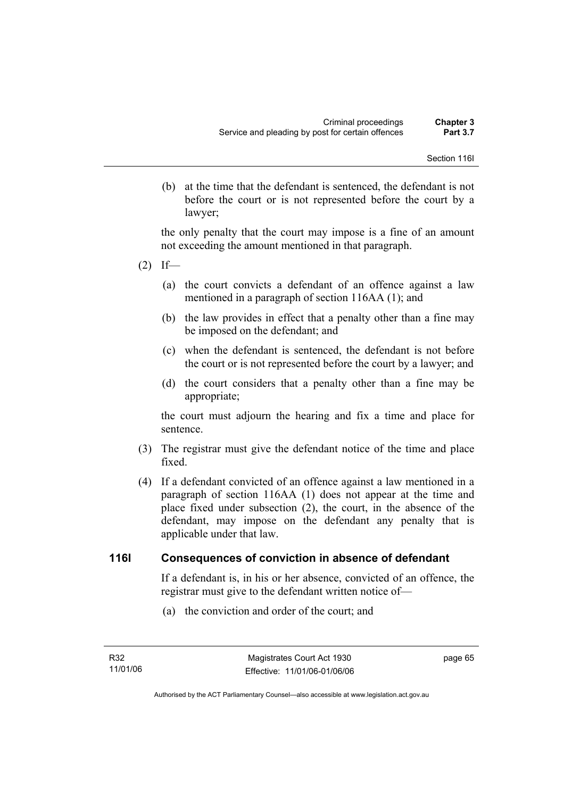(b) at the time that the defendant is sentenced, the defendant is not before the court or is not represented before the court by a lawyer;

the only penalty that the court may impose is a fine of an amount not exceeding the amount mentioned in that paragraph.

- $(2)$  If—
	- (a) the court convicts a defendant of an offence against a law mentioned in a paragraph of section 116AA (1); and
	- (b) the law provides in effect that a penalty other than a fine may be imposed on the defendant; and
	- (c) when the defendant is sentenced, the defendant is not before the court or is not represented before the court by a lawyer; and
	- (d) the court considers that a penalty other than a fine may be appropriate;

the court must adjourn the hearing and fix a time and place for sentence.

- (3) The registrar must give the defendant notice of the time and place fixed.
- (4) If a defendant convicted of an offence against a law mentioned in a paragraph of section 116AA (1) does not appear at the time and place fixed under subsection (2), the court, in the absence of the defendant, may impose on the defendant any penalty that is applicable under that law.

# **116I Consequences of conviction in absence of defendant**

If a defendant is, in his or her absence, convicted of an offence, the registrar must give to the defendant written notice of—

(a) the conviction and order of the court; and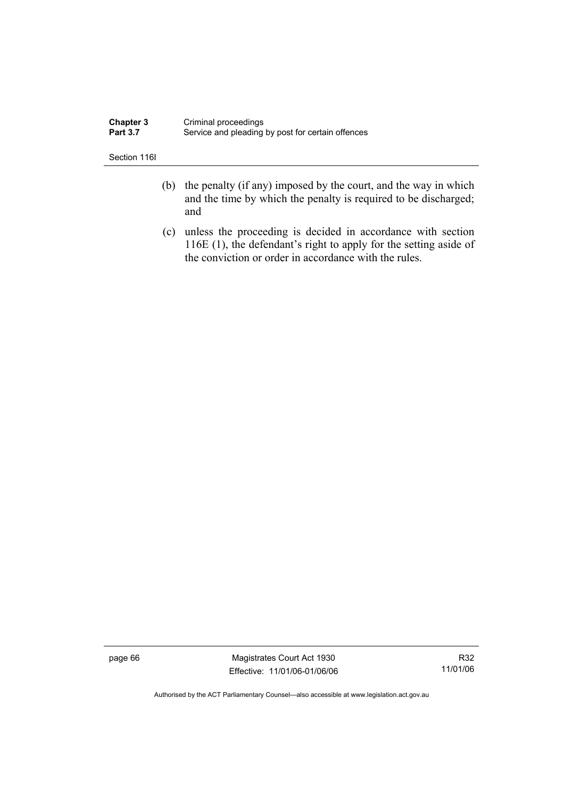| <b>Chapter 3</b> | Criminal proceedings                              |
|------------------|---------------------------------------------------|
| <b>Part 3.7</b>  | Service and pleading by post for certain offences |

Section 116I

- (b) the penalty (if any) imposed by the court, and the way in which and the time by which the penalty is required to be discharged; and
- (c) unless the proceeding is decided in accordance with section 116E (1), the defendant's right to apply for the setting aside of the conviction or order in accordance with the rules.

page 66 Magistrates Court Act 1930 Effective: 11/01/06-01/06/06

R32 11/01/06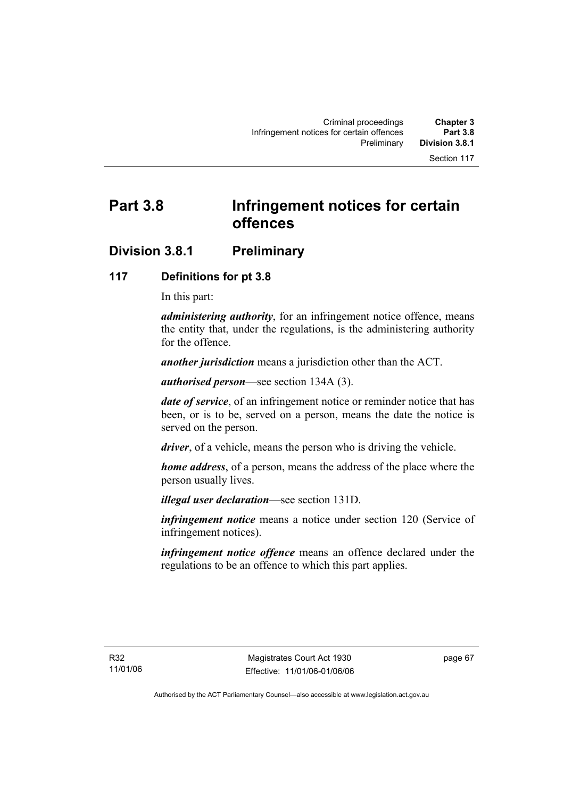# **Part 3.8 Infringement notices for certain offences**

# **Division 3.8.1 Preliminary**

# **117 Definitions for pt 3.8**

In this part:

*administering authority*, for an infringement notice offence, means the entity that, under the regulations, is the administering authority for the offence.

*another jurisdiction* means a jurisdiction other than the ACT.

*authorised person*—see section 134A (3).

*date of service*, of an infringement notice or reminder notice that has been, or is to be, served on a person, means the date the notice is served on the person.

*driver*, of a vehicle, means the person who is driving the vehicle.

*home address*, of a person, means the address of the place where the person usually lives.

*illegal user declaration*—see section 131D.

*infringement notice* means a notice under section 120 (Service of infringement notices).

*infringement notice offence* means an offence declared under the regulations to be an offence to which this part applies.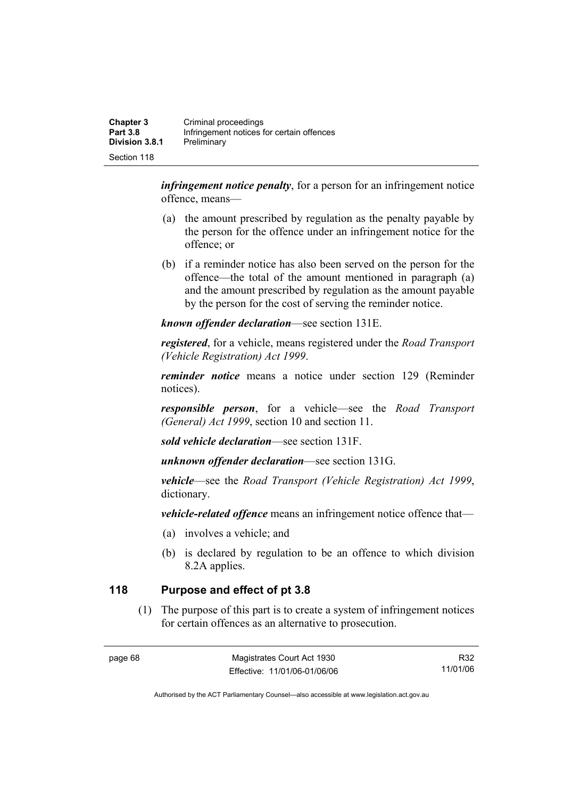| <b>Chapter 3</b><br><b>Part 3.8</b> | Criminal proceedings<br>Infringement notices for certain offences |
|-------------------------------------|-------------------------------------------------------------------|
| <b>Division 3.8.1</b>               | Preliminary                                                       |
| Section 118                         |                                                                   |

*infringement notice penalty*, for a person for an infringement notice offence, means—

- (a) the amount prescribed by regulation as the penalty payable by the person for the offence under an infringement notice for the offence; or
- (b) if a reminder notice has also been served on the person for the offence—the total of the amount mentioned in paragraph (a) and the amount prescribed by regulation as the amount payable by the person for the cost of serving the reminder notice.

*known offender declaration*—see section 131E.

*registered*, for a vehicle, means registered under the *Road Transport (Vehicle Registration) Act 1999*.

*reminder notice* means a notice under section 129 (Reminder notices).

*responsible person*, for a vehicle—see the *Road Transport (General) Act 1999*, section 10 and section 11.

*sold vehicle declaration*—see section 131F.

*unknown offender declaration*—see section 131G.

*vehicle*—see the *Road Transport (Vehicle Registration) Act 1999*, dictionary.

*vehicle-related offence* means an infringement notice offence that—

- (a) involves a vehicle; and
- (b) is declared by regulation to be an offence to which division 8.2A applies.

# **118 Purpose and effect of pt 3.8**

 (1) The purpose of this part is to create a system of infringement notices for certain offences as an alternative to prosecution.

R32 11/01/06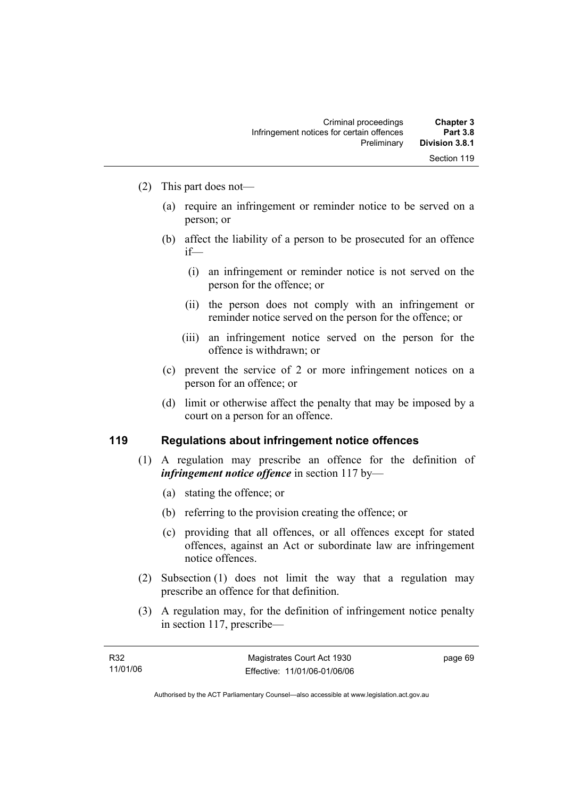- (2) This part does not—
	- (a) require an infringement or reminder notice to be served on a person; or
	- (b) affect the liability of a person to be prosecuted for an offence if—
		- (i) an infringement or reminder notice is not served on the person for the offence; or
		- (ii) the person does not comply with an infringement or reminder notice served on the person for the offence; or
		- (iii) an infringement notice served on the person for the offence is withdrawn; or
	- (c) prevent the service of 2 or more infringement notices on a person for an offence; or
	- (d) limit or otherwise affect the penalty that may be imposed by a court on a person for an offence.

### **119 Regulations about infringement notice offences**

- (1) A regulation may prescribe an offence for the definition of *infringement notice offence* in section 117 by—
	- (a) stating the offence; or
	- (b) referring to the provision creating the offence; or
	- (c) providing that all offences, or all offences except for stated offences, against an Act or subordinate law are infringement notice offences.
- (2) Subsection (1) does not limit the way that a regulation may prescribe an offence for that definition.
- (3) A regulation may, for the definition of infringement notice penalty in section 117, prescribe—

| R32      | Magistrates Court Act 1930   | page 69 |
|----------|------------------------------|---------|
| 11/01/06 | Effective: 11/01/06-01/06/06 |         |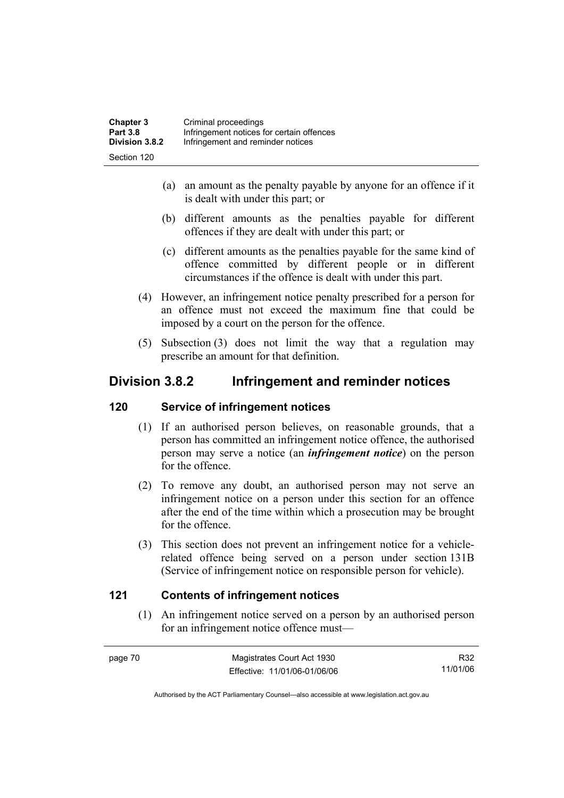| <b>Chapter 3</b> | Criminal proceedings                      |
|------------------|-------------------------------------------|
| <b>Part 3.8</b>  | Infringement notices for certain offences |
| Division 3.8.2   | Infringement and reminder notices         |
| Section 120      |                                           |

- (a) an amount as the penalty payable by anyone for an offence if it is dealt with under this part; or
- (b) different amounts as the penalties payable for different offences if they are dealt with under this part; or
- (c) different amounts as the penalties payable for the same kind of offence committed by different people or in different circumstances if the offence is dealt with under this part.
- (4) However, an infringement notice penalty prescribed for a person for an offence must not exceed the maximum fine that could be imposed by a court on the person for the offence.
- (5) Subsection (3) does not limit the way that a regulation may prescribe an amount for that definition.

# **Division 3.8.2 Infringement and reminder notices**

### **120 Service of infringement notices**

- (1) If an authorised person believes, on reasonable grounds, that a person has committed an infringement notice offence, the authorised person may serve a notice (an *infringement notice*) on the person for the offence.
- (2) To remove any doubt, an authorised person may not serve an infringement notice on a person under this section for an offence after the end of the time within which a prosecution may be brought for the offence.
- (3) This section does not prevent an infringement notice for a vehiclerelated offence being served on a person under section 131B (Service of infringement notice on responsible person for vehicle).

# **121 Contents of infringement notices**

 (1) An infringement notice served on a person by an authorised person for an infringement notice offence must—

| page 70 | Magistrates Court Act 1930   | R32      |
|---------|------------------------------|----------|
|         | Effective: 11/01/06-01/06/06 | 11/01/06 |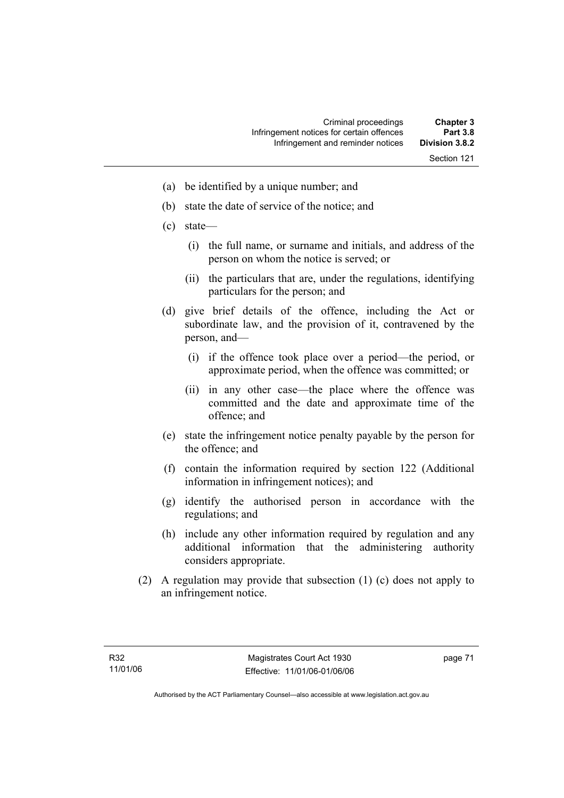- (a) be identified by a unique number; and
- (b) state the date of service of the notice; and
- (c) state—
	- (i) the full name, or surname and initials, and address of the person on whom the notice is served; or
	- (ii) the particulars that are, under the regulations, identifying particulars for the person; and
- (d) give brief details of the offence, including the Act or subordinate law, and the provision of it, contravened by the person, and—
	- (i) if the offence took place over a period—the period, or approximate period, when the offence was committed; or
	- (ii) in any other case—the place where the offence was committed and the date and approximate time of the offence; and
- (e) state the infringement notice penalty payable by the person for the offence; and
- (f) contain the information required by section 122 (Additional information in infringement notices); and
- (g) identify the authorised person in accordance with the regulations; and
- (h) include any other information required by regulation and any additional information that the administering authority considers appropriate.
- (2) A regulation may provide that subsection (1) (c) does not apply to an infringement notice.

page 71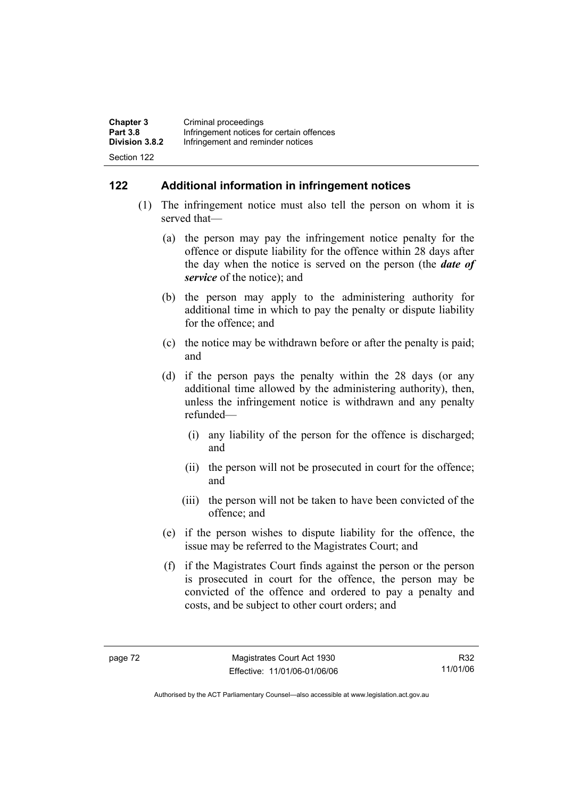| <b>Chapter 3</b>      | Criminal proceedings                      |
|-----------------------|-------------------------------------------|
| <b>Part 3.8</b>       | Infringement notices for certain offences |
| <b>Division 3.8.2</b> | Infringement and reminder notices         |
| Section 122           |                                           |

# **122 Additional information in infringement notices**

- (1) The infringement notice must also tell the person on whom it is served that—
	- (a) the person may pay the infringement notice penalty for the offence or dispute liability for the offence within 28 days after the day when the notice is served on the person (the *date of service* of the notice); and
	- (b) the person may apply to the administering authority for additional time in which to pay the penalty or dispute liability for the offence; and
	- (c) the notice may be withdrawn before or after the penalty is paid; and
	- (d) if the person pays the penalty within the 28 days (or any additional time allowed by the administering authority), then, unless the infringement notice is withdrawn and any penalty refunded—
		- (i) any liability of the person for the offence is discharged; and
		- (ii) the person will not be prosecuted in court for the offence; and
		- (iii) the person will not be taken to have been convicted of the offence; and
	- (e) if the person wishes to dispute liability for the offence, the issue may be referred to the Magistrates Court; and
	- (f) if the Magistrates Court finds against the person or the person is prosecuted in court for the offence, the person may be convicted of the offence and ordered to pay a penalty and costs, and be subject to other court orders; and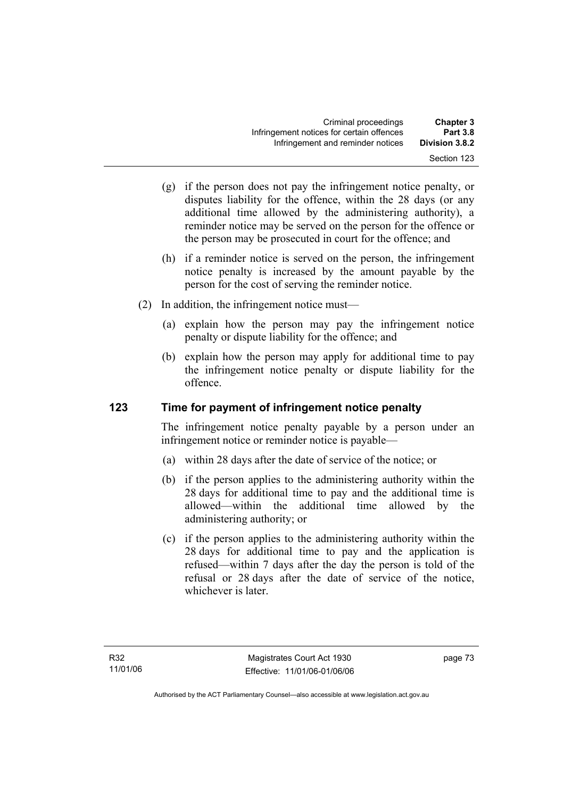- (g) if the person does not pay the infringement notice penalty, or disputes liability for the offence, within the 28 days (or any additional time allowed by the administering authority), a reminder notice may be served on the person for the offence or the person may be prosecuted in court for the offence; and
- (h) if a reminder notice is served on the person, the infringement notice penalty is increased by the amount payable by the person for the cost of serving the reminder notice.
- (2) In addition, the infringement notice must—
	- (a) explain how the person may pay the infringement notice penalty or dispute liability for the offence; and
	- (b) explain how the person may apply for additional time to pay the infringement notice penalty or dispute liability for the offence.

# **123 Time for payment of infringement notice penalty**

The infringement notice penalty payable by a person under an infringement notice or reminder notice is payable—

- (a) within 28 days after the date of service of the notice; or
- (b) if the person applies to the administering authority within the 28 days for additional time to pay and the additional time is allowed—within the additional time allowed by the administering authority; or
- (c) if the person applies to the administering authority within the 28 days for additional time to pay and the application is refused—within 7 days after the day the person is told of the refusal or 28 days after the date of service of the notice, whichever is later.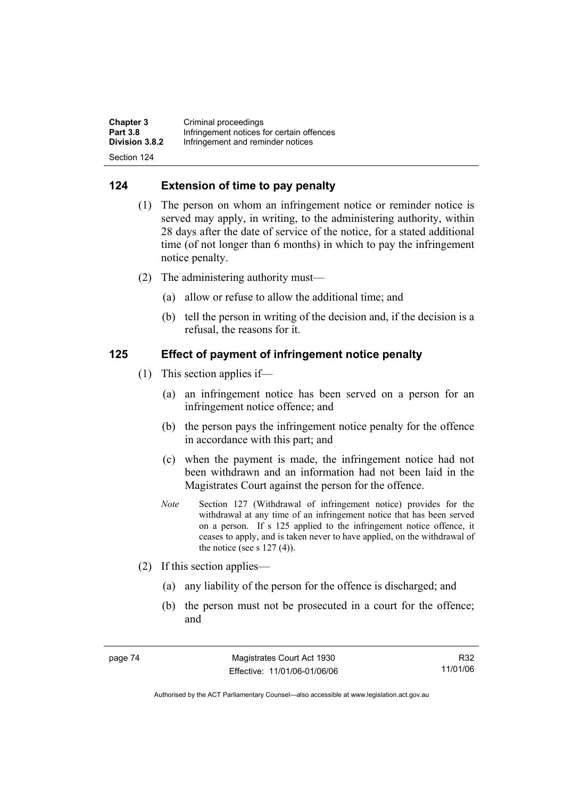| <b>Chapter 3</b> | Criminal proceedings                      |
|------------------|-------------------------------------------|
| <b>Part 3.8</b>  | Infringement notices for certain offences |
| Division 3.8.2   | Infringement and reminder notices         |
| Section 124      |                                           |

# **124 Extension of time to pay penalty**

- (1) The person on whom an infringement notice or reminder notice is served may apply, in writing, to the administering authority, within 28 days after the date of service of the notice, for a stated additional time (of not longer than 6 months) in which to pay the infringement notice penalty.
- (2) The administering authority must—
	- (a) allow or refuse to allow the additional time; and
	- (b) tell the person in writing of the decision and, if the decision is a refusal, the reasons for it.

# **125 Effect of payment of infringement notice penalty**

- (1) This section applies if—
	- (a) an infringement notice has been served on a person for an infringement notice offence; and
	- (b) the person pays the infringement notice penalty for the offence in accordance with this part; and
	- (c) when the payment is made, the infringement notice had not been withdrawn and an information had not been laid in the Magistrates Court against the person for the offence.
	- *Note* Section 127 (Withdrawal of infringement notice) provides for the withdrawal at any time of an infringement notice that has been served on a person. If s 125 applied to the infringement notice offence, it ceases to apply, and is taken never to have applied, on the withdrawal of the notice (see s  $127(4)$ ).
- (2) If this section applies—
	- (a) any liability of the person for the offence is discharged; and
	- (b) the person must not be prosecuted in a court for the offence; and

R32 11/01/06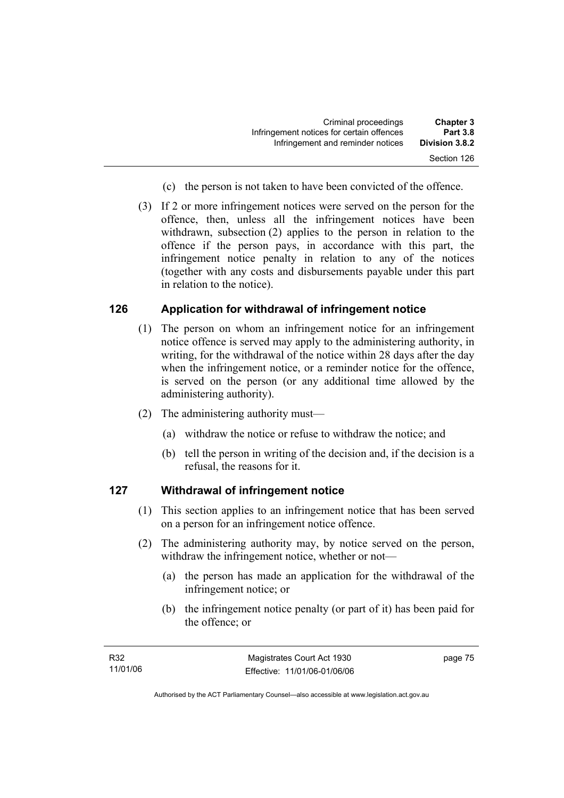| <b>Chapter 3</b> | Criminal proceedings                      |
|------------------|-------------------------------------------|
| <b>Part 3.8</b>  | Infringement notices for certain offences |
| Division 3.8.2   | Infringement and reminder notices         |
| Section 126      |                                           |

- (c) the person is not taken to have been convicted of the offence.
- (3) If 2 or more infringement notices were served on the person for the offence, then, unless all the infringement notices have been withdrawn, subsection (2) applies to the person in relation to the offence if the person pays, in accordance with this part, the infringement notice penalty in relation to any of the notices (together with any costs and disbursements payable under this part in relation to the notice).

# **126 Application for withdrawal of infringement notice**

- (1) The person on whom an infringement notice for an infringement notice offence is served may apply to the administering authority, in writing, for the withdrawal of the notice within 28 days after the day when the infringement notice, or a reminder notice for the offence, is served on the person (or any additional time allowed by the administering authority).
- (2) The administering authority must—
	- (a) withdraw the notice or refuse to withdraw the notice; and
	- (b) tell the person in writing of the decision and, if the decision is a refusal, the reasons for it.

### **127 Withdrawal of infringement notice**

- (1) This section applies to an infringement notice that has been served on a person for an infringement notice offence.
- (2) The administering authority may, by notice served on the person, withdraw the infringement notice, whether or not—
	- (a) the person has made an application for the withdrawal of the infringement notice; or
	- (b) the infringement notice penalty (or part of it) has been paid for the offence; or

page 75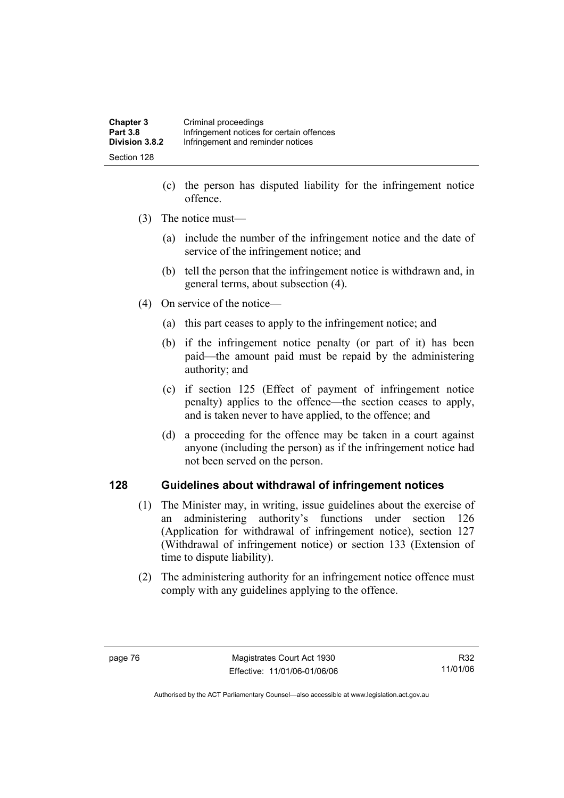| <b>Chapter 3</b> | Criminal proceedings                      |
|------------------|-------------------------------------------|
| <b>Part 3.8</b>  | Infringement notices for certain offences |
| Division 3.8.2   | Infringement and reminder notices         |
| Section 128      |                                           |

- (c) the person has disputed liability for the infringement notice offence.
- (3) The notice must—
	- (a) include the number of the infringement notice and the date of service of the infringement notice; and
	- (b) tell the person that the infringement notice is withdrawn and, in general terms, about subsection (4).
- (4) On service of the notice—
	- (a) this part ceases to apply to the infringement notice; and
	- (b) if the infringement notice penalty (or part of it) has been paid—the amount paid must be repaid by the administering authority; and
	- (c) if section 125 (Effect of payment of infringement notice penalty) applies to the offence—the section ceases to apply, and is taken never to have applied, to the offence; and
	- (d) a proceeding for the offence may be taken in a court against anyone (including the person) as if the infringement notice had not been served on the person.

# **128 Guidelines about withdrawal of infringement notices**

- (1) The Minister may, in writing, issue guidelines about the exercise of an administering authority's functions under section 126 (Application for withdrawal of infringement notice), section 127 (Withdrawal of infringement notice) or section 133 (Extension of time to dispute liability).
- (2) The administering authority for an infringement notice offence must comply with any guidelines applying to the offence.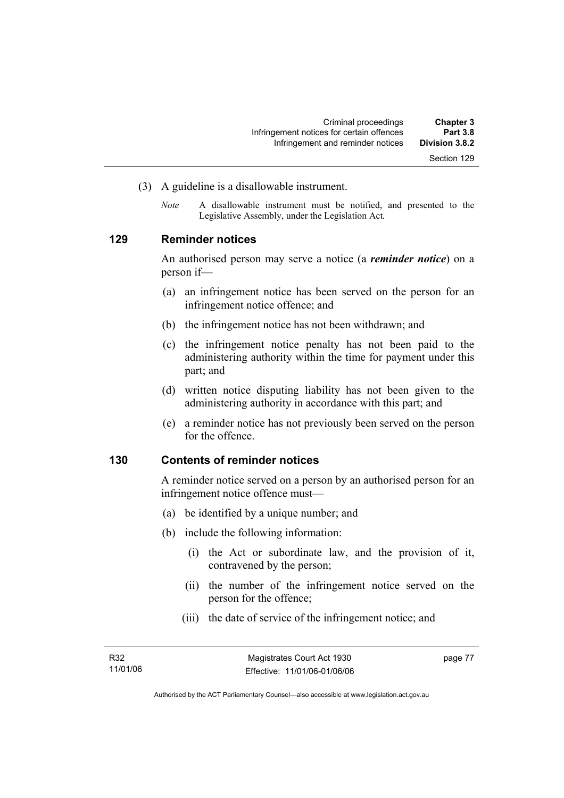- (3) A guideline is a disallowable instrument.
	- *Note* A disallowable instrument must be notified, and presented to the Legislative Assembly, under the Legislation Act*.*

# **129 Reminder notices**

An authorised person may serve a notice (a *reminder notice*) on a person if—

- (a) an infringement notice has been served on the person for an infringement notice offence; and
- (b) the infringement notice has not been withdrawn; and
- (c) the infringement notice penalty has not been paid to the administering authority within the time for payment under this part; and
- (d) written notice disputing liability has not been given to the administering authority in accordance with this part; and
- (e) a reminder notice has not previously been served on the person for the offence.

#### **130 Contents of reminder notices**

A reminder notice served on a person by an authorised person for an infringement notice offence must—

- (a) be identified by a unique number; and
- (b) include the following information:
	- (i) the Act or subordinate law, and the provision of it, contravened by the person;
	- (ii) the number of the infringement notice served on the person for the offence;
	- (iii) the date of service of the infringement notice; and

page 77

Authorised by the ACT Parliamentary Counsel—also accessible at www.legislation.act.gov.au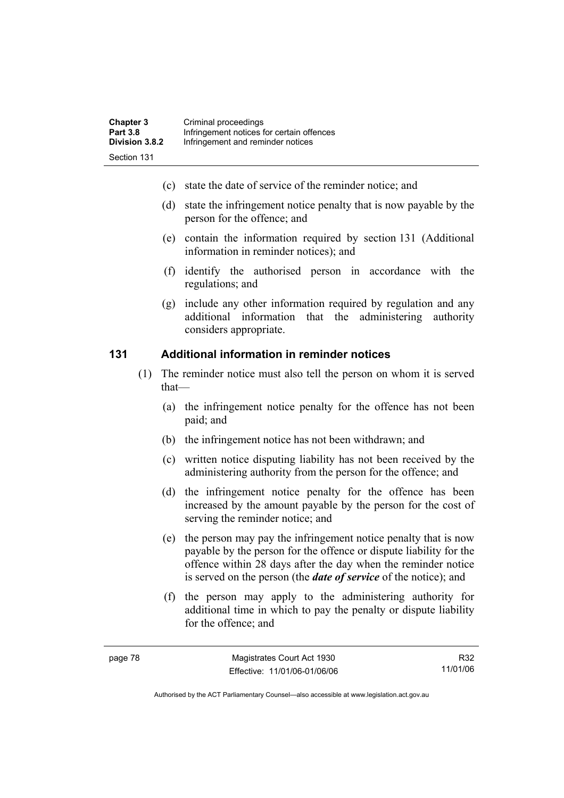- (c) state the date of service of the reminder notice; and
- (d) state the infringement notice penalty that is now payable by the person for the offence; and
- (e) contain the information required by section 131 (Additional information in reminder notices); and
- (f) identify the authorised person in accordance with the regulations; and
- (g) include any other information required by regulation and any additional information that the administering authority considers appropriate.

# **131 Additional information in reminder notices**

- (1) The reminder notice must also tell the person on whom it is served that—
	- (a) the infringement notice penalty for the offence has not been paid; and
	- (b) the infringement notice has not been withdrawn; and
	- (c) written notice disputing liability has not been received by the administering authority from the person for the offence; and
	- (d) the infringement notice penalty for the offence has been increased by the amount payable by the person for the cost of serving the reminder notice; and
	- (e) the person may pay the infringement notice penalty that is now payable by the person for the offence or dispute liability for the offence within 28 days after the day when the reminder notice is served on the person (the *date of service* of the notice); and
	- (f) the person may apply to the administering authority for additional time in which to pay the penalty or dispute liability for the offence; and

R32 11/01/06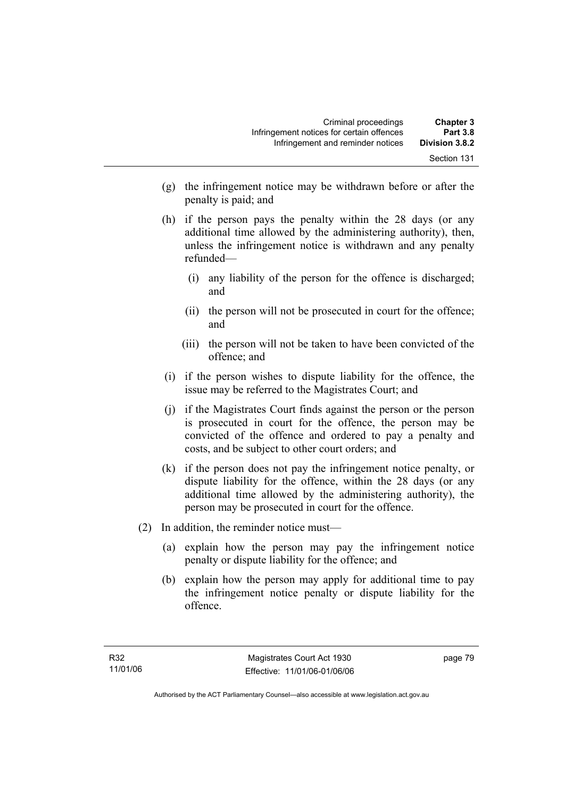- (g) the infringement notice may be withdrawn before or after the penalty is paid; and
- (h) if the person pays the penalty within the 28 days (or any additional time allowed by the administering authority), then, unless the infringement notice is withdrawn and any penalty refunded—
	- (i) any liability of the person for the offence is discharged; and
	- (ii) the person will not be prosecuted in court for the offence; and
	- (iii) the person will not be taken to have been convicted of the offence; and
- (i) if the person wishes to dispute liability for the offence, the issue may be referred to the Magistrates Court; and
- (j) if the Magistrates Court finds against the person or the person is prosecuted in court for the offence, the person may be convicted of the offence and ordered to pay a penalty and costs, and be subject to other court orders; and
- (k) if the person does not pay the infringement notice penalty, or dispute liability for the offence, within the 28 days (or any additional time allowed by the administering authority), the person may be prosecuted in court for the offence.
- (2) In addition, the reminder notice must—
	- (a) explain how the person may pay the infringement notice penalty or dispute liability for the offence; and
	- (b) explain how the person may apply for additional time to pay the infringement notice penalty or dispute liability for the offence.

page 79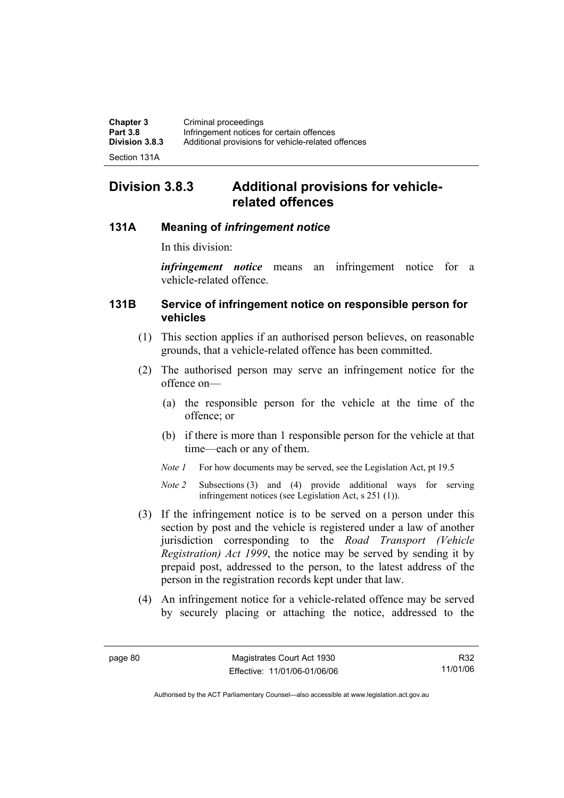| <b>Chapter 3</b> | Criminal proceedings                               |
|------------------|----------------------------------------------------|
| <b>Part 3.8</b>  | Infringement notices for certain offences          |
| Division 3.8.3   | Additional provisions for vehicle-related offences |
|                  |                                                    |

Section 131A

# **Division 3.8.3 Additional provisions for vehiclerelated offences**

# **131A Meaning of** *infringement notice*

In this division:

*infringement notice* means an infringement notice for a vehicle-related offence.

# **131B Service of infringement notice on responsible person for vehicles**

- (1) This section applies if an authorised person believes, on reasonable grounds, that a vehicle-related offence has been committed.
- (2) The authorised person may serve an infringement notice for the offence on—
	- (a) the responsible person for the vehicle at the time of the offence; or
	- (b) if there is more than 1 responsible person for the vehicle at that time—each or any of them.
	- *Note 1* For how documents may be served, see the Legislation Act, pt 19.5
	- *Note 2* Subsections (3) and (4) provide additional ways for serving infringement notices (see Legislation Act, s 251 (1)).
- (3) If the infringement notice is to be served on a person under this section by post and the vehicle is registered under a law of another jurisdiction corresponding to the *Road Transport (Vehicle Registration) Act 1999*, the notice may be served by sending it by prepaid post, addressed to the person, to the latest address of the person in the registration records kept under that law.
- (4) An infringement notice for a vehicle-related offence may be served by securely placing or attaching the notice, addressed to the

R32 11/01/06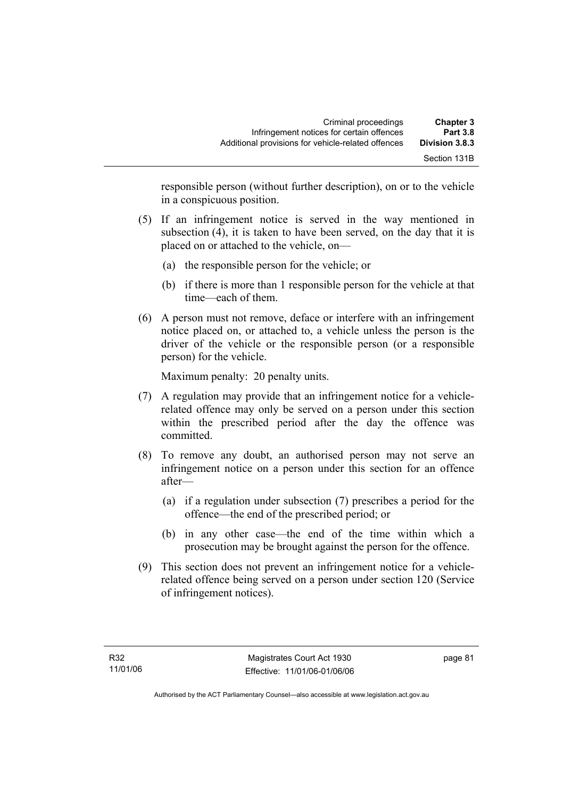| <b>Chapter 3</b><br><b>Part 3.8</b> | Criminal proceedings<br>Infringement notices for certain offences |
|-------------------------------------|-------------------------------------------------------------------|
| Division 3.8.3                      | Additional provisions for vehicle-related offences                |
| Section 131B                        |                                                                   |

responsible person (without further description), on or to the vehicle in a conspicuous position.

- (5) If an infringement notice is served in the way mentioned in subsection (4), it is taken to have been served, on the day that it is placed on or attached to the vehicle, on—
	- (a) the responsible person for the vehicle; or
	- (b) if there is more than 1 responsible person for the vehicle at that time—each of them.
- (6) A person must not remove, deface or interfere with an infringement notice placed on, or attached to, a vehicle unless the person is the driver of the vehicle or the responsible person (or a responsible person) for the vehicle.

Maximum penalty: 20 penalty units.

- (7) A regulation may provide that an infringement notice for a vehiclerelated offence may only be served on a person under this section within the prescribed period after the day the offence was committed.
- (8) To remove any doubt, an authorised person may not serve an infringement notice on a person under this section for an offence after—
	- (a) if a regulation under subsection (7) prescribes a period for the offence—the end of the prescribed period; or
	- (b) in any other case—the end of the time within which a prosecution may be brought against the person for the offence.
- (9) This section does not prevent an infringement notice for a vehiclerelated offence being served on a person under section 120 (Service of infringement notices).

page 81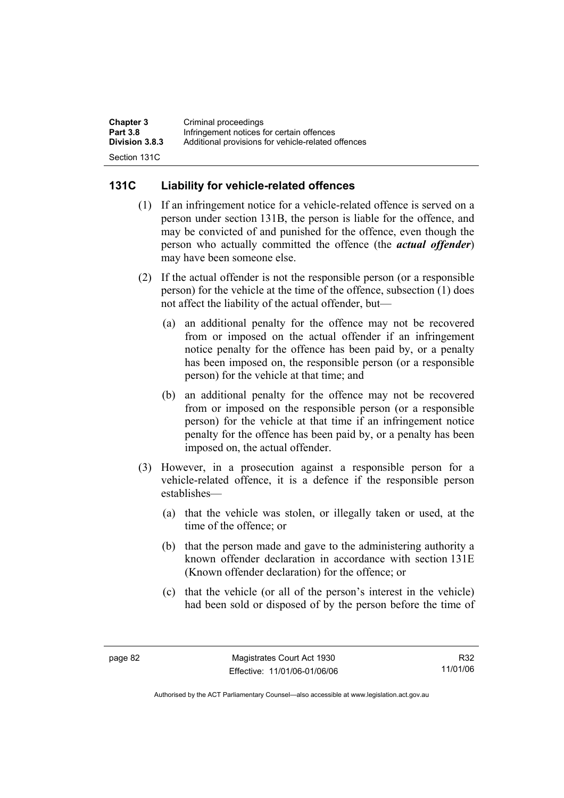| <b>Chapter 3</b>      | Criminal proceedings                               |
|-----------------------|----------------------------------------------------|
| <b>Part 3.8</b>       | Infringement notices for certain offences          |
| <b>Division 3.8.3</b> | Additional provisions for vehicle-related offences |
| Section 131C          |                                                    |

# **131C Liability for vehicle-related offences**

- (1) If an infringement notice for a vehicle-related offence is served on a person under section 131B, the person is liable for the offence, and may be convicted of and punished for the offence, even though the person who actually committed the offence (the *actual offender*) may have been someone else.
- (2) If the actual offender is not the responsible person (or a responsible person) for the vehicle at the time of the offence, subsection (1) does not affect the liability of the actual offender, but—
	- (a) an additional penalty for the offence may not be recovered from or imposed on the actual offender if an infringement notice penalty for the offence has been paid by, or a penalty has been imposed on, the responsible person (or a responsible person) for the vehicle at that time; and
	- (b) an additional penalty for the offence may not be recovered from or imposed on the responsible person (or a responsible person) for the vehicle at that time if an infringement notice penalty for the offence has been paid by, or a penalty has been imposed on, the actual offender.
- (3) However, in a prosecution against a responsible person for a vehicle-related offence, it is a defence if the responsible person establishes—
	- (a) that the vehicle was stolen, or illegally taken or used, at the time of the offence; or
	- (b) that the person made and gave to the administering authority a known offender declaration in accordance with section 131E (Known offender declaration) for the offence; or
	- (c) that the vehicle (or all of the person's interest in the vehicle) had been sold or disposed of by the person before the time of

R32 11/01/06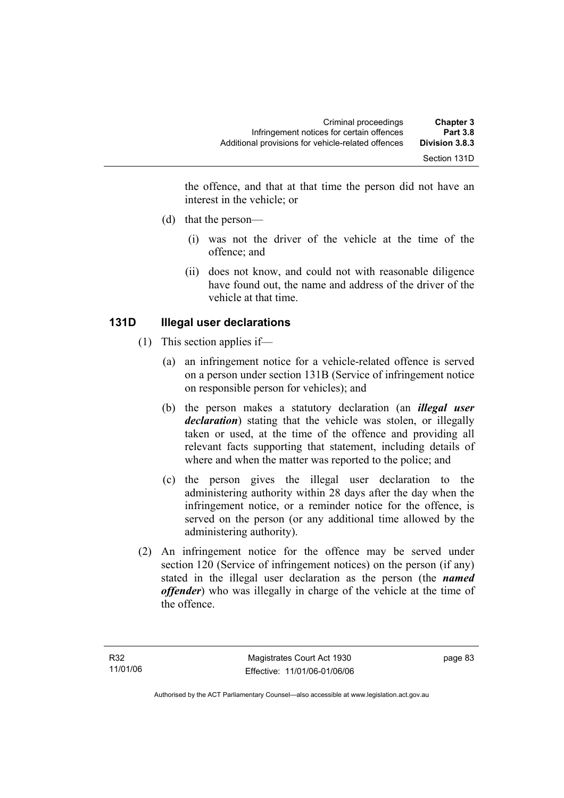the offence, and that at that time the person did not have an interest in the vehicle; or

- (d) that the person—
	- (i) was not the driver of the vehicle at the time of the offence; and
	- (ii) does not know, and could not with reasonable diligence have found out, the name and address of the driver of the vehicle at that time.

# **131D Illegal user declarations**

- (1) This section applies if—
	- (a) an infringement notice for a vehicle-related offence is served on a person under section 131B (Service of infringement notice on responsible person for vehicles); and
	- (b) the person makes a statutory declaration (an *illegal user declaration*) stating that the vehicle was stolen, or illegally taken or used, at the time of the offence and providing all relevant facts supporting that statement, including details of where and when the matter was reported to the police; and
	- (c) the person gives the illegal user declaration to the administering authority within 28 days after the day when the infringement notice, or a reminder notice for the offence, is served on the person (or any additional time allowed by the administering authority).
- (2) An infringement notice for the offence may be served under section 120 (Service of infringement notices) on the person (if any) stated in the illegal user declaration as the person (the *named offender*) who was illegally in charge of the vehicle at the time of the offence.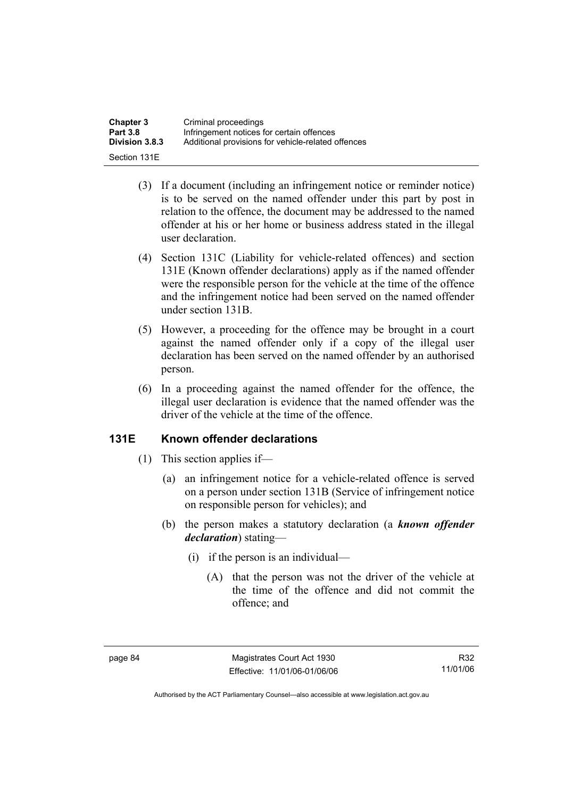| <b>Chapter 3</b> | Criminal proceedings                               |
|------------------|----------------------------------------------------|
| <b>Part 3.8</b>  | Infringement notices for certain offences          |
| Division 3.8.3   | Additional provisions for vehicle-related offences |
| Section 131E     |                                                    |

- (3) If a document (including an infringement notice or reminder notice) is to be served on the named offender under this part by post in relation to the offence, the document may be addressed to the named offender at his or her home or business address stated in the illegal user declaration.
- (4) Section 131C (Liability for vehicle-related offences) and section 131E (Known offender declarations) apply as if the named offender were the responsible person for the vehicle at the time of the offence and the infringement notice had been served on the named offender under section 131B.
- (5) However, a proceeding for the offence may be brought in a court against the named offender only if a copy of the illegal user declaration has been served on the named offender by an authorised person.
- (6) In a proceeding against the named offender for the offence, the illegal user declaration is evidence that the named offender was the driver of the vehicle at the time of the offence.

### **131E Known offender declarations**

- (1) This section applies if—
	- (a) an infringement notice for a vehicle-related offence is served on a person under section 131B (Service of infringement notice on responsible person for vehicles); and
	- (b) the person makes a statutory declaration (a *known offender declaration*) stating—
		- (i) if the person is an individual—
			- (A) that the person was not the driver of the vehicle at the time of the offence and did not commit the offence; and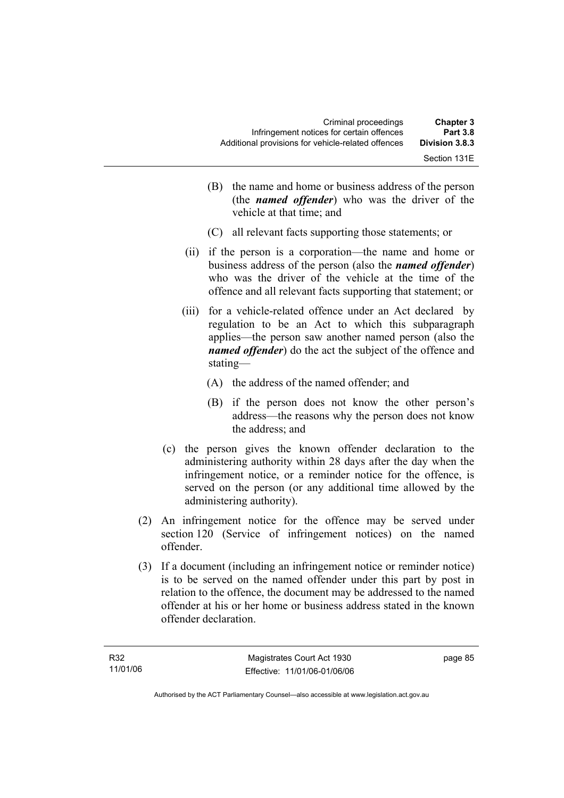| <b>Chapter 3</b><br><b>Part 3.8</b> | Criminal proceedings<br>Infringement notices for certain offences |
|-------------------------------------|-------------------------------------------------------------------|
| <b>Division 3.8.3</b>               | Additional provisions for vehicle-related offences                |
| Section 131E                        |                                                                   |

- (B) the name and home or business address of the person (the *named offender*) who was the driver of the vehicle at that time; and
- (C) all relevant facts supporting those statements; or
- (ii) if the person is a corporation—the name and home or business address of the person (also the *named offender*) who was the driver of the vehicle at the time of the offence and all relevant facts supporting that statement; or
- (iii) for a vehicle-related offence under an Act declared by regulation to be an Act to which this subparagraph applies—the person saw another named person (also the *named offender*) do the act the subject of the offence and stating—
	- (A) the address of the named offender; and
	- (B) if the person does not know the other person's address—the reasons why the person does not know the address; and
- (c) the person gives the known offender declaration to the administering authority within 28 days after the day when the infringement notice, or a reminder notice for the offence, is served on the person (or any additional time allowed by the administering authority).
- (2) An infringement notice for the offence may be served under section 120 (Service of infringement notices) on the named offender.
- (3) If a document (including an infringement notice or reminder notice) is to be served on the named offender under this part by post in relation to the offence, the document may be addressed to the named offender at his or her home or business address stated in the known offender declaration.

page 85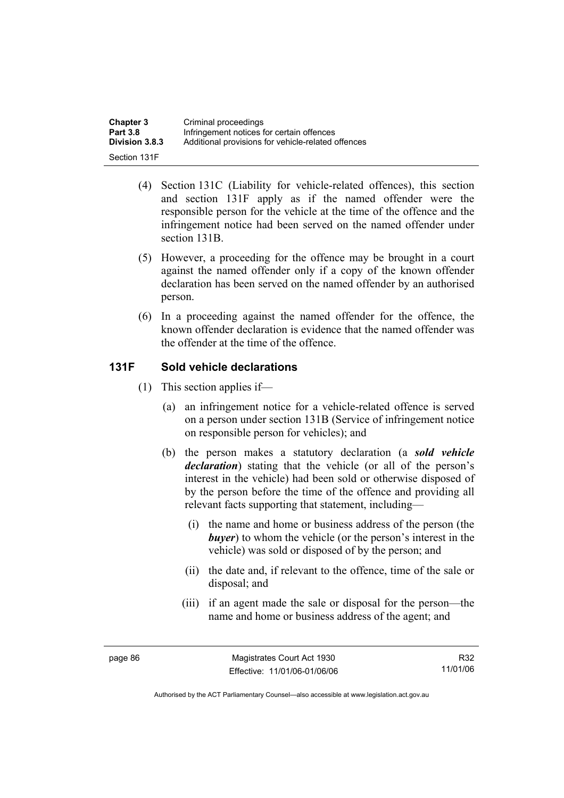| <b>Chapter 3</b> | Criminal proceedings                               |
|------------------|----------------------------------------------------|
| <b>Part 3.8</b>  | Infringement notices for certain offences          |
| Division 3.8.3   | Additional provisions for vehicle-related offences |
| Section 131F     |                                                    |

- (4) Section 131C (Liability for vehicle-related offences), this section and section 131F apply as if the named offender were the responsible person for the vehicle at the time of the offence and the infringement notice had been served on the named offender under section 131B.
- (5) However, a proceeding for the offence may be brought in a court against the named offender only if a copy of the known offender declaration has been served on the named offender by an authorised person.
- (6) In a proceeding against the named offender for the offence, the known offender declaration is evidence that the named offender was the offender at the time of the offence.

# **131F Sold vehicle declarations**

- (1) This section applies if—
	- (a) an infringement notice for a vehicle-related offence is served on a person under section 131B (Service of infringement notice on responsible person for vehicles); and
	- (b) the person makes a statutory declaration (a *sold vehicle declaration*) stating that the vehicle (or all of the person's interest in the vehicle) had been sold or otherwise disposed of by the person before the time of the offence and providing all relevant facts supporting that statement, including—
		- (i) the name and home or business address of the person (the *buyer*) to whom the vehicle (or the person's interest in the vehicle) was sold or disposed of by the person; and
		- (ii) the date and, if relevant to the offence, time of the sale or disposal; and
		- (iii) if an agent made the sale or disposal for the person—the name and home or business address of the agent; and

R32 11/01/06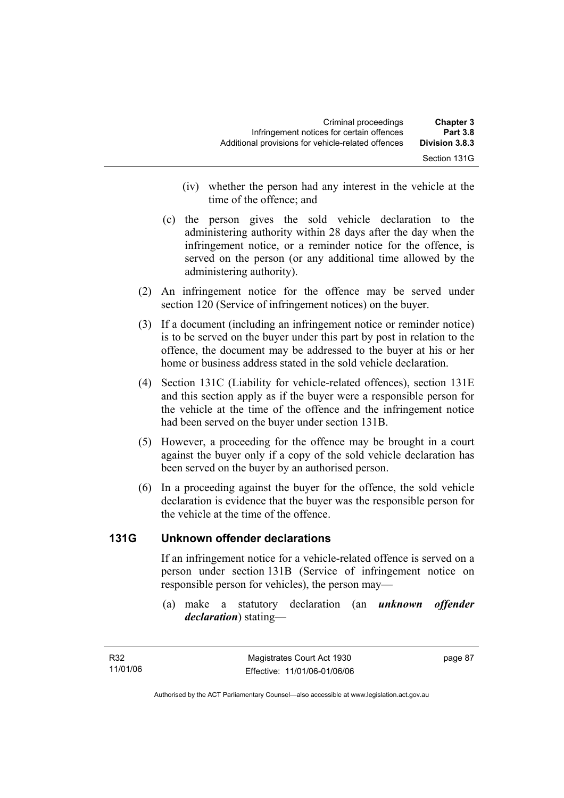| <b>Chapter 3</b><br><b>Part 3.8</b> | Criminal proceedings<br>Infringement notices for certain offences |
|-------------------------------------|-------------------------------------------------------------------|
| Division 3.8.3                      | Additional provisions for vehicle-related offences                |
| Section 131G                        |                                                                   |

- (iv) whether the person had any interest in the vehicle at the time of the offence; and
- (c) the person gives the sold vehicle declaration to the administering authority within 28 days after the day when the infringement notice, or a reminder notice for the offence, is served on the person (or any additional time allowed by the administering authority).
- (2) An infringement notice for the offence may be served under section 120 (Service of infringement notices) on the buyer.
- (3) If a document (including an infringement notice or reminder notice) is to be served on the buyer under this part by post in relation to the offence, the document may be addressed to the buyer at his or her home or business address stated in the sold vehicle declaration.
- (4) Section 131C (Liability for vehicle-related offences), section 131E and this section apply as if the buyer were a responsible person for the vehicle at the time of the offence and the infringement notice had been served on the buyer under section 131B.
- (5) However, a proceeding for the offence may be brought in a court against the buyer only if a copy of the sold vehicle declaration has been served on the buyer by an authorised person.
- (6) In a proceeding against the buyer for the offence, the sold vehicle declaration is evidence that the buyer was the responsible person for the vehicle at the time of the offence.

# **131G Unknown offender declarations**

If an infringement notice for a vehicle-related offence is served on a person under section 131B (Service of infringement notice on responsible person for vehicles), the person may—

 (a) make a statutory declaration (an *unknown offender declaration*) stating—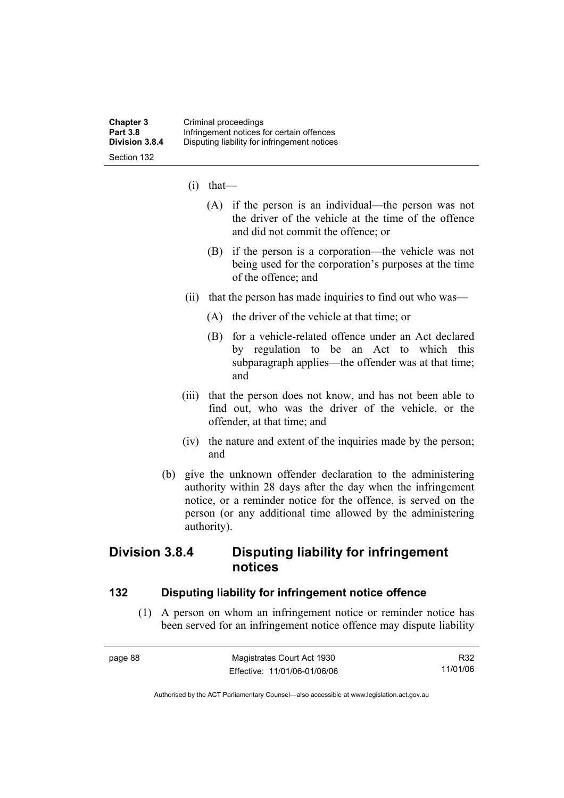- (i) that—
	- (A) if the person is an individual—the person was not the driver of the vehicle at the time of the offence and did not commit the offence; or
	- (B) if the person is a corporation—the vehicle was not being used for the corporation's purposes at the time of the offence; and
- (ii) that the person has made inquiries to find out who was—
	- (A) the driver of the vehicle at that time; or
	- (B) for a vehicle-related offence under an Act declared by regulation to be an Act to which this subparagraph applies—the offender was at that time; and
- (iii) that the person does not know, and has not been able to find out, who was the driver of the vehicle, or the offender, at that time; and
- (iv) the nature and extent of the inquiries made by the person; and
- (b) give the unknown offender declaration to the administering authority within 28 days after the day when the infringement notice, or a reminder notice for the offence, is served on the person (or any additional time allowed by the administering authority).

# **Division 3.8.4 Disputing liability for infringement notices**

### **132 Disputing liability for infringement notice offence**

 (1) A person on whom an infringement notice or reminder notice has been served for an infringement notice offence may dispute liability

| page 88 | Magistrates Court Act 1930   | R32      |
|---------|------------------------------|----------|
|         | Effective: 11/01/06-01/06/06 | 11/01/06 |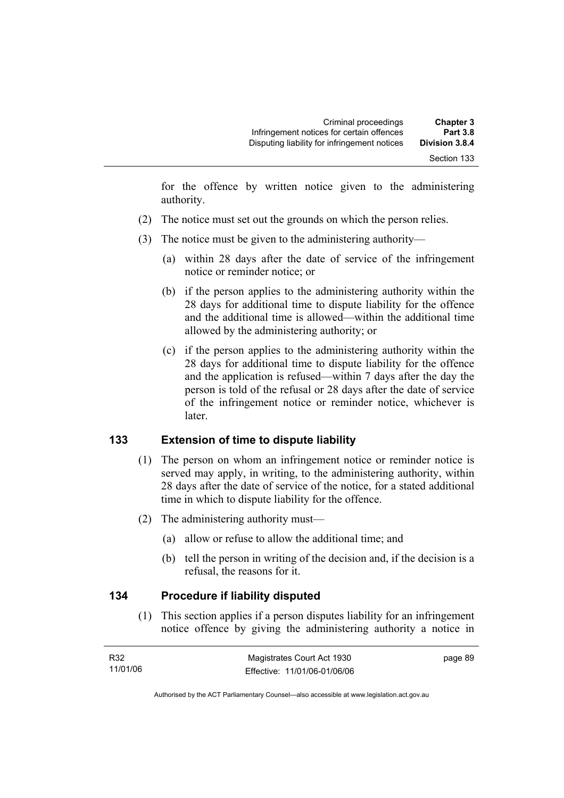for the offence by written notice given to the administering authority.

- (2) The notice must set out the grounds on which the person relies.
- (3) The notice must be given to the administering authority—
	- (a) within 28 days after the date of service of the infringement notice or reminder notice; or
	- (b) if the person applies to the administering authority within the 28 days for additional time to dispute liability for the offence and the additional time is allowed—within the additional time allowed by the administering authority; or
	- (c) if the person applies to the administering authority within the 28 days for additional time to dispute liability for the offence and the application is refused—within 7 days after the day the person is told of the refusal or 28 days after the date of service of the infringement notice or reminder notice, whichever is later.

# **133 Extension of time to dispute liability**

- (1) The person on whom an infringement notice or reminder notice is served may apply, in writing, to the administering authority, within 28 days after the date of service of the notice, for a stated additional time in which to dispute liability for the offence.
- (2) The administering authority must—
	- (a) allow or refuse to allow the additional time; and
	- (b) tell the person in writing of the decision and, if the decision is a refusal, the reasons for it.

### **134 Procedure if liability disputed**

 (1) This section applies if a person disputes liability for an infringement notice offence by giving the administering authority a notice in

| R32      | Magistrates Court Act 1930   | page 89 |
|----------|------------------------------|---------|
| 11/01/06 | Effective: 11/01/06-01/06/06 |         |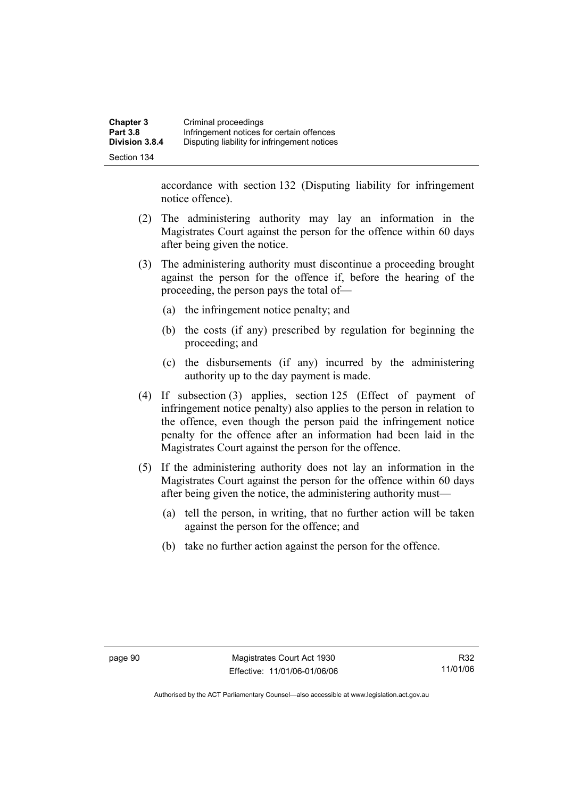accordance with section 132 (Disputing liability for infringement notice offence).

- (2) The administering authority may lay an information in the Magistrates Court against the person for the offence within 60 days after being given the notice.
- (3) The administering authority must discontinue a proceeding brought against the person for the offence if, before the hearing of the proceeding, the person pays the total of—
	- (a) the infringement notice penalty; and
	- (b) the costs (if any) prescribed by regulation for beginning the proceeding; and
	- (c) the disbursements (if any) incurred by the administering authority up to the day payment is made.
- (4) If subsection (3) applies, section 125 (Effect of payment of infringement notice penalty) also applies to the person in relation to the offence, even though the person paid the infringement notice penalty for the offence after an information had been laid in the Magistrates Court against the person for the offence.
- (5) If the administering authority does not lay an information in the Magistrates Court against the person for the offence within 60 days after being given the notice, the administering authority must—
	- (a) tell the person, in writing, that no further action will be taken against the person for the offence; and
	- (b) take no further action against the person for the offence.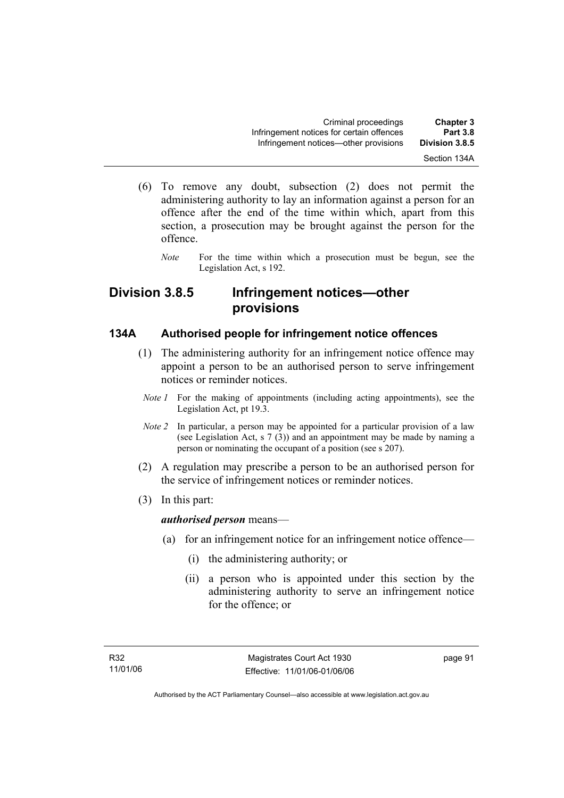- (6) To remove any doubt, subsection (2) does not permit the administering authority to lay an information against a person for an offence after the end of the time within which, apart from this section, a prosecution may be brought against the person for the offence.
	- *Note* For the time within which a prosecution must be begun, see the Legislation Act, s 192.

# **Division 3.8.5 Infringement notices—other provisions**

### **134A Authorised people for infringement notice offences**

- (1) The administering authority for an infringement notice offence may appoint a person to be an authorised person to serve infringement notices or reminder notices.
	- *Note 1* For the making of appointments (including acting appointments), see the Legislation Act, pt 19.3.
	- *Note 2* In particular, a person may be appointed for a particular provision of a law (see Legislation Act, s 7 (3)) and an appointment may be made by naming a person or nominating the occupant of a position (see s 207).
- (2) A regulation may prescribe a person to be an authorised person for the service of infringement notices or reminder notices.
- (3) In this part:

### *authorised person* means—

- (a) for an infringement notice for an infringement notice offence—
	- (i) the administering authority; or
	- (ii) a person who is appointed under this section by the administering authority to serve an infringement notice for the offence; or

page 91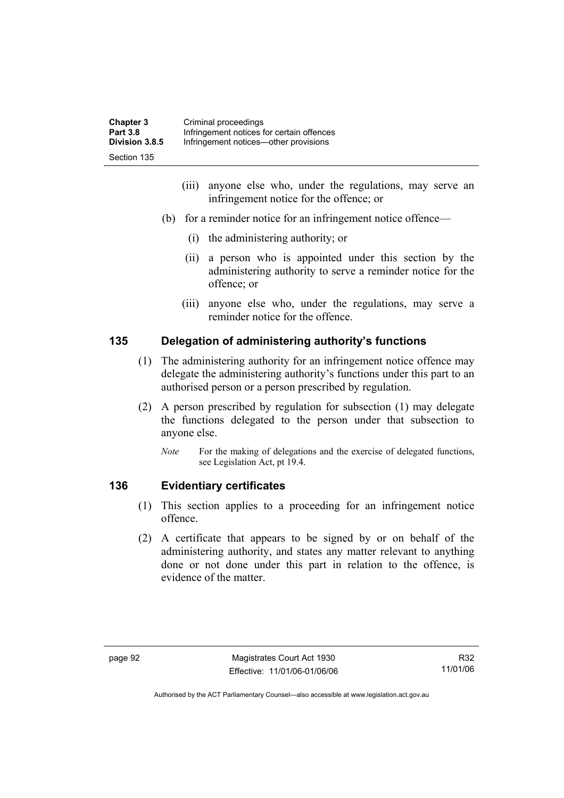| <b>Chapter 3</b> | Criminal proceedings                      |
|------------------|-------------------------------------------|
| <b>Part 3.8</b>  | Infringement notices for certain offences |
| Division 3.8.5   | Infringement notices—other provisions     |
| Section 135      |                                           |

- (iii) anyone else who, under the regulations, may serve an infringement notice for the offence; or
- (b) for a reminder notice for an infringement notice offence—
	- (i) the administering authority; or
	- (ii) a person who is appointed under this section by the administering authority to serve a reminder notice for the offence; or
	- (iii) anyone else who, under the regulations, may serve a reminder notice for the offence.

# **135 Delegation of administering authority's functions**

- (1) The administering authority for an infringement notice offence may delegate the administering authority's functions under this part to an authorised person or a person prescribed by regulation.
- (2) A person prescribed by regulation for subsection (1) may delegate the functions delegated to the person under that subsection to anyone else.
	- *Note* For the making of delegations and the exercise of delegated functions, see Legislation Act, pt 19.4.

# **136 Evidentiary certificates**

- (1) This section applies to a proceeding for an infringement notice offence.
- (2) A certificate that appears to be signed by or on behalf of the administering authority, and states any matter relevant to anything done or not done under this part in relation to the offence, is evidence of the matter.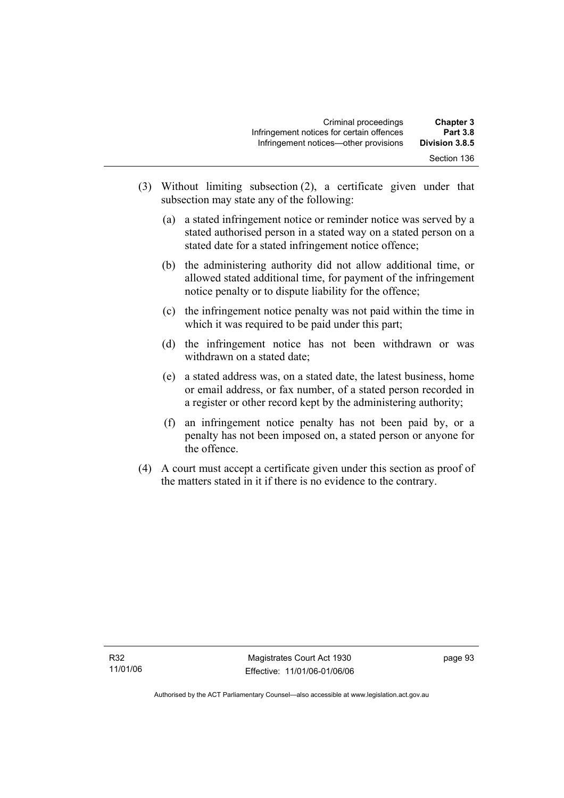| <b>Chapter 3</b><br><b>Part 3.8</b> | Criminal proceedings<br>Infringement notices for certain offences |
|-------------------------------------|-------------------------------------------------------------------|
| Division 3.8.5                      | Infringement notices—other provisions                             |
| Section 136                         |                                                                   |

- (3) Without limiting subsection (2), a certificate given under that subsection may state any of the following:
	- (a) a stated infringement notice or reminder notice was served by a stated authorised person in a stated way on a stated person on a stated date for a stated infringement notice offence;
	- (b) the administering authority did not allow additional time, or allowed stated additional time, for payment of the infringement notice penalty or to dispute liability for the offence;
	- (c) the infringement notice penalty was not paid within the time in which it was required to be paid under this part;
	- (d) the infringement notice has not been withdrawn or was withdrawn on a stated date;
	- (e) a stated address was, on a stated date, the latest business, home or email address, or fax number, of a stated person recorded in a register or other record kept by the administering authority;
	- (f) an infringement notice penalty has not been paid by, or a penalty has not been imposed on, a stated person or anyone for the offence.
- (4) A court must accept a certificate given under this section as proof of the matters stated in it if there is no evidence to the contrary.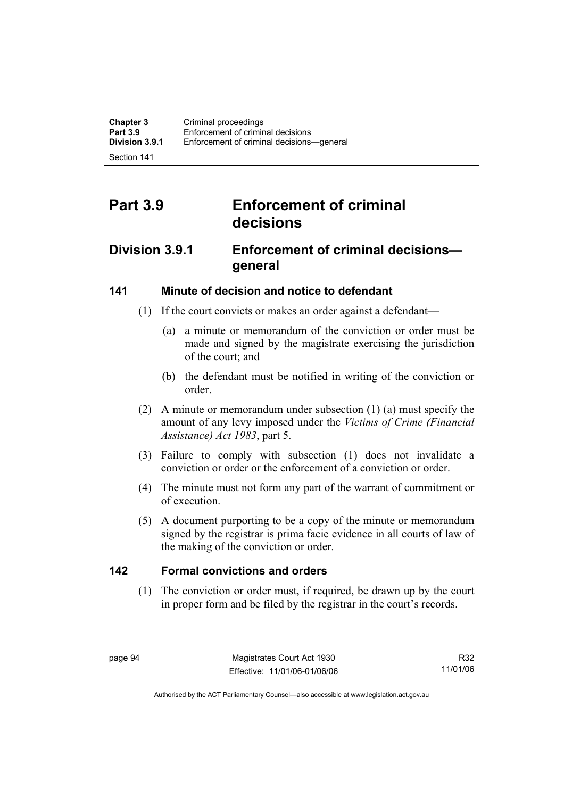Section 141

# **Part 3.9 Enforcement of criminal decisions**

## **Division 3.9.1 Enforcement of criminal decisions general**

## **141 Minute of decision and notice to defendant**

- (1) If the court convicts or makes an order against a defendant—
	- (a) a minute or memorandum of the conviction or order must be made and signed by the magistrate exercising the jurisdiction of the court; and
	- (b) the defendant must be notified in writing of the conviction or order.
- (2) A minute or memorandum under subsection (1) (a) must specify the amount of any levy imposed under the *Victims of Crime (Financial Assistance) Act 1983*, part 5.
- (3) Failure to comply with subsection (1) does not invalidate a conviction or order or the enforcement of a conviction or order.
- (4) The minute must not form any part of the warrant of commitment or of execution.
- (5) A document purporting to be a copy of the minute or memorandum signed by the registrar is prima facie evidence in all courts of law of the making of the conviction or order.

## **142 Formal convictions and orders**

 (1) The conviction or order must, if required, be drawn up by the court in proper form and be filed by the registrar in the court's records.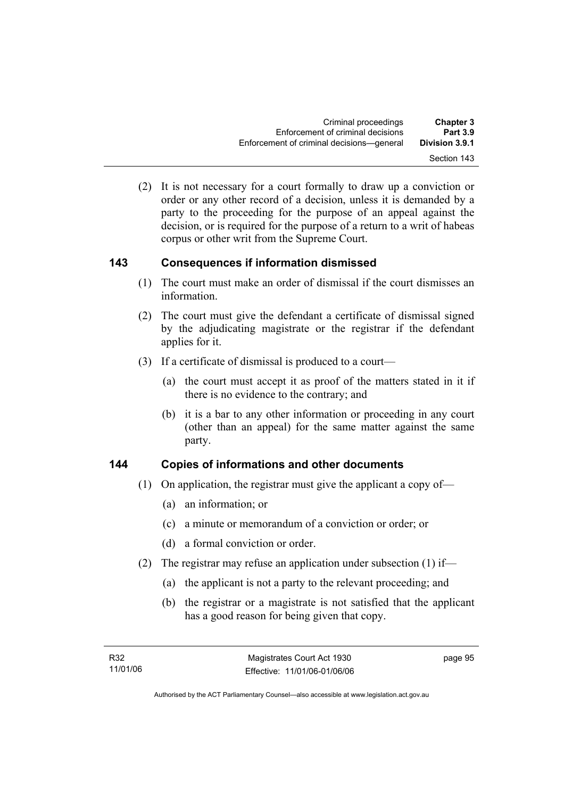(2) It is not necessary for a court formally to draw up a conviction or order or any other record of a decision, unless it is demanded by a party to the proceeding for the purpose of an appeal against the decision, or is required for the purpose of a return to a writ of habeas corpus or other writ from the Supreme Court.

## **143 Consequences if information dismissed**

- (1) The court must make an order of dismissal if the court dismisses an information.
- (2) The court must give the defendant a certificate of dismissal signed by the adjudicating magistrate or the registrar if the defendant applies for it.
- (3) If a certificate of dismissal is produced to a court—
	- (a) the court must accept it as proof of the matters stated in it if there is no evidence to the contrary; and
	- (b) it is a bar to any other information or proceeding in any court (other than an appeal) for the same matter against the same party.

## **144 Copies of informations and other documents**

- (1) On application, the registrar must give the applicant a copy of—
	- (a) an information; or
	- (c) a minute or memorandum of a conviction or order; or
	- (d) a formal conviction or order.
- (2) The registrar may refuse an application under subsection (1) if—
	- (a) the applicant is not a party to the relevant proceeding; and
	- (b) the registrar or a magistrate is not satisfied that the applicant has a good reason for being given that copy.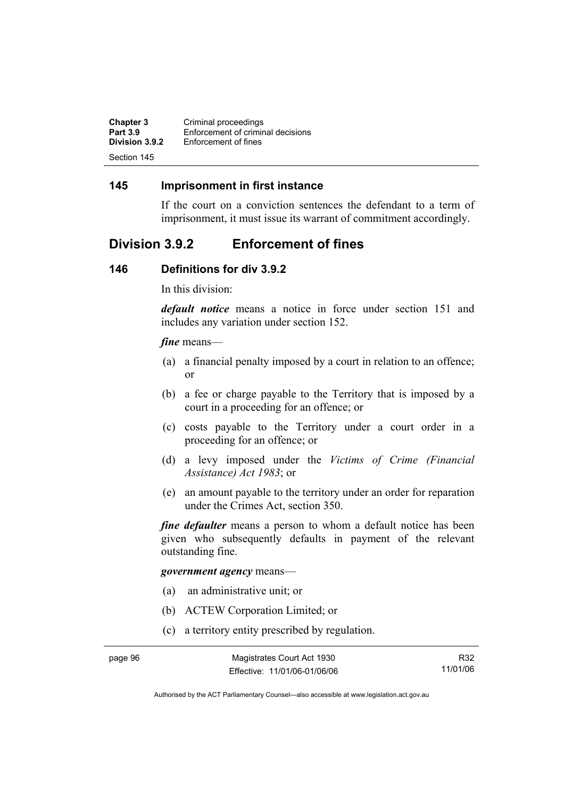| <b>Chapter 3</b> | Criminal proceedings              |
|------------------|-----------------------------------|
| <b>Part 3.9</b>  | Enforcement of criminal decisions |
| Division 3.9.2   | Enforcement of fines              |
| Section 145      |                                   |

### **145 Imprisonment in first instance**

If the court on a conviction sentences the defendant to a term of imprisonment, it must issue its warrant of commitment accordingly.

## **Division 3.9.2 Enforcement of fines**

#### **146 Definitions for div 3.9.2**

In this division:

*default notice* means a notice in force under section 151 and includes any variation under section 152.

#### *fine* means—

- (a) a financial penalty imposed by a court in relation to an offence; or
- (b) a fee or charge payable to the Territory that is imposed by a court in a proceeding for an offence; or
- (c) costs payable to the Territory under a court order in a proceeding for an offence; or
- (d) a levy imposed under the *Victims of Crime (Financial Assistance) Act 1983*; or
- (e) an amount payable to the territory under an order for reparation under the Crimes Act, section 350.

*fine defaulter* means a person to whom a default notice has been given who subsequently defaults in payment of the relevant outstanding fine.

#### *government agency* means—

- (a) an administrative unit; or
- (b) ACTEW Corporation Limited; or
- (c) a territory entity prescribed by regulation.

R32 11/01/06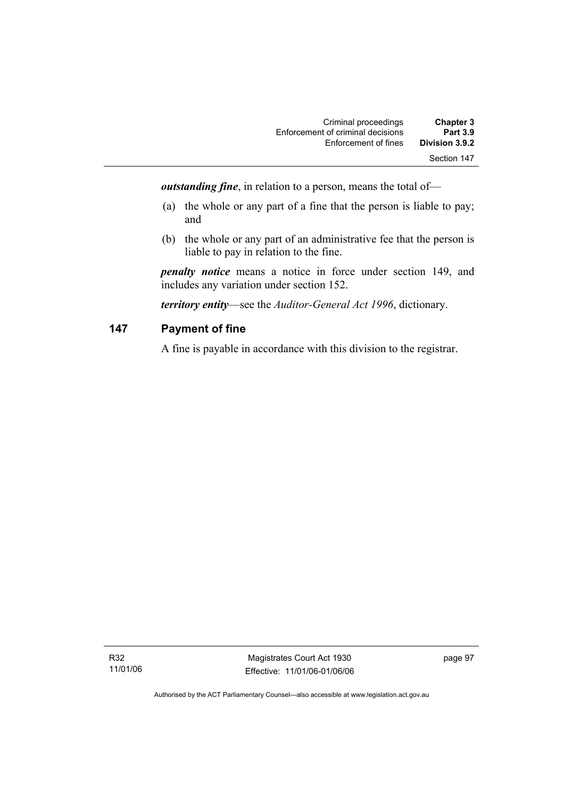| <b>Chapter 3</b> | Criminal proceedings              |
|------------------|-----------------------------------|
| <b>Part 3.9</b>  | Enforcement of criminal decisions |
| Division 3.9.2   | Enforcement of fines              |
| Section 147      |                                   |

*outstanding fine*, in relation to a person, means the total of—

- (a) the whole or any part of a fine that the person is liable to pay; and
- (b) the whole or any part of an administrative fee that the person is liable to pay in relation to the fine.

*penalty notice* means a notice in force under section 149, and includes any variation under section 152.

*territory entity*—see the *Auditor-General Act 1996*, dictionary.

## **147 Payment of fine**

A fine is payable in accordance with this division to the registrar.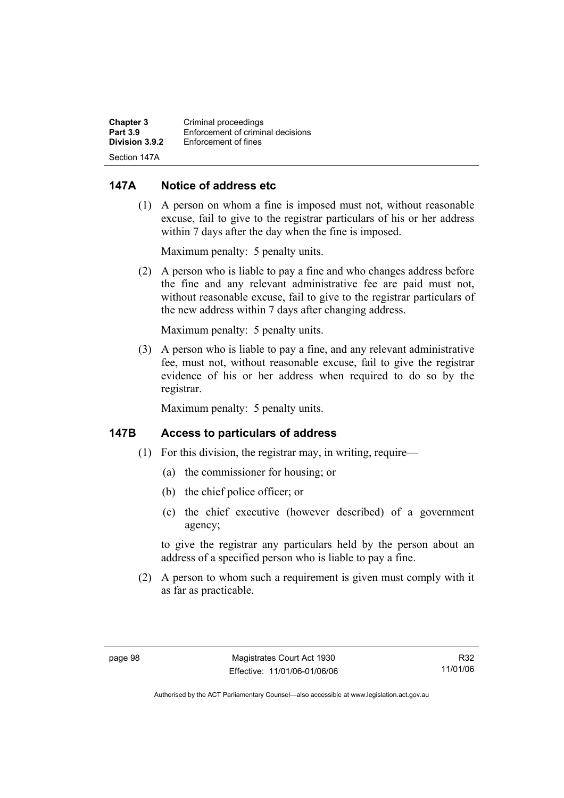| <b>Chapter 3</b> | Criminal proceedings              |
|------------------|-----------------------------------|
| <b>Part 3.9</b>  | Enforcement of criminal decisions |
| Division 3.9.2   | Enforcement of fines              |
| Section 147A     |                                   |

### **147A Notice of address etc**

 (1) A person on whom a fine is imposed must not, without reasonable excuse, fail to give to the registrar particulars of his or her address within 7 days after the day when the fine is imposed.

Maximum penalty: 5 penalty units.

 (2) A person who is liable to pay a fine and who changes address before the fine and any relevant administrative fee are paid must not, without reasonable excuse, fail to give to the registrar particulars of the new address within 7 days after changing address.

Maximum penalty: 5 penalty units.

 (3) A person who is liable to pay a fine, and any relevant administrative fee, must not, without reasonable excuse, fail to give the registrar evidence of his or her address when required to do so by the registrar.

Maximum penalty: 5 penalty units.

### **147B Access to particulars of address**

- (1) For this division, the registrar may, in writing, require—
	- (a) the commissioner for housing; or
	- (b) the chief police officer; or
	- (c) the chief executive (however described) of a government agency;

to give the registrar any particulars held by the person about an address of a specified person who is liable to pay a fine.

 (2) A person to whom such a requirement is given must comply with it as far as practicable.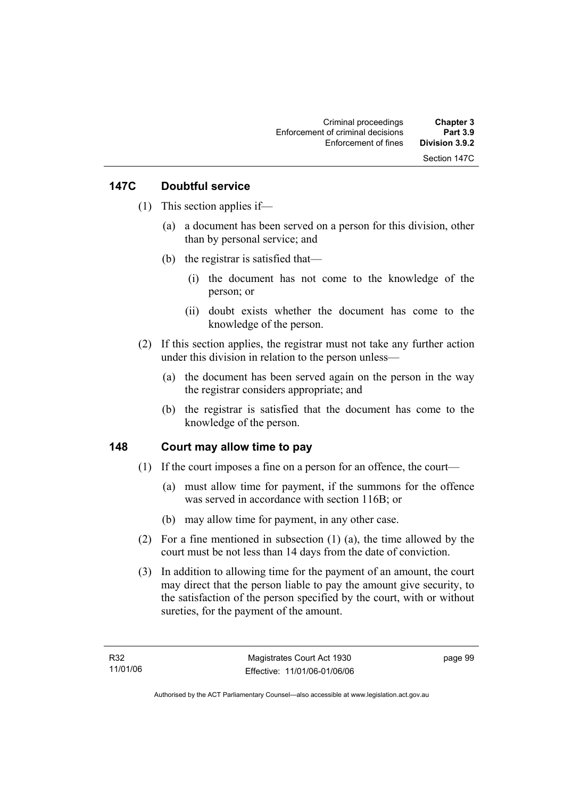## **147C Doubtful service**

- (1) This section applies if—
	- (a) a document has been served on a person for this division, other than by personal service; and
	- (b) the registrar is satisfied that—
		- (i) the document has not come to the knowledge of the person; or
		- (ii) doubt exists whether the document has come to the knowledge of the person.
- (2) If this section applies, the registrar must not take any further action under this division in relation to the person unless—
	- (a) the document has been served again on the person in the way the registrar considers appropriate; and
	- (b) the registrar is satisfied that the document has come to the knowledge of the person.

## **148 Court may allow time to pay**

- (1) If the court imposes a fine on a person for an offence, the court—
	- (a) must allow time for payment, if the summons for the offence was served in accordance with section 116B; or
	- (b) may allow time for payment, in any other case.
- (2) For a fine mentioned in subsection (1) (a), the time allowed by the court must be not less than 14 days from the date of conviction.
- (3) In addition to allowing time for the payment of an amount, the court may direct that the person liable to pay the amount give security, to the satisfaction of the person specified by the court, with or without sureties, for the payment of the amount.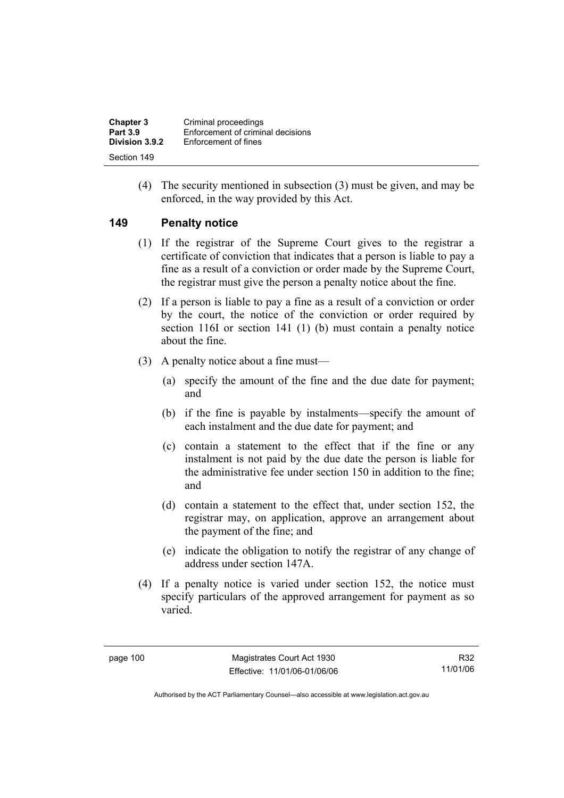| <b>Chapter 3</b> | Criminal proceedings              |
|------------------|-----------------------------------|
| <b>Part 3.9</b>  | Enforcement of criminal decisions |
| Division 3.9.2   | Enforcement of fines              |
| Section 149      |                                   |

 (4) The security mentioned in subsection (3) must be given, and may be enforced, in the way provided by this Act.

#### **149 Penalty notice**

- (1) If the registrar of the Supreme Court gives to the registrar a certificate of conviction that indicates that a person is liable to pay a fine as a result of a conviction or order made by the Supreme Court, the registrar must give the person a penalty notice about the fine.
- (2) If a person is liable to pay a fine as a result of a conviction or order by the court, the notice of the conviction or order required by section 116I or section 141 (1) (b) must contain a penalty notice about the fine.
- (3) A penalty notice about a fine must—
	- (a) specify the amount of the fine and the due date for payment; and
	- (b) if the fine is payable by instalments—specify the amount of each instalment and the due date for payment; and
	- (c) contain a statement to the effect that if the fine or any instalment is not paid by the due date the person is liable for the administrative fee under section 150 in addition to the fine; and
	- (d) contain a statement to the effect that, under section 152, the registrar may, on application, approve an arrangement about the payment of the fine; and
	- (e) indicate the obligation to notify the registrar of any change of address under section 147A.
- (4) If a penalty notice is varied under section 152, the notice must specify particulars of the approved arrangement for payment as so varied.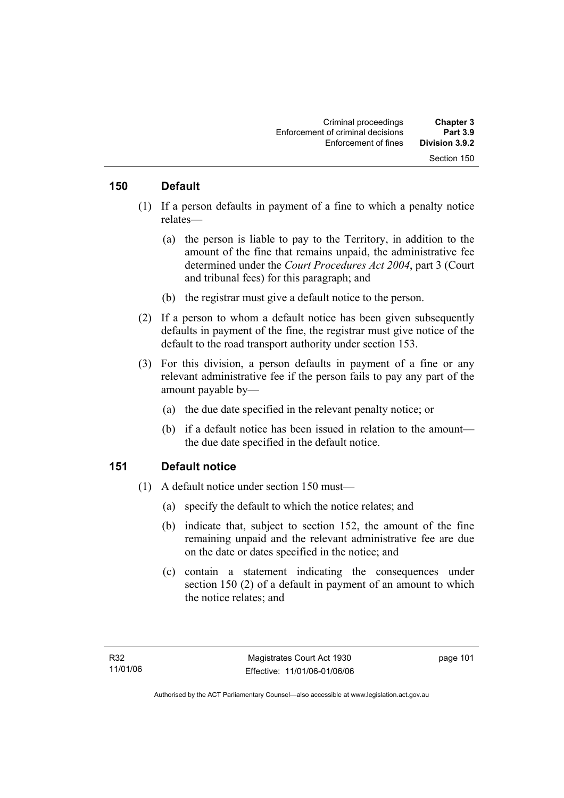#### **150 Default**

- (1) If a person defaults in payment of a fine to which a penalty notice relates—
	- (a) the person is liable to pay to the Territory, in addition to the amount of the fine that remains unpaid, the administrative fee determined under the *Court Procedures Act 2004*, part 3 (Court and tribunal fees) for this paragraph; and
	- (b) the registrar must give a default notice to the person.
- (2) If a person to whom a default notice has been given subsequently defaults in payment of the fine, the registrar must give notice of the default to the road transport authority under section 153.
- (3) For this division, a person defaults in payment of a fine or any relevant administrative fee if the person fails to pay any part of the amount payable by—
	- (a) the due date specified in the relevant penalty notice; or
	- (b) if a default notice has been issued in relation to the amount the due date specified in the default notice.

#### **151 Default notice**

- (1) A default notice under section 150 must—
	- (a) specify the default to which the notice relates; and
	- (b) indicate that, subject to section 152, the amount of the fine remaining unpaid and the relevant administrative fee are due on the date or dates specified in the notice; and
	- (c) contain a statement indicating the consequences under section 150 (2) of a default in payment of an amount to which the notice relates; and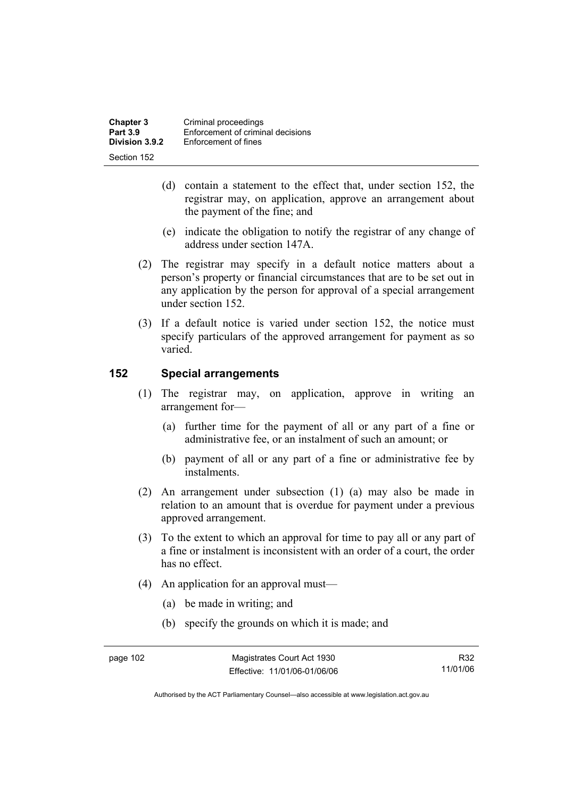| <b>Chapter 3</b> | Criminal proceedings              |
|------------------|-----------------------------------|
| <b>Part 3.9</b>  | Enforcement of criminal decisions |
| Division 3.9.2   | Enforcement of fines              |
| Section 152      |                                   |

- (d) contain a statement to the effect that, under section 152, the registrar may, on application, approve an arrangement about the payment of the fine; and
- (e) indicate the obligation to notify the registrar of any change of address under section 147A.
- (2) The registrar may specify in a default notice matters about a person's property or financial circumstances that are to be set out in any application by the person for approval of a special arrangement under section 152.
- (3) If a default notice is varied under section 152, the notice must specify particulars of the approved arrangement for payment as so varied.

#### **152 Special arrangements**

- (1) The registrar may, on application, approve in writing an arrangement for—
	- (a) further time for the payment of all or any part of a fine or administrative fee, or an instalment of such an amount; or
	- (b) payment of all or any part of a fine or administrative fee by instalments.
- (2) An arrangement under subsection (1) (a) may also be made in relation to an amount that is overdue for payment under a previous approved arrangement.
- (3) To the extent to which an approval for time to pay all or any part of a fine or instalment is inconsistent with an order of a court, the order has no effect.
- (4) An application for an approval must—
	- (a) be made in writing; and
	- (b) specify the grounds on which it is made; and

R32 11/01/06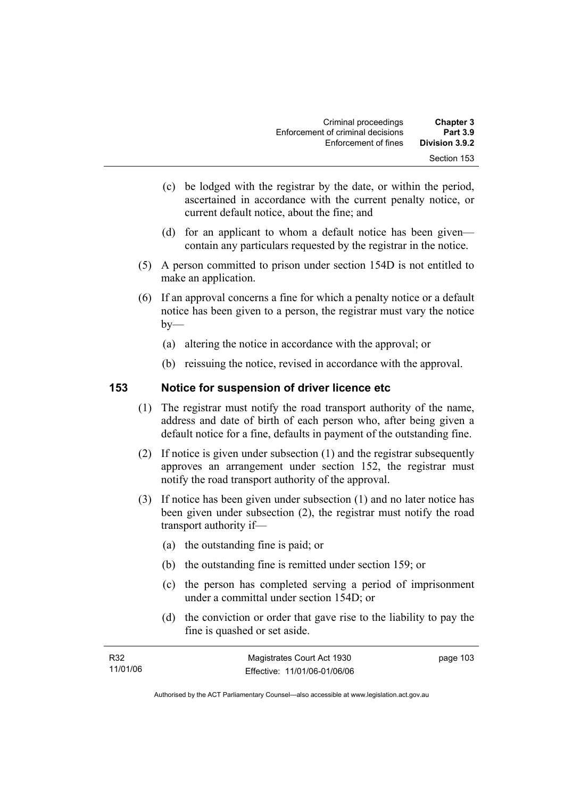| <b>Chapter 3</b><br><b>Part 3.9</b> | Criminal proceedings<br>Enforcement of criminal decisions |
|-------------------------------------|-----------------------------------------------------------|
| Division 3.9.2                      | Enforcement of fines                                      |
| Section 153                         |                                                           |

- (c) be lodged with the registrar by the date, or within the period, ascertained in accordance with the current penalty notice, or current default notice, about the fine; and
- (d) for an applicant to whom a default notice has been given contain any particulars requested by the registrar in the notice.
- (5) A person committed to prison under section 154D is not entitled to make an application.
- (6) If an approval concerns a fine for which a penalty notice or a default notice has been given to a person, the registrar must vary the notice  $by-$ 
	- (a) altering the notice in accordance with the approval; or
	- (b) reissuing the notice, revised in accordance with the approval.

#### **153 Notice for suspension of driver licence etc**

- (1) The registrar must notify the road transport authority of the name, address and date of birth of each person who, after being given a default notice for a fine, defaults in payment of the outstanding fine.
- (2) If notice is given under subsection (1) and the registrar subsequently approves an arrangement under section 152, the registrar must notify the road transport authority of the approval.
- (3) If notice has been given under subsection (1) and no later notice has been given under subsection (2), the registrar must notify the road transport authority if—
	- (a) the outstanding fine is paid; or
	- (b) the outstanding fine is remitted under section 159; or
	- (c) the person has completed serving a period of imprisonment under a committal under section 154D; or
	- (d) the conviction or order that gave rise to the liability to pay the fine is quashed or set aside.

| R32      | Magistrates Court Act 1930   | page 103 |
|----------|------------------------------|----------|
| 11/01/06 | Effective: 11/01/06-01/06/06 |          |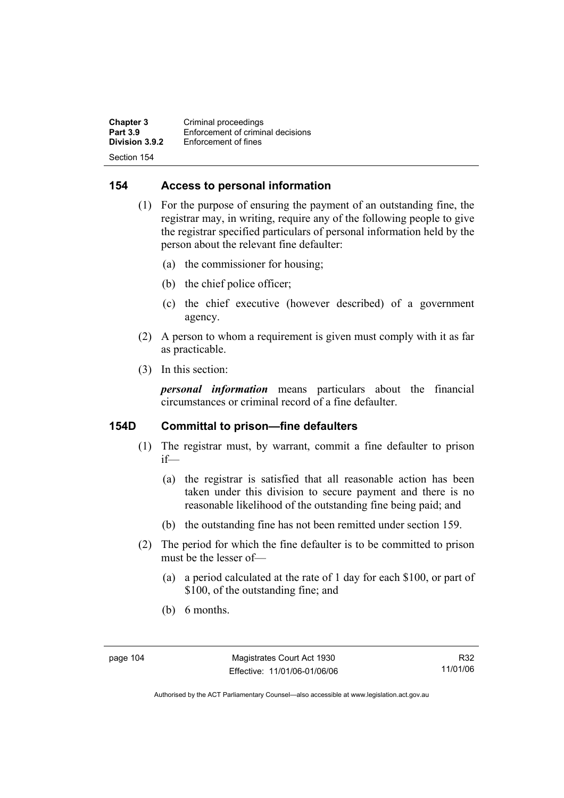**Chapter 3 Criminal proceedings**<br>**Part 3.9 Enforcement of criminal Part 3.9 Enforcement of criminal decisions**<br>**Division 3.9.2 Enforcement of fines Enforcement of fines** Section 154

### **154 Access to personal information**

- (1) For the purpose of ensuring the payment of an outstanding fine, the registrar may, in writing, require any of the following people to give the registrar specified particulars of personal information held by the person about the relevant fine defaulter:
	- (a) the commissioner for housing;
	- (b) the chief police officer;
	- (c) the chief executive (however described) of a government agency.
- (2) A person to whom a requirement is given must comply with it as far as practicable.
- (3) In this section:

*personal information* means particulars about the financial circumstances or criminal record of a fine defaulter.

### **154D Committal to prison—fine defaulters**

- (1) The registrar must, by warrant, commit a fine defaulter to prison if—
	- (a) the registrar is satisfied that all reasonable action has been taken under this division to secure payment and there is no reasonable likelihood of the outstanding fine being paid; and
	- (b) the outstanding fine has not been remitted under section 159.
- (2) The period for which the fine defaulter is to be committed to prison must be the lesser of—
	- (a) a period calculated at the rate of 1 day for each \$100, or part of \$100, of the outstanding fine; and
	- (b) 6 months.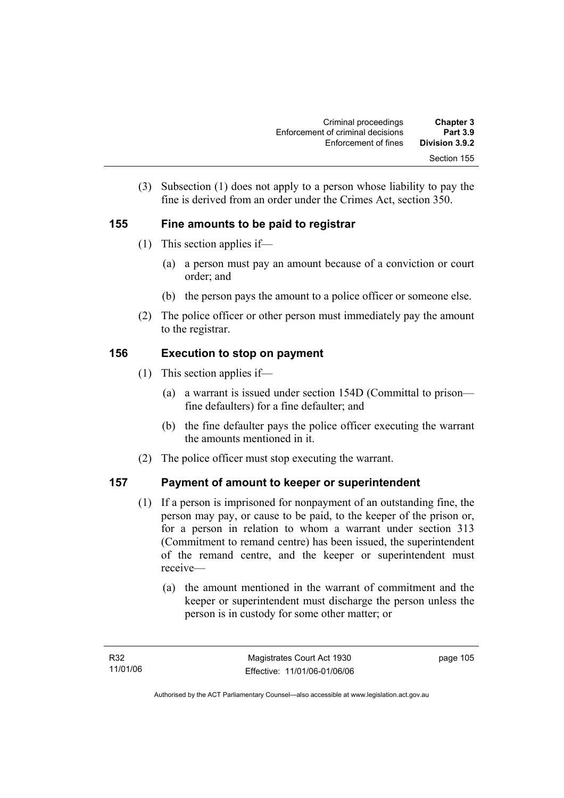| <b>Chapter 3</b><br><b>Part 3.9</b> | Criminal proceedings<br>Enforcement of criminal decisions |
|-------------------------------------|-----------------------------------------------------------|
| Division 3.9.2                      | Enforcement of fines                                      |
| Section 155                         |                                                           |

 (3) Subsection (1) does not apply to a person whose liability to pay the fine is derived from an order under the Crimes Act, section 350.

## **155 Fine amounts to be paid to registrar**

- (1) This section applies if—
	- (a) a person must pay an amount because of a conviction or court order; and
	- (b) the person pays the amount to a police officer or someone else.
- (2) The police officer or other person must immediately pay the amount to the registrar.

## **156 Execution to stop on payment**

- (1) This section applies if—
	- (a) a warrant is issued under section 154D (Committal to prison fine defaulters) for a fine defaulter; and
	- (b) the fine defaulter pays the police officer executing the warrant the amounts mentioned in it.
- (2) The police officer must stop executing the warrant.

## **157 Payment of amount to keeper or superintendent**

- (1) If a person is imprisoned for nonpayment of an outstanding fine, the person may pay, or cause to be paid, to the keeper of the prison or, for a person in relation to whom a warrant under section 313 (Commitment to remand centre) has been issued, the superintendent of the remand centre, and the keeper or superintendent must receive—
	- (a) the amount mentioned in the warrant of commitment and the keeper or superintendent must discharge the person unless the person is in custody for some other matter; or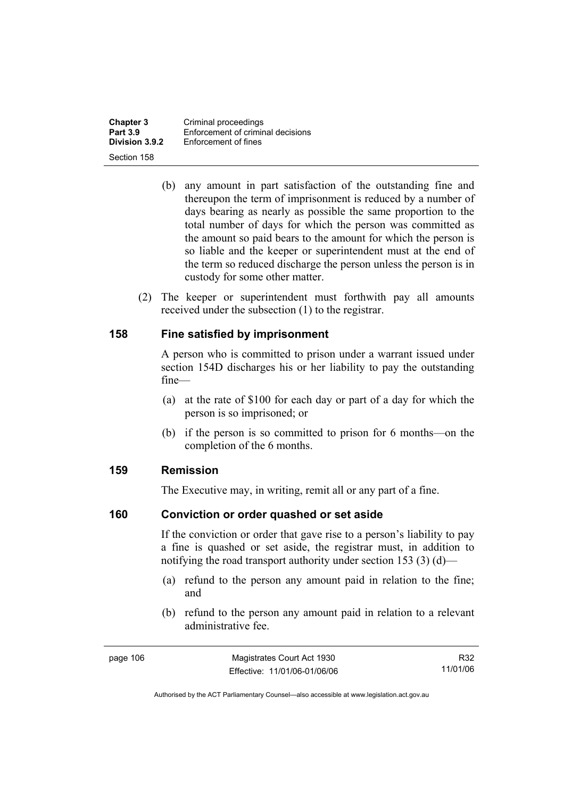**Chapter 3 Criminal proceedings**<br>**Part 3.9 Enforcement of criminal Part 3.9 Enforcement of criminal decisions**<br>**Division 3.9.2 Enforcement of fines Enforcement of fines** Section 158

- (b) any amount in part satisfaction of the outstanding fine and thereupon the term of imprisonment is reduced by a number of days bearing as nearly as possible the same proportion to the total number of days for which the person was committed as the amount so paid bears to the amount for which the person is so liable and the keeper or superintendent must at the end of the term so reduced discharge the person unless the person is in custody for some other matter.
- (2) The keeper or superintendent must forthwith pay all amounts received under the subsection (1) to the registrar.

#### **158 Fine satisfied by imprisonment**

A person who is committed to prison under a warrant issued under section 154D discharges his or her liability to pay the outstanding fine—

- (a) at the rate of \$100 for each day or part of a day for which the person is so imprisoned; or
- (b) if the person is so committed to prison for 6 months—on the completion of the 6 months.

#### **159 Remission**

The Executive may, in writing, remit all or any part of a fine.

#### **160 Conviction or order quashed or set aside**

If the conviction or order that gave rise to a person's liability to pay a fine is quashed or set aside, the registrar must, in addition to notifying the road transport authority under section 153 (3) (d)—

- (a) refund to the person any amount paid in relation to the fine; and
- (b) refund to the person any amount paid in relation to a relevant administrative fee.

R32 11/01/06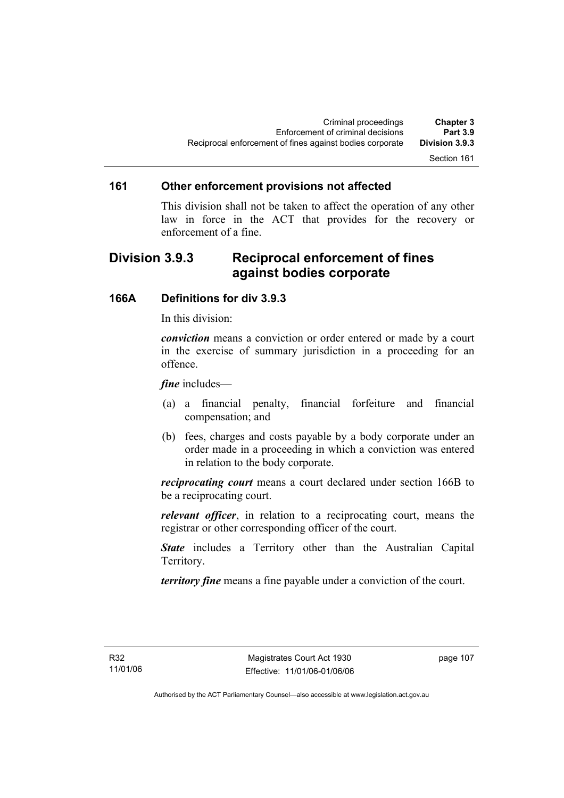### Section 161

#### **161 Other enforcement provisions not affected**

This division shall not be taken to affect the operation of any other law in force in the ACT that provides for the recovery or enforcement of a fine.

## **Division 3.9.3 Reciprocal enforcement of fines against bodies corporate**

#### **166A Definitions for div 3.9.3**

In this division:

*conviction* means a conviction or order entered or made by a court in the exercise of summary jurisdiction in a proceeding for an offence.

*fine* includes—

- (a) a financial penalty, financial forfeiture and financial compensation; and
- (b) fees, charges and costs payable by a body corporate under an order made in a proceeding in which a conviction was entered in relation to the body corporate.

*reciprocating court* means a court declared under section 166B to be a reciprocating court.

*relevant officer*, in relation to a reciprocating court, means the registrar or other corresponding officer of the court.

*State* includes a Territory other than the Australian Capital Territory.

*territory fine* means a fine payable under a conviction of the court.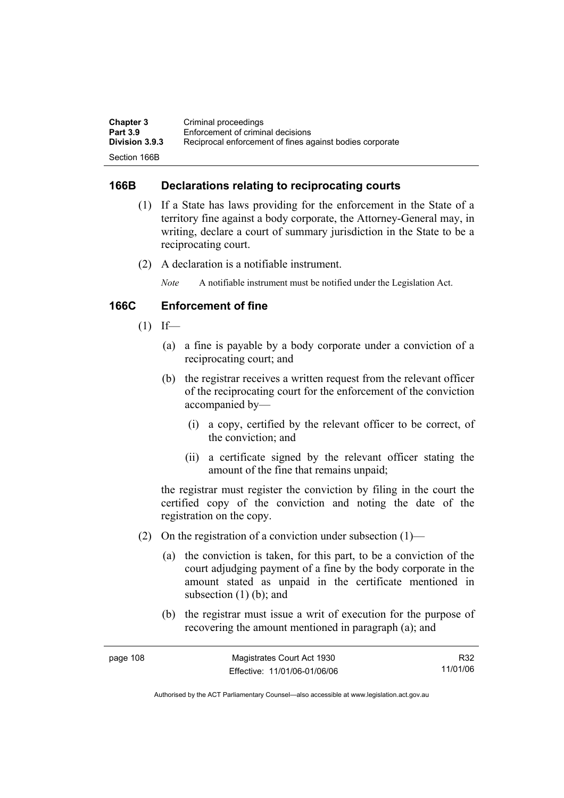| <b>Chapter 3</b>      | Criminal proceedings                                     |
|-----------------------|----------------------------------------------------------|
| <b>Part 3.9</b>       | Enforcement of criminal decisions                        |
| <b>Division 3.9.3</b> | Reciprocal enforcement of fines against bodies corporate |
| Section 166B          |                                                          |

### **166B Declarations relating to reciprocating courts**

- (1) If a State has laws providing for the enforcement in the State of a territory fine against a body corporate, the Attorney-General may, in writing, declare a court of summary jurisdiction in the State to be a reciprocating court.
- (2) A declaration is a notifiable instrument.

*Note* A notifiable instrument must be notified under the Legislation Act.

## **166C Enforcement of fine**

- $(1)$  If—
	- (a) a fine is payable by a body corporate under a conviction of a reciprocating court; and
	- (b) the registrar receives a written request from the relevant officer of the reciprocating court for the enforcement of the conviction accompanied by—
		- (i) a copy, certified by the relevant officer to be correct, of the conviction; and
		- (ii) a certificate signed by the relevant officer stating the amount of the fine that remains unpaid;

the registrar must register the conviction by filing in the court the certified copy of the conviction and noting the date of the registration on the copy.

- (2) On the registration of a conviction under subsection  $(1)$ 
	- (a) the conviction is taken, for this part, to be a conviction of the court adjudging payment of a fine by the body corporate in the amount stated as unpaid in the certificate mentioned in subsection  $(1)$  (b); and
	- (b) the registrar must issue a writ of execution for the purpose of recovering the amount mentioned in paragraph (a); and

| page 108 | Magistrates Court Act 1930   | R32      |
|----------|------------------------------|----------|
|          | Effective: 11/01/06-01/06/06 | 11/01/06 |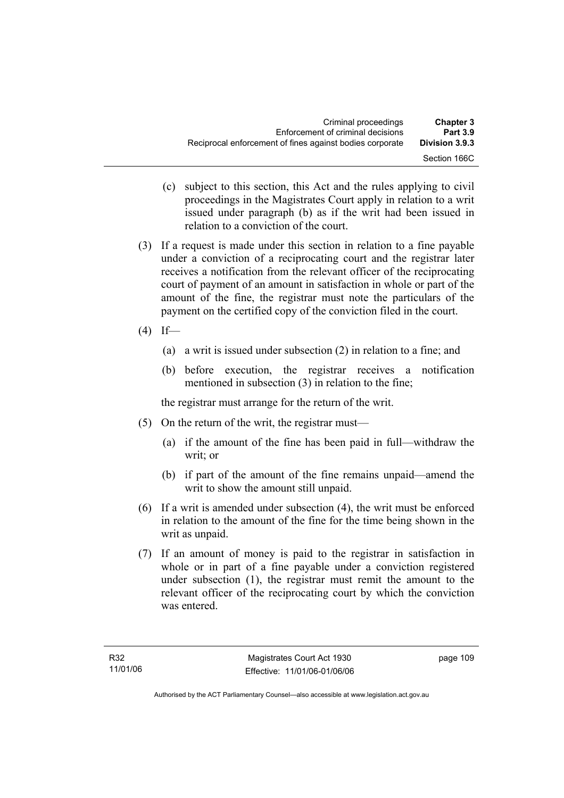- (c) subject to this section, this Act and the rules applying to civil proceedings in the Magistrates Court apply in relation to a writ issued under paragraph (b) as if the writ had been issued in relation to a conviction of the court.
- (3) If a request is made under this section in relation to a fine payable under a conviction of a reciprocating court and the registrar later receives a notification from the relevant officer of the reciprocating court of payment of an amount in satisfaction in whole or part of the amount of the fine, the registrar must note the particulars of the payment on the certified copy of the conviction filed in the court.
- $(4)$  If—
	- (a) a writ is issued under subsection (2) in relation to a fine; and
	- (b) before execution, the registrar receives a notification mentioned in subsection (3) in relation to the fine;

the registrar must arrange for the return of the writ.

- (5) On the return of the writ, the registrar must—
	- (a) if the amount of the fine has been paid in full—withdraw the writ; or
	- (b) if part of the amount of the fine remains unpaid—amend the writ to show the amount still unpaid.
- (6) If a writ is amended under subsection (4), the writ must be enforced in relation to the amount of the fine for the time being shown in the writ as unpaid.
- (7) If an amount of money is paid to the registrar in satisfaction in whole or in part of a fine payable under a conviction registered under subsection (1), the registrar must remit the amount to the relevant officer of the reciprocating court by which the conviction was entered.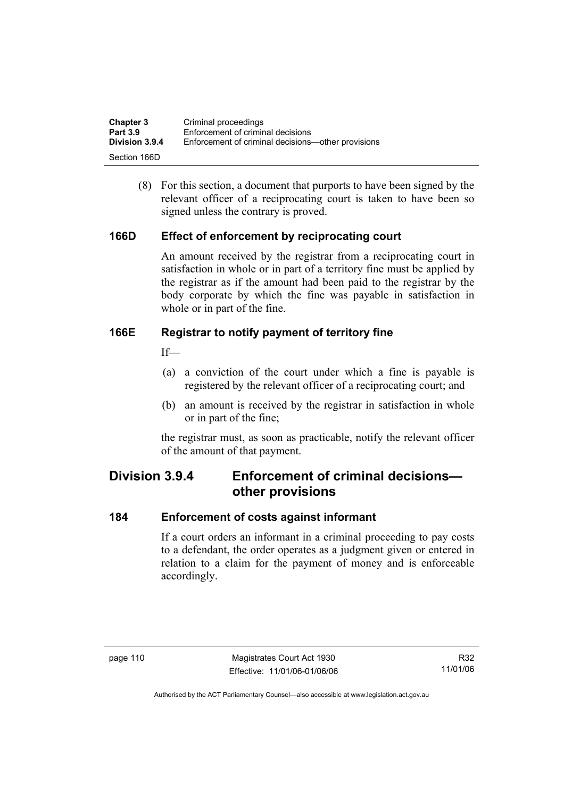| <b>Chapter 3</b> | Criminal proceedings                               |
|------------------|----------------------------------------------------|
| <b>Part 3.9</b>  | Enforcement of criminal decisions                  |
| Division 3.9.4   | Enforcement of criminal decisions—other provisions |
| Section 166D     |                                                    |

 (8) For this section, a document that purports to have been signed by the relevant officer of a reciprocating court is taken to have been so signed unless the contrary is proved.

### **166D Effect of enforcement by reciprocating court**

An amount received by the registrar from a reciprocating court in satisfaction in whole or in part of a territory fine must be applied by the registrar as if the amount had been paid to the registrar by the body corporate by which the fine was payable in satisfaction in whole or in part of the fine.

### **166E Registrar to notify payment of territory fine**

 $If$ <sub> $\equiv$ </sub>

- (a) a conviction of the court under which a fine is payable is registered by the relevant officer of a reciprocating court; and
- (b) an amount is received by the registrar in satisfaction in whole or in part of the fine;

the registrar must, as soon as practicable, notify the relevant officer of the amount of that payment.

## **Division 3.9.4 Enforcement of criminal decisions other provisions**

#### **184 Enforcement of costs against informant**

If a court orders an informant in a criminal proceeding to pay costs to a defendant, the order operates as a judgment given or entered in relation to a claim for the payment of money and is enforceable accordingly.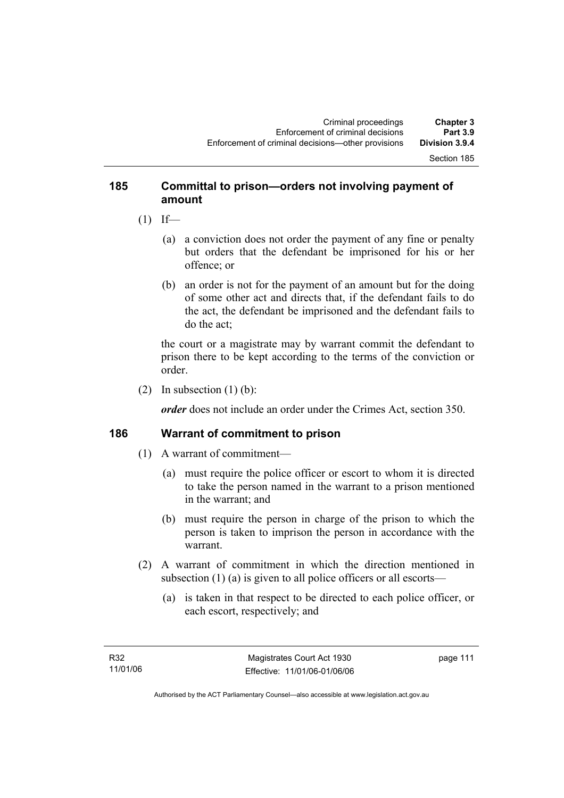#### Section 185

## **185 Committal to prison—orders not involving payment of amount**

- $(1)$  If—
	- (a) a conviction does not order the payment of any fine or penalty but orders that the defendant be imprisoned for his or her offence; or
	- (b) an order is not for the payment of an amount but for the doing of some other act and directs that, if the defendant fails to do the act, the defendant be imprisoned and the defendant fails to do the act;

the court or a magistrate may by warrant commit the defendant to prison there to be kept according to the terms of the conviction or order.

(2) In subsection  $(1)$  (b):

*order* does not include an order under the Crimes Act, section 350.

#### **186 Warrant of commitment to prison**

- (1) A warrant of commitment—
	- (a) must require the police officer or escort to whom it is directed to take the person named in the warrant to a prison mentioned in the warrant; and
	- (b) must require the person in charge of the prison to which the person is taken to imprison the person in accordance with the warrant.
- (2) A warrant of commitment in which the direction mentioned in subsection (1) (a) is given to all police officers or all escorts—
	- (a) is taken in that respect to be directed to each police officer, or each escort, respectively; and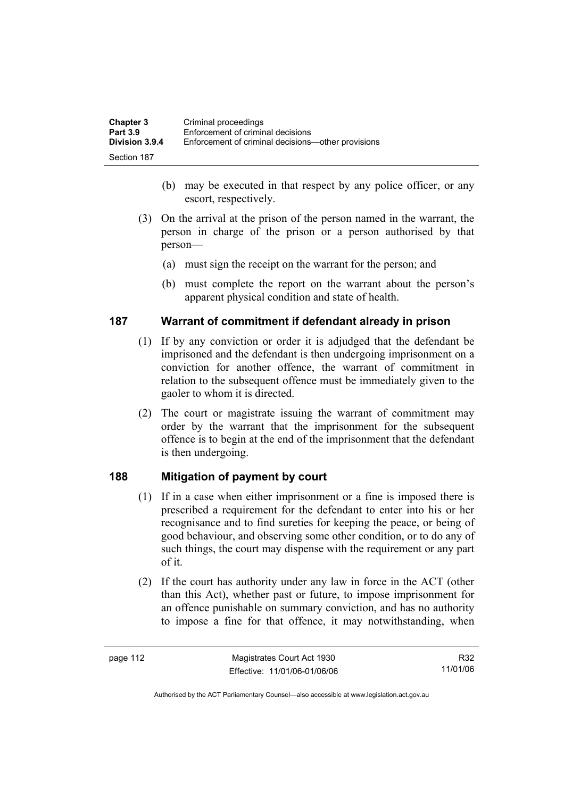| <b>Chapter 3</b> | Criminal proceedings                               |
|------------------|----------------------------------------------------|
| <b>Part 3.9</b>  | Enforcement of criminal decisions                  |
| Division 3.9.4   | Enforcement of criminal decisions—other provisions |
| Section 187      |                                                    |

- (b) may be executed in that respect by any police officer, or any escort, respectively.
- (3) On the arrival at the prison of the person named in the warrant, the person in charge of the prison or a person authorised by that person—
	- (a) must sign the receipt on the warrant for the person; and
	- (b) must complete the report on the warrant about the person's apparent physical condition and state of health.

#### **187 Warrant of commitment if defendant already in prison**

- (1) If by any conviction or order it is adjudged that the defendant be imprisoned and the defendant is then undergoing imprisonment on a conviction for another offence, the warrant of commitment in relation to the subsequent offence must be immediately given to the gaoler to whom it is directed.
- (2) The court or magistrate issuing the warrant of commitment may order by the warrant that the imprisonment for the subsequent offence is to begin at the end of the imprisonment that the defendant is then undergoing.

## **188 Mitigation of payment by court**

- (1) If in a case when either imprisonment or a fine is imposed there is prescribed a requirement for the defendant to enter into his or her recognisance and to find sureties for keeping the peace, or being of good behaviour, and observing some other condition, or to do any of such things, the court may dispense with the requirement or any part of it.
- (2) If the court has authority under any law in force in the ACT (other than this Act), whether past or future, to impose imprisonment for an offence punishable on summary conviction, and has no authority to impose a fine for that offence, it may notwithstanding, when

R32 11/01/06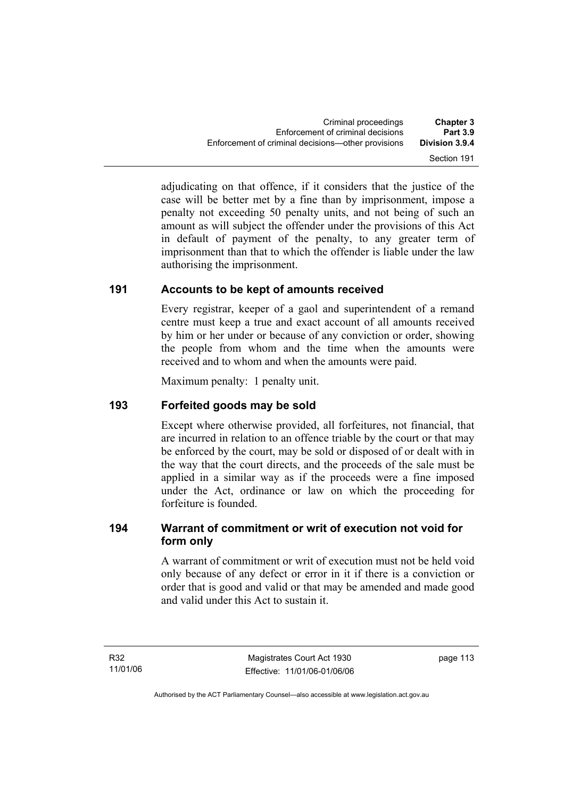adjudicating on that offence, if it considers that the justice of the case will be better met by a fine than by imprisonment, impose a penalty not exceeding 50 penalty units, and not being of such an amount as will subject the offender under the provisions of this Act in default of payment of the penalty, to any greater term of imprisonment than that to which the offender is liable under the law authorising the imprisonment.

## **191 Accounts to be kept of amounts received**

Every registrar, keeper of a gaol and superintendent of a remand centre must keep a true and exact account of all amounts received by him or her under or because of any conviction or order, showing the people from whom and the time when the amounts were received and to whom and when the amounts were paid.

Maximum penalty: 1 penalty unit.

## **193 Forfeited goods may be sold**

Except where otherwise provided, all forfeitures, not financial, that are incurred in relation to an offence triable by the court or that may be enforced by the court, may be sold or disposed of or dealt with in the way that the court directs, and the proceeds of the sale must be applied in a similar way as if the proceeds were a fine imposed under the Act, ordinance or law on which the proceeding for forfeiture is founded.

## **194 Warrant of commitment or writ of execution not void for form only**

A warrant of commitment or writ of execution must not be held void only because of any defect or error in it if there is a conviction or order that is good and valid or that may be amended and made good and valid under this Act to sustain it.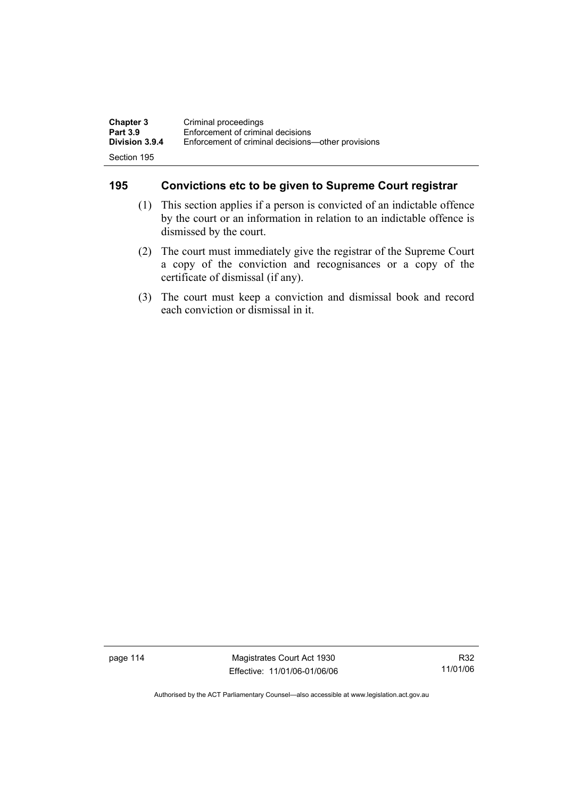| <b>Chapter 3</b>      | Criminal proceedings                               |
|-----------------------|----------------------------------------------------|
| <b>Part 3.9</b>       | Enforcement of criminal decisions                  |
| <b>Division 3.9.4</b> | Enforcement of criminal decisions—other provisions |
| Section 195           |                                                    |

## **195 Convictions etc to be given to Supreme Court registrar**

- (1) This section applies if a person is convicted of an indictable offence by the court or an information in relation to an indictable offence is dismissed by the court.
- (2) The court must immediately give the registrar of the Supreme Court a copy of the conviction and recognisances or a copy of the certificate of dismissal (if any).
- (3) The court must keep a conviction and dismissal book and record each conviction or dismissal in it.

page 114 Magistrates Court Act 1930 Effective: 11/01/06-01/06/06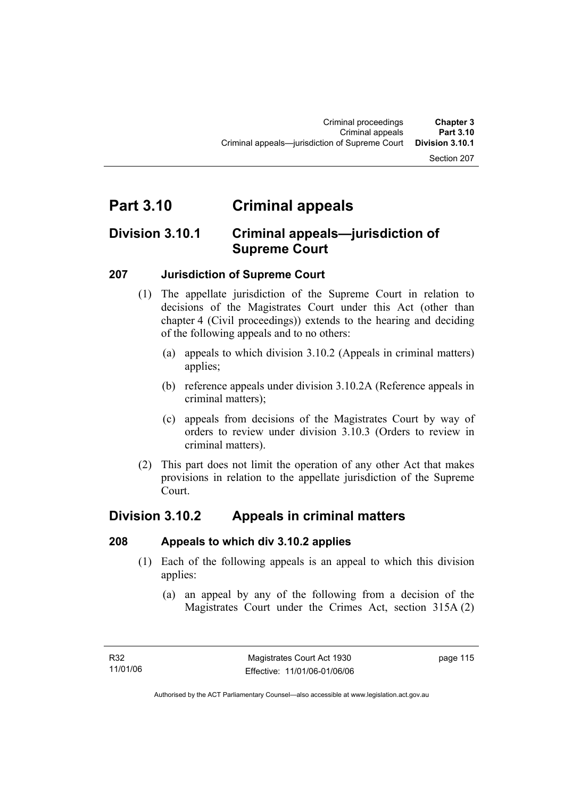#### Section 207

# **Part 3.10 Criminal appeals**

## **Division 3.10.1 Criminal appeals—jurisdiction of Supreme Court**

### **207 Jurisdiction of Supreme Court**

- (1) The appellate jurisdiction of the Supreme Court in relation to decisions of the Magistrates Court under this Act (other than chapter 4 (Civil proceedings)) extends to the hearing and deciding of the following appeals and to no others:
	- (a) appeals to which division 3.10.2 (Appeals in criminal matters) applies;
	- (b) reference appeals under division 3.10.2A (Reference appeals in criminal matters);
	- (c) appeals from decisions of the Magistrates Court by way of orders to review under division 3.10.3 (Orders to review in criminal matters).
- (2) This part does not limit the operation of any other Act that makes provisions in relation to the appellate jurisdiction of the Supreme Court.

## **Division 3.10.2 Appeals in criminal matters**

#### **208 Appeals to which div 3.10.2 applies**

- (1) Each of the following appeals is an appeal to which this division applies:
	- (a) an appeal by any of the following from a decision of the Magistrates Court under the Crimes Act, section 315A (2)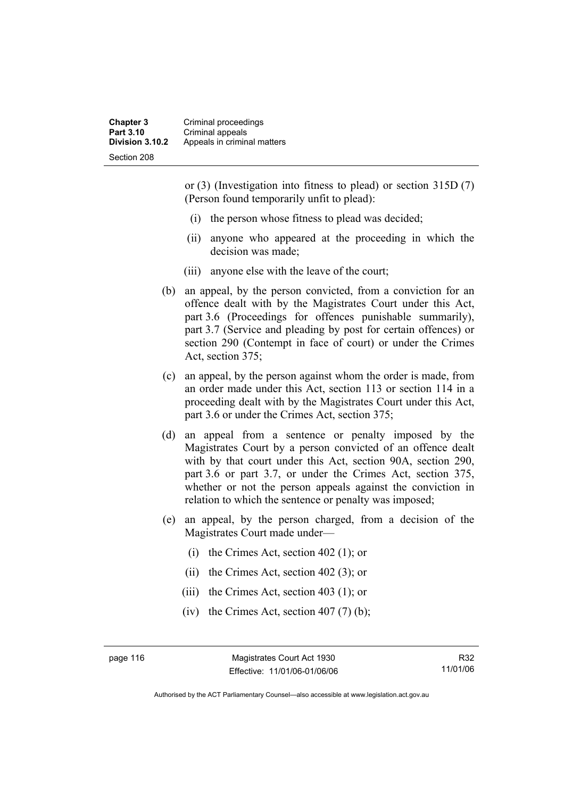**Chapter 3** Criminal proceedings **Part 3.10 Criminal appeals**<br>**Division 3.10.2** Appeals in crimin **Division 3.10.2** Appeals in criminal matters Section 208

> or (3) (Investigation into fitness to plead) or section 315D (7) (Person found temporarily unfit to plead):

- (i) the person whose fitness to plead was decided;
- (ii) anyone who appeared at the proceeding in which the decision was made;
- (iii) anyone else with the leave of the court;
- (b) an appeal, by the person convicted, from a conviction for an offence dealt with by the Magistrates Court under this Act, part 3.6 (Proceedings for offences punishable summarily), part 3.7 (Service and pleading by post for certain offences) or section 290 (Contempt in face of court) or under the Crimes Act, section 375;
- (c) an appeal, by the person against whom the order is made, from an order made under this Act, section 113 or section 114 in a proceeding dealt with by the Magistrates Court under this Act, part 3.6 or under the Crimes Act, section 375;
- (d) an appeal from a sentence or penalty imposed by the Magistrates Court by a person convicted of an offence dealt with by that court under this Act, section 90A, section 290, part 3.6 or part 3.7, or under the Crimes Act, section 375, whether or not the person appeals against the conviction in relation to which the sentence or penalty was imposed;
- (e) an appeal, by the person charged, from a decision of the Magistrates Court made under—
	- (i) the Crimes Act, section 402 (1); or
	- (ii) the Crimes Act, section 402 (3); or
	- (iii) the Crimes Act, section 403 (1); or
	- (iv) the Crimes Act, section  $407(7)$  (b);

page 116 Magistrates Court Act 1930 Effective: 11/01/06-01/06/06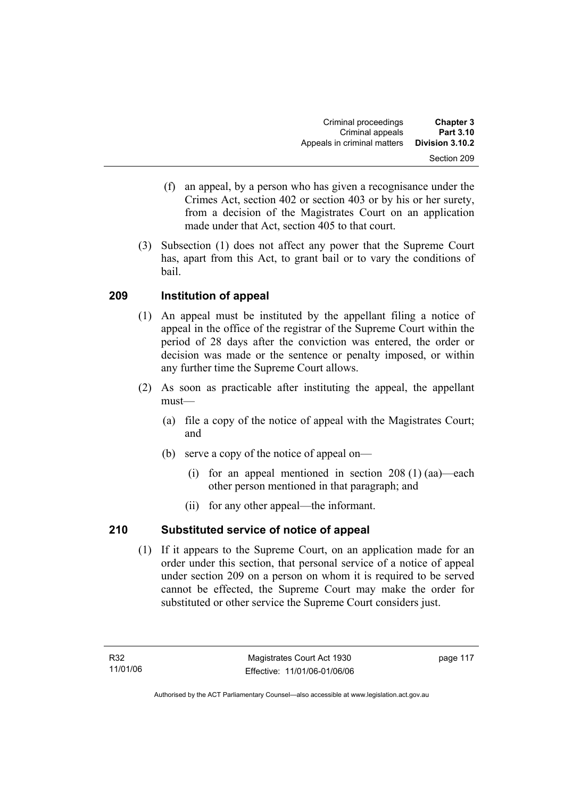- (f) an appeal, by a person who has given a recognisance under the Crimes Act, section 402 or section 403 or by his or her surety, from a decision of the Magistrates Court on an application made under that Act, section 405 to that court.
- (3) Subsection (1) does not affect any power that the Supreme Court has, apart from this Act, to grant bail or to vary the conditions of bail.

## **209 Institution of appeal**

- (1) An appeal must be instituted by the appellant filing a notice of appeal in the office of the registrar of the Supreme Court within the period of 28 days after the conviction was entered, the order or decision was made or the sentence or penalty imposed, or within any further time the Supreme Court allows.
- (2) As soon as practicable after instituting the appeal, the appellant must—
	- (a) file a copy of the notice of appeal with the Magistrates Court; and
	- (b) serve a copy of the notice of appeal on—
		- (i) for an appeal mentioned in section  $208(1)$  (aa)—each other person mentioned in that paragraph; and
		- (ii) for any other appeal—the informant.

## **210 Substituted service of notice of appeal**

 (1) If it appears to the Supreme Court, on an application made for an order under this section, that personal service of a notice of appeal under section 209 on a person on whom it is required to be served cannot be effected, the Supreme Court may make the order for substituted or other service the Supreme Court considers just.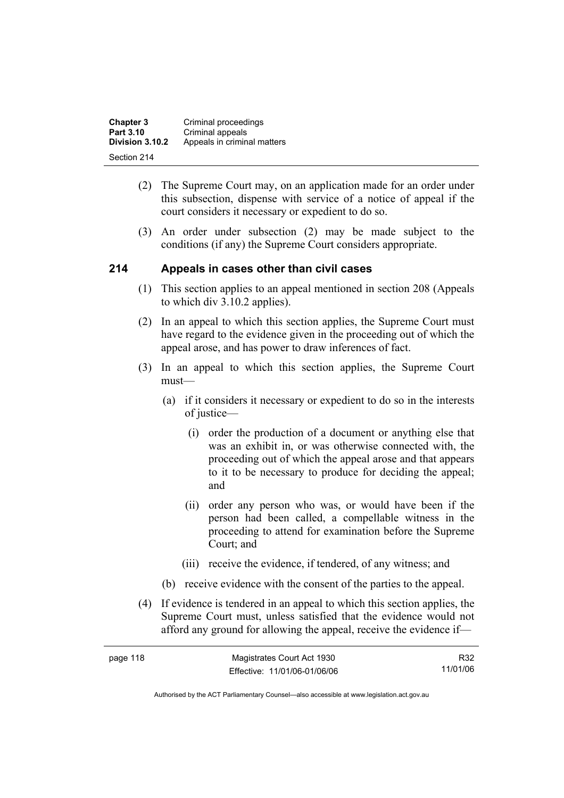| <b>Chapter 3</b> | Criminal proceedings        |
|------------------|-----------------------------|
| Part 3.10        | Criminal appeals            |
| Division 3.10.2  | Appeals in criminal matters |
| Section 214      |                             |

- (2) The Supreme Court may, on an application made for an order under this subsection, dispense with service of a notice of appeal if the court considers it necessary or expedient to do so.
- (3) An order under subsection (2) may be made subject to the conditions (if any) the Supreme Court considers appropriate.

### **214 Appeals in cases other than civil cases**

- (1) This section applies to an appeal mentioned in section 208 (Appeals to which div 3.10.2 applies).
- (2) In an appeal to which this section applies, the Supreme Court must have regard to the evidence given in the proceeding out of which the appeal arose, and has power to draw inferences of fact.
- (3) In an appeal to which this section applies, the Supreme Court must—
	- (a) if it considers it necessary or expedient to do so in the interests of justice—
		- (i) order the production of a document or anything else that was an exhibit in, or was otherwise connected with, the proceeding out of which the appeal arose and that appears to it to be necessary to produce for deciding the appeal; and
		- (ii) order any person who was, or would have been if the person had been called, a compellable witness in the proceeding to attend for examination before the Supreme Court; and
		- (iii) receive the evidence, if tendered, of any witness; and
	- (b) receive evidence with the consent of the parties to the appeal.
- (4) If evidence is tendered in an appeal to which this section applies, the Supreme Court must, unless satisfied that the evidence would not afford any ground for allowing the appeal, receive the evidence if—

| page 118 | Magistrates Court Act 1930   | R32      |
|----------|------------------------------|----------|
|          | Effective: 11/01/06-01/06/06 | 11/01/06 |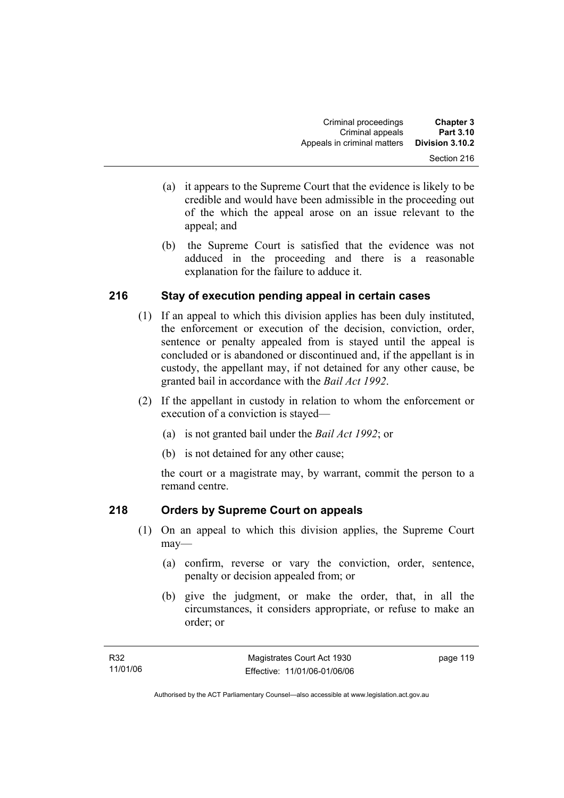- (a) it appears to the Supreme Court that the evidence is likely to be credible and would have been admissible in the proceeding out of the which the appeal arose on an issue relevant to the appeal; and
- (b) the Supreme Court is satisfied that the evidence was not adduced in the proceeding and there is a reasonable explanation for the failure to adduce it.

## **216 Stay of execution pending appeal in certain cases**

- (1) If an appeal to which this division applies has been duly instituted, the enforcement or execution of the decision, conviction, order, sentence or penalty appealed from is stayed until the appeal is concluded or is abandoned or discontinued and, if the appellant is in custody, the appellant may, if not detained for any other cause, be granted bail in accordance with the *Bail Act 1992*.
- (2) If the appellant in custody in relation to whom the enforcement or execution of a conviction is stayed—
	- (a) is not granted bail under the *Bail Act 1992*; or
	- (b) is not detained for any other cause;

the court or a magistrate may, by warrant, commit the person to a remand centre.

## **218 Orders by Supreme Court on appeals**

- (1) On an appeal to which this division applies, the Supreme Court may—
	- (a) confirm, reverse or vary the conviction, order, sentence, penalty or decision appealed from; or
	- (b) give the judgment, or make the order, that, in all the circumstances, it considers appropriate, or refuse to make an order; or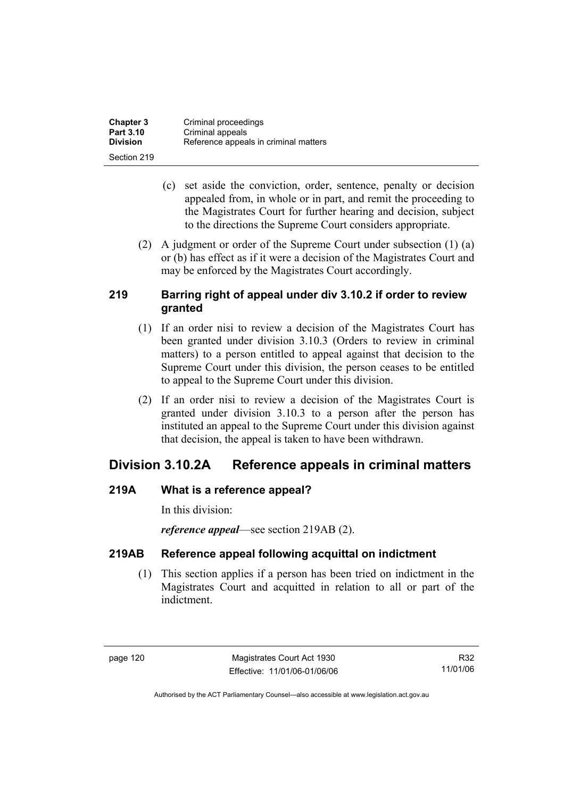| <b>Chapter 3</b> | Criminal proceedings                  |
|------------------|---------------------------------------|
| <b>Part 3.10</b> | Criminal appeals                      |
| <b>Division</b>  | Reference appeals in criminal matters |
| Section 219      |                                       |

- (c) set aside the conviction, order, sentence, penalty or decision appealed from, in whole or in part, and remit the proceeding to the Magistrates Court for further hearing and decision, subject to the directions the Supreme Court considers appropriate.
- (2) A judgment or order of the Supreme Court under subsection (1) (a) or (b) has effect as if it were a decision of the Magistrates Court and may be enforced by the Magistrates Court accordingly.

## **219 Barring right of appeal under div 3.10.2 if order to review granted**

- (1) If an order nisi to review a decision of the Magistrates Court has been granted under division 3.10.3 (Orders to review in criminal matters) to a person entitled to appeal against that decision to the Supreme Court under this division, the person ceases to be entitled to appeal to the Supreme Court under this division.
- (2) If an order nisi to review a decision of the Magistrates Court is granted under division 3.10.3 to a person after the person has instituted an appeal to the Supreme Court under this division against that decision, the appeal is taken to have been withdrawn.

## **Division 3.10.2A Reference appeals in criminal matters**

## **219A What is a reference appeal?**

In this division:

*reference appeal*—see section 219AB (2).

## **219AB Reference appeal following acquittal on indictment**

 (1) This section applies if a person has been tried on indictment in the Magistrates Court and acquitted in relation to all or part of the indictment.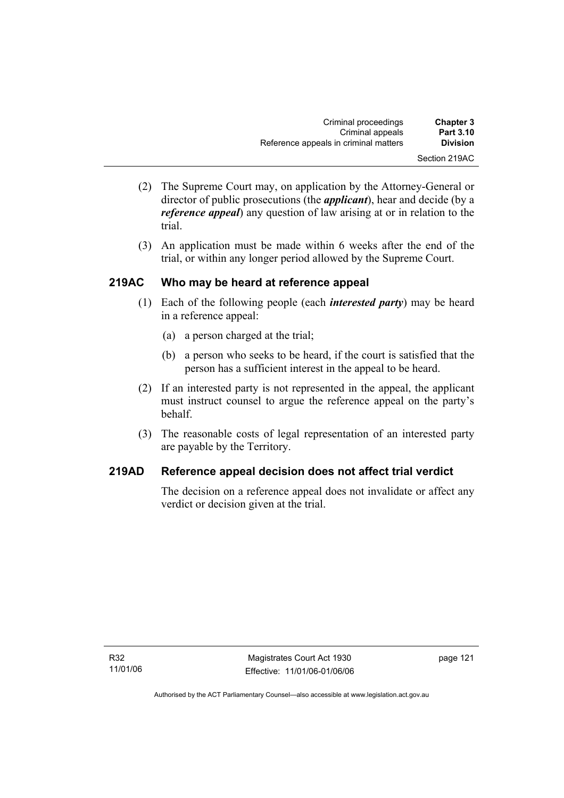| <b>Chapter 3</b> | Criminal proceedings                  |
|------------------|---------------------------------------|
| <b>Part 3.10</b> | Criminal appeals                      |
| <b>Division</b>  | Reference appeals in criminal matters |
| Section 219AC    |                                       |

- (2) The Supreme Court may, on application by the Attorney-General or director of public prosecutions (the *applicant*), hear and decide (by a *reference appeal*) any question of law arising at or in relation to the trial.
- (3) An application must be made within 6 weeks after the end of the trial, or within any longer period allowed by the Supreme Court.

## **219AC Who may be heard at reference appeal**

- (1) Each of the following people (each *interested party*) may be heard in a reference appeal:
	- (a) a person charged at the trial;
	- (b) a person who seeks to be heard, if the court is satisfied that the person has a sufficient interest in the appeal to be heard.
- (2) If an interested party is not represented in the appeal, the applicant must instruct counsel to argue the reference appeal on the party's behalf.
- (3) The reasonable costs of legal representation of an interested party are payable by the Territory.

## **219AD Reference appeal decision does not affect trial verdict**

The decision on a reference appeal does not invalidate or affect any verdict or decision given at the trial.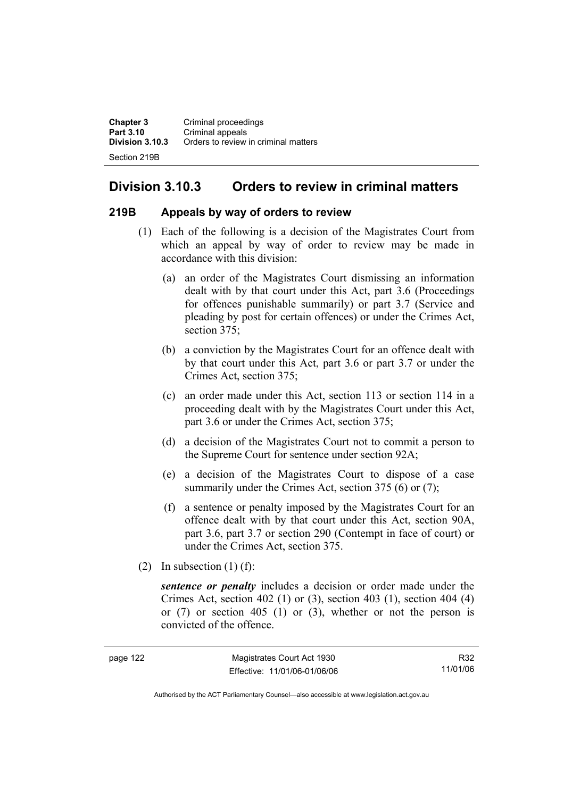**Chapter 3** Criminal proceedings **Part 3.10 Criminal appeals**<br>**Division 3.10.3** Orders to review **Division 3.10.3** Orders to review in criminal matters Section 219B

## **Division 3.10.3 Orders to review in criminal matters**

#### **219B Appeals by way of orders to review**

- (1) Each of the following is a decision of the Magistrates Court from which an appeal by way of order to review may be made in accordance with this division:
	- (a) an order of the Magistrates Court dismissing an information dealt with by that court under this Act, part 3.6 (Proceedings for offences punishable summarily) or part 3.7 (Service and pleading by post for certain offences) or under the Crimes Act, section 375:
	- (b) a conviction by the Magistrates Court for an offence dealt with by that court under this Act, part 3.6 or part 3.7 or under the Crimes Act, section 375;
	- (c) an order made under this Act, section 113 or section 114 in a proceeding dealt with by the Magistrates Court under this Act, part 3.6 or under the Crimes Act, section 375;
	- (d) a decision of the Magistrates Court not to commit a person to the Supreme Court for sentence under section 92A;
	- (e) a decision of the Magistrates Court to dispose of a case summarily under the Crimes Act, section 375 (6) or (7);
	- (f) a sentence or penalty imposed by the Magistrates Court for an offence dealt with by that court under this Act, section 90A, part 3.6, part 3.7 or section 290 (Contempt in face of court) or under the Crimes Act, section 375.
- (2) In subsection  $(1)$  (f):

*sentence or penalty* includes a decision or order made under the Crimes Act, section 402 (1) or (3), section 403 (1), section 404 (4) or (7) or section 405 (1) or (3), whether or not the person is convicted of the offence.

| eana |  |
|------|--|
|------|--|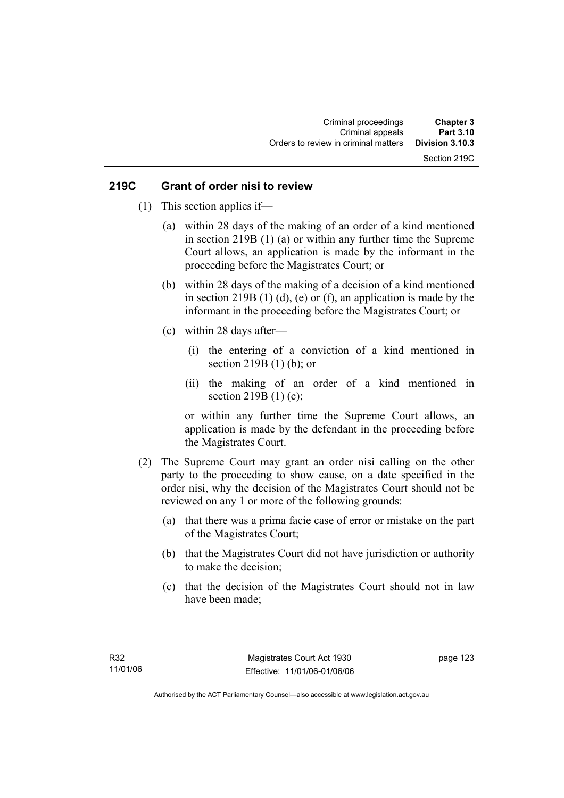## Section 219C

#### **219C Grant of order nisi to review**

- (1) This section applies if—
	- (a) within 28 days of the making of an order of a kind mentioned in section 219B (1) (a) or within any further time the Supreme Court allows, an application is made by the informant in the proceeding before the Magistrates Court; or
	- (b) within 28 days of the making of a decision of a kind mentioned in section 219B  $(1)$   $(d)$ ,  $(e)$  or  $(f)$ , an application is made by the informant in the proceeding before the Magistrates Court; or
	- (c) within 28 days after—
		- (i) the entering of a conviction of a kind mentioned in section 219B (1) (b); or
		- (ii) the making of an order of a kind mentioned in section 219B (1) (c);

or within any further time the Supreme Court allows, an application is made by the defendant in the proceeding before the Magistrates Court.

- (2) The Supreme Court may grant an order nisi calling on the other party to the proceeding to show cause, on a date specified in the order nisi, why the decision of the Magistrates Court should not be reviewed on any 1 or more of the following grounds:
	- (a) that there was a prima facie case of error or mistake on the part of the Magistrates Court;
	- (b) that the Magistrates Court did not have jurisdiction or authority to make the decision;
	- (c) that the decision of the Magistrates Court should not in law have been made;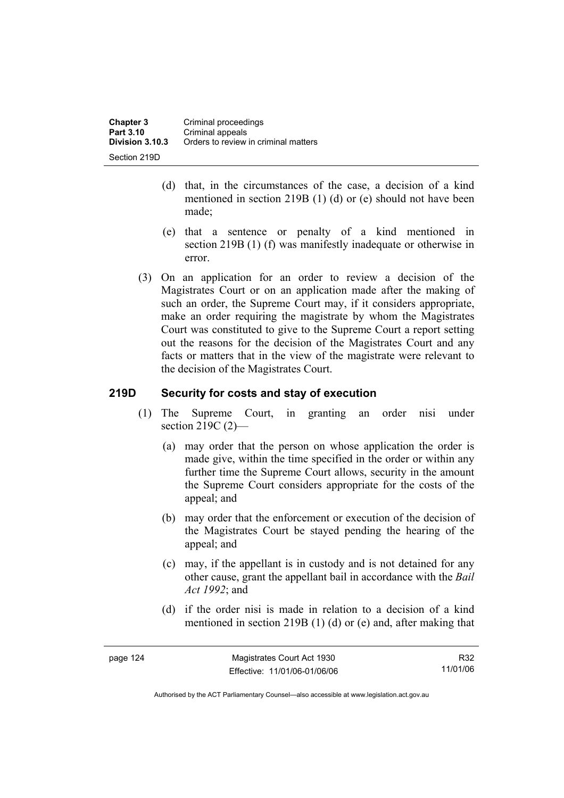- (d) that, in the circumstances of the case, a decision of a kind mentioned in section 219B (1) (d) or (e) should not have been made;
- (e) that a sentence or penalty of a kind mentioned in section 219B (1) (f) was manifestly inadequate or otherwise in error.
- (3) On an application for an order to review a decision of the Magistrates Court or on an application made after the making of such an order, the Supreme Court may, if it considers appropriate, make an order requiring the magistrate by whom the Magistrates Court was constituted to give to the Supreme Court a report setting out the reasons for the decision of the Magistrates Court and any facts or matters that in the view of the magistrate were relevant to the decision of the Magistrates Court.

## **219D Security for costs and stay of execution**

- (1) The Supreme Court, in granting an order nisi under section 219C (2)—
	- (a) may order that the person on whose application the order is made give, within the time specified in the order or within any further time the Supreme Court allows, security in the amount the Supreme Court considers appropriate for the costs of the appeal; and
	- (b) may order that the enforcement or execution of the decision of the Magistrates Court be stayed pending the hearing of the appeal; and
	- (c) may, if the appellant is in custody and is not detained for any other cause, grant the appellant bail in accordance with the *Bail Act 1992*; and
	- (d) if the order nisi is made in relation to a decision of a kind mentioned in section 219B (1) (d) or (e) and, after making that

| page 124 |  |
|----------|--|
|----------|--|

R32 11/01/06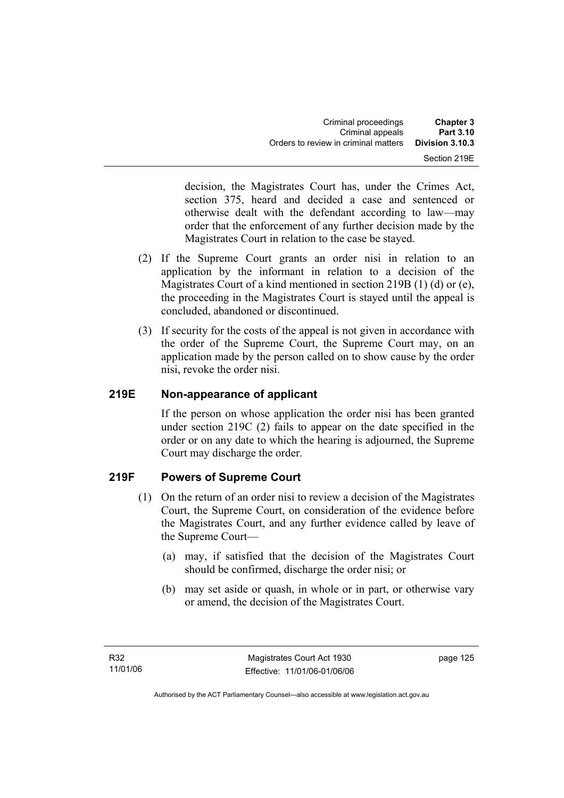| <b>Chapter 3</b> | Criminal proceedings                 |
|------------------|--------------------------------------|
| Part 3.10        | Criminal appeals                     |
| Division 3.10.3  | Orders to review in criminal matters |
| Section 219E     |                                      |

decision, the Magistrates Court has, under the Crimes Act, section 375, heard and decided a case and sentenced or otherwise dealt with the defendant according to law—may order that the enforcement of any further decision made by the Magistrates Court in relation to the case be stayed.

- (2) If the Supreme Court grants an order nisi in relation to an application by the informant in relation to a decision of the Magistrates Court of a kind mentioned in section 219B (1) (d) or (e), the proceeding in the Magistrates Court is stayed until the appeal is concluded, abandoned or discontinued.
- (3) If security for the costs of the appeal is not given in accordance with the order of the Supreme Court, the Supreme Court may, on an application made by the person called on to show cause by the order nisi, revoke the order nisi.

## **219E Non-appearance of applicant**

If the person on whose application the order nisi has been granted under section 219C (2) fails to appear on the date specified in the order or on any date to which the hearing is adjourned, the Supreme Court may discharge the order.

## **219F Powers of Supreme Court**

- (1) On the return of an order nisi to review a decision of the Magistrates Court, the Supreme Court, on consideration of the evidence before the Magistrates Court, and any further evidence called by leave of the Supreme Court—
	- (a) may, if satisfied that the decision of the Magistrates Court should be confirmed, discharge the order nisi; or
	- (b) may set aside or quash, in whole or in part, or otherwise vary or amend, the decision of the Magistrates Court.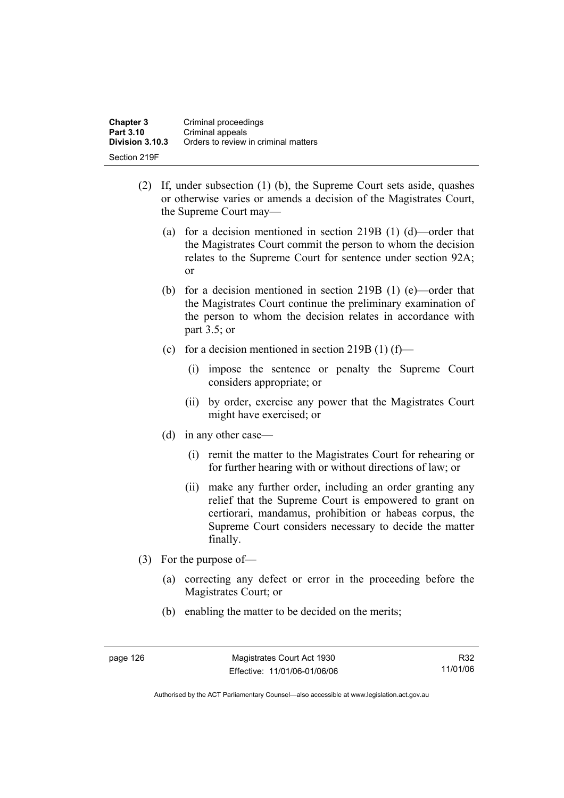| <b>Chapter 3</b> | Criminal proceedings                 |
|------------------|--------------------------------------|
| Part 3.10        | Criminal appeals                     |
| Division 3.10.3  | Orders to review in criminal matters |
| Section 219F     |                                      |

- (2) If, under subsection (1) (b), the Supreme Court sets aside, quashes or otherwise varies or amends a decision of the Magistrates Court, the Supreme Court may—
	- (a) for a decision mentioned in section 219B (1) (d)—order that the Magistrates Court commit the person to whom the decision relates to the Supreme Court for sentence under section 92A; or
	- (b) for a decision mentioned in section 219B (1) (e)—order that the Magistrates Court continue the preliminary examination of the person to whom the decision relates in accordance with part 3.5; or
	- (c) for a decision mentioned in section 219B (1) (f)—
		- (i) impose the sentence or penalty the Supreme Court considers appropriate; or
		- (ii) by order, exercise any power that the Magistrates Court might have exercised; or
	- (d) in any other case—
		- (i) remit the matter to the Magistrates Court for rehearing or for further hearing with or without directions of law; or
		- (ii) make any further order, including an order granting any relief that the Supreme Court is empowered to grant on certiorari, mandamus, prohibition or habeas corpus, the Supreme Court considers necessary to decide the matter finally.
- (3) For the purpose of—
	- (a) correcting any defect or error in the proceeding before the Magistrates Court; or
	- (b) enabling the matter to be decided on the merits;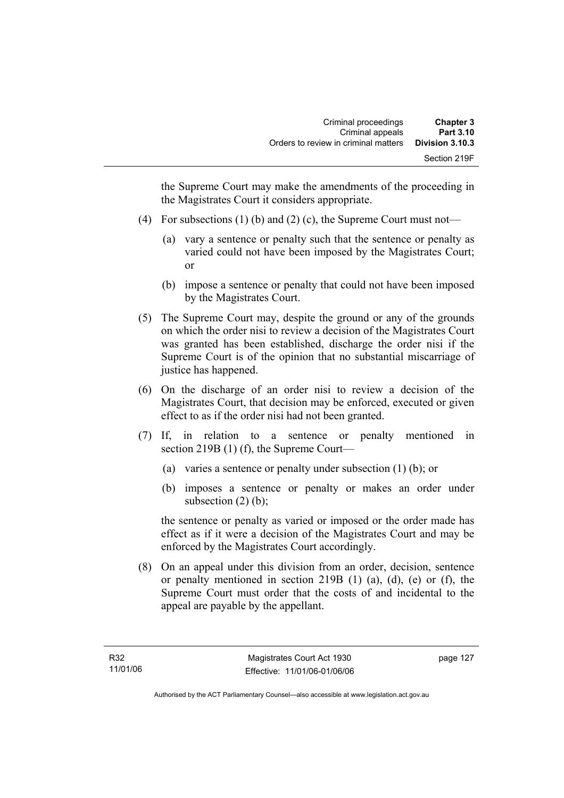the Supreme Court may make the amendments of the proceeding in the Magistrates Court it considers appropriate.

- (4) For subsections (1) (b) and (2) (c), the Supreme Court must not—
	- (a) vary a sentence or penalty such that the sentence or penalty as varied could not have been imposed by the Magistrates Court; or
	- (b) impose a sentence or penalty that could not have been imposed by the Magistrates Court.
- (5) The Supreme Court may, despite the ground or any of the grounds on which the order nisi to review a decision of the Magistrates Court was granted has been established, discharge the order nisi if the Supreme Court is of the opinion that no substantial miscarriage of justice has happened.
- (6) On the discharge of an order nisi to review a decision of the Magistrates Court, that decision may be enforced, executed or given effect to as if the order nisi had not been granted.
- (7) If, in relation to a sentence or penalty mentioned in section 219B (1) (f), the Supreme Court—
	- (a) varies a sentence or penalty under subsection (1) (b); or
	- (b) imposes a sentence or penalty or makes an order under subsection  $(2)$  (b);

the sentence or penalty as varied or imposed or the order made has effect as if it were a decision of the Magistrates Court and may be enforced by the Magistrates Court accordingly.

 (8) On an appeal under this division from an order, decision, sentence or penalty mentioned in section 219B (1) (a), (d), (e) or (f), the Supreme Court must order that the costs of and incidental to the appeal are payable by the appellant.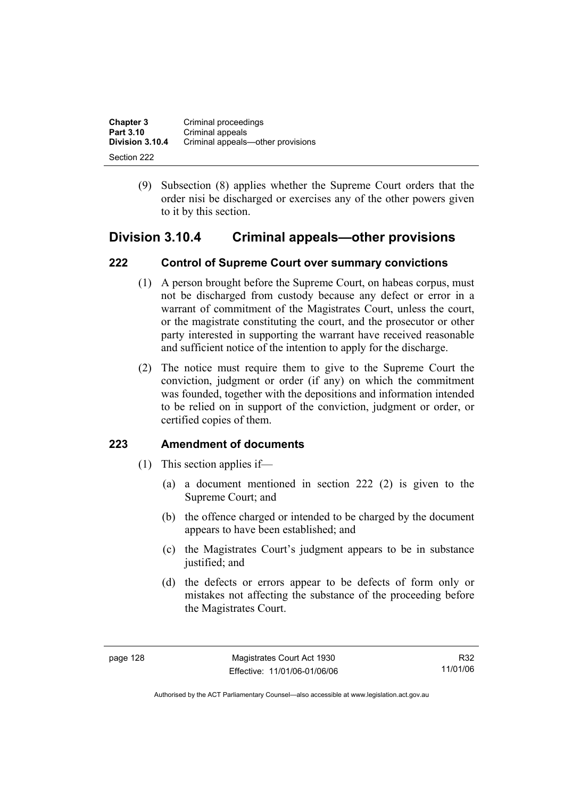| <b>Chapter 3</b> | Criminal proceedings              |
|------------------|-----------------------------------|
| Part 3.10        | Criminal appeals                  |
| Division 3.10.4  | Criminal appeals-other provisions |
| Section 222      |                                   |

 (9) Subsection (8) applies whether the Supreme Court orders that the order nisi be discharged or exercises any of the other powers given to it by this section.

## **Division 3.10.4 Criminal appeals—other provisions**

## **222 Control of Supreme Court over summary convictions**

- (1) A person brought before the Supreme Court, on habeas corpus, must not be discharged from custody because any defect or error in a warrant of commitment of the Magistrates Court, unless the court, or the magistrate constituting the court, and the prosecutor or other party interested in supporting the warrant have received reasonable and sufficient notice of the intention to apply for the discharge.
- (2) The notice must require them to give to the Supreme Court the conviction, judgment or order (if any) on which the commitment was founded, together with the depositions and information intended to be relied on in support of the conviction, judgment or order, or certified copies of them.

## **223 Amendment of documents**

- (1) This section applies if—
	- (a) a document mentioned in section 222 (2) is given to the Supreme Court; and
	- (b) the offence charged or intended to be charged by the document appears to have been established; and
	- (c) the Magistrates Court's judgment appears to be in substance justified; and
	- (d) the defects or errors appear to be defects of form only or mistakes not affecting the substance of the proceeding before the Magistrates Court.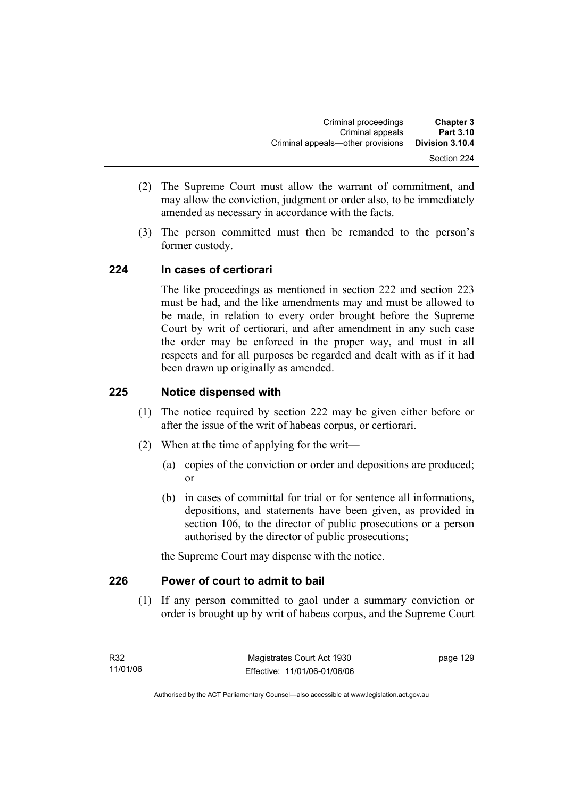- (2) The Supreme Court must allow the warrant of commitment, and may allow the conviction, judgment or order also, to be immediately amended as necessary in accordance with the facts.
- (3) The person committed must then be remanded to the person's former custody.

## **224 In cases of certiorari**

The like proceedings as mentioned in section 222 and section 223 must be had, and the like amendments may and must be allowed to be made, in relation to every order brought before the Supreme Court by writ of certiorari, and after amendment in any such case the order may be enforced in the proper way, and must in all respects and for all purposes be regarded and dealt with as if it had been drawn up originally as amended.

## **225 Notice dispensed with**

- (1) The notice required by section 222 may be given either before or after the issue of the writ of habeas corpus, or certiorari.
- (2) When at the time of applying for the writ—
	- (a) copies of the conviction or order and depositions are produced; or
	- (b) in cases of committal for trial or for sentence all informations, depositions, and statements have been given, as provided in section 106, to the director of public prosecutions or a person authorised by the director of public prosecutions;

the Supreme Court may dispense with the notice.

## **226 Power of court to admit to bail**

 (1) If any person committed to gaol under a summary conviction or order is brought up by writ of habeas corpus, and the Supreme Court

page 129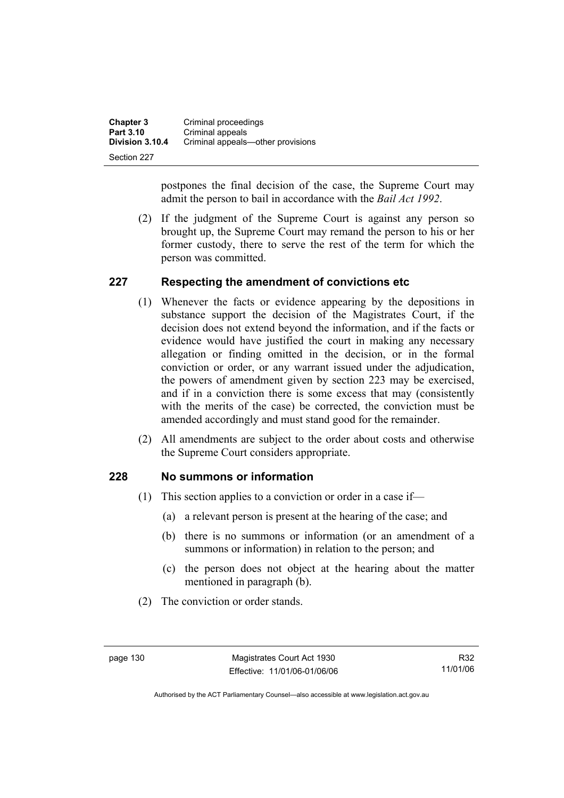| <b>Chapter 3</b> | Criminal proceedings              |
|------------------|-----------------------------------|
| Part 3.10        | Criminal appeals                  |
| Division 3.10.4  | Criminal appeals-other provisions |
| Section 227      |                                   |

postpones the final decision of the case, the Supreme Court may admit the person to bail in accordance with the *Bail Act 1992*.

 (2) If the judgment of the Supreme Court is against any person so brought up, the Supreme Court may remand the person to his or her former custody, there to serve the rest of the term for which the person was committed.

## **227 Respecting the amendment of convictions etc**

- (1) Whenever the facts or evidence appearing by the depositions in substance support the decision of the Magistrates Court, if the decision does not extend beyond the information, and if the facts or evidence would have justified the court in making any necessary allegation or finding omitted in the decision, or in the formal conviction or order, or any warrant issued under the adjudication, the powers of amendment given by section 223 may be exercised, and if in a conviction there is some excess that may (consistently with the merits of the case) be corrected, the conviction must be amended accordingly and must stand good for the remainder.
- (2) All amendments are subject to the order about costs and otherwise the Supreme Court considers appropriate.

### **228 No summons or information**

- (1) This section applies to a conviction or order in a case if—
	- (a) a relevant person is present at the hearing of the case; and
	- (b) there is no summons or information (or an amendment of a summons or information) in relation to the person; and
	- (c) the person does not object at the hearing about the matter mentioned in paragraph (b).
- (2) The conviction or order stands.

R32 11/01/06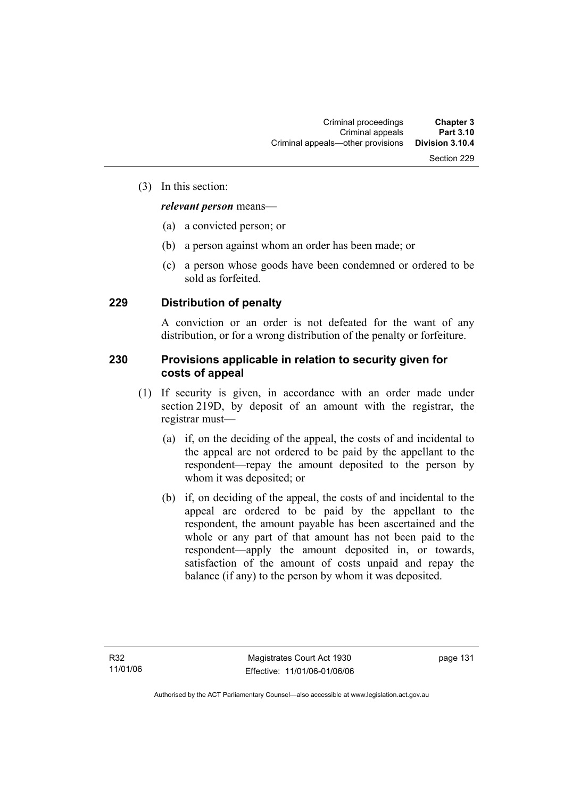#### (3) In this section:

#### *relevant person* means—

- (a) a convicted person; or
- (b) a person against whom an order has been made; or
- (c) a person whose goods have been condemned or ordered to be sold as forfeited.

### **229 Distribution of penalty**

A conviction or an order is not defeated for the want of any distribution, or for a wrong distribution of the penalty or forfeiture.

### **230 Provisions applicable in relation to security given for costs of appeal**

- (1) If security is given, in accordance with an order made under section 219D, by deposit of an amount with the registrar, the registrar must—
	- (a) if, on the deciding of the appeal, the costs of and incidental to the appeal are not ordered to be paid by the appellant to the respondent—repay the amount deposited to the person by whom it was deposited; or
	- (b) if, on deciding of the appeal, the costs of and incidental to the appeal are ordered to be paid by the appellant to the respondent, the amount payable has been ascertained and the whole or any part of that amount has not been paid to the respondent—apply the amount deposited in, or towards, satisfaction of the amount of costs unpaid and repay the balance (if any) to the person by whom it was deposited.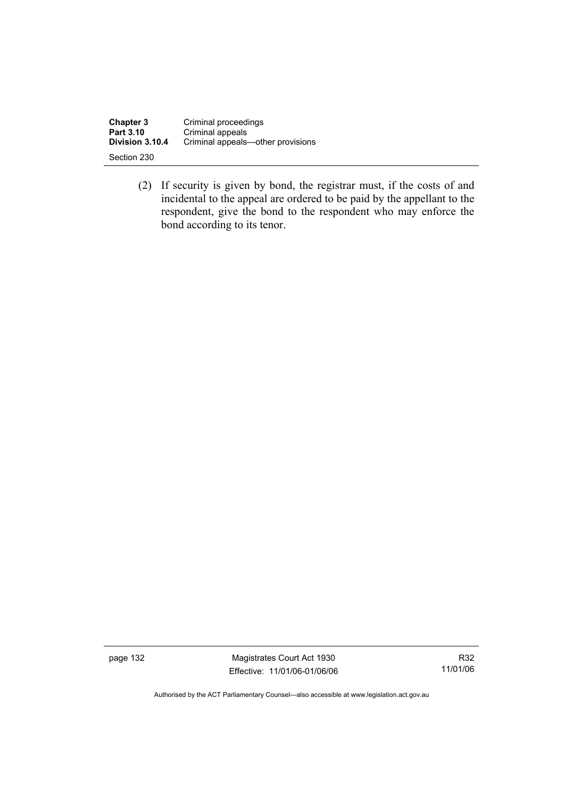| <b>Chapter 3</b> | Criminal proceedings              |
|------------------|-----------------------------------|
| Part 3.10        | Criminal appeals                  |
| Division 3.10.4  | Criminal appeals—other provisions |
| Section 230      |                                   |

 (2) If security is given by bond, the registrar must, if the costs of and incidental to the appeal are ordered to be paid by the appellant to the respondent, give the bond to the respondent who may enforce the bond according to its tenor.

page 132 Magistrates Court Act 1930 Effective: 11/01/06-01/06/06

R32 11/01/06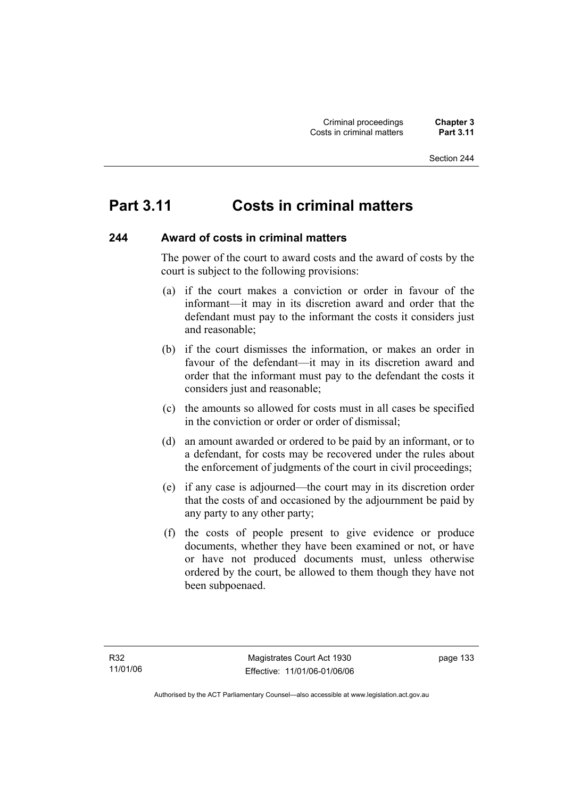# **Part 3.11 Costs in criminal matters**

#### **244 Award of costs in criminal matters**

The power of the court to award costs and the award of costs by the court is subject to the following provisions:

- (a) if the court makes a conviction or order in favour of the informant—it may in its discretion award and order that the defendant must pay to the informant the costs it considers just and reasonable;
- (b) if the court dismisses the information, or makes an order in favour of the defendant—it may in its discretion award and order that the informant must pay to the defendant the costs it considers just and reasonable;
- (c) the amounts so allowed for costs must in all cases be specified in the conviction or order or order of dismissal;
- (d) an amount awarded or ordered to be paid by an informant, or to a defendant, for costs may be recovered under the rules about the enforcement of judgments of the court in civil proceedings;
- (e) if any case is adjourned—the court may in its discretion order that the costs of and occasioned by the adjournment be paid by any party to any other party;
- (f) the costs of people present to give evidence or produce documents, whether they have been examined or not, or have or have not produced documents must, unless otherwise ordered by the court, be allowed to them though they have not been subpoenaed.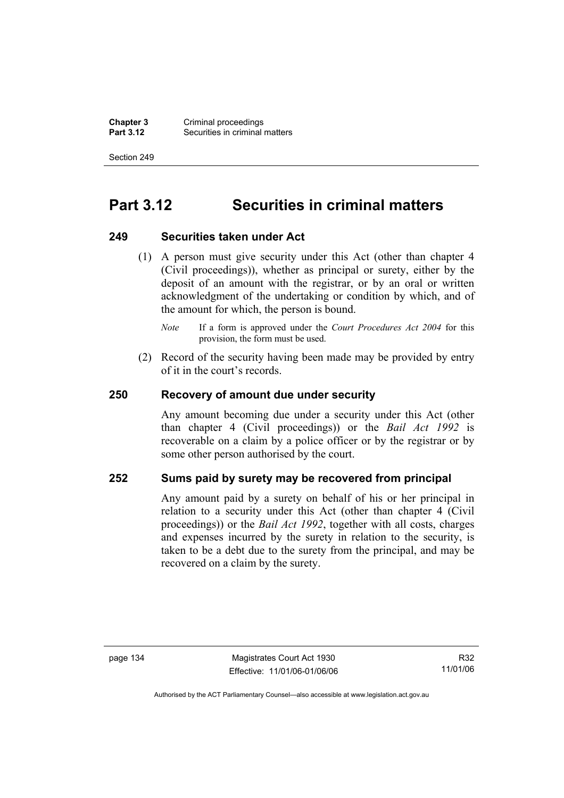**Chapter 3** Criminal proceedings<br>**Part 3.12** Securities in criminal **Securities in criminal matters** 

Section 249

# **Part 3.12 Securities in criminal matters**

#### **249 Securities taken under Act**

 (1) A person must give security under this Act (other than chapter 4 (Civil proceedings)), whether as principal or surety, either by the deposit of an amount with the registrar, or by an oral or written acknowledgment of the undertaking or condition by which, and of the amount for which, the person is bound.

 (2) Record of the security having been made may be provided by entry of it in the court's records.

### **250 Recovery of amount due under security**

Any amount becoming due under a security under this Act (other than chapter 4 (Civil proceedings)) or the *Bail Act 1992* is recoverable on a claim by a police officer or by the registrar or by some other person authorised by the court.

### **252 Sums paid by surety may be recovered from principal**

Any amount paid by a surety on behalf of his or her principal in relation to a security under this Act (other than chapter 4 (Civil proceedings)) or the *Bail Act 1992*, together with all costs, charges and expenses incurred by the surety in relation to the security, is taken to be a debt due to the surety from the principal, and may be recovered on a claim by the surety.

R32 11/01/06

*Note* If a form is approved under the *Court Procedures Act 2004* for this provision, the form must be used.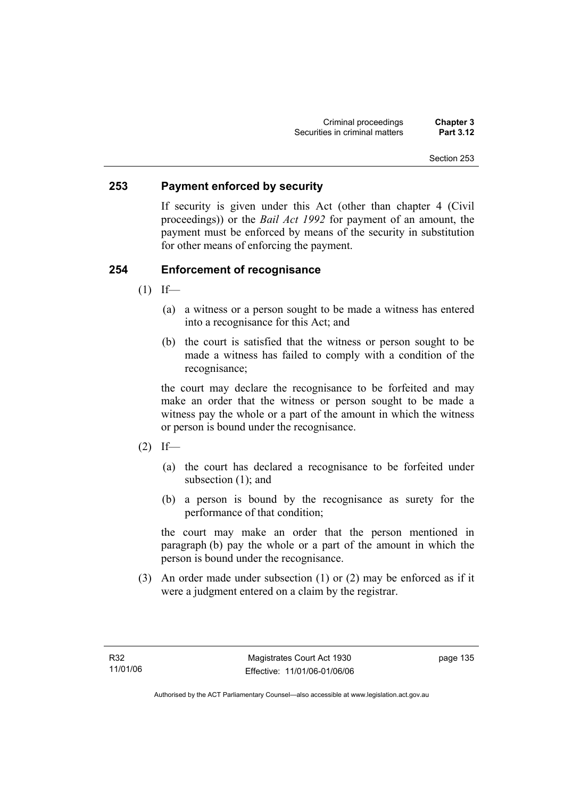## **253 Payment enforced by security**

If security is given under this Act (other than chapter 4 (Civil proceedings)) or the *Bail Act 1992* for payment of an amount, the payment must be enforced by means of the security in substitution for other means of enforcing the payment.

## **254 Enforcement of recognisance**

- $(1)$  If—
	- (a) a witness or a person sought to be made a witness has entered into a recognisance for this Act; and
	- (b) the court is satisfied that the witness or person sought to be made a witness has failed to comply with a condition of the recognisance;

the court may declare the recognisance to be forfeited and may make an order that the witness or person sought to be made a witness pay the whole or a part of the amount in which the witness or person is bound under the recognisance.

- $(2)$  If—
	- (a) the court has declared a recognisance to be forfeited under subsection (1); and
	- (b) a person is bound by the recognisance as surety for the performance of that condition;

the court may make an order that the person mentioned in paragraph (b) pay the whole or a part of the amount in which the person is bound under the recognisance.

 (3) An order made under subsection (1) or (2) may be enforced as if it were a judgment entered on a claim by the registrar.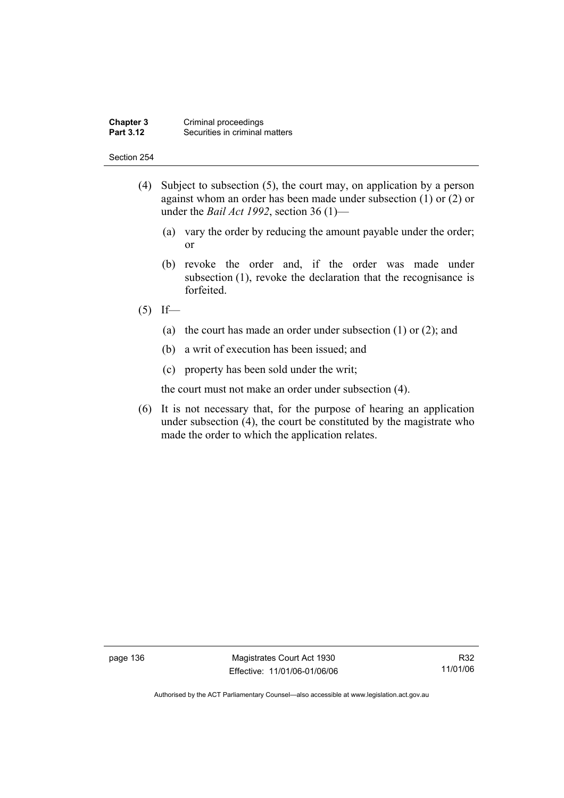#### **Chapter 3** Criminal proceedings<br>**Part 3.12** Securities in criminal **Securities in criminal matters**

#### Section 254

- (4) Subject to subsection (5), the court may, on application by a person against whom an order has been made under subsection (1) or (2) or under the *Bail Act 1992*, section 36 (1)—
	- (a) vary the order by reducing the amount payable under the order; or
	- (b) revoke the order and, if the order was made under subsection (1), revoke the declaration that the recognisance is forfeited.
- $(5)$  If—
	- (a) the court has made an order under subsection (1) or (2); and
	- (b) a writ of execution has been issued; and
	- (c) property has been sold under the writ;

the court must not make an order under subsection (4).

 (6) It is not necessary that, for the purpose of hearing an application under subsection (4), the court be constituted by the magistrate who made the order to which the application relates.

page 136 Magistrates Court Act 1930 Effective: 11/01/06-01/06/06

R32 11/01/06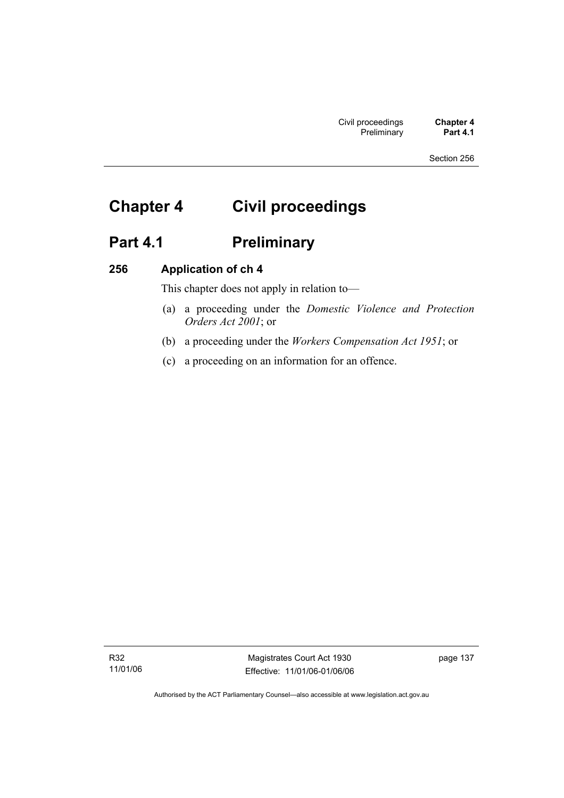# **Chapter 4 Civil proceedings**

# Part 4.1 **Preliminary**

## **256 Application of ch 4**

This chapter does not apply in relation to—

- (a) a proceeding under the *Domestic Violence and Protection Orders Act 2001*; or
- (b) a proceeding under the *Workers Compensation Act 1951*; or
- (c) a proceeding on an information for an offence.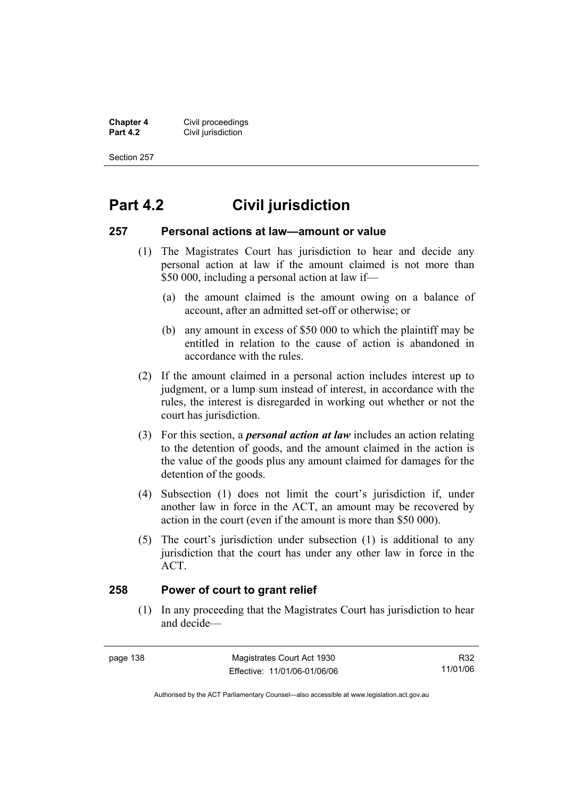**Chapter 4 Civil proceedings**<br>**Part 4.2 Civil jurisdiction Civil jurisdiction** 

Section 257

# **Part 4.2 Civil jurisdiction**

#### **257 Personal actions at law—amount or value**

- (1) The Magistrates Court has jurisdiction to hear and decide any personal action at law if the amount claimed is not more than \$50 000, including a personal action at law if—
	- (a) the amount claimed is the amount owing on a balance of account, after an admitted set-off or otherwise; or
	- (b) any amount in excess of \$50 000 to which the plaintiff may be entitled in relation to the cause of action is abandoned in accordance with the rules.
- (2) If the amount claimed in a personal action includes interest up to judgment, or a lump sum instead of interest, in accordance with the rules, the interest is disregarded in working out whether or not the court has jurisdiction.
- (3) For this section, a *personal action at law* includes an action relating to the detention of goods, and the amount claimed in the action is the value of the goods plus any amount claimed for damages for the detention of the goods.
- (4) Subsection (1) does not limit the court's jurisdiction if, under another law in force in the ACT, an amount may be recovered by action in the court (even if the amount is more than \$50 000).
- (5) The court's jurisdiction under subsection (1) is additional to any jurisdiction that the court has under any other law in force in the ACT.

## **258 Power of court to grant relief**

 (1) In any proceeding that the Magistrates Court has jurisdiction to hear and decide—

| page | 138 |
|------|-----|
|------|-----|

R32 11/01/06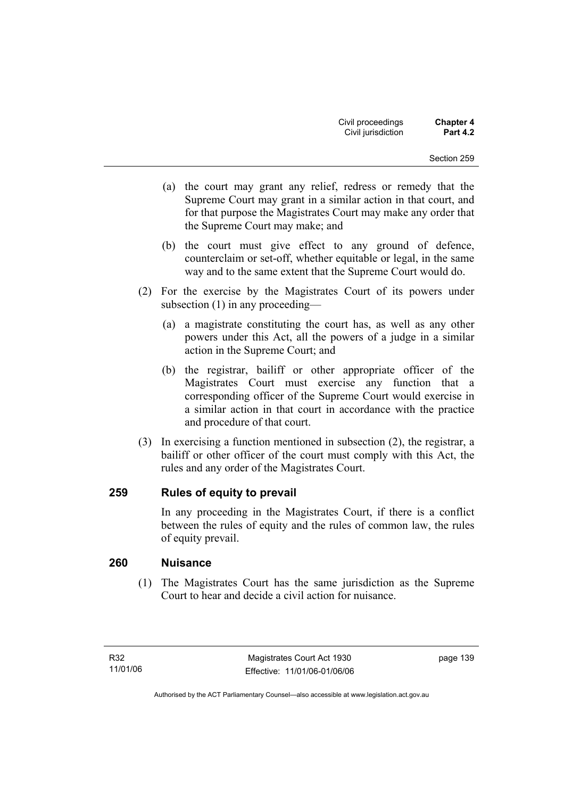- (a) the court may grant any relief, redress or remedy that the Supreme Court may grant in a similar action in that court, and for that purpose the Magistrates Court may make any order that the Supreme Court may make; and
- (b) the court must give effect to any ground of defence, counterclaim or set-off, whether equitable or legal, in the same way and to the same extent that the Supreme Court would do.
- (2) For the exercise by the Magistrates Court of its powers under subsection (1) in any proceeding—
	- (a) a magistrate constituting the court has, as well as any other powers under this Act, all the powers of a judge in a similar action in the Supreme Court; and
	- (b) the registrar, bailiff or other appropriate officer of the Magistrates Court must exercise any function that a corresponding officer of the Supreme Court would exercise in a similar action in that court in accordance with the practice and procedure of that court.
- (3) In exercising a function mentioned in subsection (2), the registrar, a bailiff or other officer of the court must comply with this Act, the rules and any order of the Magistrates Court.

## **259 Rules of equity to prevail**

In any proceeding in the Magistrates Court, if there is a conflict between the rules of equity and the rules of common law, the rules of equity prevail.

## **260 Nuisance**

 (1) The Magistrates Court has the same jurisdiction as the Supreme Court to hear and decide a civil action for nuisance.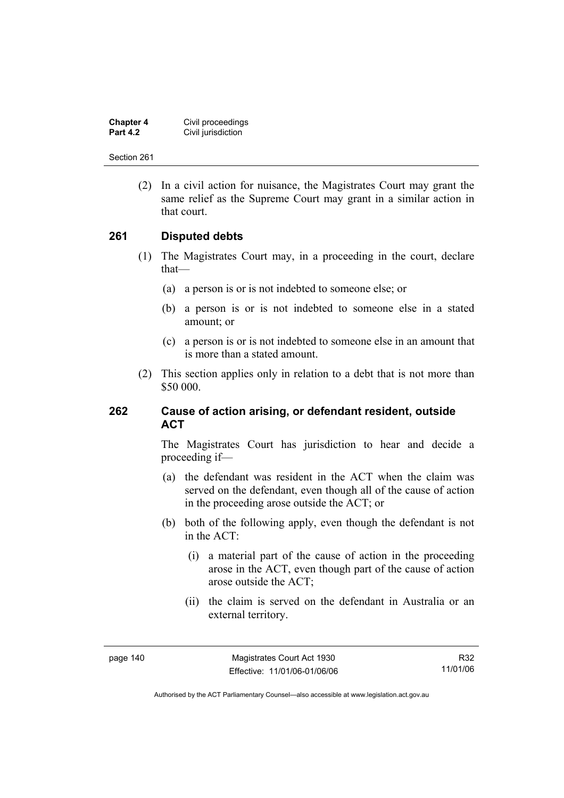| <b>Chapter 4</b> | Civil proceedings  |
|------------------|--------------------|
| <b>Part 4.2</b>  | Civil jurisdiction |

 (2) In a civil action for nuisance, the Magistrates Court may grant the same relief as the Supreme Court may grant in a similar action in that court.

## **261 Disputed debts**

- (1) The Magistrates Court may, in a proceeding in the court, declare that—
	- (a) a person is or is not indebted to someone else; or
	- (b) a person is or is not indebted to someone else in a stated amount; or
	- (c) a person is or is not indebted to someone else in an amount that is more than a stated amount.
- (2) This section applies only in relation to a debt that is not more than \$50 000.

## **262 Cause of action arising, or defendant resident, outside ACT**

The Magistrates Court has jurisdiction to hear and decide a proceeding if—

- (a) the defendant was resident in the ACT when the claim was served on the defendant, even though all of the cause of action in the proceeding arose outside the ACT; or
- (b) both of the following apply, even though the defendant is not in the ACT:
	- (i) a material part of the cause of action in the proceeding arose in the ACT, even though part of the cause of action arose outside the ACT;
	- (ii) the claim is served on the defendant in Australia or an external territory.

R32 11/01/06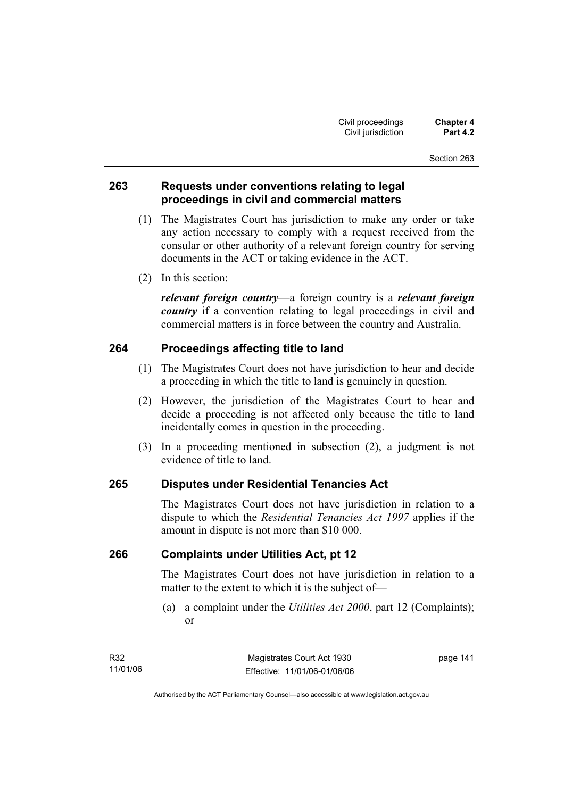## **263 Requests under conventions relating to legal proceedings in civil and commercial matters**

- (1) The Magistrates Court has jurisdiction to make any order or take any action necessary to comply with a request received from the consular or other authority of a relevant foreign country for serving documents in the ACT or taking evidence in the ACT.
- (2) In this section:

*relevant foreign country*—a foreign country is a *relevant foreign country* if a convention relating to legal proceedings in civil and commercial matters is in force between the country and Australia.

## **264 Proceedings affecting title to land**

- (1) The Magistrates Court does not have jurisdiction to hear and decide a proceeding in which the title to land is genuinely in question.
- (2) However, the jurisdiction of the Magistrates Court to hear and decide a proceeding is not affected only because the title to land incidentally comes in question in the proceeding.
- (3) In a proceeding mentioned in subsection (2), a judgment is not evidence of title to land.

## **265 Disputes under Residential Tenancies Act**

The Magistrates Court does not have jurisdiction in relation to a dispute to which the *Residential Tenancies Act 1997* applies if the amount in dispute is not more than \$10 000.

## **266 Complaints under Utilities Act, pt 12**

The Magistrates Court does not have jurisdiction in relation to a matter to the extent to which it is the subject of—

 (a) a complaint under the *Utilities Act 2000*, part 12 (Complaints); or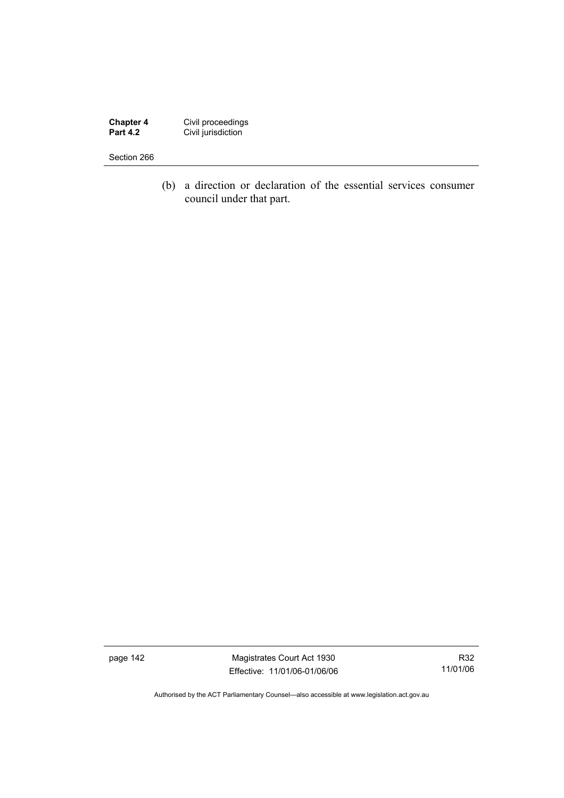**Chapter 4** Civil proceedings **Part 4.2 Civil jurisdiction** 

#### Section 266

 (b) a direction or declaration of the essential services consumer council under that part.

page 142 Magistrates Court Act 1930 Effective: 11/01/06-01/06/06

R32 11/01/06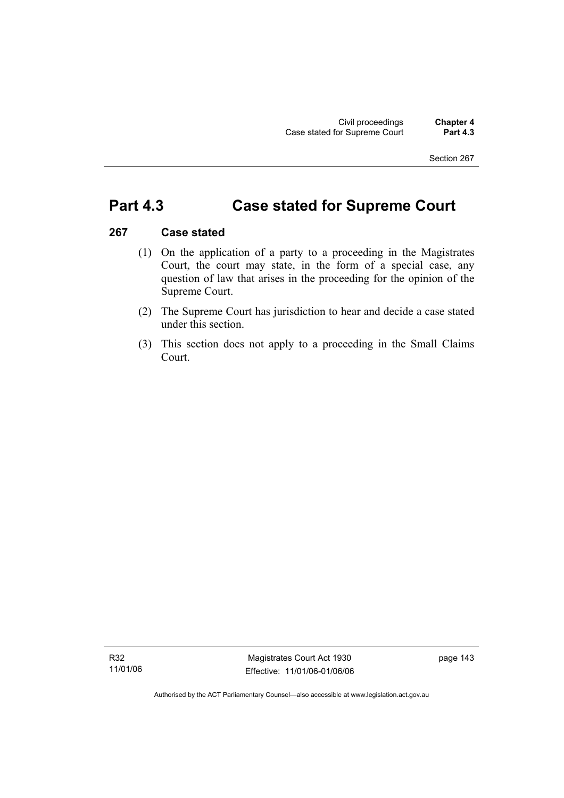# **Part 4.3 Case stated for Supreme Court**

### **267 Case stated**

- (1) On the application of a party to a proceeding in the Magistrates Court, the court may state, in the form of a special case, any question of law that arises in the proceeding for the opinion of the Supreme Court.
- (2) The Supreme Court has jurisdiction to hear and decide a case stated under this section.
- (3) This section does not apply to a proceeding in the Small Claims Court.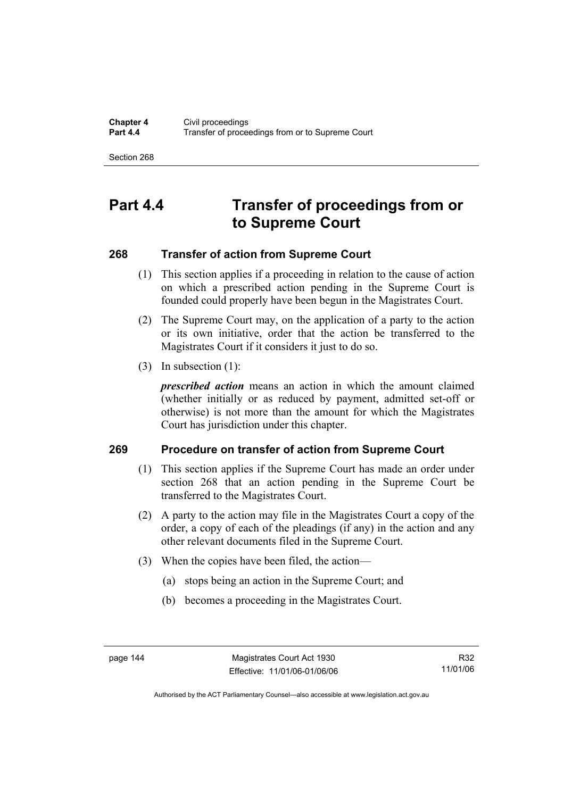# **Part 4.4 Transfer of proceedings from or to Supreme Court**

## **268 Transfer of action from Supreme Court**

- (1) This section applies if a proceeding in relation to the cause of action on which a prescribed action pending in the Supreme Court is founded could properly have been begun in the Magistrates Court.
- (2) The Supreme Court may, on the application of a party to the action or its own initiative, order that the action be transferred to the Magistrates Court if it considers it just to do so.
- (3) In subsection (1):

*prescribed action* means an action in which the amount claimed (whether initially or as reduced by payment, admitted set-off or otherwise) is not more than the amount for which the Magistrates Court has jurisdiction under this chapter.

## **269 Procedure on transfer of action from Supreme Court**

- (1) This section applies if the Supreme Court has made an order under section 268 that an action pending in the Supreme Court be transferred to the Magistrates Court.
- (2) A party to the action may file in the Magistrates Court a copy of the order, a copy of each of the pleadings (if any) in the action and any other relevant documents filed in the Supreme Court.
- (3) When the copies have been filed, the action—
	- (a) stops being an action in the Supreme Court; and
	- (b) becomes a proceeding in the Magistrates Court.

Authorised by the ACT Parliamentary Counsel—also accessible at www.legislation.act.gov.au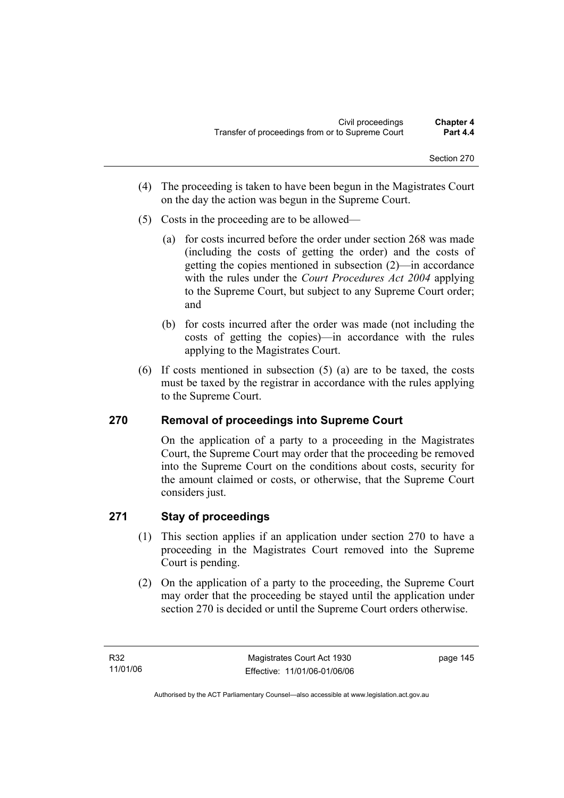- (4) The proceeding is taken to have been begun in the Magistrates Court on the day the action was begun in the Supreme Court.
- (5) Costs in the proceeding are to be allowed—
	- (a) for costs incurred before the order under section 268 was made (including the costs of getting the order) and the costs of getting the copies mentioned in subsection (2)—in accordance with the rules under the *Court Procedures Act 2004* applying to the Supreme Court, but subject to any Supreme Court order; and
	- (b) for costs incurred after the order was made (not including the costs of getting the copies)—in accordance with the rules applying to the Magistrates Court.
- (6) If costs mentioned in subsection (5) (a) are to be taxed, the costs must be taxed by the registrar in accordance with the rules applying to the Supreme Court.

## **270 Removal of proceedings into Supreme Court**

On the application of a party to a proceeding in the Magistrates Court, the Supreme Court may order that the proceeding be removed into the Supreme Court on the conditions about costs, security for the amount claimed or costs, or otherwise, that the Supreme Court considers just.

## **271 Stay of proceedings**

- (1) This section applies if an application under section 270 to have a proceeding in the Magistrates Court removed into the Supreme Court is pending.
- (2) On the application of a party to the proceeding, the Supreme Court may order that the proceeding be stayed until the application under section 270 is decided or until the Supreme Court orders otherwise.

page 145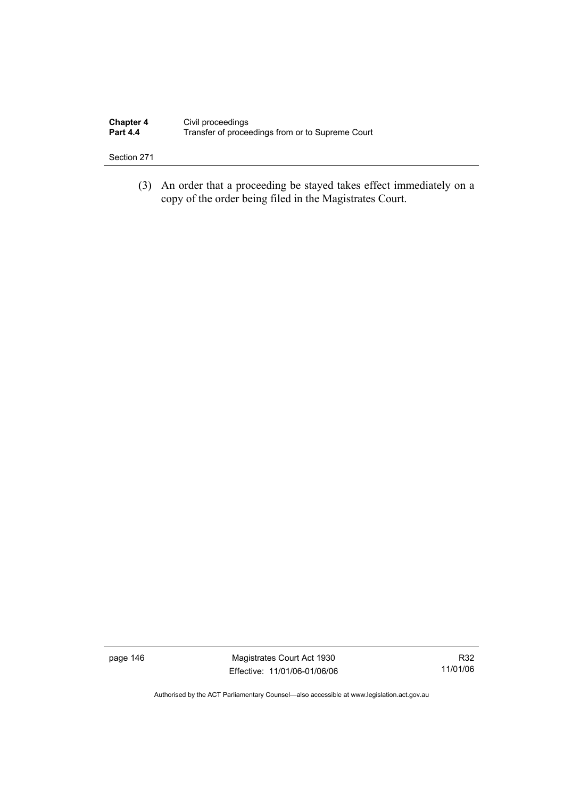| <b>Chapter 4</b> | Civil proceedings                                |
|------------------|--------------------------------------------------|
| <b>Part 4.4</b>  | Transfer of proceedings from or to Supreme Court |

 (3) An order that a proceeding be stayed takes effect immediately on a copy of the order being filed in the Magistrates Court.

page 146 Magistrates Court Act 1930 Effective: 11/01/06-01/06/06

R32 11/01/06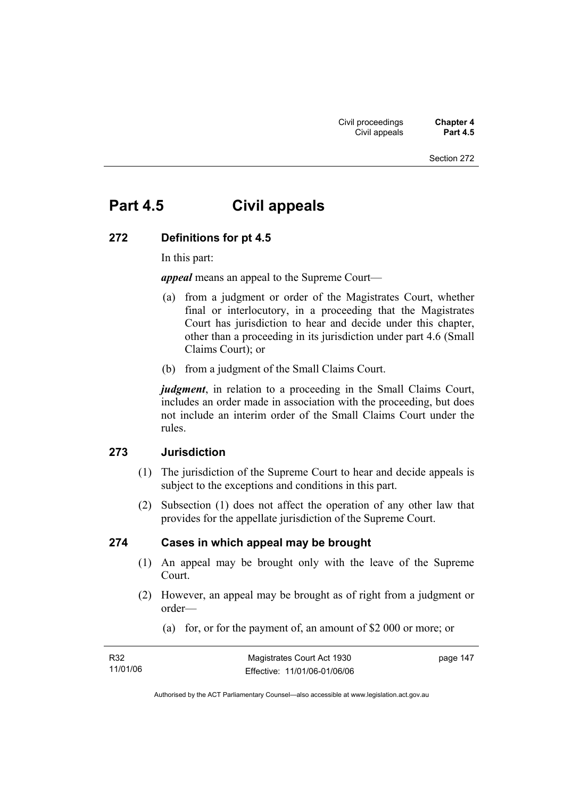# **Part 4.5 Civil appeals**

#### **272 Definitions for pt 4.5**

In this part:

*appeal* means an appeal to the Supreme Court—

- (a) from a judgment or order of the Magistrates Court, whether final or interlocutory, in a proceeding that the Magistrates Court has jurisdiction to hear and decide under this chapter, other than a proceeding in its jurisdiction under part 4.6 (Small Claims Court); or
- (b) from a judgment of the Small Claims Court.

*judgment*, in relation to a proceeding in the Small Claims Court, includes an order made in association with the proceeding, but does not include an interim order of the Small Claims Court under the rules.

## **273 Jurisdiction**

- (1) The jurisdiction of the Supreme Court to hear and decide appeals is subject to the exceptions and conditions in this part.
- (2) Subsection (1) does not affect the operation of any other law that provides for the appellate jurisdiction of the Supreme Court.

#### **274 Cases in which appeal may be brought**

- (1) An appeal may be brought only with the leave of the Supreme Court.
- (2) However, an appeal may be brought as of right from a judgment or order—
	- (a) for, or for the payment of, an amount of \$2 000 or more; or

| R32      | Magistrates Court Act 1930   | page 147 |
|----------|------------------------------|----------|
| 11/01/06 | Effective: 11/01/06-01/06/06 |          |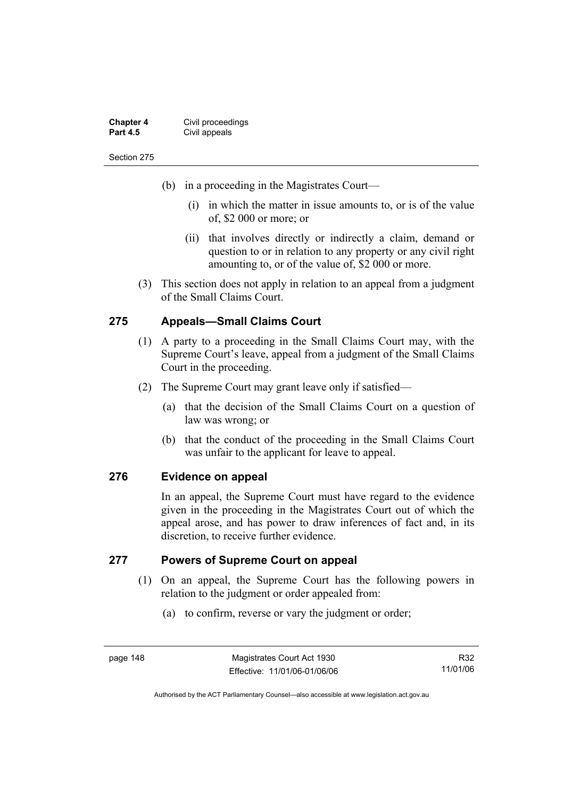| <b>Chapter 4</b> | Civil proceedings |
|------------------|-------------------|
| <b>Part 4.5</b>  | Civil appeals     |

- (b) in a proceeding in the Magistrates Court—
	- (i) in which the matter in issue amounts to, or is of the value of, \$2 000 or more; or
	- (ii) that involves directly or indirectly a claim, demand or question to or in relation to any property or any civil right amounting to, or of the value of, \$2 000 or more.
- (3) This section does not apply in relation to an appeal from a judgment of the Small Claims Court.

### **275 Appeals—Small Claims Court**

- (1) A party to a proceeding in the Small Claims Court may, with the Supreme Court's leave, appeal from a judgment of the Small Claims Court in the proceeding.
- (2) The Supreme Court may grant leave only if satisfied—
	- (a) that the decision of the Small Claims Court on a question of law was wrong; or
	- (b) that the conduct of the proceeding in the Small Claims Court was unfair to the applicant for leave to appeal.

### **276 Evidence on appeal**

In an appeal, the Supreme Court must have regard to the evidence given in the proceeding in the Magistrates Court out of which the appeal arose, and has power to draw inferences of fact and, in its discretion, to receive further evidence.

### **277 Powers of Supreme Court on appeal**

- (1) On an appeal, the Supreme Court has the following powers in relation to the judgment or order appealed from:
	- (a) to confirm, reverse or vary the judgment or order;

page 148 Magistrates Court Act 1930 Effective: 11/01/06-01/06/06

R32 11/01/06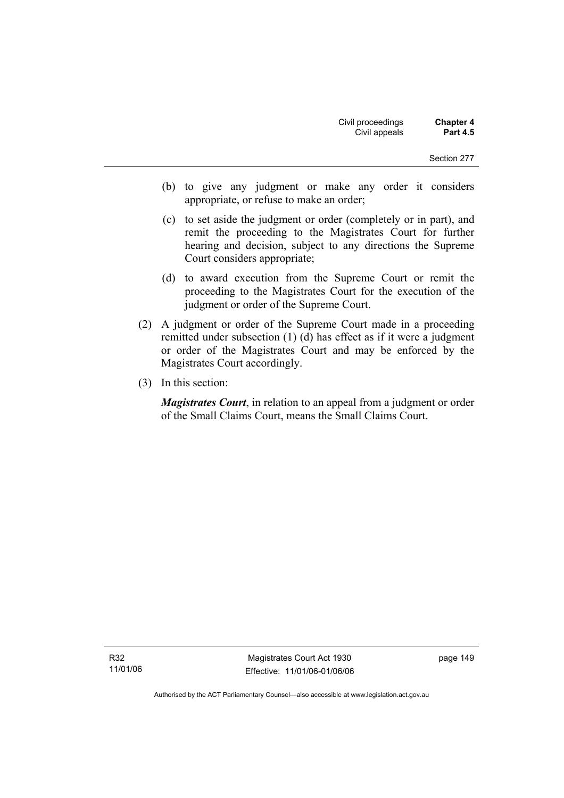- (b) to give any judgment or make any order it considers appropriate, or refuse to make an order;
- (c) to set aside the judgment or order (completely or in part), and remit the proceeding to the Magistrates Court for further hearing and decision, subject to any directions the Supreme Court considers appropriate;
- (d) to award execution from the Supreme Court or remit the proceeding to the Magistrates Court for the execution of the judgment or order of the Supreme Court.
- (2) A judgment or order of the Supreme Court made in a proceeding remitted under subsection (1) (d) has effect as if it were a judgment or order of the Magistrates Court and may be enforced by the Magistrates Court accordingly.
- (3) In this section:

*Magistrates Court*, in relation to an appeal from a judgment or order of the Small Claims Court, means the Small Claims Court.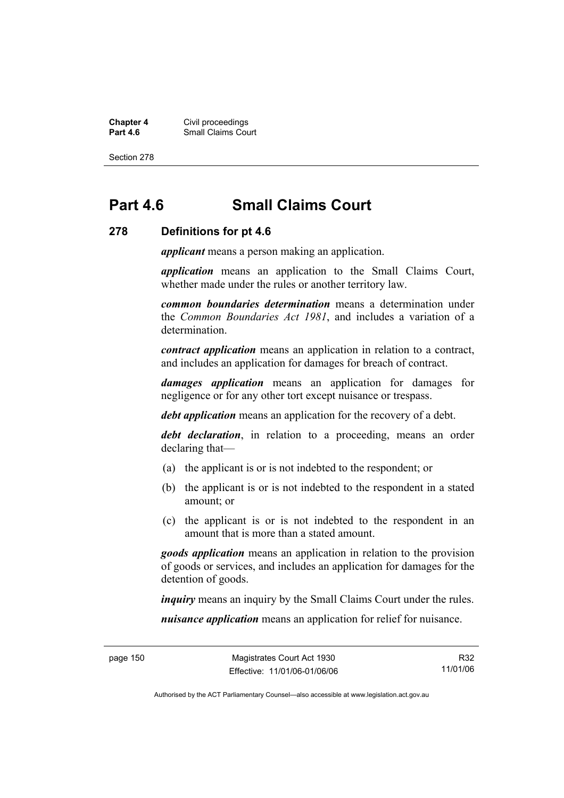**Chapter 4** Civil proceedings **Part 4.6 Part 4.6 Part 4.6 Part 4.6 Part 4.6 Part 4.6 Part 4.6 Part 4.6 Part 4.6 Part 4.6 Part 4.6 Part 4.6 Part 4.6 Part 4.6 Part 4.6 Part 4.6 Part 4.6 Part 4.6 Part 4.6 Part 4.6 Part 4.6 Part 4.6 Part 4.6 Part 4.6 Part** 

Section 278

# **Part 4.6 Small Claims Court**

#### **278 Definitions for pt 4.6**

*applicant* means a person making an application.

*application* means an application to the Small Claims Court, whether made under the rules or another territory law.

*common boundaries determination* means a determination under the *Common Boundaries Act 1981*, and includes a variation of a determination.

*contract application* means an application in relation to a contract, and includes an application for damages for breach of contract.

*damages application* means an application for damages for negligence or for any other tort except nuisance or trespass.

*debt application* means an application for the recovery of a debt.

*debt declaration*, in relation to a proceeding, means an order declaring that—

- (a) the applicant is or is not indebted to the respondent; or
- (b) the applicant is or is not indebted to the respondent in a stated amount; or
- (c) the applicant is or is not indebted to the respondent in an amount that is more than a stated amount.

*goods application* means an application in relation to the provision of goods or services, and includes an application for damages for the detention of goods.

*inquiry* means an inquiry by the Small Claims Court under the rules.

*nuisance application* means an application for relief for nuisance.

R32 11/01/06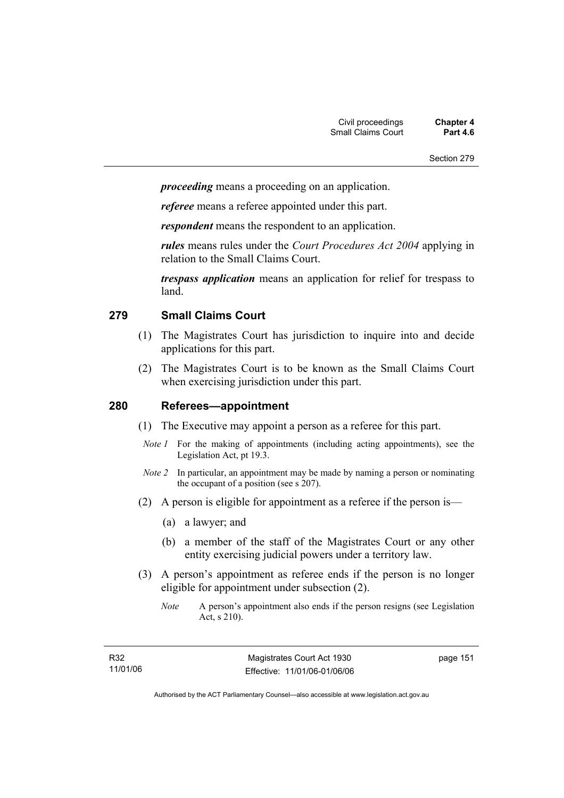*proceeding* means a proceeding on an application.

*referee* means a referee appointed under this part.

*respondent* means the respondent to an application.

*rules* means rules under the *Court Procedures Act 2004* applying in relation to the Small Claims Court.

*trespass application* means an application for relief for trespass to land.

## **279 Small Claims Court**

- (1) The Magistrates Court has jurisdiction to inquire into and decide applications for this part.
- (2) The Magistrates Court is to be known as the Small Claims Court when exercising jurisdiction under this part.

## **280 Referees—appointment**

- (1) The Executive may appoint a person as a referee for this part.
- *Note 1* For the making of appointments (including acting appointments), see the Legislation Act, pt 19.3.
- *Note 2* In particular, an appointment may be made by naming a person or nominating the occupant of a position (see s 207).
- (2) A person is eligible for appointment as a referee if the person is—
	- (a) a lawyer; and
	- (b) a member of the staff of the Magistrates Court or any other entity exercising judicial powers under a territory law.
- (3) A person's appointment as referee ends if the person is no longer eligible for appointment under subsection (2).
	- *Note* A person's appointment also ends if the person resigns (see Legislation Act, s 210).

page 151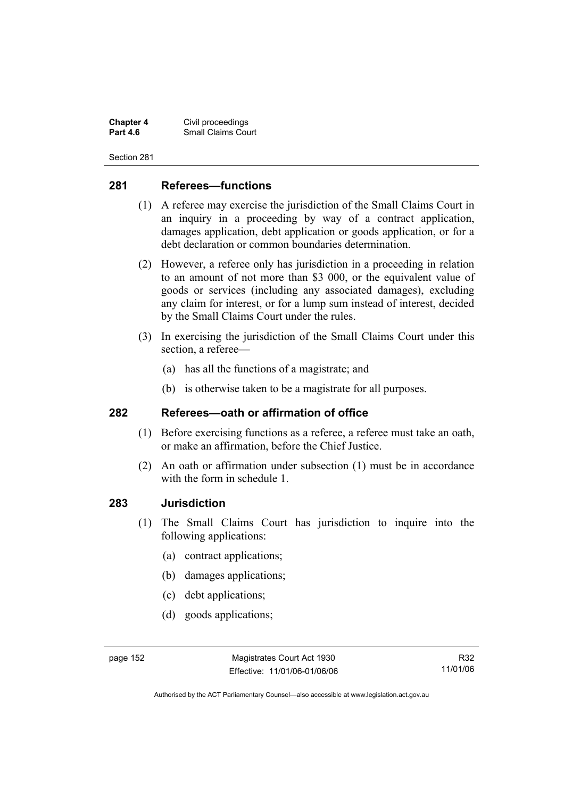**Chapter 4** Civil proceedings **Small Claims Court** 

Section 281

## **281 Referees—functions**

- (1) A referee may exercise the jurisdiction of the Small Claims Court in an inquiry in a proceeding by way of a contract application, damages application, debt application or goods application, or for a debt declaration or common boundaries determination.
- (2) However, a referee only has jurisdiction in a proceeding in relation to an amount of not more than \$3 000, or the equivalent value of goods or services (including any associated damages), excluding any claim for interest, or for a lump sum instead of interest, decided by the Small Claims Court under the rules.
- (3) In exercising the jurisdiction of the Small Claims Court under this section, a referee—
	- (a) has all the functions of a magistrate; and
	- (b) is otherwise taken to be a magistrate for all purposes.

#### **282 Referees—oath or affirmation of office**

- (1) Before exercising functions as a referee, a referee must take an oath, or make an affirmation, before the Chief Justice.
- (2) An oath or affirmation under subsection (1) must be in accordance with the form in schedule 1.

#### **283 Jurisdiction**

- (1) The Small Claims Court has jurisdiction to inquire into the following applications:
	- (a) contract applications;
	- (b) damages applications;
	- (c) debt applications;
	- (d) goods applications;

R32 11/01/06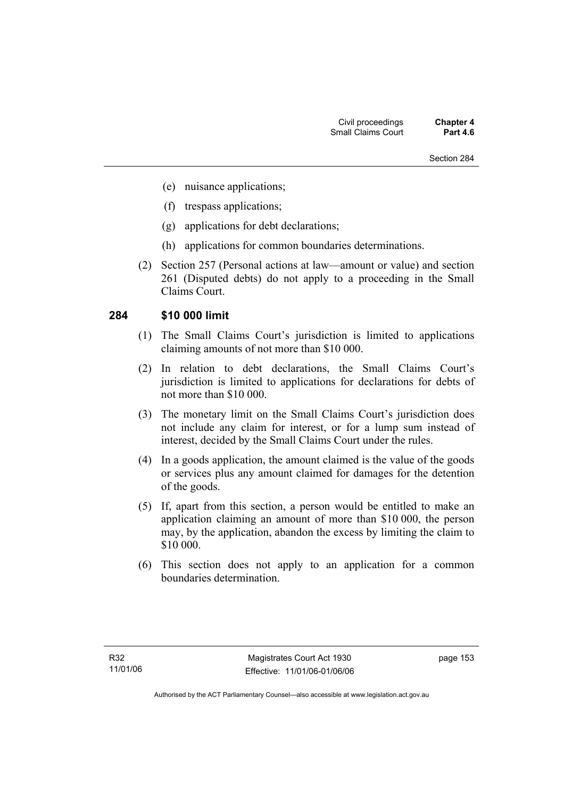- (e) nuisance applications;
- (f) trespass applications;
- (g) applications for debt declarations;
- (h) applications for common boundaries determinations.
- (2) Section 257 (Personal actions at law—amount or value) and section 261 (Disputed debts) do not apply to a proceeding in the Small Claims Court.

#### **284 \$10 000 limit**

- (1) The Small Claims Court's jurisdiction is limited to applications claiming amounts of not more than \$10 000.
- (2) In relation to debt declarations, the Small Claims Court's jurisdiction is limited to applications for declarations for debts of not more than \$10 000.
- (3) The monetary limit on the Small Claims Court's jurisdiction does not include any claim for interest, or for a lump sum instead of interest, decided by the Small Claims Court under the rules.
- (4) In a goods application, the amount claimed is the value of the goods or services plus any amount claimed for damages for the detention of the goods.
- (5) If, apart from this section, a person would be entitled to make an application claiming an amount of more than \$10 000, the person may, by the application, abandon the excess by limiting the claim to \$10 000.
- (6) This section does not apply to an application for a common boundaries determination.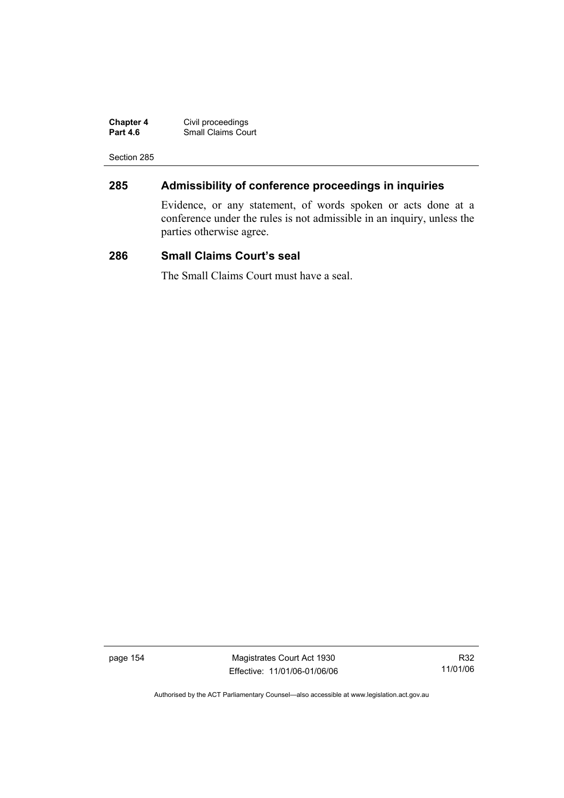| <b>Chapter 4</b> | Civil proceedings         |
|------------------|---------------------------|
| <b>Part 4.6</b>  | <b>Small Claims Court</b> |

## **285 Admissibility of conference proceedings in inquiries**

Evidence, or any statement, of words spoken or acts done at a conference under the rules is not admissible in an inquiry, unless the parties otherwise agree.

## **286 Small Claims Court's seal**

The Small Claims Court must have a seal.

page 154 Magistrates Court Act 1930 Effective: 11/01/06-01/06/06

R32 11/01/06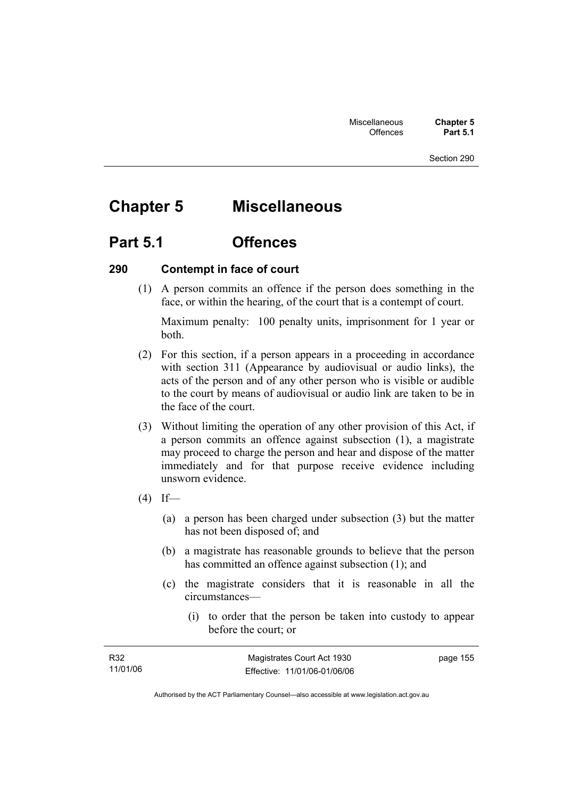# **Chapter 5 Miscellaneous**

## **Part 5.1 Offences**

### **290 Contempt in face of court**

 (1) A person commits an offence if the person does something in the face, or within the hearing, of the court that is a contempt of court.

Maximum penalty: 100 penalty units, imprisonment for 1 year or both.

- (2) For this section, if a person appears in a proceeding in accordance with section 311 (Appearance by audiovisual or audio links), the acts of the person and of any other person who is visible or audible to the court by means of audiovisual or audio link are taken to be in the face of the court.
- (3) Without limiting the operation of any other provision of this Act, if a person commits an offence against subsection (1), a magistrate may proceed to charge the person and hear and dispose of the matter immediately and for that purpose receive evidence including unsworn evidence.
- $(4)$  If—
	- (a) a person has been charged under subsection (3) but the matter has not been disposed of; and
	- (b) a magistrate has reasonable grounds to believe that the person has committed an offence against subsection (1); and
	- (c) the magistrate considers that it is reasonable in all the circumstances—
		- (i) to order that the person be taken into custody to appear before the court; or

| R32      | Magistrates Court Act 1930   | page 155 |
|----------|------------------------------|----------|
| 11/01/06 | Effective: 11/01/06-01/06/06 |          |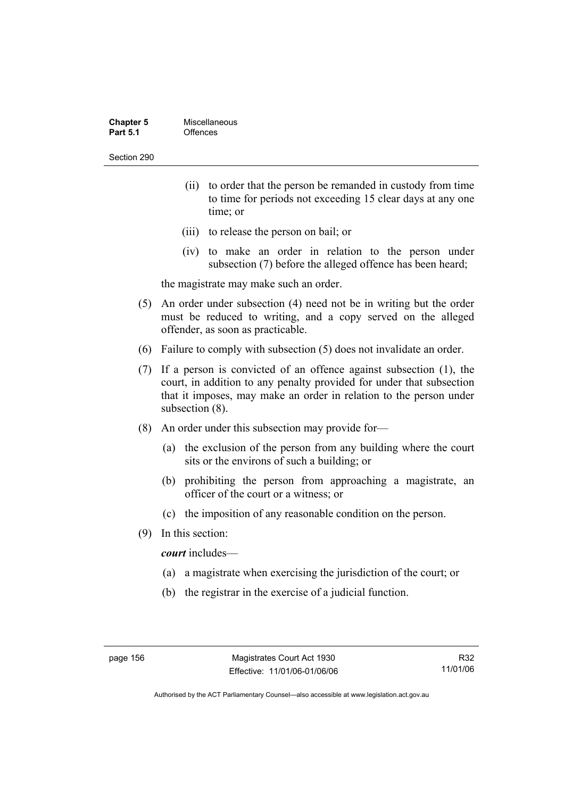| <b>Chapter 5</b> | Miscellaneous |
|------------------|---------------|
| <b>Part 5.1</b>  | Offences      |

- (ii) to order that the person be remanded in custody from time to time for periods not exceeding 15 clear days at any one time; or
- (iii) to release the person on bail; or
- (iv) to make an order in relation to the person under subsection (7) before the alleged offence has been heard;

the magistrate may make such an order.

- (5) An order under subsection (4) need not be in writing but the order must be reduced to writing, and a copy served on the alleged offender, as soon as practicable.
- (6) Failure to comply with subsection (5) does not invalidate an order.
- (7) If a person is convicted of an offence against subsection (1), the court, in addition to any penalty provided for under that subsection that it imposes, may make an order in relation to the person under subsection (8).
- (8) An order under this subsection may provide for—
	- (a) the exclusion of the person from any building where the court sits or the environs of such a building; or
	- (b) prohibiting the person from approaching a magistrate, an officer of the court or a witness; or
	- (c) the imposition of any reasonable condition on the person.
- (9) In this section:

*court* includes—

- (a) a magistrate when exercising the jurisdiction of the court; or
- (b) the registrar in the exercise of a judicial function.

R32 11/01/06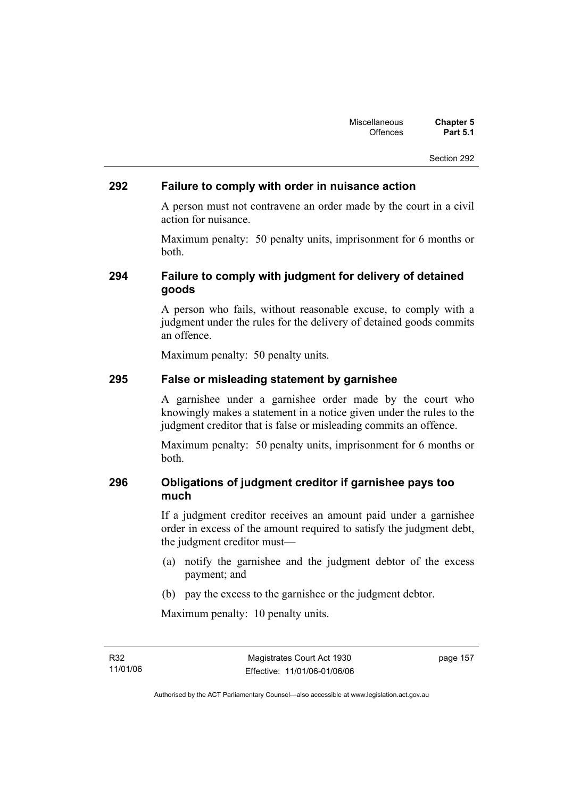#### **292 Failure to comply with order in nuisance action**

A person must not contravene an order made by the court in a civil action for nuisance.

Maximum penalty: 50 penalty units, imprisonment for 6 months or both.

## **294 Failure to comply with judgment for delivery of detained goods**

A person who fails, without reasonable excuse, to comply with a judgment under the rules for the delivery of detained goods commits an offence.

Maximum penalty: 50 penalty units.

## **295 False or misleading statement by garnishee**

A garnishee under a garnishee order made by the court who knowingly makes a statement in a notice given under the rules to the judgment creditor that is false or misleading commits an offence.

Maximum penalty: 50 penalty units, imprisonment for 6 months or both.

## **296 Obligations of judgment creditor if garnishee pays too much**

If a judgment creditor receives an amount paid under a garnishee order in excess of the amount required to satisfy the judgment debt, the judgment creditor must—

- (a) notify the garnishee and the judgment debtor of the excess payment; and
- (b) pay the excess to the garnishee or the judgment debtor.

Maximum penalty: 10 penalty units.

R32 11/01/06 page 157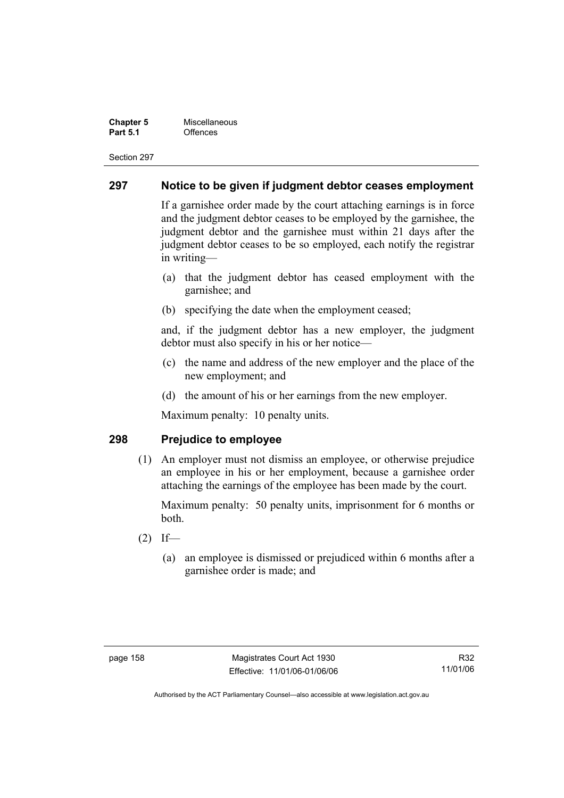**Chapter 5 Miscellaneous**<br>**Part 5.1** Offences **Part 5.1** Offences

Section 297

#### **297 Notice to be given if judgment debtor ceases employment**

If a garnishee order made by the court attaching earnings is in force and the judgment debtor ceases to be employed by the garnishee, the judgment debtor and the garnishee must within 21 days after the judgment debtor ceases to be so employed, each notify the registrar in writing—

- (a) that the judgment debtor has ceased employment with the garnishee; and
- (b) specifying the date when the employment ceased;

and, if the judgment debtor has a new employer, the judgment debtor must also specify in his or her notice—

- (c) the name and address of the new employer and the place of the new employment; and
- (d) the amount of his or her earnings from the new employer.

Maximum penalty: 10 penalty units.

#### **298 Prejudice to employee**

 (1) An employer must not dismiss an employee, or otherwise prejudice an employee in his or her employment, because a garnishee order attaching the earnings of the employee has been made by the court.

Maximum penalty: 50 penalty units, imprisonment for 6 months or both.

- $(2)$  If—
	- (a) an employee is dismissed or prejudiced within 6 months after a garnishee order is made; and

R32 11/01/06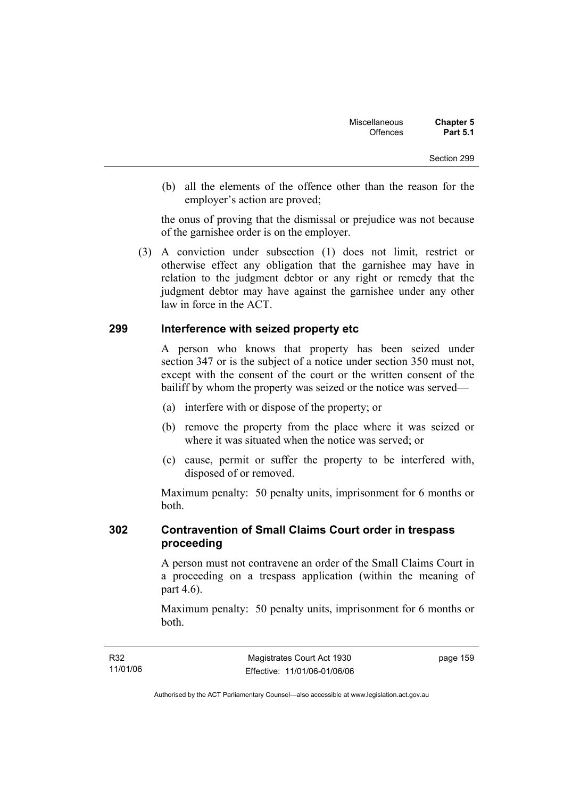(b) all the elements of the offence other than the reason for the employer's action are proved;

the onus of proving that the dismissal or prejudice was not because of the garnishee order is on the employer.

 (3) A conviction under subsection (1) does not limit, restrict or otherwise effect any obligation that the garnishee may have in relation to the judgment debtor or any right or remedy that the judgment debtor may have against the garnishee under any other law in force in the ACT.

#### **299 Interference with seized property etc**

A person who knows that property has been seized under section 347 or is the subject of a notice under section 350 must not, except with the consent of the court or the written consent of the bailiff by whom the property was seized or the notice was served—

- (a) interfere with or dispose of the property; or
- (b) remove the property from the place where it was seized or where it was situated when the notice was served; or
- (c) cause, permit or suffer the property to be interfered with, disposed of or removed.

Maximum penalty: 50 penalty units, imprisonment for 6 months or both.

## **302 Contravention of Small Claims Court order in trespass proceeding**

A person must not contravene an order of the Small Claims Court in a proceeding on a trespass application (within the meaning of part 4.6).

Maximum penalty: 50 penalty units, imprisonment for 6 months or both.

page 159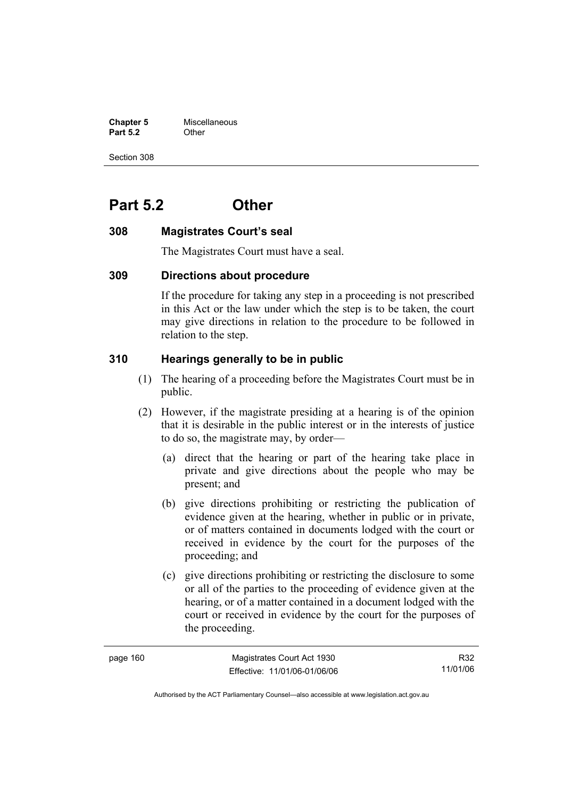**Chapter 5** Miscellaneous **Part 5.2** Other

Section 308

# **Part 5.2 Other**

## **308 Magistrates Court's seal**

The Magistrates Court must have a seal.

## **309 Directions about procedure**

If the procedure for taking any step in a proceeding is not prescribed in this Act or the law under which the step is to be taken, the court may give directions in relation to the procedure to be followed in relation to the step.

## **310 Hearings generally to be in public**

- (1) The hearing of a proceeding before the Magistrates Court must be in public.
- (2) However, if the magistrate presiding at a hearing is of the opinion that it is desirable in the public interest or in the interests of justice to do so, the magistrate may, by order—
	- (a) direct that the hearing or part of the hearing take place in private and give directions about the people who may be present; and
	- (b) give directions prohibiting or restricting the publication of evidence given at the hearing, whether in public or in private, or of matters contained in documents lodged with the court or received in evidence by the court for the purposes of the proceeding; and
	- (c) give directions prohibiting or restricting the disclosure to some or all of the parties to the proceeding of evidence given at the hearing, or of a matter contained in a document lodged with the court or received in evidence by the court for the purposes of the proceeding.

| page 160 | Magistrates Court Act 1930   | R32      |
|----------|------------------------------|----------|
|          | Effective: 11/01/06-01/06/06 | 11/01/06 |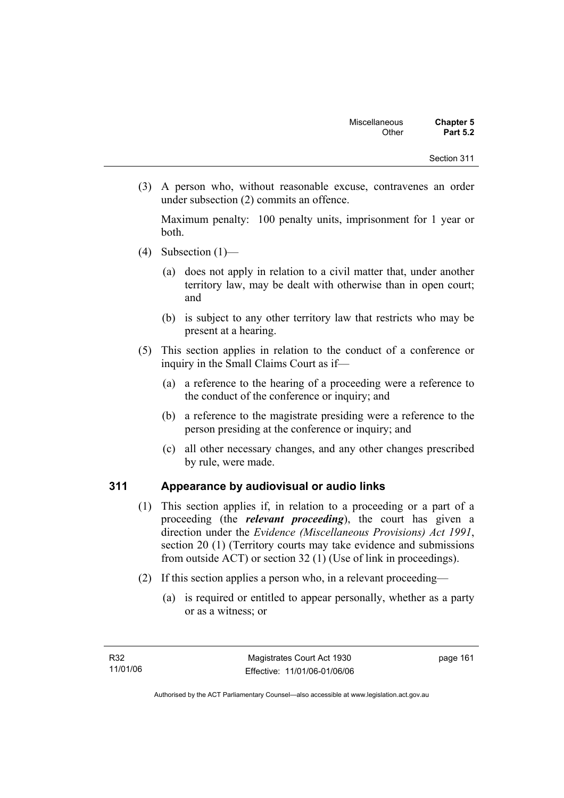(3) A person who, without reasonable excuse, contravenes an order under subsection (2) commits an offence.

Maximum penalty: 100 penalty units, imprisonment for 1 year or both.

- (4) Subsection  $(1)$ 
	- (a) does not apply in relation to a civil matter that, under another territory law, may be dealt with otherwise than in open court; and
	- (b) is subject to any other territory law that restricts who may be present at a hearing.
- (5) This section applies in relation to the conduct of a conference or inquiry in the Small Claims Court as if—
	- (a) a reference to the hearing of a proceeding were a reference to the conduct of the conference or inquiry; and
	- (b) a reference to the magistrate presiding were a reference to the person presiding at the conference or inquiry; and
	- (c) all other necessary changes, and any other changes prescribed by rule, were made.

## **311 Appearance by audiovisual or audio links**

- (1) This section applies if, in relation to a proceeding or a part of a proceeding (the *relevant proceeding*), the court has given a direction under the *Evidence (Miscellaneous Provisions) Act 1991*, section 20 (1) (Territory courts may take evidence and submissions from outside ACT) or section 32 (1) (Use of link in proceedings).
- (2) If this section applies a person who, in a relevant proceeding—
	- (a) is required or entitled to appear personally, whether as a party or as a witness; or

page 161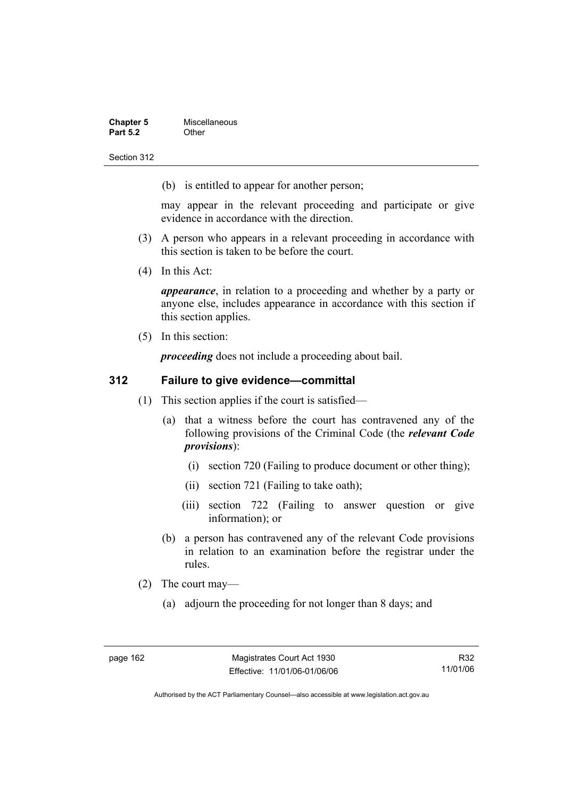| <b>Chapter 5</b> | Miscellaneous |
|------------------|---------------|
| <b>Part 5.2</b>  | Other         |

(b) is entitled to appear for another person;

may appear in the relevant proceeding and participate or give evidence in accordance with the direction.

- (3) A person who appears in a relevant proceeding in accordance with this section is taken to be before the court.
- (4) In this Act:

*appearance*, in relation to a proceeding and whether by a party or anyone else, includes appearance in accordance with this section if this section applies.

(5) In this section:

*proceeding* does not include a proceeding about bail.

## **312 Failure to give evidence—committal**

- (1) This section applies if the court is satisfied—
	- (a) that a witness before the court has contravened any of the following provisions of the Criminal Code (the *relevant Code provisions*):
		- (i) section 720 (Failing to produce document or other thing);
		- (ii) section 721 (Failing to take oath);
		- (iii) section 722 (Failing to answer question or give information); or
	- (b) a person has contravened any of the relevant Code provisions in relation to an examination before the registrar under the rules.
- (2) The court may—
	- (a) adjourn the proceeding for not longer than 8 days; and

R32 11/01/06

Authorised by the ACT Parliamentary Counsel—also accessible at www.legislation.act.gov.au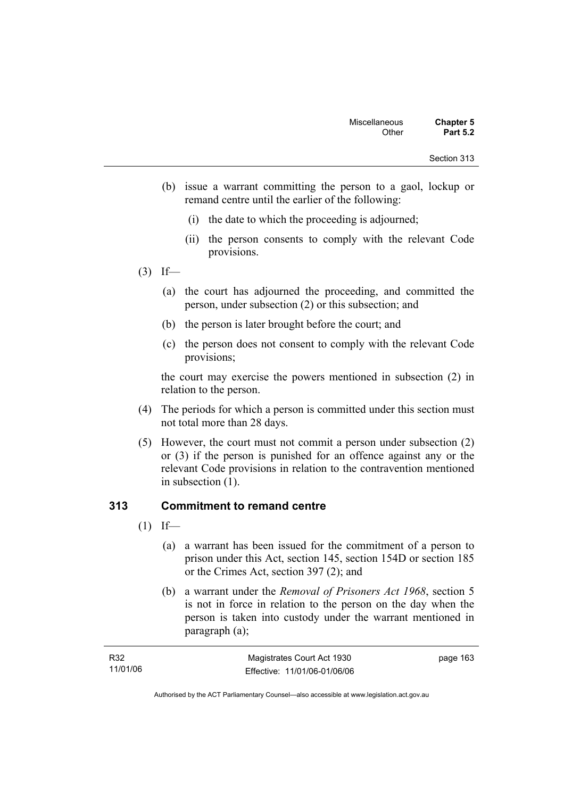- (b) issue a warrant committing the person to a gaol, lockup or remand centre until the earlier of the following:
	- (i) the date to which the proceeding is adjourned;
	- (ii) the person consents to comply with the relevant Code provisions.
- $(3)$  If—
	- (a) the court has adjourned the proceeding, and committed the person, under subsection (2) or this subsection; and
	- (b) the person is later brought before the court; and
	- (c) the person does not consent to comply with the relevant Code provisions;

the court may exercise the powers mentioned in subsection (2) in relation to the person.

- (4) The periods for which a person is committed under this section must not total more than 28 days.
- (5) However, the court must not commit a person under subsection (2) or (3) if the person is punished for an offence against any or the relevant Code provisions in relation to the contravention mentioned in subsection (1).

## **313 Commitment to remand centre**

- $(1)$  If—
	- (a) a warrant has been issued for the commitment of a person to prison under this Act, section 145, section 154D or section 185 or the Crimes Act, section 397 (2); and
	- (b) a warrant under the *Removal of Prisoners Act 1968*, section 5 is not in force in relation to the person on the day when the person is taken into custody under the warrant mentioned in paragraph (a);

| R32      | Magistrates Court Act 1930   | page 163 |
|----------|------------------------------|----------|
| 11/01/06 | Effective: 11/01/06-01/06/06 |          |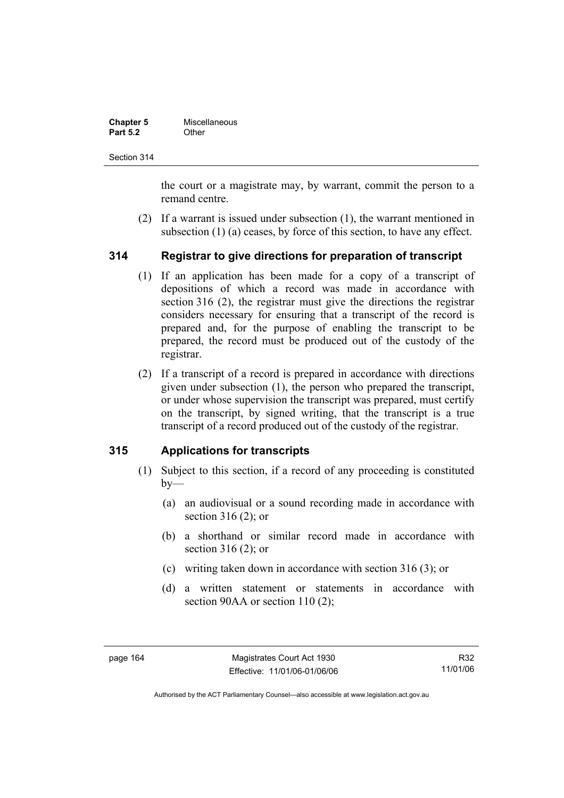| <b>Chapter 5</b> | Miscellaneous |
|------------------|---------------|
| <b>Part 5.2</b>  | Other         |

the court or a magistrate may, by warrant, commit the person to a remand centre.

 (2) If a warrant is issued under subsection (1), the warrant mentioned in subsection (1) (a) ceases, by force of this section, to have any effect.

### **314 Registrar to give directions for preparation of transcript**

- (1) If an application has been made for a copy of a transcript of depositions of which a record was made in accordance with section 316 (2), the registrar must give the directions the registrar considers necessary for ensuring that a transcript of the record is prepared and, for the purpose of enabling the transcript to be prepared, the record must be produced out of the custody of the registrar.
- (2) If a transcript of a record is prepared in accordance with directions given under subsection (1), the person who prepared the transcript, or under whose supervision the transcript was prepared, must certify on the transcript, by signed writing, that the transcript is a true transcript of a record produced out of the custody of the registrar.

### **315 Applications for transcripts**

- (1) Subject to this section, if a record of any proceeding is constituted  $bv$ —
	- (a) an audiovisual or a sound recording made in accordance with section 316 (2); or
	- (b) a shorthand or similar record made in accordance with section 316 (2); or
	- (c) writing taken down in accordance with section 316 (3); or
	- (d) a written statement or statements in accordance with section 90AA or section 110 (2);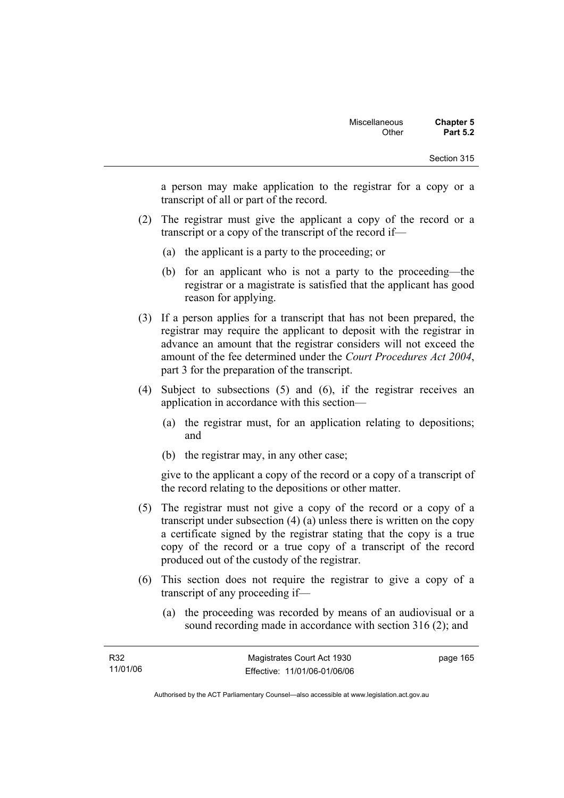a person may make application to the registrar for a copy or a transcript of all or part of the record.

- (2) The registrar must give the applicant a copy of the record or a transcript or a copy of the transcript of the record if—
	- (a) the applicant is a party to the proceeding; or
	- (b) for an applicant who is not a party to the proceeding—the registrar or a magistrate is satisfied that the applicant has good reason for applying.
- (3) If a person applies for a transcript that has not been prepared, the registrar may require the applicant to deposit with the registrar in advance an amount that the registrar considers will not exceed the amount of the fee determined under the *Court Procedures Act 2004*, part 3 for the preparation of the transcript.
- (4) Subject to subsections (5) and (6), if the registrar receives an application in accordance with this section—
	- (a) the registrar must, for an application relating to depositions; and
	- (b) the registrar may, in any other case;

give to the applicant a copy of the record or a copy of a transcript of the record relating to the depositions or other matter.

- (5) The registrar must not give a copy of the record or a copy of a transcript under subsection (4) (a) unless there is written on the copy a certificate signed by the registrar stating that the copy is a true copy of the record or a true copy of a transcript of the record produced out of the custody of the registrar.
- (6) This section does not require the registrar to give a copy of a transcript of any proceeding if—
	- (a) the proceeding was recorded by means of an audiovisual or a sound recording made in accordance with section 316 (2); and

| R32      | Magistrates Court Act 1930   | page 165 |
|----------|------------------------------|----------|
| 11/01/06 | Effective: 11/01/06-01/06/06 |          |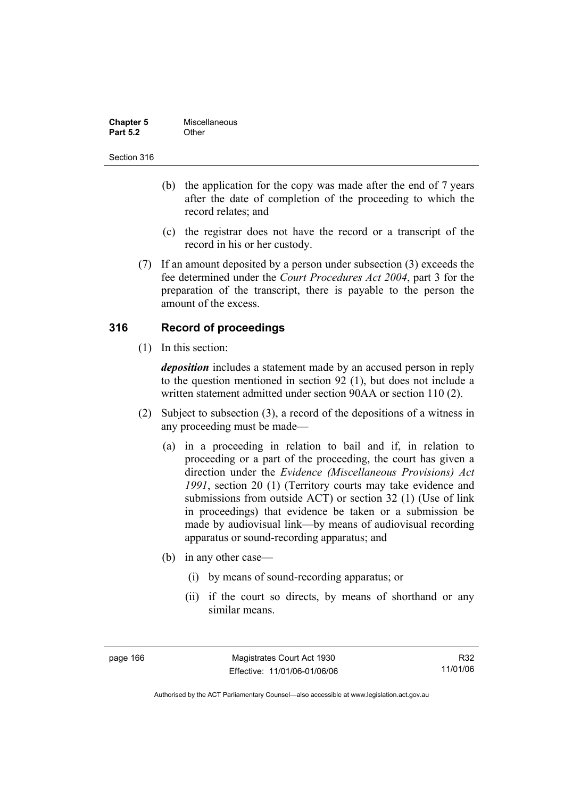| <b>Chapter 5</b> | Miscellaneous |
|------------------|---------------|
| <b>Part 5.2</b>  | Other         |

- (b) the application for the copy was made after the end of 7 years after the date of completion of the proceeding to which the record relates; and
- (c) the registrar does not have the record or a transcript of the record in his or her custody.
- (7) If an amount deposited by a person under subsection (3) exceeds the fee determined under the *Court Procedures Act 2004*, part 3 for the preparation of the transcript, there is payable to the person the amount of the excess.

### **316 Record of proceedings**

(1) In this section:

*deposition* includes a statement made by an accused person in reply to the question mentioned in section 92 (1), but does not include a written statement admitted under section 90AA or section 110 (2).

- (2) Subject to subsection (3), a record of the depositions of a witness in any proceeding must be made—
	- (a) in a proceeding in relation to bail and if, in relation to proceeding or a part of the proceeding, the court has given a direction under the *Evidence (Miscellaneous Provisions) Act 1991*, section 20 (1) (Territory courts may take evidence and submissions from outside ACT) or section 32 (1) (Use of link in proceedings) that evidence be taken or a submission be made by audiovisual link—by means of audiovisual recording apparatus or sound-recording apparatus; and
	- (b) in any other case—
		- (i) by means of sound-recording apparatus; or
		- (ii) if the court so directs, by means of shorthand or any similar means.

page 166 Magistrates Court Act 1930 Effective: 11/01/06-01/06/06

R32 11/01/06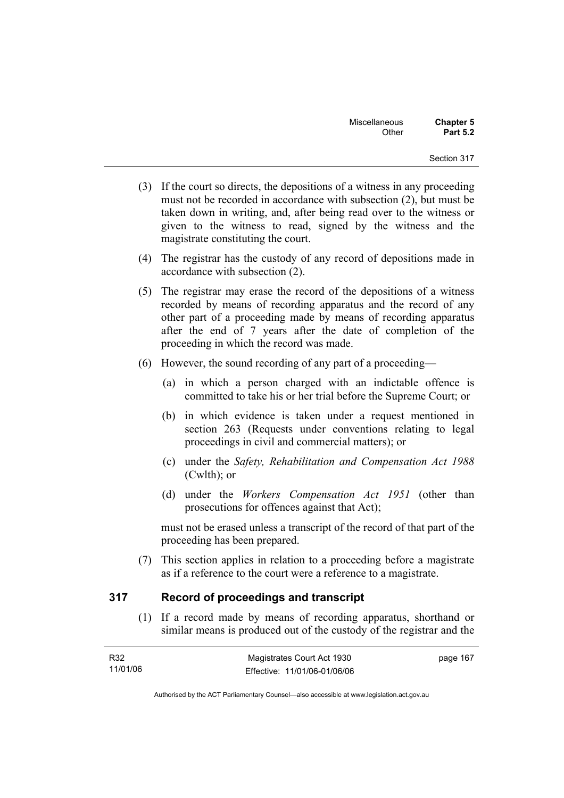- (3) If the court so directs, the depositions of a witness in any proceeding must not be recorded in accordance with subsection (2), but must be taken down in writing, and, after being read over to the witness or given to the witness to read, signed by the witness and the magistrate constituting the court.
- (4) The registrar has the custody of any record of depositions made in accordance with subsection (2).
- (5) The registrar may erase the record of the depositions of a witness recorded by means of recording apparatus and the record of any other part of a proceeding made by means of recording apparatus after the end of 7 years after the date of completion of the proceeding in which the record was made.
- (6) However, the sound recording of any part of a proceeding—
	- (a) in which a person charged with an indictable offence is committed to take his or her trial before the Supreme Court; or
	- (b) in which evidence is taken under a request mentioned in section 263 (Requests under conventions relating to legal proceedings in civil and commercial matters); or
	- (c) under the *Safety, Rehabilitation and Compensation Act 1988* (Cwlth); or
	- (d) under the *Workers Compensation Act 1951* (other than prosecutions for offences against that Act);

must not be erased unless a transcript of the record of that part of the proceeding has been prepared.

 (7) This section applies in relation to a proceeding before a magistrate as if a reference to the court were a reference to a magistrate.

### **317 Record of proceedings and transcript**

 (1) If a record made by means of recording apparatus, shorthand or similar means is produced out of the custody of the registrar and the

| R32      | Magistrates Court Act 1930   | page 167 |
|----------|------------------------------|----------|
| 11/01/06 | Effective: 11/01/06-01/06/06 |          |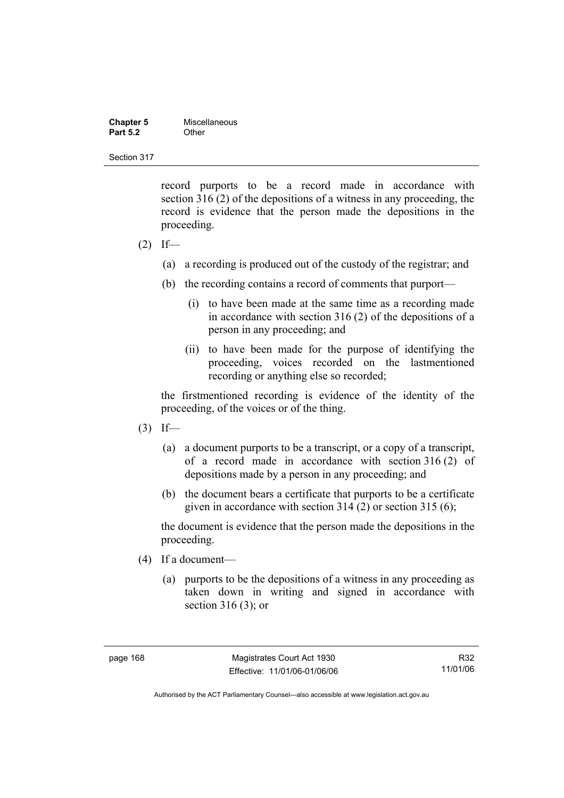| <b>Chapter 5</b> | Miscellaneous |
|------------------|---------------|
| <b>Part 5.2</b>  | Other         |

record purports to be a record made in accordance with section 316 (2) of the depositions of a witness in any proceeding, the record is evidence that the person made the depositions in the proceeding.

- $(2)$  If—
	- (a) a recording is produced out of the custody of the registrar; and
	- (b) the recording contains a record of comments that purport—
		- (i) to have been made at the same time as a recording made in accordance with section 316 (2) of the depositions of a person in any proceeding; and
		- (ii) to have been made for the purpose of identifying the proceeding, voices recorded on the lastmentioned recording or anything else so recorded;

the firstmentioned recording is evidence of the identity of the proceeding, of the voices or of the thing.

- $(3)$  If—
	- (a) a document purports to be a transcript, or a copy of a transcript, of a record made in accordance with section 316 (2) of depositions made by a person in any proceeding; and
	- (b) the document bears a certificate that purports to be a certificate given in accordance with section 314 (2) or section 315 (6);

the document is evidence that the person made the depositions in the proceeding.

- (4) If a document—
	- (a) purports to be the depositions of a witness in any proceeding as taken down in writing and signed in accordance with section 316 (3); or

R32 11/01/06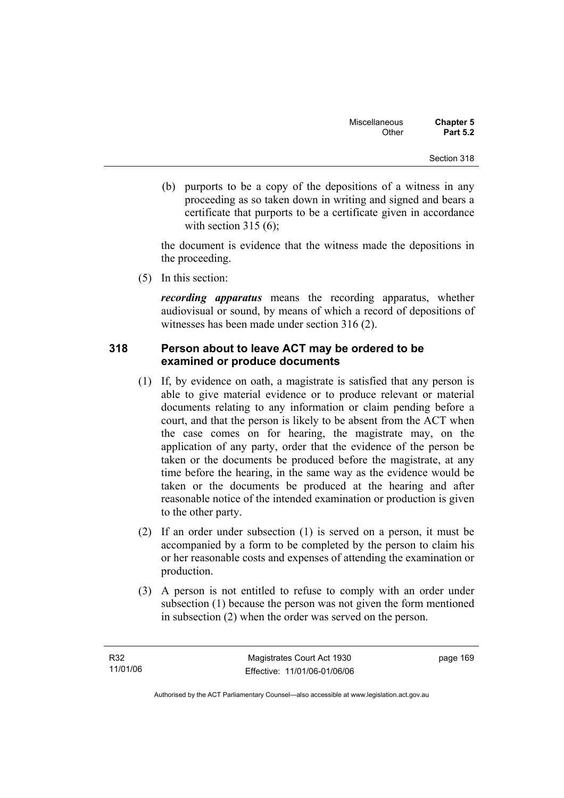(b) purports to be a copy of the depositions of a witness in any proceeding as so taken down in writing and signed and bears a certificate that purports to be a certificate given in accordance with section  $315(6)$ :

the document is evidence that the witness made the depositions in the proceeding.

(5) In this section:

*recording apparatus* means the recording apparatus, whether audiovisual or sound, by means of which a record of depositions of witnesses has been made under section 316 (2).

### **318 Person about to leave ACT may be ordered to be examined or produce documents**

- (1) If, by evidence on oath, a magistrate is satisfied that any person is able to give material evidence or to produce relevant or material documents relating to any information or claim pending before a court, and that the person is likely to be absent from the ACT when the case comes on for hearing, the magistrate may, on the application of any party, order that the evidence of the person be taken or the documents be produced before the magistrate, at any time before the hearing, in the same way as the evidence would be taken or the documents be produced at the hearing and after reasonable notice of the intended examination or production is given to the other party.
- (2) If an order under subsection (1) is served on a person, it must be accompanied by a form to be completed by the person to claim his or her reasonable costs and expenses of attending the examination or production.
- (3) A person is not entitled to refuse to comply with an order under subsection (1) because the person was not given the form mentioned in subsection (2) when the order was served on the person.

page 169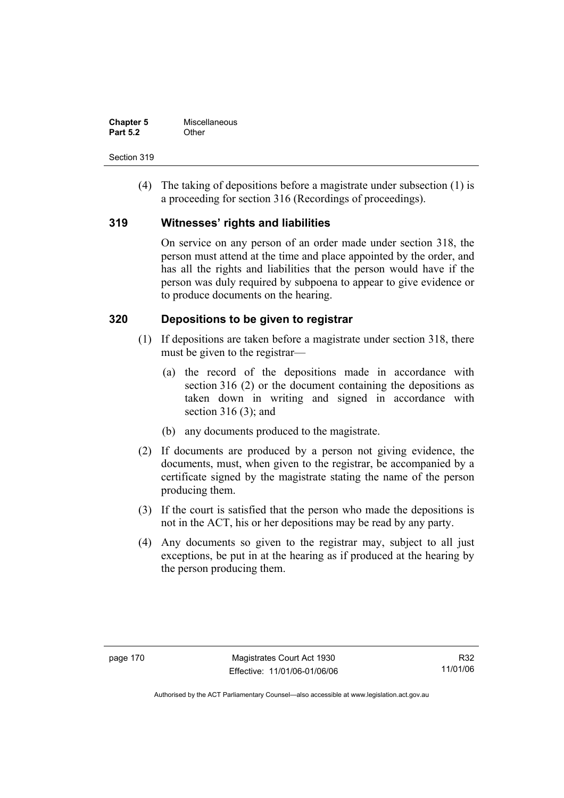| <b>Chapter 5</b> | Miscellaneous |
|------------------|---------------|
| <b>Part 5.2</b>  | Other         |

 (4) The taking of depositions before a magistrate under subsection (1) is a proceeding for section 316 (Recordings of proceedings).

### **319 Witnesses' rights and liabilities**

On service on any person of an order made under section 318, the person must attend at the time and place appointed by the order, and has all the rights and liabilities that the person would have if the person was duly required by subpoena to appear to give evidence or to produce documents on the hearing.

### **320 Depositions to be given to registrar**

- (1) If depositions are taken before a magistrate under section 318, there must be given to the registrar—
	- (a) the record of the depositions made in accordance with section 316 (2) or the document containing the depositions as taken down in writing and signed in accordance with section 316 (3); and
	- (b) any documents produced to the magistrate.
- (2) If documents are produced by a person not giving evidence, the documents, must, when given to the registrar, be accompanied by a certificate signed by the magistrate stating the name of the person producing them.
- (3) If the court is satisfied that the person who made the depositions is not in the ACT, his or her depositions may be read by any party.
- (4) Any documents so given to the registrar may, subject to all just exceptions, be put in at the hearing as if produced at the hearing by the person producing them.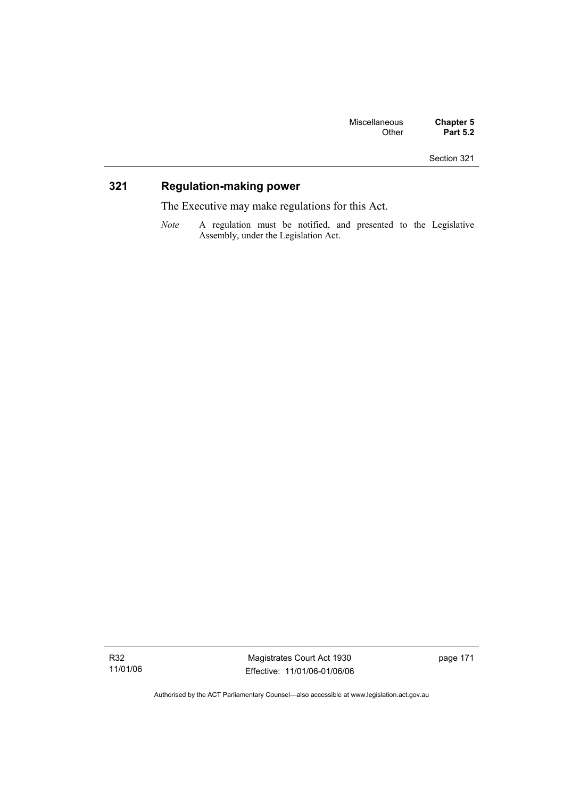## **321 Regulation-making power**

The Executive may make regulations for this Act.

*Note* A regulation must be notified, and presented to the Legislative Assembly, under the Legislation Act.

R32 11/01/06

Magistrates Court Act 1930 Effective: 11/01/06-01/06/06 page 171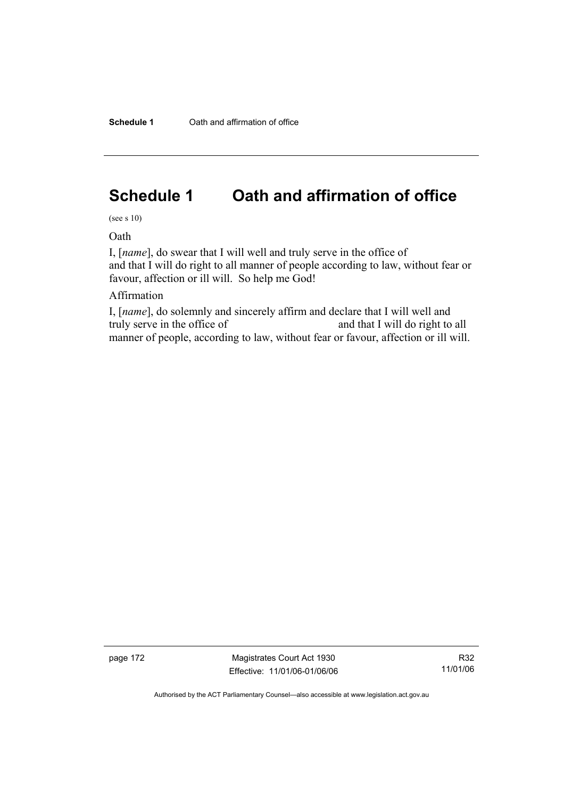# **Schedule 1 Oath and affirmation of office**

(see s 10)

Oath

I, [*name*], do swear that I will well and truly serve in the office of and that I will do right to all manner of people according to law, without fear or favour, affection or ill will. So help me God!

### Affirmation

I, [*name*], do solemnly and sincerely affirm and declare that I will well and truly serve in the office of and that I will do right to all manner of people, according to law, without fear or favour, affection or ill will.

page 172 Magistrates Court Act 1930 Effective: 11/01/06-01/06/06

R32 11/01/06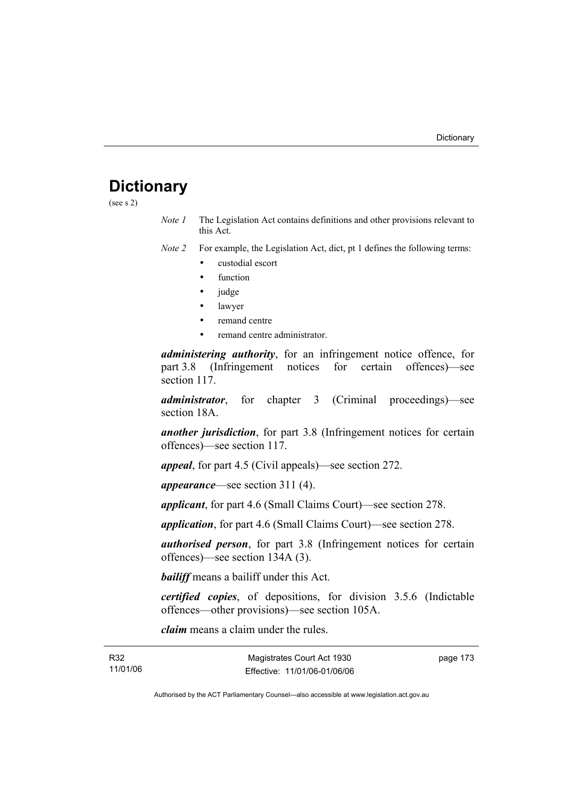## **Dictionary**

(see s 2)

*Note 1* The Legislation Act contains definitions and other provisions relevant to this Act.

*Note 2* For example, the Legislation Act, dict, pt 1 defines the following terms:

- custodial escort
- function
- judge
- lawyer
- remand centre
- remand centre administrator.

*administering authority*, for an infringement notice offence, for part 3.8 (Infringement notices for certain offences)—see section 117.

*administrator*, for chapter 3 (Criminal proceedings)—see section 18A.

*another jurisdiction*, for part 3.8 (Infringement notices for certain offences)—see section 117.

*appeal*, for part 4.5 (Civil appeals)—see section 272.

*appearance*—see section 311 (4).

*applicant*, for part 4.6 (Small Claims Court)—see section 278.

*application*, for part 4.6 (Small Claims Court)—see section 278.

*authorised person*, for part 3.8 (Infringement notices for certain offences)—see section 134A (3).

*bailiff* means a bailiff under this Act.

*certified copies*, of depositions, for division 3.5.6 (Indictable offences—other provisions)—see section 105A.

*claim* means a claim under the rules.

| R32      |  |
|----------|--|
| 11/01/06 |  |

 $B32$ 

page 173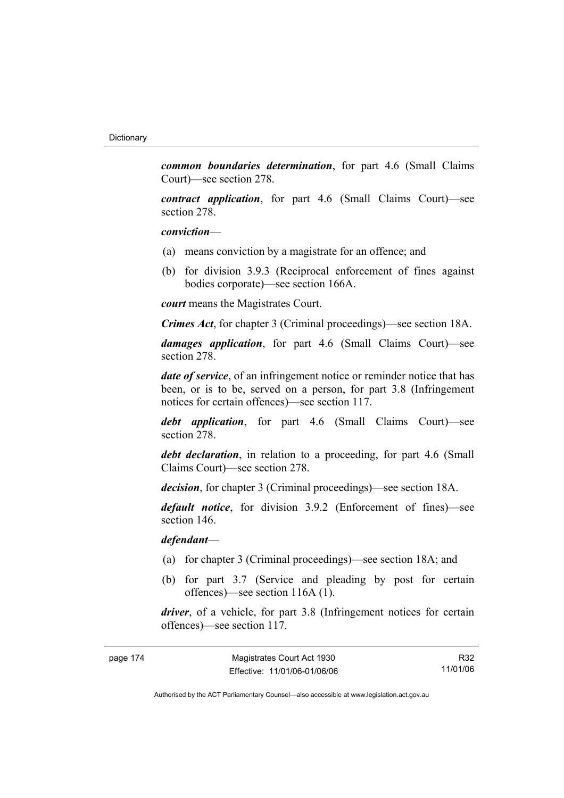*common boundaries determination*, for part 4.6 (Small Claims Court)—see section 278.

*contract application*, for part 4.6 (Small Claims Court)—see section 278.

#### *conviction*—

- (a) means conviction by a magistrate for an offence; and
- (b) for division 3.9.3 (Reciprocal enforcement of fines against bodies corporate)—see section 166A.

*court* means the Magistrates Court.

*Crimes Act*, for chapter 3 (Criminal proceedings)—see section 18A.

*damages application*, for part 4.6 (Small Claims Court)—see section 278.

*date of service*, of an infringement notice or reminder notice that has been, or is to be, served on a person, for part 3.8 (Infringement notices for certain offences)—see section 117.

*debt application*, for part 4.6 (Small Claims Court)—see section 278.

*debt declaration*, in relation to a proceeding, for part 4.6 (Small Claims Court)—see section 278.

*decision*, for chapter 3 (Criminal proceedings)—see section 18A.

*default notice*, for division 3.9.2 (Enforcement of fines)—see section 146.

*defendant*—

- (a) for chapter 3 (Criminal proceedings)—see section 18A; and
- (b) for part 3.7 (Service and pleading by post for certain offences)—see section 116A (1).

*driver*, of a vehicle, for part 3.8 (Infringement notices for certain offences)—see section 117.

| page 174 | Magistrates Court Act 1930   | R32      |
|----------|------------------------------|----------|
|          | Effective: 11/01/06-01/06/06 | 11/01/06 |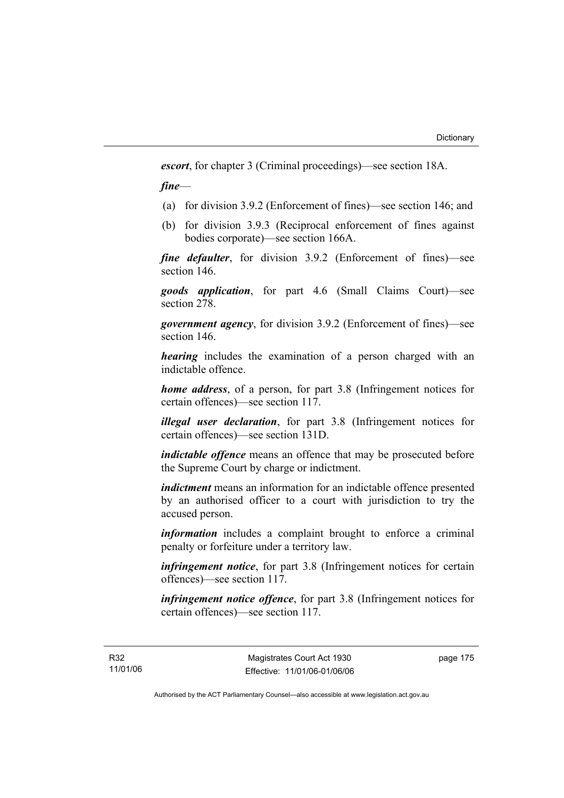*escort*, for chapter 3 (Criminal proceedings)—see section 18A.

*fine*—

- (a) for division 3.9.2 (Enforcement of fines)—see section 146; and
- (b) for division 3.9.3 (Reciprocal enforcement of fines against bodies corporate)—see section 166A.

*fine defaulter*, for division 3.9.2 (Enforcement of fines)—see section 146.

*goods application*, for part 4.6 (Small Claims Court)—see section 278.

*government agency*, for division 3.9.2 (Enforcement of fines)—see section 146.

*hearing* includes the examination of a person charged with an indictable offence.

*home address*, of a person, for part 3.8 (Infringement notices for certain offences)—see section 117.

*illegal user declaration*, for part 3.8 (Infringement notices for certain offences)—see section 131D.

*indictable offence* means an offence that may be prosecuted before the Supreme Court by charge or indictment.

*indictment* means an information for an indictable offence presented by an authorised officer to a court with jurisdiction to try the accused person.

*information* includes a complaint brought to enforce a criminal penalty or forfeiture under a territory law.

*infringement notice*, for part 3.8 (Infringement notices for certain offences)—see section 117.

*infringement notice offence*, for part 3.8 (Infringement notices for certain offences)—see section 117.

page 175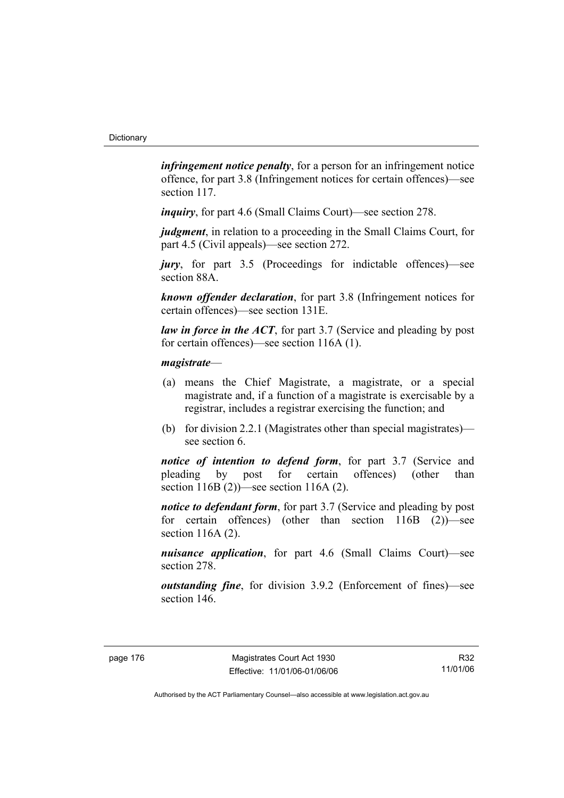*infringement notice penalty*, for a person for an infringement notice offence, for part 3.8 (Infringement notices for certain offences)—see section 117.

*inquiry*, for part 4.6 (Small Claims Court)—see section 278.

*judgment*, in relation to a proceeding in the Small Claims Court, for part 4.5 (Civil appeals)—see section 272.

*jury*, for part 3.5 (Proceedings for indictable offences)—see section 88A.

*known offender declaration*, for part 3.8 (Infringement notices for certain offences)—see section 131E.

*law in force in the ACT*, for part 3.7 (Service and pleading by post) for certain offences)—see section 116A (1).

### *magistrate*—

- (a) means the Chief Magistrate, a magistrate, or a special magistrate and, if a function of a magistrate is exercisable by a registrar, includes a registrar exercising the function; and
- (b) for division 2.2.1 (Magistrates other than special magistrates) see section 6.

*notice of intention to defend form*, for part 3.7 (Service and pleading by post for certain offences) (other than section 116B (2))—see section 116A (2).

*notice to defendant form*, for part 3.7 (Service and pleading by post for certain offences) (other than section 116B (2))—see section 116A (2).

*nuisance application*, for part 4.6 (Small Claims Court)—see section 278.

*outstanding fine*, for division 3.9.2 (Enforcement of fines)—see section 146.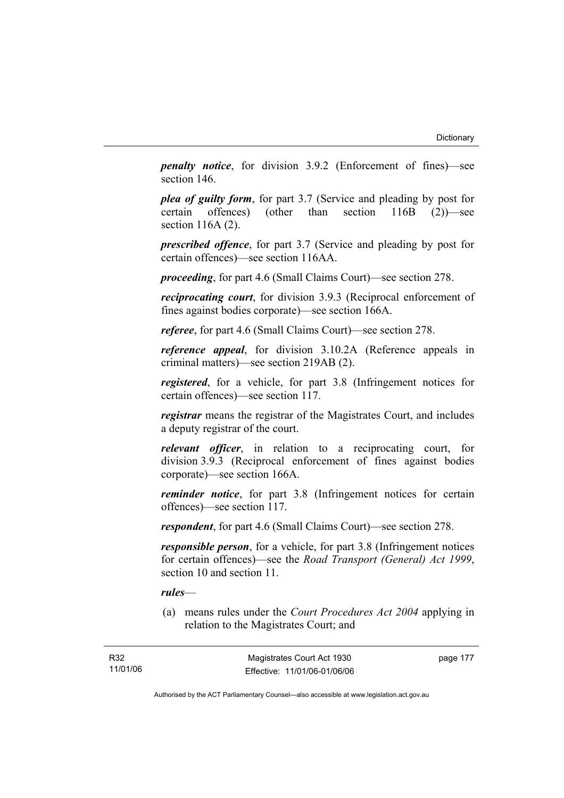*penalty notice*, for division 3.9.2 (Enforcement of fines)—see section 146.

*plea of guilty form*, for part 3.7 (Service and pleading by post for certain offences) (other than section 116B (2))—see section 116A (2).

*prescribed offence*, for part 3.7 (Service and pleading by post for certain offences)—see section 116AA.

*proceeding*, for part 4.6 (Small Claims Court)—see section 278.

*reciprocating court*, for division 3.9.3 (Reciprocal enforcement of fines against bodies corporate)—see section 166A.

*referee*, for part 4.6 (Small Claims Court)—see section 278.

*reference appeal*, for division 3.10.2A (Reference appeals in criminal matters)—see section 219AB (2).

*registered*, for a vehicle, for part 3.8 (Infringement notices for certain offences)—see section 117.

*registrar* means the registrar of the Magistrates Court, and includes a deputy registrar of the court.

*relevant officer*, in relation to a reciprocating court, for division 3.9.3 (Reciprocal enforcement of fines against bodies corporate)—see section 166A.

*reminder notice*, for part 3.8 (Infringement notices for certain offences)—see section 117.

*respondent*, for part 4.6 (Small Claims Court)—see section 278.

*responsible person*, for a vehicle, for part 3.8 (Infringement notices for certain offences)—see the *Road Transport (General) Act 1999*, section 10 and section 11.

#### *rules*—

 (a) means rules under the *Court Procedures Act 2004* applying in relation to the Magistrates Court; and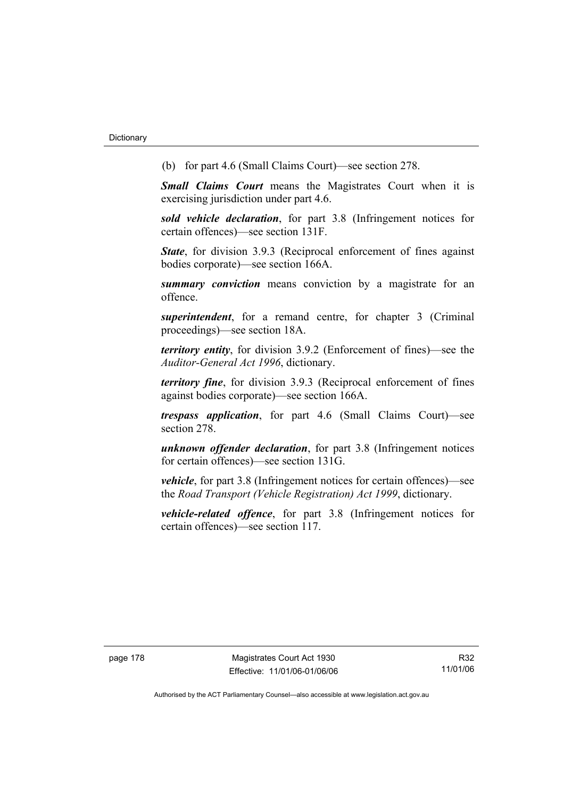(b) for part 4.6 (Small Claims Court)—see section 278.

*Small Claims Court* means the Magistrates Court when it is exercising jurisdiction under part 4.6.

*sold vehicle declaration*, for part 3.8 (Infringement notices for certain offences)—see section 131F.

*State*, for division 3.9.3 (Reciprocal enforcement of fines against bodies corporate)—see section 166A.

*summary conviction* means conviction by a magistrate for an offence.

*superintendent*, for a remand centre, for chapter 3 (Criminal proceedings)—see section 18A.

*territory entity*, for division 3.9.2 (Enforcement of fines)—see the *Auditor-General Act 1996*, dictionary.

*territory fine*, for division 3.9.3 (Reciprocal enforcement of fines against bodies corporate)—see section 166A.

*trespass application*, for part 4.6 (Small Claims Court)—see section 278.

*unknown offender declaration*, for part 3.8 (Infringement notices for certain offences)—see section 131G.

*vehicle*, for part 3.8 (Infringement notices for certain offences)—see the *Road Transport (Vehicle Registration) Act 1999*, dictionary.

*vehicle-related offence*, for part 3.8 (Infringement notices for certain offences)—see section 117.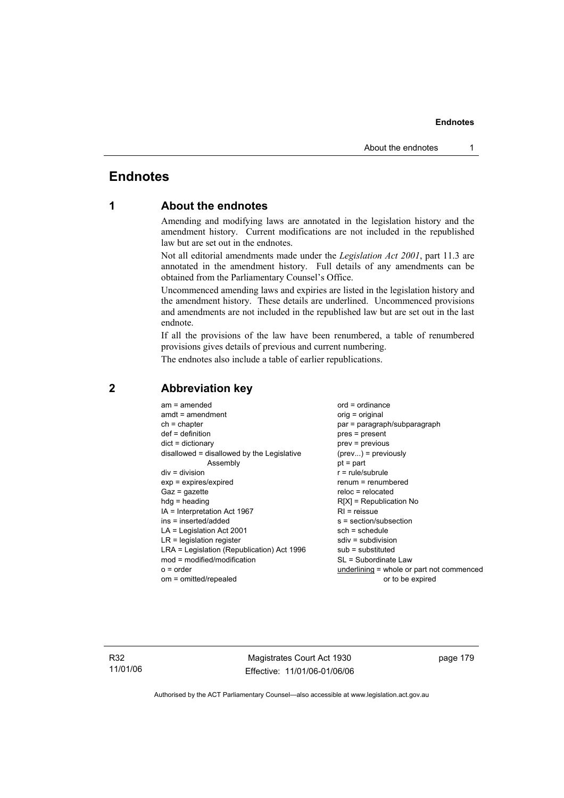## **Endnotes**

### **1 About the endnotes**

Amending and modifying laws are annotated in the legislation history and the amendment history. Current modifications are not included in the republished law but are set out in the endnotes.

Not all editorial amendments made under the *Legislation Act 2001*, part 11.3 are annotated in the amendment history. Full details of any amendments can be obtained from the Parliamentary Counsel's Office.

Uncommenced amending laws and expiries are listed in the legislation history and the amendment history. These details are underlined. Uncommenced provisions and amendments are not included in the republished law but are set out in the last endnote.

If all the provisions of the law have been renumbered, a table of renumbered provisions gives details of previous and current numbering.

The endnotes also include a table of earlier republications.

| $am = amended$<br>$amdt = amendment$<br>$ch = chapter$<br>$def = definition$<br>$dict = dictionary$<br>disallowed = disallowed by the Legislative<br>Assembly<br>$div = division$<br>$exp = expires/expired$<br>$Gaz = gazette$<br>$hda =$ heading<br>$IA = Interpretation Act 1967$<br>ins = inserted/added<br>$LA =$ Legislation Act 2001<br>$LR =$ legislation register<br>LRA = Legislation (Republication) Act 1996<br>$mod = modified/modification$ | $ord = ordinance$<br>orig = original<br>par = paragraph/subparagraph<br>$pres = present$<br>$prev = previous$<br>$(\text{prev}) = \text{previously}$<br>$pt = part$<br>$r = rule/subrule$<br>renum = renumbered<br>$reloc = relocated$<br>$R[X]$ = Republication No<br>$RI = reissue$<br>s = section/subsection<br>$sch = schedule$<br>$sdiv = subdivision$<br>$sub =$ substituted<br>SL = Subordinate Law |
|-----------------------------------------------------------------------------------------------------------------------------------------------------------------------------------------------------------------------------------------------------------------------------------------------------------------------------------------------------------------------------------------------------------------------------------------------------------|------------------------------------------------------------------------------------------------------------------------------------------------------------------------------------------------------------------------------------------------------------------------------------------------------------------------------------------------------------------------------------------------------------|
| $o = order$                                                                                                                                                                                                                                                                                                                                                                                                                                               | underlining = whole or part not commenced                                                                                                                                                                                                                                                                                                                                                                  |
| om = omitted/repealed                                                                                                                                                                                                                                                                                                                                                                                                                                     | or to be expired                                                                                                                                                                                                                                                                                                                                                                                           |

### **2 Abbreviation key**

R32 11/01/06

Magistrates Court Act 1930 Effective: 11/01/06-01/06/06 page 179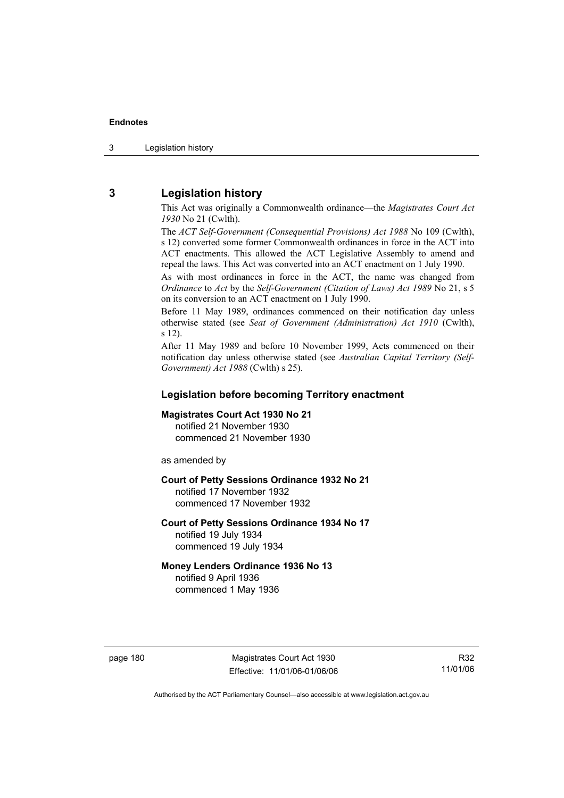3 Legislation history

### **3 Legislation history**

This Act was originally a Commonwealth ordinance—the *Magistrates Court Act 1930* No 21 (Cwlth).

The *ACT Self-Government (Consequential Provisions) Act 1988* No 109 (Cwlth), s 12) converted some former Commonwealth ordinances in force in the ACT into ACT enactments. This allowed the ACT Legislative Assembly to amend and repeal the laws. This Act was converted into an ACT enactment on 1 July 1990.

As with most ordinances in force in the ACT, the name was changed from *Ordinance* to *Act* by the *Self-Government (Citation of Laws) Act 1989* No 21, s 5 on its conversion to an ACT enactment on 1 July 1990.

Before 11 May 1989, ordinances commenced on their notification day unless otherwise stated (see *Seat of Government (Administration) Act 1910* (Cwlth), s 12).

After 11 May 1989 and before 10 November 1999, Acts commenced on their notification day unless otherwise stated (see *Australian Capital Territory (Self-Government) Act 1988* (Cwlth) s 25).

### **Legislation before becoming Territory enactment**

#### **Magistrates Court Act 1930 No 21**

notified 21 November 1930 commenced 21 November 1930

as amended by

### **Court of Petty Sessions Ordinance 1932 No 21**

notified 17 November 1932 commenced 17 November 1932

#### **Court of Petty Sessions Ordinance 1934 No 17**  notified 19 July 1934

commenced 19 July 1934

### **Money Lenders Ordinance 1936 No 13**

notified 9 April 1936 commenced 1 May 1936

page 180 Magistrates Court Act 1930 Effective: 11/01/06-01/06/06

R32 11/01/06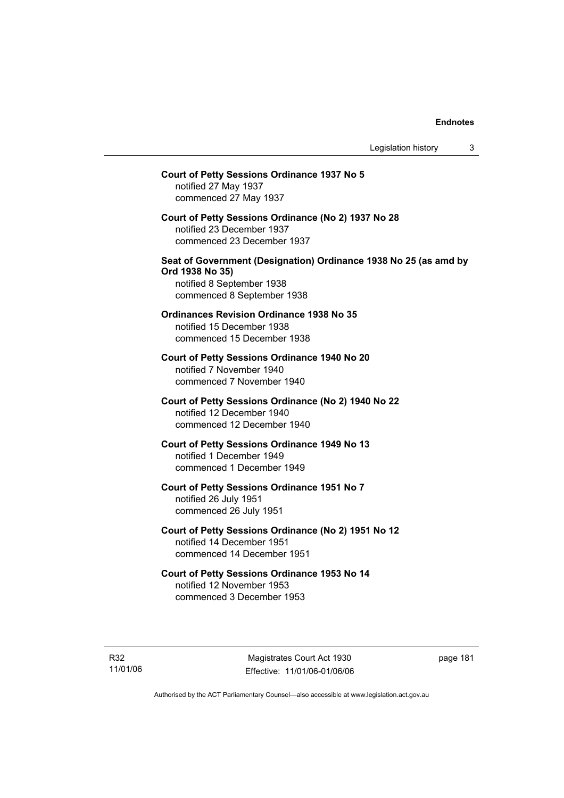## **Court of Petty Sessions Ordinance 1937 No 5**  notified 27 May 1937 commenced 27 May 1937 **Court of Petty Sessions Ordinance (No 2) 1937 No 28**  notified 23 December 1937 commenced 23 December 1937 **Seat of Government (Designation) Ordinance 1938 No 25 (as amd by Ord 1938 No 35)**  notified 8 September 1938 commenced 8 September 1938 **Ordinances Revision Ordinance 1938 No 35**  notified 15 December 1938 commenced 15 December 1938 **Court of Petty Sessions Ordinance 1940 No 20**  notified 7 November 1940 commenced 7 November 1940 **Court of Petty Sessions Ordinance (No 2) 1940 No 22**  notified 12 December 1940 commenced 12 December 1940 **Court of Petty Sessions Ordinance 1949 No 13**  notified 1 December 1949 commenced 1 December 1949 **Court of Petty Sessions Ordinance 1951 No 7**  notified 26 July 1951 commenced 26 July 1951 **Court of Petty Sessions Ordinance (No 2) 1951 No 12**  notified 14 December 1951 commenced 14 December 1951 **Court of Petty Sessions Ordinance 1953 No 14**  notified 12 November 1953 commenced 3 December 1953

page 181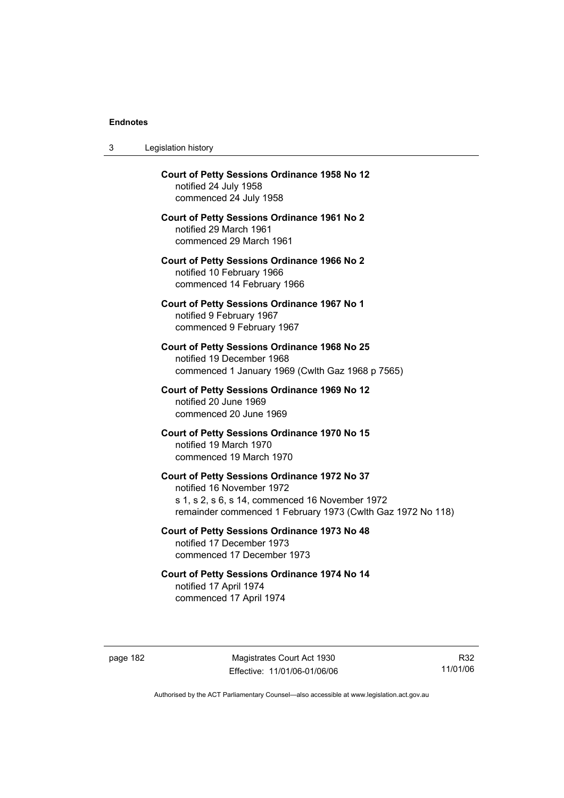$3$ 

| 3        | Legislation history                                                                                                                                                                         |
|----------|---------------------------------------------------------------------------------------------------------------------------------------------------------------------------------------------|
|          | <b>Court of Petty Sessions Ordinance 1958 No 12</b><br>notified 24 July 1958<br>commenced 24 July 1958                                                                                      |
|          | <b>Court of Petty Sessions Ordinance 1961 No 2</b><br>notified 29 March 1961<br>commenced 29 March 1961                                                                                     |
|          | <b>Court of Petty Sessions Ordinance 1966 No 2</b><br>notified 10 February 1966<br>commenced 14 February 1966                                                                               |
|          | <b>Court of Petty Sessions Ordinance 1967 No 1</b><br>notified 9 February 1967<br>commenced 9 February 1967                                                                                 |
|          | <b>Court of Petty Sessions Ordinance 1968 No 25</b><br>notified 19 December 1968<br>commenced 1 January 1969 (Cwith Gaz 1968 p 7565)                                                        |
|          | Court of Petty Sessions Ordinance 1969 No 12<br>notified 20 June 1969<br>commenced 20 June 1969                                                                                             |
|          | Court of Petty Sessions Ordinance 1970 No 15<br>notified 19 March 1970<br>commenced 19 March 1970                                                                                           |
|          | Court of Petty Sessions Ordinance 1972 No 37<br>notified 16 November 1972<br>s 1, s 2, s 6, s 14, commenced 16 November 1972<br>remainder commenced 1 February 1973 (Cwlth Gaz 1972 No 118) |
|          | <b>Court of Petty Sessions Ordinance 1973 No 48</b><br>notified 17 December 1973<br>commenced 17 December 1973                                                                              |
|          | Court of Petty Sessions Ordinance 1974 No 14<br>notified 17 April 1974<br>commenced 17 April 1974                                                                                           |
| page 182 | Magistrates Court Act 1930                                                                                                                                                                  |

R32 11/01/06

Authorised by the ACT Parliamentary Counsel—also accessible at www.legislation.act.gov.au

Effective: 11/01/06-01/06/06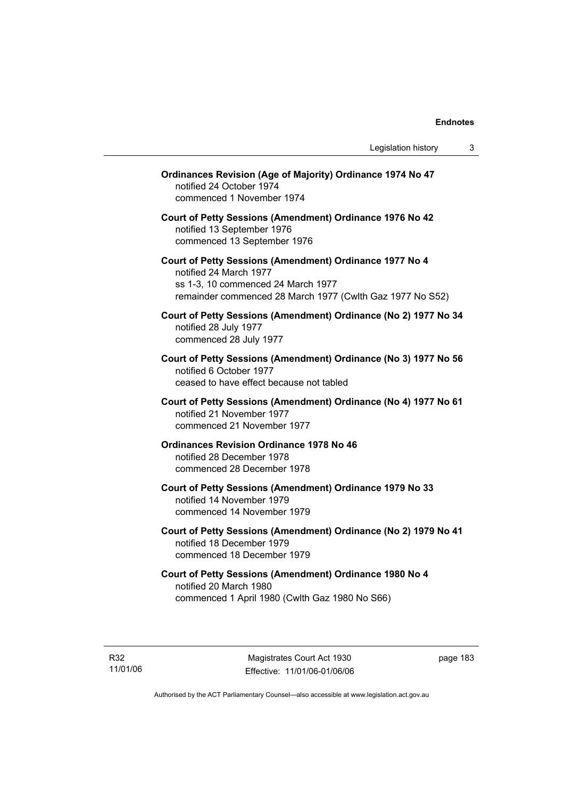| <b>Ordinances Revision (Age of Majority) Ordinance 1974 No 47</b><br>notified 24 October 1974<br>commenced 1 November 1974                                                           |
|--------------------------------------------------------------------------------------------------------------------------------------------------------------------------------------|
| Court of Petty Sessions (Amendment) Ordinance 1976 No 42<br>notified 13 September 1976<br>commenced 13 September 1976                                                                |
| Court of Petty Sessions (Amendment) Ordinance 1977 No 4<br>notified 24 March 1977<br>ss 1-3, 10 commenced 24 March 1977<br>remainder commenced 28 March 1977 (Cwlth Gaz 1977 No S52) |
| Court of Petty Sessions (Amendment) Ordinance (No 2) 1977 No 34<br>notified 28 July 1977<br>commenced 28 July 1977                                                                   |
| Court of Petty Sessions (Amendment) Ordinance (No 3) 1977 No 56<br>notified 6 October 1977<br>ceased to have effect because not tabled                                               |
| Court of Petty Sessions (Amendment) Ordinance (No 4) 1977 No 61<br>notified 21 November 1977<br>commenced 21 November 1977                                                           |
| <b>Ordinances Revision Ordinance 1978 No 46</b><br>notified 28 December 1978<br>commenced 28 December 1978                                                                           |
| Court of Petty Sessions (Amendment) Ordinance 1979 No 33<br>notified 14 November 1979<br>commenced 14 November 1979                                                                  |
| Court of Petty Sessions (Amendment) Ordinance (No 2) 1979 No 41<br>notified 18 December 1979<br>commenced 18 December 1979                                                           |
| Court of Petty Sessions (Amendment) Ordinance 1980 No 4<br>notified 20 March 1980<br>commenced 1 April 1980 (Cwlth Gaz 1980 No S66)                                                  |

R32 11/01/06 page 183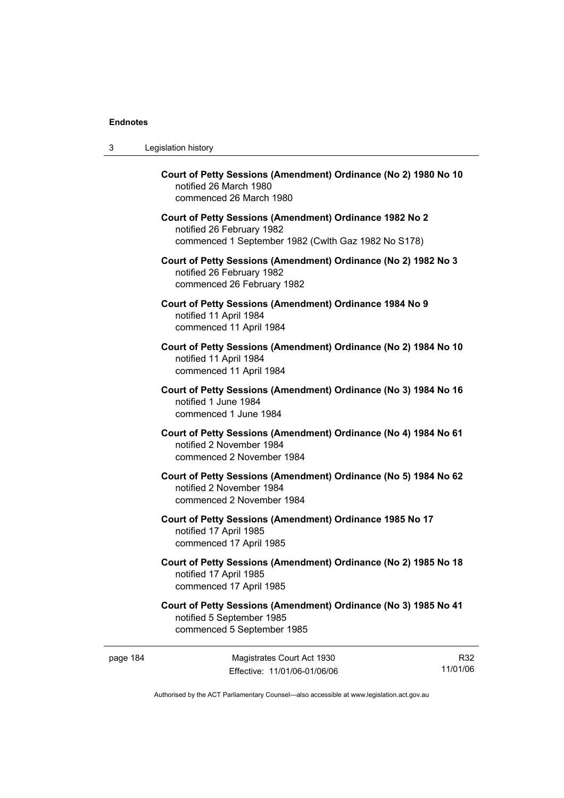| 3 | Legislation history                                                                                                                         |
|---|---------------------------------------------------------------------------------------------------------------------------------------------|
|   | Court of Petty Sessions (Amendment) Ordinance (No 2) 1980 No 10<br>notified 26 March 1980<br>commenced 26 March 1980                        |
|   | Court of Petty Sessions (Amendment) Ordinance 1982 No 2<br>notified 26 February 1982<br>commenced 1 September 1982 (Cwlth Gaz 1982 No S178) |
|   | Court of Petty Sessions (Amendment) Ordinance (No 2) 1982 No 3<br>notified 26 February 1982<br>commenced 26 February 1982                   |
|   | Court of Petty Sessions (Amendment) Ordinance 1984 No 9<br>notified 11 April 1984<br>commenced 11 April 1984                                |
|   | Court of Petty Sessions (Amendment) Ordinance (No 2) 1984 No 10<br>notified 11 April 1984<br>commenced 11 April 1984                        |
|   | Court of Petty Sessions (Amendment) Ordinance (No 3) 1984 No 16<br>notified 1 June 1984<br>commenced 1 June 1984                            |
|   | Court of Petty Sessions (Amendment) Ordinance (No 4) 1984 No 61<br>notified 2 November 1984<br>commenced 2 November 1984                    |
|   | Court of Petty Sessions (Amendment) Ordinance (No 5) 1984 No 62<br>notified 2 November 1984<br>commenced 2 November 1984                    |
|   | Court of Petty Sessions (Amendment) Ordinance 1985 No 17<br>notified 17 April 1985<br>commenced 17 April 1985                               |
|   | Court of Petty Sessions (Amendment) Ordinance (No 2) 1985 No 18<br>notified 17 April 1985<br>commenced 17 April 1985                        |
|   | Court of Petty Sessions (Amendment) Ordinance (No 3) 1985 No 41<br>notified 5 September 1985<br>commenced 5 September 1985                  |

Authorised by the ACT Parliamentary Counsel—also accessible at www.legislation.act.gov.au

R32 11/01/06

Effective: 11/01/06-01/06/06

page 184 Magistrates Court Act 1930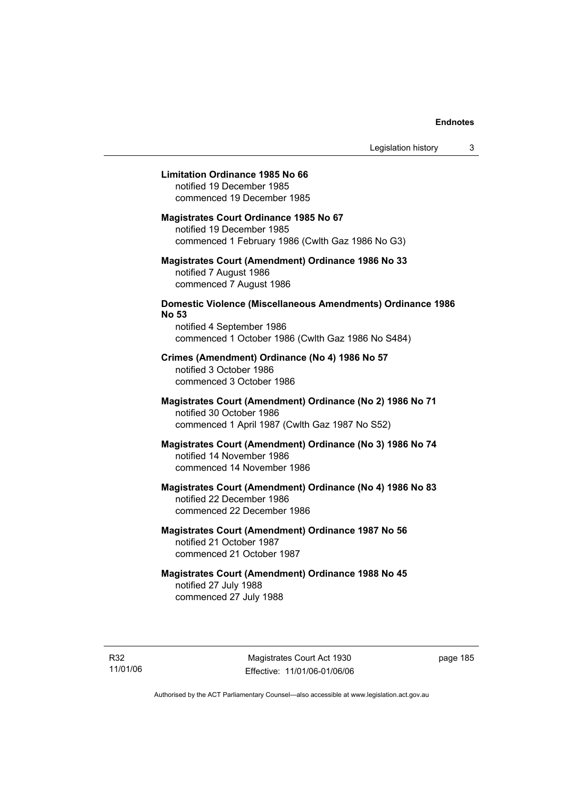### **Limitation Ordinance 1985 No 66**

notified 19 December 1985 commenced 19 December 1985

#### **Magistrates Court Ordinance 1985 No 67**

notified 19 December 1985 commenced 1 February 1986 (Cwlth Gaz 1986 No G3)

### **Magistrates Court (Amendment) Ordinance 1986 No 33**  notified 7 August 1986 commenced 7 August 1986

### **Domestic Violence (Miscellaneous Amendments) Ordinance 1986 No 53**

notified 4 September 1986 commenced 1 October 1986 (Cwlth Gaz 1986 No S484)

### **Crimes (Amendment) Ordinance (No 4) 1986 No 57**  notified 3 October 1986

commenced 3 October 1986

### **Magistrates Court (Amendment) Ordinance (No 2) 1986 No 71**  notified 30 October 1986 commenced 1 April 1987 (Cwlth Gaz 1987 No S52)

#### **Magistrates Court (Amendment) Ordinance (No 3) 1986 No 74**  notified 14 November 1986 commenced 14 November 1986

### **Magistrates Court (Amendment) Ordinance (No 4) 1986 No 83**  notified 22 December 1986 commenced 22 December 1986

### **Magistrates Court (Amendment) Ordinance 1987 No 56**  notified 21 October 1987 commenced 21 October 1987

### **Magistrates Court (Amendment) Ordinance 1988 No 45**  notified 27 July 1988 commenced 27 July 1988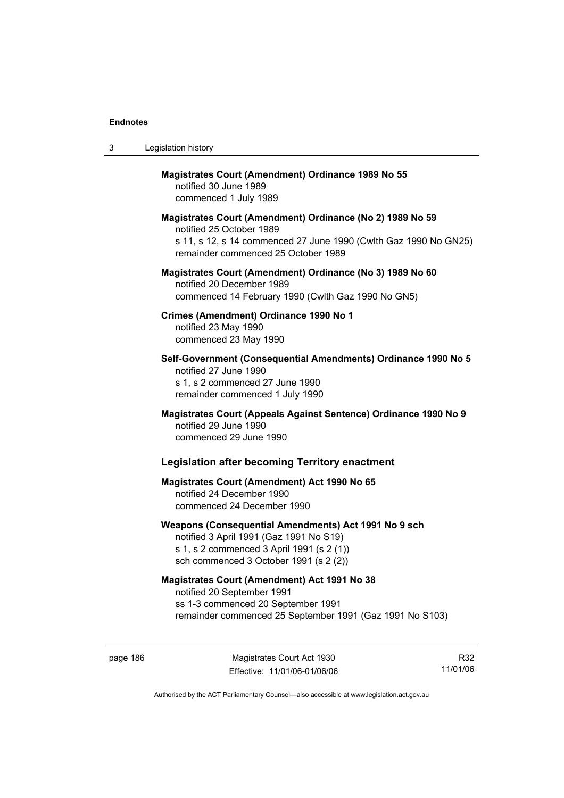| 3 | Legislation history                                                                                                                                                                              |
|---|--------------------------------------------------------------------------------------------------------------------------------------------------------------------------------------------------|
|   | <b>Magistrates Court (Amendment) Ordinance 1989 No 55</b><br>notified 30 June 1989<br>commenced 1 July 1989                                                                                      |
|   | Magistrates Court (Amendment) Ordinance (No 2) 1989 No 59<br>notified 25 October 1989<br>s 11, s 12, s 14 commenced 27 June 1990 (Cwlth Gaz 1990 No GN25)<br>remainder commenced 25 October 1989 |
|   | Magistrates Court (Amendment) Ordinance (No 3) 1989 No 60<br>notified 20 December 1989<br>commenced 14 February 1990 (Cwlth Gaz 1990 No GN5)                                                     |
|   | Crimes (Amendment) Ordinance 1990 No 1<br>notified 23 May 1990<br>commenced 23 May 1990                                                                                                          |
|   | Self-Government (Consequential Amendments) Ordinance 1990 No 5<br>notified 27 June 1990<br>s 1, s 2 commenced 27 June 1990<br>remainder commenced 1 July 1990                                    |
|   | Magistrates Court (Appeals Against Sentence) Ordinance 1990 No 9<br>notified 29 June 1990<br>commenced 29 June 1990                                                                              |
|   | <b>Legislation after becoming Territory enactment</b>                                                                                                                                            |
|   | <b>Magistrates Court (Amendment) Act 1990 No 65</b><br>notified 24 December 1990<br>commenced 24 December 1990                                                                                   |
|   | Weapons (Consequential Amendments) Act 1991 No 9 sch<br>notified 3 April 1991 (Gaz 1991 No S19)<br>s 1, s 2 commenced 3 April 1991 (s 2 (1))<br>sch commenced 3 October 1991 (s 2 (2))           |
|   | <b>Magistrates Court (Amendment) Act 1991 No 38</b><br>notified 20 September 1991<br>ss 1-3 commenced 20 September 1991<br>remainder commenced 25 September 1991 (Gaz 1991 No S103)              |

page 186 Magistrates Court Act 1930 Effective: 11/01/06-01/06/06

R32 11/01/06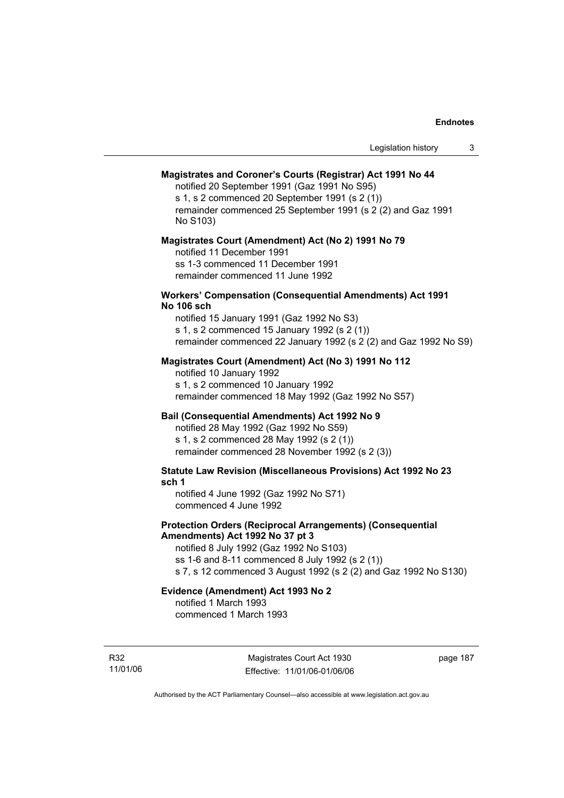#### **Magistrates and Coroner's Courts (Registrar) Act 1991 No 44**

notified 20 September 1991 (Gaz 1991 No S95) s 1, s 2 commenced 20 September 1991 (s 2 (1)) remainder commenced 25 September 1991 (s 2 (2) and Gaz 1991 No S103)

#### **Magistrates Court (Amendment) Act (No 2) 1991 No 79**

notified 11 December 1991 ss 1-3 commenced 11 December 1991 remainder commenced 11 June 1992

#### **Workers' Compensation (Consequential Amendments) Act 1991 No 106 sch**

notified 15 January 1991 (Gaz 1992 No S3) s 1, s 2 commenced 15 January 1992 (s 2 (1)) remainder commenced 22 January 1992 (s 2 (2) and Gaz 1992 No S9)

### **Magistrates Court (Amendment) Act (No 3) 1991 No 112**

notified 10 January 1992 s 1, s 2 commenced 10 January 1992 remainder commenced 18 May 1992 (Gaz 1992 No S57)

### **Bail (Consequential Amendments) Act 1992 No 9**

notified 28 May 1992 (Gaz 1992 No S59) s 1, s 2 commenced 28 May 1992 (s 2 (1)) remainder commenced 28 November 1992 (s 2 (3))

**Statute Law Revision (Miscellaneous Provisions) Act 1992 No 23 sch 1** 

notified 4 June 1992 (Gaz 1992 No S71) commenced 4 June 1992

### **Protection Orders (Reciprocal Arrangements) (Consequential Amendments) Act 1992 No 37 pt 3**

notified 8 July 1992 (Gaz 1992 No S103) ss 1-6 and 8-11 commenced 8 July 1992 (s 2 (1)) s 7, s 12 commenced 3 August 1992 (s 2 (2) and Gaz 1992 No S130)

#### **Evidence (Amendment) Act 1993 No 2**  notified 1 March 1993

commenced 1 March 1993

R32 11/01/06

Magistrates Court Act 1930 Effective: 11/01/06-01/06/06 page 187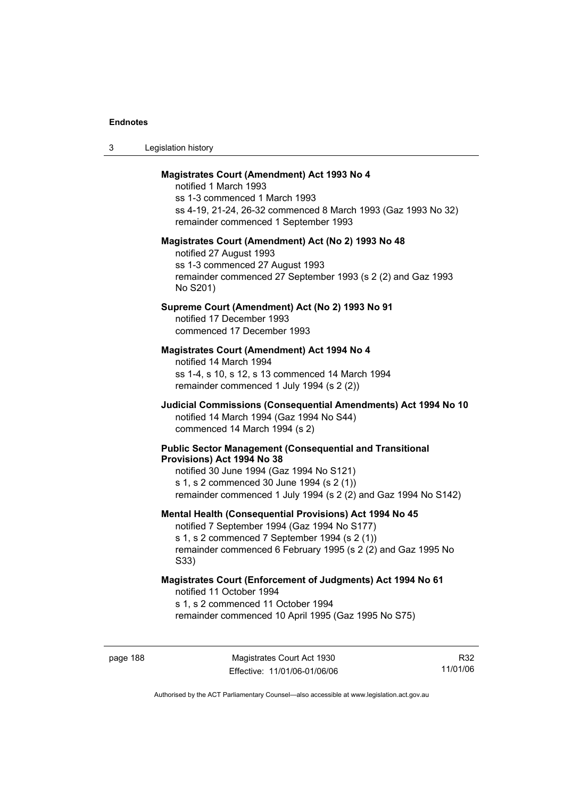| Legislation history<br>ు |  |
|--------------------------|--|
|--------------------------|--|

#### **Magistrates Court (Amendment) Act 1993 No 4**

notified 1 March 1993 ss 1-3 commenced 1 March 1993 ss 4-19, 21-24, 26-32 commenced 8 March 1993 (Gaz 1993 No 32) remainder commenced 1 September 1993

#### **Magistrates Court (Amendment) Act (No 2) 1993 No 48**

notified 27 August 1993 ss 1-3 commenced 27 August 1993 remainder commenced 27 September 1993 (s 2 (2) and Gaz 1993 No S201)

### **Supreme Court (Amendment) Act (No 2) 1993 No 91**

notified 17 December 1993 commenced 17 December 1993

#### **Magistrates Court (Amendment) Act 1994 No 4**

notified 14 March 1994 ss 1-4, s 10, s 12, s 13 commenced 14 March 1994 remainder commenced 1 July 1994 (s 2 (2))

### **Judicial Commissions (Consequential Amendments) Act 1994 No 10**  notified 14 March 1994 (Gaz 1994 No S44) commenced 14 March 1994 (s 2)

#### **Public Sector Management (Consequential and Transitional Provisions) Act 1994 No 38**

notified 30 June 1994 (Gaz 1994 No S121) s 1, s 2 commenced 30 June 1994 (s 2 (1)) remainder commenced 1 July 1994 (s 2 (2) and Gaz 1994 No S142)

#### **Mental Health (Consequential Provisions) Act 1994 No 45**

notified 7 September 1994 (Gaz 1994 No S177) s 1, s 2 commenced 7 September 1994 (s 2 (1)) remainder commenced 6 February 1995 (s 2 (2) and Gaz 1995 No S33)

#### **Magistrates Court (Enforcement of Judgments) Act 1994 No 61**  notified 11 October 1994

s 1, s 2 commenced 11 October 1994

remainder commenced 10 April 1995 (Gaz 1995 No S75)

R32 11/01/06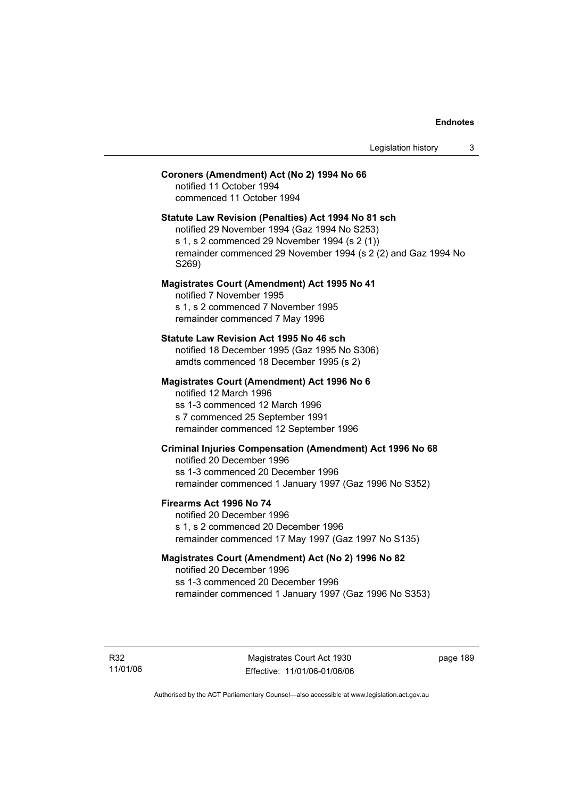### **Coroners (Amendment) Act (No 2) 1994 No 66**

notified 11 October 1994 commenced 11 October 1994

### **Statute Law Revision (Penalties) Act 1994 No 81 sch**

notified 29 November 1994 (Gaz 1994 No S253) s 1, s 2 commenced 29 November 1994 (s 2 (1)) remainder commenced 29 November 1994 (s 2 (2) and Gaz 1994 No S269)

#### **Magistrates Court (Amendment) Act 1995 No 41**

notified 7 November 1995 s 1, s 2 commenced 7 November 1995 remainder commenced 7 May 1996

#### **Statute Law Revision Act 1995 No 46 sch**

notified 18 December 1995 (Gaz 1995 No S306) amdts commenced 18 December 1995 (s 2)

#### **Magistrates Court (Amendment) Act 1996 No 6**

notified 12 March 1996 ss 1-3 commenced 12 March 1996 s 7 commenced 25 September 1991 remainder commenced 12 September 1996

### **Criminal Injuries Compensation (Amendment) Act 1996 No 68**

notified 20 December 1996 ss 1-3 commenced 20 December 1996 remainder commenced 1 January 1997 (Gaz 1996 No S352)

#### **Firearms Act 1996 No 74**

notified 20 December 1996 s 1, s 2 commenced 20 December 1996 remainder commenced 17 May 1997 (Gaz 1997 No S135)

### **Magistrates Court (Amendment) Act (No 2) 1996 No 82**

notified 20 December 1996 ss 1-3 commenced 20 December 1996 remainder commenced 1 January 1997 (Gaz 1996 No S353)

R32 11/01/06 page 189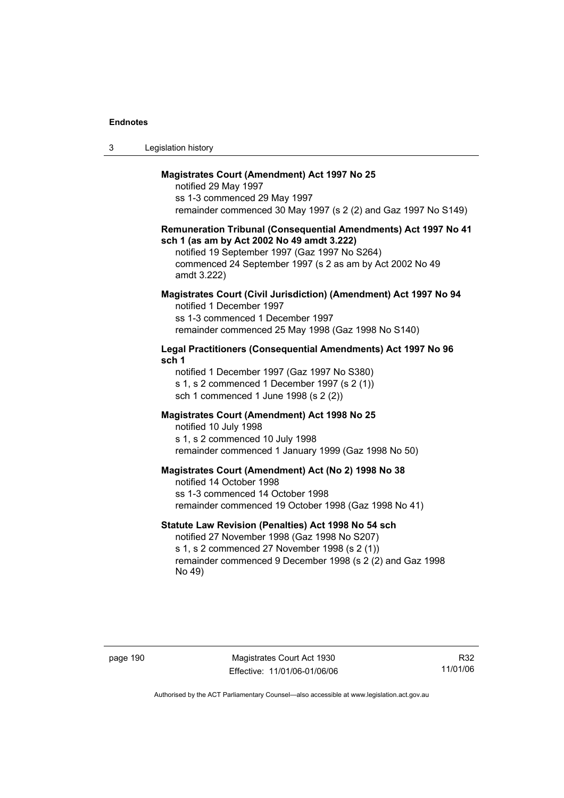| Legislation history<br>3 |  |
|--------------------------|--|
|--------------------------|--|

#### **Magistrates Court (Amendment) Act 1997 No 25**

notified 29 May 1997 ss 1-3 commenced 29 May 1997 remainder commenced 30 May 1997 (s 2 (2) and Gaz 1997 No S149)

#### **Remuneration Tribunal (Consequential Amendments) Act 1997 No 41 sch 1 (as am by Act 2002 No 49 amdt 3.222)**

notified 19 September 1997 (Gaz 1997 No S264) commenced 24 September 1997 (s 2 as am by Act 2002 No 49 amdt 3.222)

#### **Magistrates Court (Civil Jurisdiction) (Amendment) Act 1997 No 94**  notified 1 December 1997

ss 1-3 commenced 1 December 1997 remainder commenced 25 May 1998 (Gaz 1998 No S140)

### **Legal Practitioners (Consequential Amendments) Act 1997 No 96 sch 1**

notified 1 December 1997 (Gaz 1997 No S380) s 1, s 2 commenced 1 December 1997 (s 2 (1)) sch 1 commenced 1 June 1998 (s 2 (2))

### **Magistrates Court (Amendment) Act 1998 No 25**

notified 10 July 1998 s 1, s 2 commenced 10 July 1998 remainder commenced 1 January 1999 (Gaz 1998 No 50)

#### **Magistrates Court (Amendment) Act (No 2) 1998 No 38**

notified 14 October 1998 ss 1-3 commenced 14 October 1998 remainder commenced 19 October 1998 (Gaz 1998 No 41)

### **Statute Law Revision (Penalties) Act 1998 No 54 sch**

notified 27 November 1998 (Gaz 1998 No S207) s 1, s 2 commenced 27 November 1998 (s 2 (1)) remainder commenced 9 December 1998 (s 2 (2) and Gaz 1998 No 49)

page 190 Magistrates Court Act 1930 Effective: 11/01/06-01/06/06

R32 11/01/06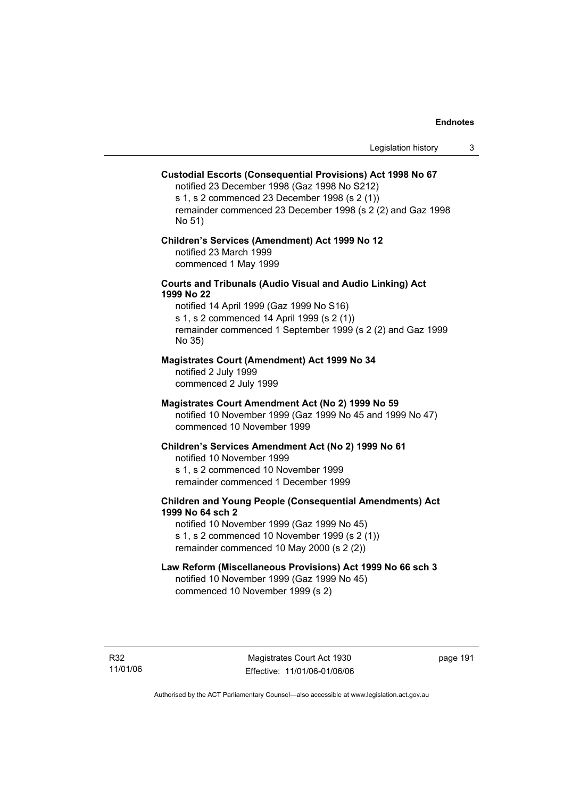### **Custodial Escorts (Consequential Provisions) Act 1998 No 67**

notified 23 December 1998 (Gaz 1998 No S212) s 1, s 2 commenced 23 December 1998 (s 2 (1)) remainder commenced 23 December 1998 (s 2 (2) and Gaz 1998 No 51)

#### **Children's Services (Amendment) Act 1999 No 12**  notified 23 March 1999 commenced 1 May 1999

#### **Courts and Tribunals (Audio Visual and Audio Linking) Act 1999 No 22**

notified 14 April 1999 (Gaz 1999 No S16) s 1, s 2 commenced 14 April 1999 (s 2 (1)) remainder commenced 1 September 1999 (s 2 (2) and Gaz 1999 No 35)

#### **Magistrates Court (Amendment) Act 1999 No 34**

notified 2 July 1999 commenced 2 July 1999

#### **Magistrates Court Amendment Act (No 2) 1999 No 59**

notified 10 November 1999 (Gaz 1999 No 45 and 1999 No 47) commenced 10 November 1999

#### **Children's Services Amendment Act (No 2) 1999 No 61**

notified 10 November 1999 s 1, s 2 commenced 10 November 1999 remainder commenced 1 December 1999

### **Children and Young People (Consequential Amendments) Act 1999 No 64 sch 2**

notified 10 November 1999 (Gaz 1999 No 45) s 1, s 2 commenced 10 November 1999 (s 2 (1)) remainder commenced 10 May 2000 (s 2 (2))

### **Law Reform (Miscellaneous Provisions) Act 1999 No 66 sch 3**

notified 10 November 1999 (Gaz 1999 No 45) commenced 10 November 1999 (s 2)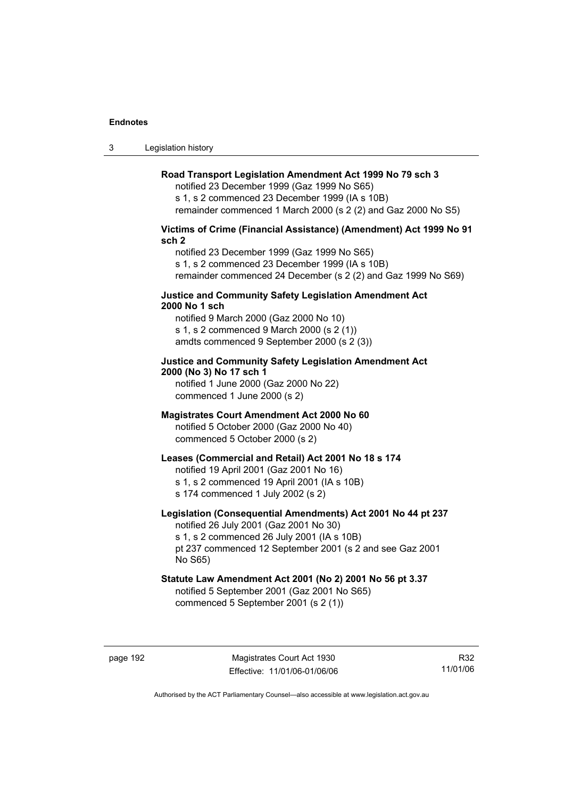3 Legislation history

### **Road Transport Legislation Amendment Act 1999 No 79 sch 3**

notified 23 December 1999 (Gaz 1999 No S65) s 1, s 2 commenced 23 December 1999 (IA s 10B) remainder commenced 1 March 2000 (s 2 (2) and Gaz 2000 No S5)

### **Victims of Crime (Financial Assistance) (Amendment) Act 1999 No 91 sch 2**

notified 23 December 1999 (Gaz 1999 No S65) s 1, s 2 commenced 23 December 1999 (IA s 10B) remainder commenced 24 December (s 2 (2) and Gaz 1999 No S69)

#### **Justice and Community Safety Legislation Amendment Act 2000 No 1 sch**

notified 9 March 2000 (Gaz 2000 No 10) s 1, s 2 commenced 9 March 2000 (s 2 (1)) amdts commenced 9 September 2000 (s 2 (3))

### **Justice and Community Safety Legislation Amendment Act 2000 (No 3) No 17 sch 1**

notified 1 June 2000 (Gaz 2000 No 22) commenced 1 June 2000 (s 2)

#### **Magistrates Court Amendment Act 2000 No 60**

notified 5 October 2000 (Gaz 2000 No 40) commenced 5 October 2000 (s 2)

### **Leases (Commercial and Retail) Act 2001 No 18 s 174**

notified 19 April 2001 (Gaz 2001 No 16)

s 1, s 2 commenced 19 April 2001 (IA s 10B)

s 174 commenced 1 July 2002 (s 2)

### **Legislation (Consequential Amendments) Act 2001 No 44 pt 237**

notified 26 July 2001 (Gaz 2001 No 30) s 1, s 2 commenced 26 July 2001 (IA s 10B)

pt 237 commenced 12 September 2001 (s 2 and see Gaz 2001 No S65)

### **Statute Law Amendment Act 2001 (No 2) 2001 No 56 pt 3.37**

notified 5 September 2001 (Gaz 2001 No S65) commenced 5 September 2001 (s 2 (1))

R32 11/01/06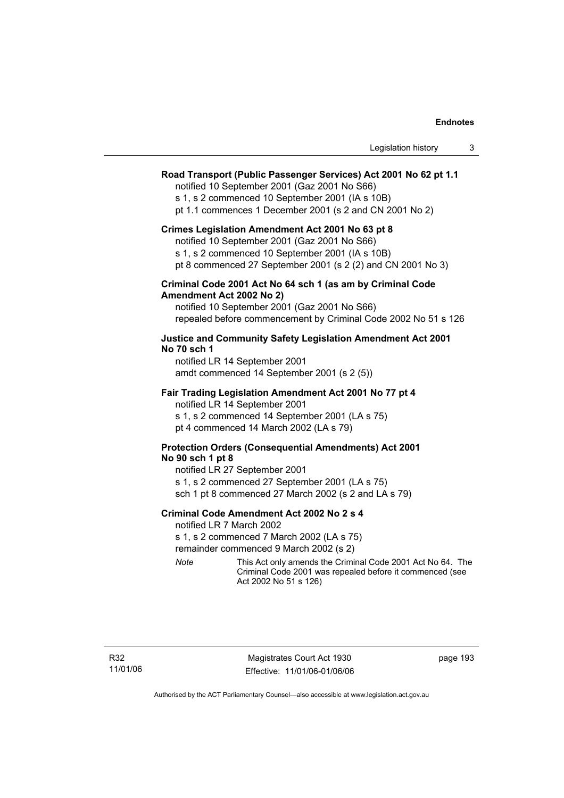| Legislation history |  |
|---------------------|--|
|---------------------|--|

#### **Road Transport (Public Passenger Services) Act 2001 No 62 pt 1.1**

notified 10 September 2001 (Gaz 2001 No S66)

s 1, s 2 commenced 10 September 2001 (IA s 10B)

pt 1.1 commences 1 December 2001 (s 2 and CN 2001 No 2)

#### **Crimes Legislation Amendment Act 2001 No 63 pt 8**

notified 10 September 2001 (Gaz 2001 No S66)

s 1, s 2 commenced 10 September 2001 (IA s 10B)

pt 8 commenced 27 September 2001 (s 2 (2) and CN 2001 No 3)

#### **Criminal Code 2001 Act No 64 sch 1 (as am by Criminal Code Amendment Act 2002 No 2)**

notified 10 September 2001 (Gaz 2001 No S66) repealed before commencement by Criminal Code 2002 No 51 s 126

#### **Justice and Community Safety Legislation Amendment Act 2001 No 70 sch 1**

notified LR 14 September 2001 amdt commenced 14 September 2001 (s 2 (5))

#### **Fair Trading Legislation Amendment Act 2001 No 77 pt 4**

notified LR 14 September 2001 s 1, s 2 commenced 14 September 2001 (LA s 75) pt 4 commenced 14 March 2002 (LA s 79)

### **Protection Orders (Consequential Amendments) Act 2001 No 90 sch 1 pt 8**

notified LR 27 September 2001 s 1, s 2 commenced 27 September 2001 (LA s 75) sch 1 pt 8 commenced 27 March 2002 (s 2 and LA s 79)

#### **Criminal Code Amendment Act 2002 No 2 s 4**

notified LR 7 March 2002

s 1, s 2 commenced 7 March 2002 (LA s 75)

remainder commenced 9 March 2002 (s 2)

*Note* This Act only amends the Criminal Code 2001 Act No 64. The Criminal Code 2001 was repealed before it commenced (see Act 2002 No 51 s 126)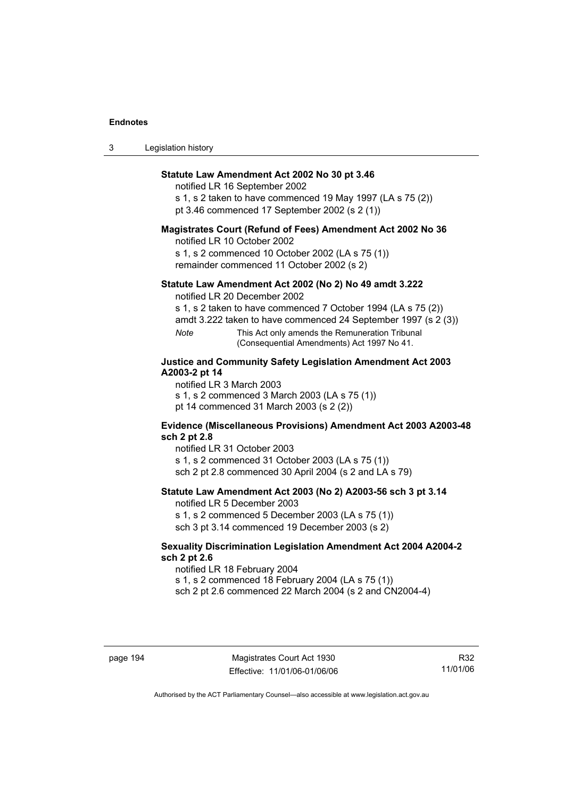| 3 | Legislation history |  |
|---|---------------------|--|
|---|---------------------|--|

#### **Statute Law Amendment Act 2002 No 30 pt 3.46**

notified LR 16 September 2002

s 1, s 2 taken to have commenced 19 May 1997 (LA s 75 (2)) pt 3.46 commenced 17 September 2002 (s 2 (1))

#### **Magistrates Court (Refund of Fees) Amendment Act 2002 No 36**

notified LR 10 October 2002

s 1, s 2 commenced 10 October 2002 (LA s 75 (1)) remainder commenced 11 October 2002 (s 2)

#### **Statute Law Amendment Act 2002 (No 2) No 49 amdt 3.222**

notified LR 20 December 2002

s 1, s 2 taken to have commenced 7 October 1994 (LA s 75 (2))

amdt 3.222 taken to have commenced 24 September 1997 (s 2 (3))

*Note* This Act only amends the Remuneration Tribunal (Consequential Amendments) Act 1997 No 41.

### **Justice and Community Safety Legislation Amendment Act 2003 A2003-2 pt 14**

notified LR 3 March 2003 s 1, s 2 commenced 3 March 2003 (LA s 75 (1))

pt 14 commenced 31 March 2003 (s 2 (2))

### **Evidence (Miscellaneous Provisions) Amendment Act 2003 A2003-48 sch 2 pt 2.8**

notified LR 31 October 2003

s 1, s 2 commenced 31 October 2003 (LA s 75 (1)) sch 2 pt 2.8 commenced 30 April 2004 (s 2 and LA s 79)

#### **Statute Law Amendment Act 2003 (No 2) A2003-56 sch 3 pt 3.14**

notified LR 5 December 2003 s 1, s 2 commenced 5 December 2003 (LA s 75 (1))

sch 3 pt 3.14 commenced 19 December 2003 (s 2)

#### **Sexuality Discrimination Legislation Amendment Act 2004 A2004-2 sch 2 pt 2.6**

notified LR 18 February 2004 s 1, s 2 commenced 18 February 2004 (LA s 75 (1))

sch 2 pt 2.6 commenced 22 March 2004 (s 2 and CN2004-4)

page 194 Magistrates Court Act 1930 Effective: 11/01/06-01/06/06

R32 11/01/06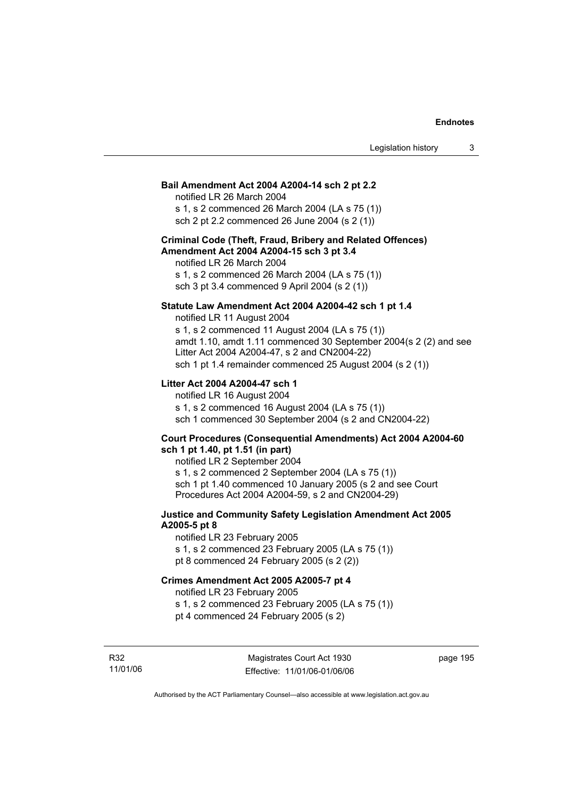#### **Bail Amendment Act 2004 A2004-14 sch 2 pt 2.2**

notified LR 26 March 2004 s 1, s 2 commenced 26 March 2004 (LA s 75 (1))

sch 2 pt 2.2 commenced 26 June 2004 (s 2 (1))

### **Criminal Code (Theft, Fraud, Bribery and Related Offences) Amendment Act 2004 A2004-15 sch 3 pt 3.4**

notified LR 26 March 2004 s 1, s 2 commenced 26 March 2004 (LA s 75 (1)) sch 3 pt 3.4 commenced 9 April 2004 (s 2 (1))

### **Statute Law Amendment Act 2004 A2004-42 sch 1 pt 1.4**

notified LR 11 August 2004 s 1, s 2 commenced 11 August 2004 (LA s 75 (1)) amdt 1.10, amdt 1.11 commenced 30 September 2004(s 2 (2) and see Litter Act 2004 A2004-47, s 2 and CN2004-22) sch 1 pt 1.4 remainder commenced 25 August 2004 (s 2 (1))

#### **Litter Act 2004 A2004-47 sch 1**

notified LR 16 August 2004 s 1, s 2 commenced 16 August 2004 (LA s 75 (1)) sch 1 commenced 30 September 2004 (s 2 and CN2004-22)

#### **Court Procedures (Consequential Amendments) Act 2004 A2004-60 sch 1 pt 1.40, pt 1.51 (in part)**

notified LR 2 September 2004 s 1, s 2 commenced 2 September 2004 (LA s 75 (1)) sch 1 pt 1.40 commenced 10 January 2005 (s 2 and see Court Procedures Act 2004 A2004-59, s 2 and CN2004-29)

### **Justice and Community Safety Legislation Amendment Act 2005 A2005-5 pt 8**

notified LR 23 February 2005 s 1, s 2 commenced 23 February 2005 (LA s 75 (1)) pt 8 commenced 24 February 2005 (s 2 (2))

#### **Crimes Amendment Act 2005 A2005-7 pt 4**

notified LR 23 February 2005

s 1, s 2 commenced 23 February 2005 (LA s 75 (1)) pt 4 commenced 24 February 2005 (s 2)

R32 11/01/06 page 195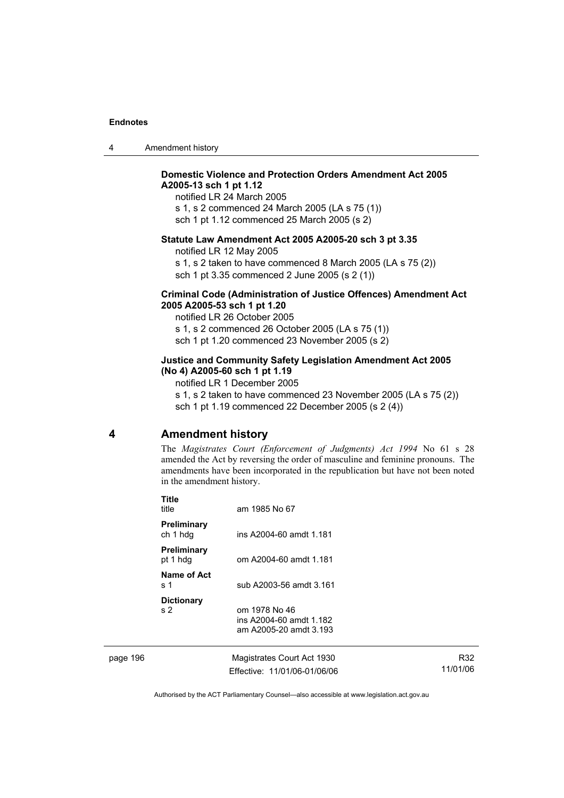|  | Amendment history |
|--|-------------------|
|--|-------------------|

### **Domestic Violence and Protection Orders Amendment Act 2005 A2005-13 sch 1 pt 1.12**

notified LR 24 March 2005 s 1, s 2 commenced 24 March 2005 (LA s 75 (1)) sch 1 pt 1.12 commenced 25 March 2005 (s 2)

### **Statute Law Amendment Act 2005 A2005-20 sch 3 pt 3.35**

notified LR 12 May 2005

s 1, s 2 taken to have commenced 8 March 2005 (LA s 75 (2)) sch 1 pt 3.35 commenced 2 June 2005 (s 2 (1))

#### **Criminal Code (Administration of Justice Offences) Amendment Act 2005 A2005-53 sch 1 pt 1.20**

notified LR 26 October 2005 s 1, s 2 commenced 26 October 2005 (LA s 75 (1)) sch 1 pt 1.20 commenced 23 November 2005 (s 2)

### **Justice and Community Safety Legislation Amendment Act 2005 (No 4) A2005-60 sch 1 pt 1.19**

notified LR 1 December 2005

s 1, s 2 taken to have commenced 23 November 2005 (LA s 75 (2)) sch 1 pt 1.19 commenced 22 December 2005 (s 2 (4))

### **4 Amendment history**

The *Magistrates Court (Enforcement of Judgments) Act 1994* No 61 s 28 amended the Act by reversing the order of masculine and feminine pronouns. The amendments have been incorporated in the republication but have not been noted in the amendment history.

|          | <b>Title</b><br>title               | am 1985 No 67                                                      |                 |
|----------|-------------------------------------|--------------------------------------------------------------------|-----------------|
|          | Preliminary<br>ch 1 hdg             | ins A2004-60 amdt 1.181                                            |                 |
|          | <b>Preliminary</b><br>pt 1 hdg      | om A2004-60 amdt 1.181                                             |                 |
|          | Name of Act<br>s 1                  | sub A2003-56 amdt 3.161                                            |                 |
|          | <b>Dictionary</b><br>s <sub>2</sub> | om 1978 No 46<br>ins A2004-60 amdt 1.182<br>am A2005-20 amdt 3.193 |                 |
| page 196 |                                     | Magistrates Court Act 1930<br>Effective: 11/01/06-01/06/06         | R32<br>11/01/06 |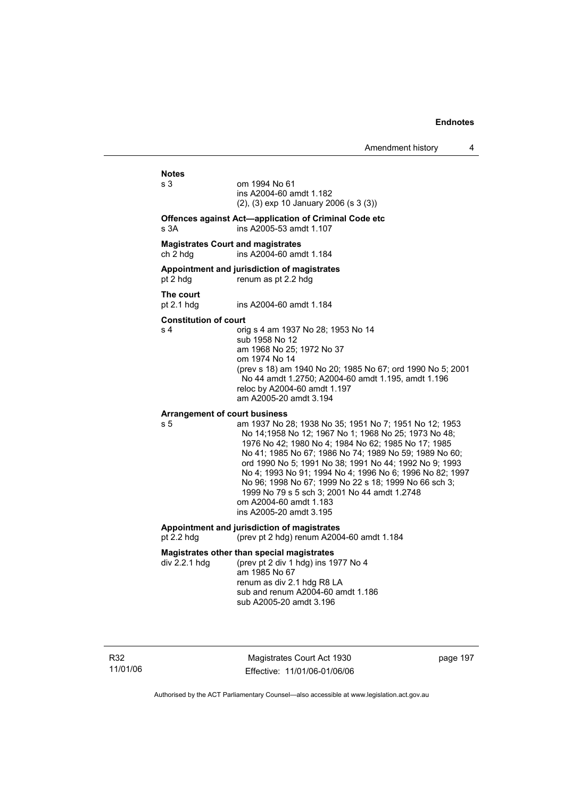## **Notes**

om 1994 No 61 ins A2004-60 amdt 1.182 (2), (3) exp 10 January 2006 (s 3 (3))

#### **Offences against Act—application of Criminal Code etc**  s 3A ins A2005-53 amdt 1.107

#### **Magistrates Court and magistrates**

ch 2 hdg ins A2004-60 amdt 1.184

#### **Appointment and jurisdiction of magistrates**

pt 2 hdg renum as pt 2.2 hdg

**The court** 

ins A2004-60 amdt 1.184

#### **Constitution of court**

s 4 orig s 4 am 1937 No 28; 1953 No 14 sub 1958 No 12 am 1968 No 25; 1972 No 37 om 1974 No 14 (prev s 18) am 1940 No 20; 1985 No 67; ord 1990 No 5; 2001 No 44 amdt 1.2750; A2004-60 amdt 1.195, amdt 1.196 reloc by A2004-60 amdt 1.197 am A2005-20 amdt 3.194

#### **Arrangement of court business**

s 5 am 1937 No 28; 1938 No 35; 1951 No 7; 1951 No 12; 1953 No 14;1958 No 12; 1967 No 1; 1968 No 25; 1973 No 48; 1976 No 42; 1980 No 4; 1984 No 62; 1985 No 17; 1985 No 41; 1985 No 67; 1986 No 74; 1989 No 59; 1989 No 60; ord 1990 No 5; 1991 No 38; 1991 No 44; 1992 No 9; 1993 No 4; 1993 No 91; 1994 No 4; 1996 No 6; 1996 No 82; 1997 No 96; 1998 No 67; 1999 No 22 s 18; 1999 No 66 sch 3; 1999 No 79 s 5 sch 3; 2001 No 44 amdt 1.2748 om A2004-60 amdt 1.183 ins A2005-20 amdt 3.195

#### **Appointment and jurisdiction of magistrates**

pt 2.2 hdg (prev pt 2 hdg) renum A2004-60 amdt 1.184

#### **Magistrates other than special magistrates**

div 2.2.1 hdg (prev pt 2 div 1 hdg) ins 1977 No 4 am 1985 No 67 renum as div 2.1 hdg R8 LA sub and renum A2004-60 amdt 1.186 sub A2005-20 amdt 3.196

R32 11/01/06

Magistrates Court Act 1930 Effective: 11/01/06-01/06/06 page 197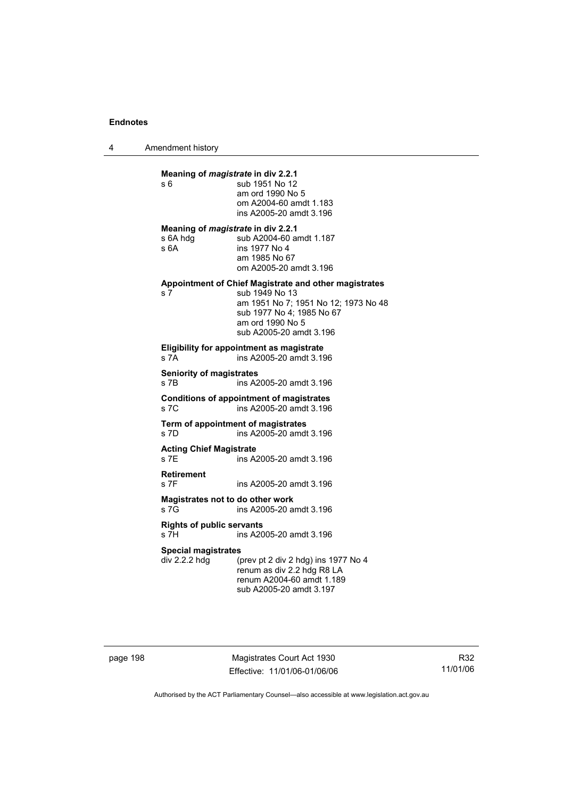4 Amendment history

| s 6                                         | Meaning of <i>magistrate</i> in div 2.2.1<br>sub 1951 No 12<br>am ord 1990 No 5<br>om A2004-60 amdt 1.183<br>ins A2005-20 amdt 3.196                                                        |
|---------------------------------------------|---------------------------------------------------------------------------------------------------------------------------------------------------------------------------------------------|
| s 6A hdq<br>s6A                             | Meaning of <i>magistrate</i> in div 2.2.1<br>sub A2004-60 amdt 1.187<br>ins 1977 No 4<br>am 1985 No 67<br>om A2005-20 amdt 3.196                                                            |
| s 7                                         | Appointment of Chief Magistrate and other magistrates<br>sub 1949 No 13<br>am 1951 No 7; 1951 No 12; 1973 No 48<br>sub 1977 No 4; 1985 No 67<br>am ord 1990 No 5<br>sub A2005-20 amdt 3.196 |
| s 7A                                        | <b>Eligibility for appointment as magistrate</b><br>ins A2005-20 amdt 3.196                                                                                                                 |
| <b>Seniority of magistrates</b><br>s 7B     | ins A2005-20 amdt 3.196                                                                                                                                                                     |
| S7C                                         | <b>Conditions of appointment of magistrates</b><br>ins A2005-20 amdt 3.196                                                                                                                  |
| s 7D                                        | Term of appointment of magistrates<br>ins A2005-20 amdt 3.196                                                                                                                               |
| <b>Acting Chief Magistrate</b><br>s 7E      | ins A2005-20 amdt 3.196                                                                                                                                                                     |
| <b>Retirement</b><br>s 7F                   | ins A2005-20 amdt 3.196                                                                                                                                                                     |
| s 7G                                        | Magistrates not to do other work<br>ins A2005-20 amdt 3.196                                                                                                                                 |
| <b>Rights of public servants</b><br>s 7H    | ins A2005-20 amdt 3.196                                                                                                                                                                     |
| <b>Special magistrates</b><br>div 2.2.2 hdg | (prev pt 2 div 2 hdg) ins 1977 No 4<br>renum as div 2.2 hdg R8 LA<br>renum A2004-60 amdt 1.189<br>sub A2005-20 amdt 3.197                                                                   |

page 198 Magistrates Court Act 1930 Effective: 11/01/06-01/06/06

R32 11/01/06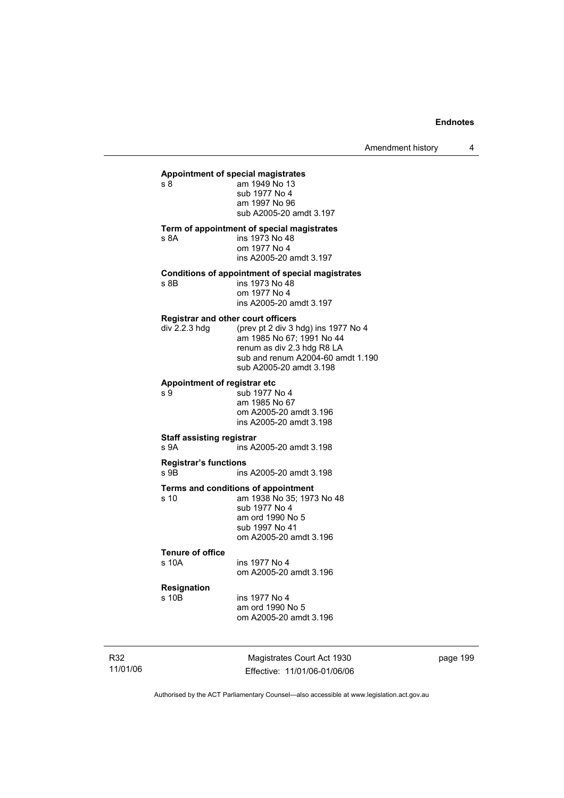Amendment history 4

#### **Appointment of special magistrates**

s 8 am 1949 No 13 sub 1977 No 4 am 1997 No 96 sub A2005-20 amdt 3.197

**Term of appointment of special magistrates** 

s 8A ins 1973 No 48 om 1977 No 4 ins A2005-20 amdt 3.197

#### **Conditions of appointment of special magistrates**

s 8B ins 1973 No 48 om 1977 No 4 ins A2005-20 amdt 3.197

#### **Registrar and other court officers**

| div 2.2.3 hdg | (prev pt 2 div 3 hdg) ins 1977 No 4 |
|---------------|-------------------------------------|
|               | am 1985 No 67: 1991 No 44           |
|               | renum as div 2.3 hdg R8 LA          |
|               | sub and renum A2004-60 amdt 1.190   |
|               | sub A2005-20 amdt 3.198             |

#### **Appointment of registrar etc**

s 9 sub 1977 No 4 am 1985 No 67 om A2005-20 amdt 3.196 ins A2005-20 amdt 3.198

#### **Staff assisting registrar**

s 9A ins A2005-20 amdt 3.198

#### **Registrar's functions**  s 9B ins A2005-20 amdt 3.198

**Terms and conditions of appointment** 

s 10 am 1938 No 35; 1973 No 48 sub 1977 No 4 am ord 1990 No 5 sub 1997 No 41 om A2005-20 amdt 3.196

#### **Tenure of office**

s 10A ins 1977 No 4 om A2005-20 amdt 3.196

#### **Resignation**

s 10B ins 1977 No 4 am ord 1990 No 5 om A2005-20 amdt 3.196

R32 11/01/06

Magistrates Court Act 1930 Effective: 11/01/06-01/06/06 page 199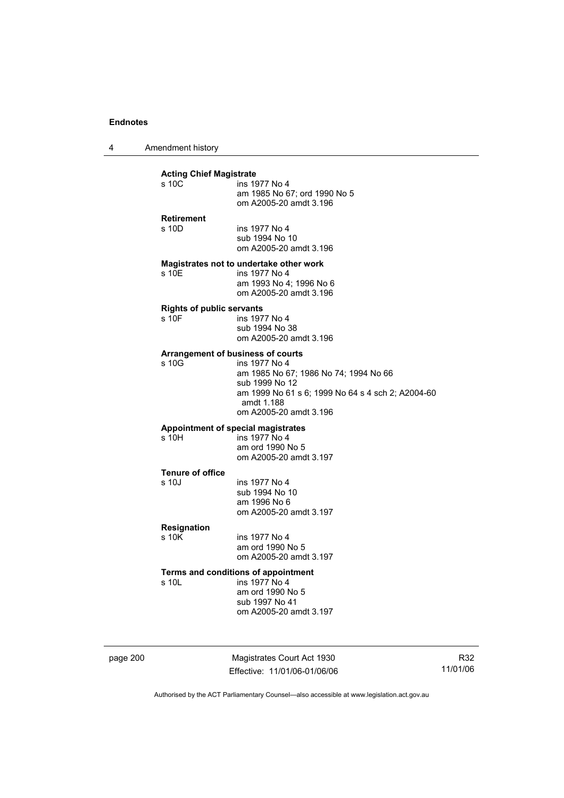4 Amendment history

#### **Acting Chief Magistrate**

| ins 1977 No 4                |
|------------------------------|
| am 1985 No 67: ord 1990 No 5 |
| om A2005-20 amdt 3.196       |
| .                            |
|                              |

s 10D ins 1977 No 4 sub 1994 No 10 om A2005-20 amdt 3.196

### **Magistrates not to undertake other work**

s 10E ins 1977 No 4 am 1993 No 4; 1996 No 6 om A2005-20 amdt 3.196

#### **Rights of public servants**

s 10F ins 1977 No 4 sub 1994 No 38 om A2005-20 amdt 3.196

#### **Arrangement of business of courts**

s 10G ins 1977 No 4 am 1985 No 67; 1986 No 74; 1994 No 66 sub 1999 No 12 am 1999 No 61 s 6; 1999 No 64 s 4 sch 2; A2004-60 amdt 1.188 om A2005-20 amdt 3.196

## **Appointment of special magistrates**

ins 1977 No 4 am ord 1990 No 5 om A2005-20 amdt 3.197

## **Tenure of office**

ins 1977 No 4 sub 1994 No 10 am 1996 No 6 om A2005-20 amdt 3.197

## **Resignation**

ins 1977 No 4 am ord 1990 No 5 om A2005-20 amdt 3.197

### **Terms and conditions of appointment**

s 10L ins 1977 No 4 am ord 1990 No 5 sub 1997 No 41 om A2005-20 amdt 3.197

page 200 Magistrates Court Act 1930 Effective: 11/01/06-01/06/06

R32 11/01/06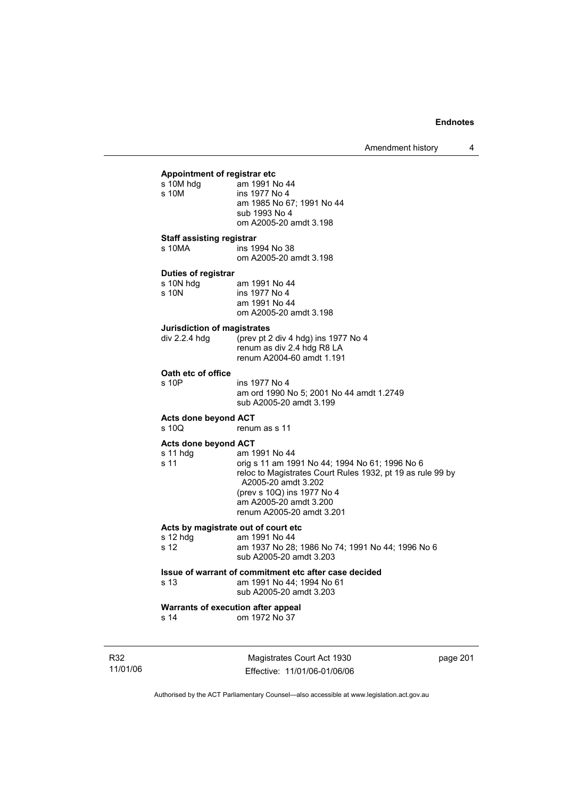| Appointment of registrar etc |                           |
|------------------------------|---------------------------|
| s 10M hdg                    | am 1991 No 44             |
| s 10M                        | ins 1977 No 4             |
|                              | am 1985 No 67; 1991 No 44 |
|                              | sub 1993 No 4             |
|                              | om A2005-20 amdt 3.198    |

#### **Staff assisting registrar**

s 10MA ins 1994 No 38 om A2005-20 amdt 3.198

#### **Duties of registrar**

| s 10N hdg | am 1991 No 44          |
|-----------|------------------------|
| s 10N     | ins 1977 No 4          |
|           | am 1991 No 44          |
|           | om A2005-20 amdt 3.198 |

### **Jurisdiction of magistrates**

| div 2.2.4 hdq | (prev pt 2 div 4 hdg) ins 1977 No 4 |
|---------------|-------------------------------------|
|               | renum as div 2.4 hdg R8 LA          |
|               | renum A2004-60 amdt 1.191           |
|               |                                     |

# **Oath etc of office**

ins 1977 No 4 am ord 1990 No 5; 2001 No 44 amdt 1.2749 sub A2005-20 amdt 3.199

### **Acts done beyond ACT**

s 10Q renum as s 11

#### **Acts done beyond ACT**

| $s11$ hdg | am 1991 No 44                                              |
|-----------|------------------------------------------------------------|
| s 11      | orig s 11 am 1991 No 44; 1994 No 61; 1996 No 6             |
|           | reloc to Magistrates Court Rules 1932, pt 19 as rule 99 by |
|           | A2005-20 amdt 3.202                                        |
|           | (prev s 10Q) ins 1977 No 4                                 |
|           | am A2005-20 amdt 3.200                                     |
|           | renum A2005-20 amdt 3.201                                  |

### **Acts by magistrate out of court etc**

| s 12 hdq | am 1991 No 44                                                               |
|----------|-----------------------------------------------------------------------------|
| s 12     | am 1937 No 28; 1986 No 74; 1991 No 44; 1996 No 6<br>sub A2005-20 amdt 3.203 |

#### **Issue of warrant of commitment etc after case decided**

s 13 am 1991 No 44; 1994 No 61 sub A2005-20 amdt 3.203

# **Warrants of execution after appeal**<br>s 14 om 1972 No 37

om 1972 No 37

R32 11/01/06

Magistrates Court Act 1930 Effective: 11/01/06-01/06/06 page 201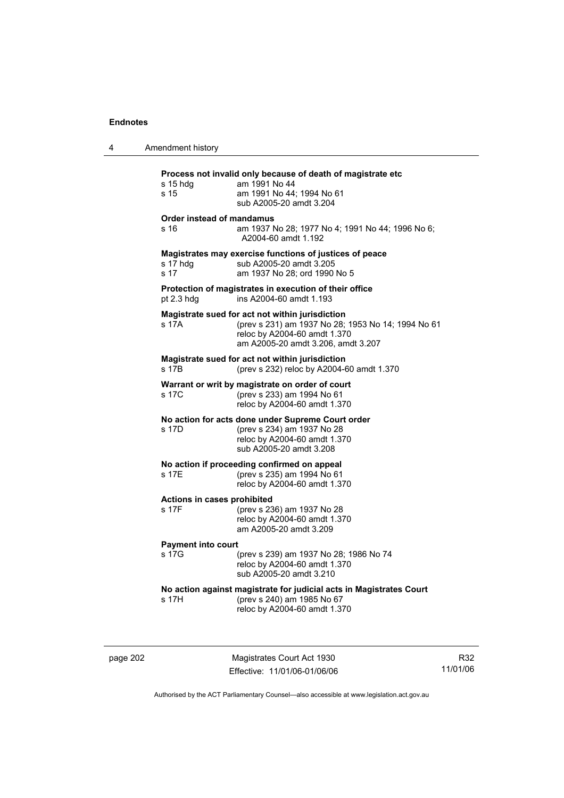| 4 | Amendment history                    |                                                                                                                                                                             |
|---|--------------------------------------|-----------------------------------------------------------------------------------------------------------------------------------------------------------------------------|
|   | $s$ 15 hdg<br>s 15                   | Process not invalid only because of death of magistrate etc<br>am 1991 No 44<br>am 1991 No 44; 1994 No 61<br>sub A2005-20 amdt 3.204                                        |
|   | Order instead of mandamus<br>s 16    | am 1937 No 28; 1977 No 4; 1991 No 44; 1996 No 6;<br>A2004-60 amdt 1.192                                                                                                     |
|   | s 17 hdg<br>s 17                     | Magistrates may exercise functions of justices of peace<br>sub A2005-20 amdt 3.205<br>am 1937 No 28; ord 1990 No 5                                                          |
|   | pt $2.3$ hdg                         | Protection of magistrates in execution of their office<br>ins A2004-60 amdt 1.193                                                                                           |
|   | s 17A                                | Magistrate sued for act not within jurisdiction<br>(prev s 231) am 1937 No 28; 1953 No 14; 1994 No 61<br>reloc by A2004-60 amdt 1.370<br>am A2005-20 amdt 3.206, amdt 3.207 |
|   | s 17B                                | Magistrate sued for act not within jurisdiction<br>(prev s 232) reloc by A2004-60 amdt 1.370                                                                                |
|   | s 17C                                | Warrant or writ by magistrate on order of court<br>(prev s 233) am 1994 No 61<br>reloc by A2004-60 amdt 1.370                                                               |
|   | s 17D                                | No action for acts done under Supreme Court order<br>(prev s 234) am 1937 No 28<br>reloc by A2004-60 amdt 1.370<br>sub A2005-20 amdt 3.208                                  |
|   | s 17E                                | No action if proceeding confirmed on appeal<br>(prev s 235) am 1994 No 61<br>reloc by A2004-60 amdt 1.370                                                                   |
|   | Actions in cases prohibited<br>s 17F | (prev s 236) am 1937 No 28<br>reloc by A2004-60 amdt 1.370<br>am A2005-20 amdt 3.209                                                                                        |
|   | <b>Payment into court</b><br>s 17G   | (prev s 239) am 1937 No 28; 1986 No 74<br>reloc by A2004-60 amdt 1.370<br>sub A2005-20 amdt 3.210                                                                           |
|   | s 17H                                | No action against magistrate for judicial acts in Magistrates Court<br>(prev s 240) am 1985 No 67<br>reloc by A2004-60 amdt 1.370                                           |
|   |                                      |                                                                                                                                                                             |

page 202 Magistrates Court Act 1930 Effective: 11/01/06-01/06/06

R32 11/01/06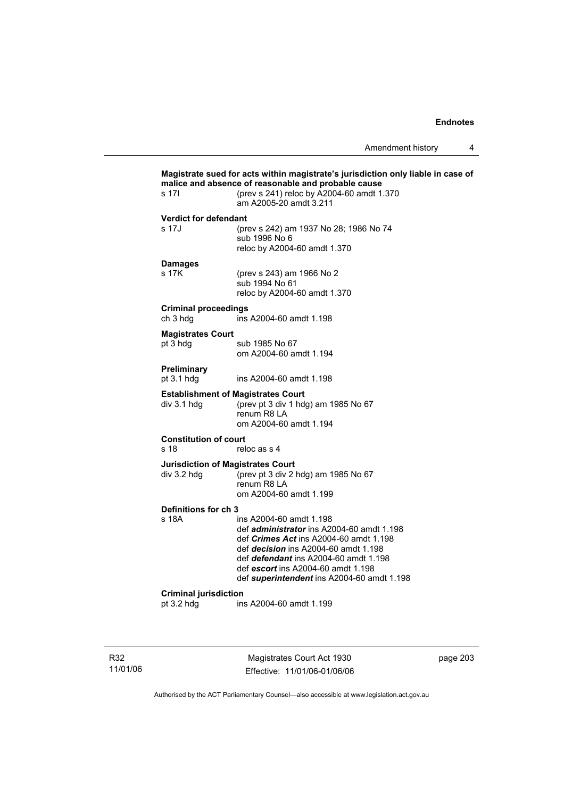| s 17l                                   | malice and absence of reasonable and probable cause<br>(prev s 241) reloc by A2004-60 amdt 1.370<br>am A2005-20 amdt 3.211                                                                                                                                                                               |
|-----------------------------------------|----------------------------------------------------------------------------------------------------------------------------------------------------------------------------------------------------------------------------------------------------------------------------------------------------------|
| <b>Verdict for defendant</b>            |                                                                                                                                                                                                                                                                                                          |
| s 17J                                   | (prev s 242) am 1937 No 28; 1986 No 74<br>sub 1996 No 6<br>reloc by A2004-60 amdt 1.370                                                                                                                                                                                                                  |
| <b>Damages</b><br>s 17K                 | (prev s 243) am 1966 No 2<br>sub 1994 No 61<br>reloc by A2004-60 amdt 1.370                                                                                                                                                                                                                              |
| <b>Criminal proceedings</b><br>ch 3 hdg | ins A2004-60 amdt 1.198                                                                                                                                                                                                                                                                                  |
| <b>Magistrates Court</b><br>pt 3 hdg    | sub 1985 No 67<br>om A2004-60 amdt 1.194                                                                                                                                                                                                                                                                 |
| Preliminary<br>pt 3.1 hdg               | ins A2004-60 amdt 1.198                                                                                                                                                                                                                                                                                  |
| div 3.1 hdg                             | <b>Establishment of Magistrates Court</b><br>(prev pt 3 div 1 hdg) am 1985 No 67<br>renum R8 LA<br>om A2004-60 amdt 1.194                                                                                                                                                                                |
| <b>Constitution of court</b><br>s 18    | reloc as s 4                                                                                                                                                                                                                                                                                             |
| div 3.2 hdg                             | <b>Jurisdiction of Magistrates Court</b><br>(prev pt 3 div 2 hdg) am 1985 No 67<br>renum R8 LA<br>om A2004-60 amdt 1.199                                                                                                                                                                                 |
| Definitions for ch 3                    |                                                                                                                                                                                                                                                                                                          |
| s 18A                                   | ins A2004-60 amdt 1.198<br>def <i>administrator</i> ins A2004-60 amdt 1.198<br>def <i>Crimes Act</i> ins A2004-60 amdt 1.198<br>def <i>decision</i> ins A2004-60 amdt 1.198<br>def defendant ins A2004-60 amdt 1.198<br>def escort ins A2004-60 amdt 1.198<br>def superintendent ins A2004-60 amdt 1.198 |
| <b>Criminal jurisdiction</b>            |                                                                                                                                                                                                                                                                                                          |
| pt 3.2 hdg                              | ins A2004-60 amdt 1.199                                                                                                                                                                                                                                                                                  |

R32 11/01/06

Magistrates Court Act 1930 Effective: 11/01/06-01/06/06 page 203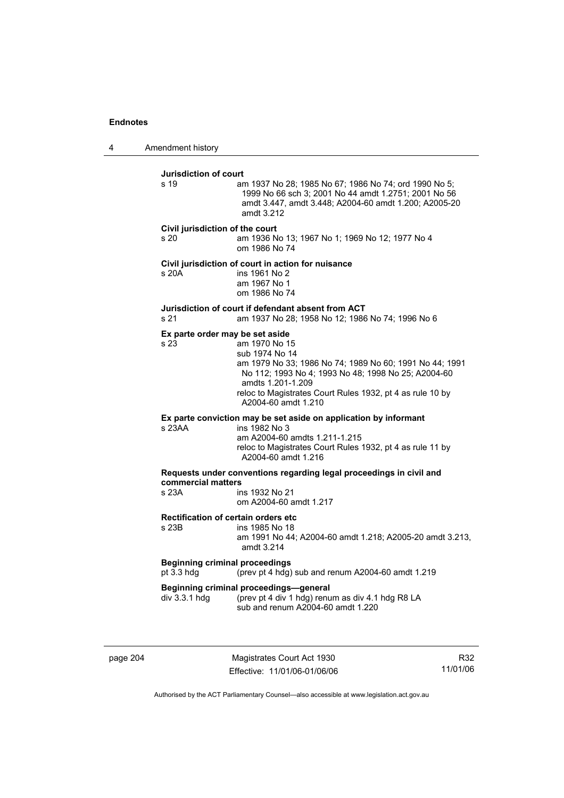4 Amendment history

**Jurisdiction of court**  s 19 am 1937 No 28; 1985 No 67; 1986 No 74; ord 1990 No 5; 1999 No 66 sch 3; 2001 No 44 amdt 1.2751; 2001 No 56 amdt 3.447, amdt 3.448; A2004-60 amdt 1.200; A2005-20 amdt 3.212 **Civil jurisdiction of the court**  s 20 am 1936 No 13; 1967 No 1; 1969 No 12; 1977 No 4 om 1986 No 74 **Civil jurisdiction of court in action for nuisance**  s 20A ins 1961 No 2 am 1967 No 1 om 1986 No 74 **Jurisdiction of court if defendant absent from ACT**  s 21 am 1937 No 28; 1958 No 12; 1986 No 74; 1996 No 6 **Ex parte order may be set aside**  s 23 am 1970 No 15 sub 1974 No 14 am 1979 No 33; 1986 No 74; 1989 No 60; 1991 No 44; 1991 No 112; 1993 No 4; 1993 No 48; 1998 No 25; A2004-60 amdts 1.201-1.209 reloc to Magistrates Court Rules 1932, pt 4 as rule 10 by A2004-60 amdt 1.210 **Ex parte conviction may be set aside on application by informant**  s 23AA ins 1982 No 3 am A2004-60 amdts 1.211-1.215 reloc to Magistrates Court Rules 1932, pt 4 as rule 11 by A2004-60 amdt 1.216 **Requests under conventions regarding legal proceedings in civil and commercial matters**  ins 1932 No 21 om A2004-60 amdt 1.217 **Rectification of certain orders etc**  ins 1985 No 18 am 1991 No 44; A2004-60 amdt 1.218; A2005-20 amdt 3.213, amdt 3.214 **Beginning criminal proceedings**  pt 3.3 hdg (prev pt 4 hdg) sub and renum A2004-60 amdt 1.219 **Beginning criminal proceedings—general**  div 3.3.1 hdg (prev pt 4 div 1 hdg) renum as div 4.1 hdg R8 LA sub and renum A2004-60 amdt 1.220

page 204 Magistrates Court Act 1930 Effective: 11/01/06-01/06/06

R32 11/01/06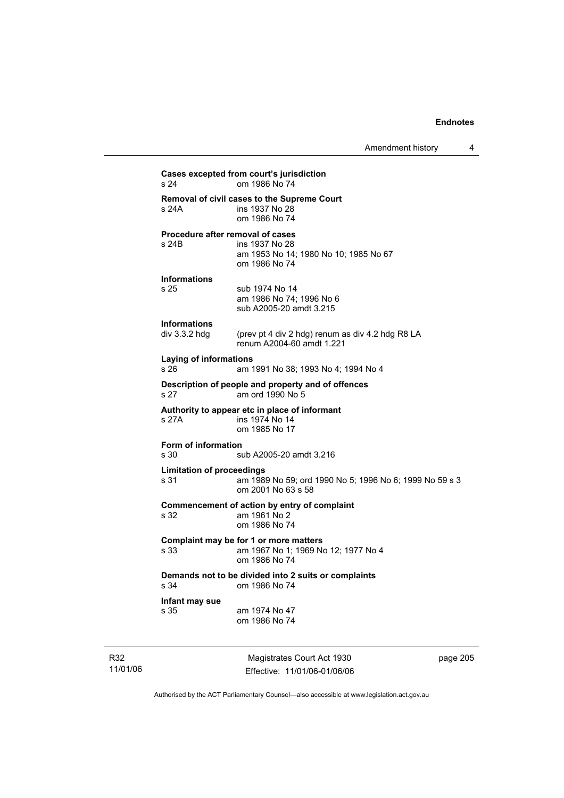# **Cases excepted from court's jurisdiction**  om 1986 No 74 **Removal of civil cases to the Supreme Court**  s 24A ins 1937 No 28 om 1986 No 74 **Procedure after removal of cases**  s 24B ins 1937 No 28 am 1953 No 14; 1980 No 10; 1985 No 67 om 1986 No 74 **Informations**  s 25 sub 1974 No 14 am 1986 No 74; 1996 No 6 sub A2005-20 amdt 3.215 **Informations**  (prev pt 4 div 2 hdg) renum as div 4.2 hdg R8 LA renum A2004-60 amdt 1.221 **Laying of informations**  s 26 am 1991 No 38; 1993 No 4; 1994 No 4 **Description of people and property and of offences**  s 27 am ord 1990 No 5 **Authority to appear etc in place of informant**  s 27A **ins 1974** No 14 om 1985 No 17 **Form of information**  s 30 sub A2005-20 amdt 3.216 **Limitation of proceedings**  s 31 am 1989 No 59; ord 1990 No 5; 1996 No 6; 1999 No 59 s 3 om 2001 No 63 s 58 **Commencement of action by entry of complaint**  s 32 am 1961 No 2 om 1986 No 74 **Complaint may be for 1 or more matters**  s 33 am 1967 No 1; 1969 No 12; 1977 No 4 om 1986 No 74 **Demands not to be divided into 2 suits or complaints**  om 1986 No 74 **Infant may sue**  s 35 am 1974 No 47 om 1986 No 74

R32 11/01/06

Magistrates Court Act 1930 Effective: 11/01/06-01/06/06 page 205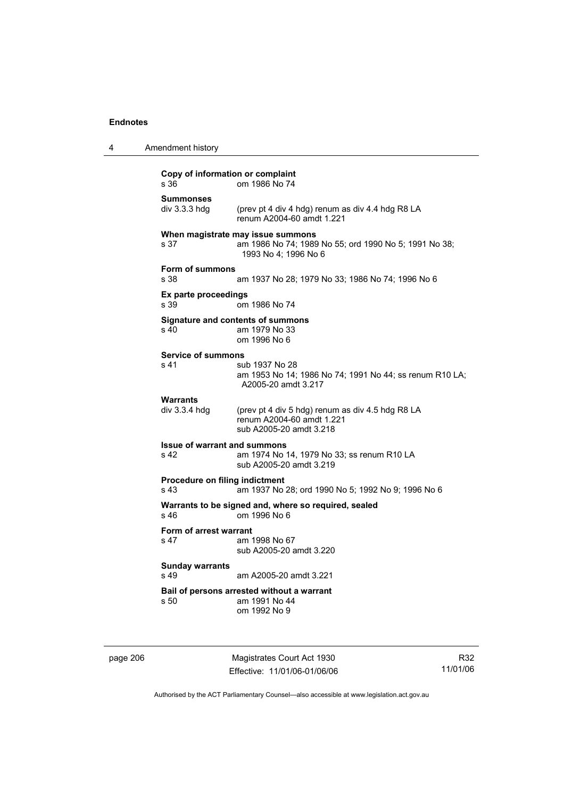|  | Amendment history |
|--|-------------------|
|--|-------------------|

# **Copy of information or complaint**  om 1986 No 74 **Summonses**  (prev pt 4 div 4 hdg) renum as div 4.4 hdg R8 LA renum A2004-60 amdt 1.221 **When magistrate may issue summons**  s 37 am 1986 No 74; 1989 No 55; ord 1990 No 5; 1991 No 38; 1993 No 4; 1996 No 6 **Form of summons**  s 38 am 1937 No 28; 1979 No 33; 1986 No 74; 1996 No 6 **Ex parte proceedings**  s 39 om 1986 No 74 **Signature and contents of summons**  s 40 am 1979 No 33 om 1996 No 6 **Service of summons**  s 41 sub 1937 No 28 am 1953 No 14; 1986 No 74; 1991 No 44; ss renum R10 LA; A2005-20 amdt 3.217 Warrants<br>div 3.3.4 hdg (prev pt 4 div 5 hdg) renum as div 4.5 hdg R8 LA renum A2004-60 amdt 1.221 sub A2005-20 amdt 3.218 **Issue of warrant and summons**  s 42 am 1974 No 14, 1979 No 33; ss renum R10 LA sub A2005-20 amdt 3.219 **Procedure on filing indictment**  s 43 am 1937 No 28; ord 1990 No 5; 1992 No 9; 1996 No 6 **Warrants to be signed and, where so required, sealed**  s 46 om 1996 No 6 **Form of arrest warrant**  s 47 am 1998 No 67 sub A2005-20 amdt 3.220 **Sunday warrants**  s 49 am A2005-20 amdt 3.221 **Bail of persons arrested without a warrant**  s 50 am 1991 No 44 om 1992 No 9

page 206 Magistrates Court Act 1930 Effective: 11/01/06-01/06/06

R32 11/01/06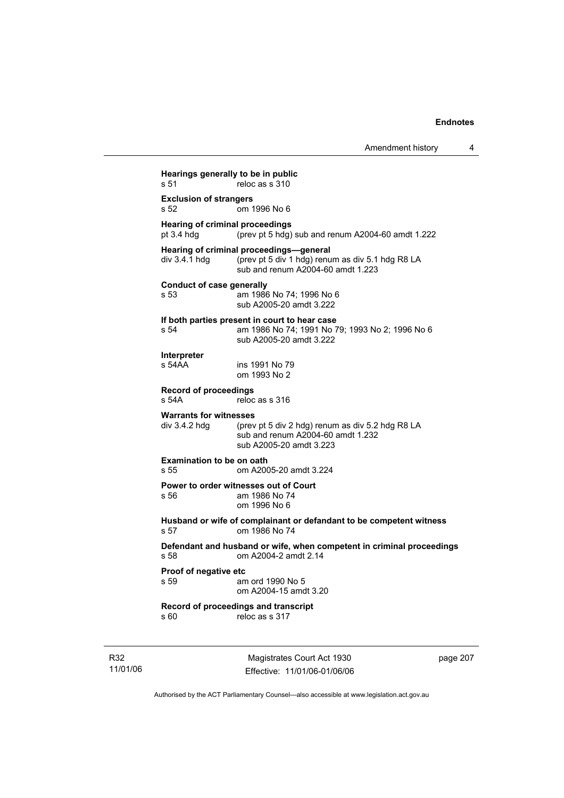**Hearings generally to be in public**  s 51 reloc as s 310 **Exclusion of strangers**  s 52 om 1996 No 6 **Hearing of criminal proceedings**<br>pt 3.4 hdg (prev pt 5 hdg)  $(\text{prev pt} 5 \text{ hdg})$  sub and renum A2004-60 amdt 1.222 **Hearing of criminal proceedings—general**  div 3.4.1 hdg (prev pt 5 div 1 hdg) renum as div 5.1 hdg R8 LA sub and renum A2004-60 amdt 1.223 **Conduct of case generally**  s 53 am 1986 No 74; 1996 No 6 sub A2005-20 amdt 3.222 **If both parties present in court to hear case**  s 54 am 1986 No 74; 1991 No 79; 1993 No 2; 1996 No 6 sub A2005-20 amdt 3.222 **Interpreter**  ins 1991 No 79 om 1993 No 2 **Record of proceedings**  reloc as s 316 **Warrants for witnesses**  div 3.4.2 hdg (prev pt 5 div 2 hdg) renum as div 5.2 hdg R8 LA sub and renum A2004-60 amdt 1.232 sub A2005-20 amdt 3.223 **Examination to be on oath**  s 55 om A2005-20 amdt 3.224 **Power to order witnesses out of Court**  s 56 am 1986 No 74 om 1996 No 6 **Husband or wife of complainant or defandant to be competent witness**  s 57 om 1986 No 74 **Defendant and husband or wife, when competent in criminal proceedings**  om A2004-2 amdt 2.14 **Proof of negative etc**  s 59 am ord 1990 No 5 om A2004-15 amdt 3.20 **Record of proceedings and transcript** 

s 60 reloc as s 317

R32 11/01/06

Magistrates Court Act 1930 Effective: 11/01/06-01/06/06 page 207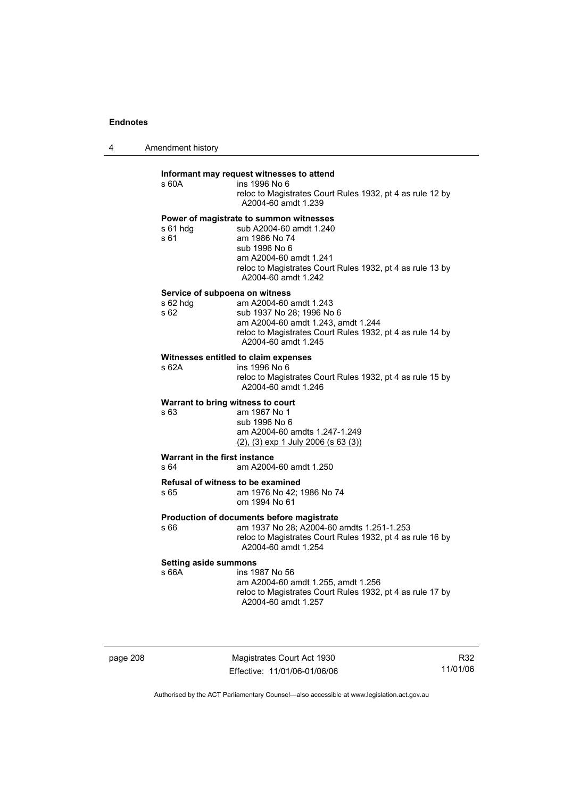| 4 | Amendment history                                  |                                                                                                                                                                                                                    |
|---|----------------------------------------------------|--------------------------------------------------------------------------------------------------------------------------------------------------------------------------------------------------------------------|
|   | s 60A                                              | Informant may request witnesses to attend<br>ins 1996 No 6<br>reloc to Magistrates Court Rules 1932, pt 4 as rule 12 by<br>A2004-60 amdt 1.239                                                                     |
|   | s 61 hdg<br>s 61                                   | Power of magistrate to summon witnesses<br>sub A2004-60 amdt 1.240<br>am 1986 No 74<br>sub 1996 No 6<br>am A2004-60 amdt 1.241<br>reloc to Magistrates Court Rules 1932, pt 4 as rule 13 by<br>A2004-60 amdt 1.242 |
|   | Service of subpoena on witness<br>s 62 hdg<br>s 62 | am A2004-60 amdt 1.243<br>sub 1937 No 28; 1996 No 6<br>am A2004-60 amdt 1.243, amdt 1.244<br>reloc to Magistrates Court Rules 1932, pt 4 as rule 14 by<br>A2004-60 amdt 1.245                                      |
|   | s 62A                                              | Witnesses entitled to claim expenses<br>ins 1996 No 6<br>reloc to Magistrates Court Rules 1932, pt 4 as rule 15 by<br>A2004-60 amdt 1.246                                                                          |
|   | Warrant to bring witness to court<br>s 63          | am 1967 No 1<br>sub 1996 No 6<br>am A2004-60 amdts 1.247-1.249<br>$(2)$ , $(3)$ exp 1 July 2006 (s 63 $(3)$ )                                                                                                      |
|   | Warrant in the first instance<br>s 64              | am A2004-60 amdt 1.250                                                                                                                                                                                             |
|   | Refusal of witness to be examined<br>s 65          | am 1976 No 42; 1986 No 74<br>om 1994 No 61                                                                                                                                                                         |
|   | s 66                                               | Production of documents before magistrate<br>am 1937 No 28; A2004-60 amdts 1.251-1.253<br>reloc to Magistrates Court Rules 1932, pt 4 as rule 16 by<br>A2004-60 amdt 1.254                                         |
|   | <b>Setting aside summons</b><br>s 66A              | ins 1987 No 56<br>am A2004-60 amdt 1.255, amdt 1.256<br>reloc to Magistrates Court Rules 1932, pt 4 as rule 17 by<br>A2004-60 amdt 1.257                                                                           |

page 208 Magistrates Court Act 1930 Effective: 11/01/06-01/06/06

R32 11/01/06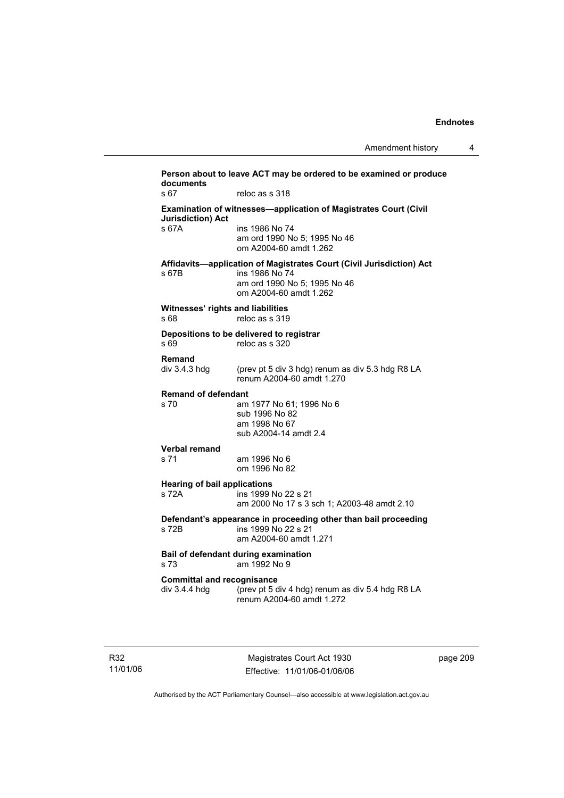| s <sub>67</sub>                                    | reloc as s 318                                                                                                                                   |
|----------------------------------------------------|--------------------------------------------------------------------------------------------------------------------------------------------------|
| <b>Jurisdiction) Act</b>                           | Examination of witnesses-application of Magistrates Court (Civil                                                                                 |
| s 67A                                              | ins 1986 No 74<br>am ord 1990 No 5: 1995 No 46<br>om A2004-60 amdt 1.262                                                                         |
| s 67B                                              | Affidavits-application of Magistrates Court (Civil Jurisdiction) Act<br>ins 1986 No 74<br>am ord 1990 No 5; 1995 No 46<br>om A2004-60 amdt 1.262 |
| s 68                                               | Witnesses' rights and liabilities<br>reloc as s 319                                                                                              |
| s69                                                | Depositions to be delivered to registrar<br>reloc as s 320                                                                                       |
| Remand<br>div 3.4.3 hdg                            | (prev pt 5 div 3 hdg) renum as div 5.3 hdg R8 LA<br>renum A2004-60 amdt 1.270                                                                    |
| <b>Remand of defendant</b><br>s 70                 | am 1977 No 61; 1996 No 6<br>sub 1996 No 82<br>am 1998 No 67<br>sub A2004-14 amdt 2.4                                                             |
| <b>Verbal remand</b>                               |                                                                                                                                                  |
| s 71                                               | am 1996 No 6<br>om 1996 No 82                                                                                                                    |
| <b>Hearing of bail applications</b><br>s 72A       | ins 1999 No 22 s 21<br>am 2000 No 17 s 3 sch 1; A2003-48 amdt 2.10                                                                               |
| s 72B                                              | Defendant's appearance in proceeding other than bail proceeding<br>ins 1999 No 22 s 21<br>am A2004-60 amdt 1.271                                 |
| s 73                                               | Bail of defendant during examination<br>am 1992 No 9                                                                                             |
| <b>Committal and recognisance</b><br>div 3.4.4 hdg | (prev pt 5 div 4 hdg) renum as div 5.4 hdg R8 LA<br>renum A2004-60 amdt 1.272                                                                    |

R32 11/01/06

Magistrates Court Act 1930 Effective: 11/01/06-01/06/06 page 209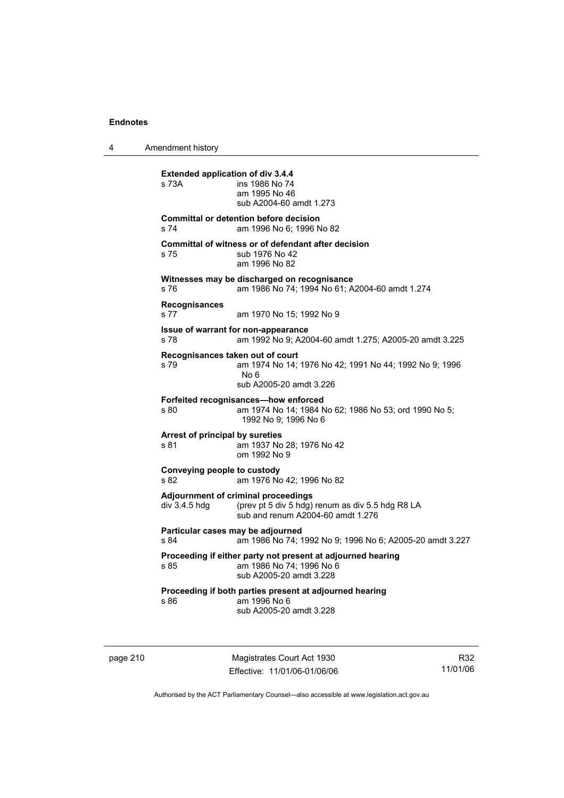4 Amendment history

**Extended application of div 3.4.4**  s 73A ins 1986 No 74 am 1995 No 46 sub A2004-60 amdt 1.273 **Committal or detention before decision**  s 74 am 1996 No 6; 1996 No 82 **Committal of witness or of defendant after decision**  s 75 sub 1976 No 42 am 1996 No 82 **Witnesses may be discharged on recognisance**  s 76 am 1986 No 74; 1994 No 61; A2004-60 amdt 1.274 **Recognisances**  s 77 am 1970 No 15; 1992 No 9 **Issue of warrant for non-appearance**  s 78 am 1992 No 9; A2004-60 amdt 1.275; A2005-20 amdt 3.225 **Recognisances taken out of court**  s 79 am 1974 No 14; 1976 No 42; 1991 No 44; 1992 No 9; 1996 No 6 sub A2005-20 amdt 3.226 **Forfeited recognisances—how enforced**<br>s 80 am 1974 No 14: 1984 N am 1974 No 14; 1984 No 62; 1986 No 53; ord 1990 No 5; 1992 No 9; 1996 No 6 **Arrest of principal by sureties**  s 81 am 1937 No 28; 1976 No 42 om 1992 No 9 **Conveying people to custody**  s 82 am 1976 No 42; 1996 No 82 **Adjournment of criminal proceedings**  div 3.4.5 hdg (prev pt 5 div 5 hdg) renum as div 5.5 hdg R8 LA sub and renum A2004-60 amdt 1.276 **Particular cases may be adjourned**  s 84 am 1986 No 74; 1992 No 9; 1996 No 6; A2005-20 amdt 3.227 **Proceeding if either party not present at adjourned hearing**  s 85 am 1986 No 74; 1996 No 6 sub A2005-20 amdt 3.228 **Proceeding if both parties present at adjourned hearing**  s 86 am 1996 No 6 sub A2005-20 amdt 3.228

page 210 Magistrates Court Act 1930 Effective: 11/01/06-01/06/06

R32 11/01/06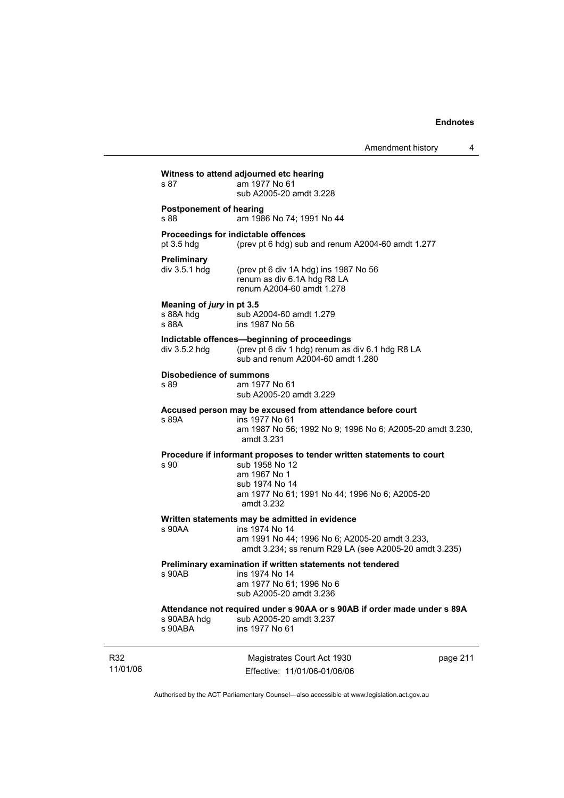Amendment history 4

|                 | s 87                                            | Witness to attend adjourned etc hearing<br>am 1977 No 61<br>sub A2005-20 amdt 3.228                                                                                                       |          |
|-----------------|-------------------------------------------------|-------------------------------------------------------------------------------------------------------------------------------------------------------------------------------------------|----------|
|                 | <b>Postponement of hearing</b><br>s 88          | am 1986 No 74; 1991 No 44                                                                                                                                                                 |          |
|                 | pt $3.5$ hdg                                    | Proceedings for indictable offences<br>(prev pt 6 hdg) sub and renum A2004-60 amdt 1.277                                                                                                  |          |
|                 | Preliminary<br>div $3.5.1$ hdg                  | (prev pt 6 div 1A hdg) ins 1987 No 56<br>renum as div 6.1A hdg R8 LA<br>renum A2004-60 amdt 1.278                                                                                         |          |
|                 | Meaning of jury in pt 3.5<br>s 88A hdg<br>s 88A | sub A2004-60 amdt 1.279<br>ins 1987 No 56                                                                                                                                                 |          |
|                 | div 3.5.2 hdg                                   | Indictable offences-beginning of proceedings<br>(prev pt 6 div 1 hdg) renum as div 6.1 hdg R8 LA<br>sub and renum A2004-60 amdt 1.280                                                     |          |
|                 | <b>Disobedience of summons</b><br>s 89          | am 1977 No 61<br>sub A2005-20 amdt 3.229                                                                                                                                                  |          |
|                 | s 89A                                           | Accused person may be excused from attendance before court<br>ins 1977 No 61<br>am 1987 No 56; 1992 No 9; 1996 No 6; A2005-20 amdt 3.230,<br>amdt 3.231                                   |          |
|                 | s 90                                            | Procedure if informant proposes to tender written statements to court<br>sub 1958 No 12<br>am 1967 No 1<br>sub 1974 No 14<br>am 1977 No 61; 1991 No 44; 1996 No 6; A2005-20<br>amdt 3.232 |          |
|                 | s 90AA                                          | Written statements may be admitted in evidence<br>ins 1974 No 14<br>am 1991 No 44; 1996 No 6; A2005-20 amdt 3.233,<br>amdt 3.234; ss renum R29 LA (see A2005-20 amdt 3.235)               |          |
|                 | s 90AB                                          | Preliminary examination if written statements not tendered<br>ins 1974 No 14<br>am 1977 No 61; 1996 No 6<br>sub A2005-20 amdt 3.236                                                       |          |
|                 | s 90ABA hdg<br>s 90ABA                          | Attendance not required under s 90AA or s 90AB if order made under s 89A<br>sub A2005-20 amdt 3.237<br>ins 1977 No 61                                                                     |          |
| R32<br>11/01/06 |                                                 | Magistrates Court Act 1930<br>Effective: 11/01/06-01/06/06                                                                                                                                | page 211 |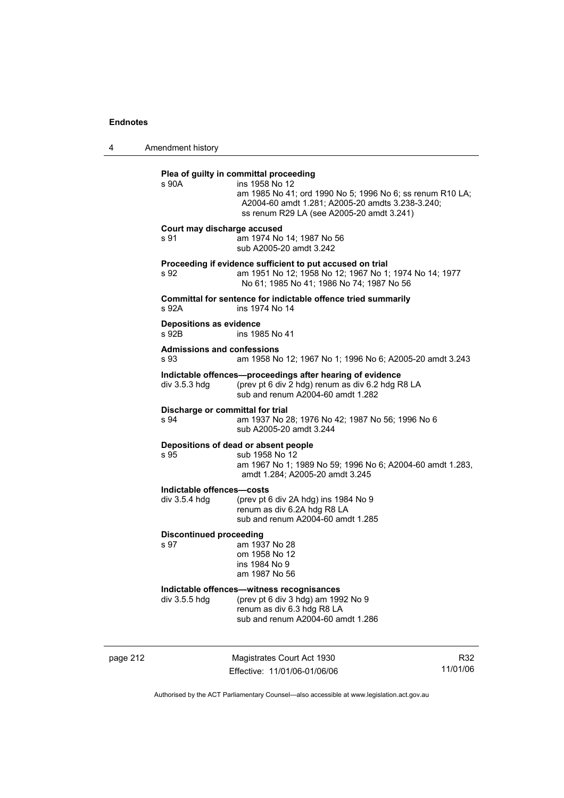4 Amendment history

#### **Plea of guilty in committal proceeding**

| s 90A | ins 1958 No 12                                            |
|-------|-----------------------------------------------------------|
|       | am 1985 No 41: ord 1990 No 5: 1996 No 6: ss renum R10 LA: |
|       | A2004-60 amdt 1.281: A2005-20 amdts 3.238-3.240:          |
|       | ss renum R29 LA (see A2005-20 amdt 3.241)                 |
|       |                                                           |

#### **Court may discharge accused**

s 91 am 1974 No 14; 1987 No 56 sub A2005-20 amdt 3.242

#### **Proceeding if evidence sufficient to put accused on trial**

s 92 am 1951 No 12; 1958 No 12; 1967 No 1; 1974 No 14; 1977 No 61; 1985 No 41; 1986 No 74; 1987 No 56

**Committal for sentence for indictable offence tried summarily**  s 92A ins 1974 No 14

# **Depositions as evidence**

ins 1985 No 41

# **Admissions and confessions**

am 1958 No 12; 1967 No 1; 1996 No 6; A2005-20 amdt 3.243

## **Indictable offences—proceedings after hearing of evidence**  div 3.5.3 hdg (prev pt 6 div 2 hdg) renum as div 6.2 hdg R8 LA

sub and renum A2004-60 amdt 1.282

## **Discharge or committal for trial**

s 94 am 1937 No 28; 1976 No 42; 1987 No 56; 1996 No 6 sub A2005-20 amdt 3.244

#### **Depositions of dead or absent people**

s 95 sub 1958 No 12

 am 1967 No 1; 1989 No 59; 1996 No 6; A2004-60 amdt 1.283, amdt 1.284; A2005-20 amdt 3.245

#### **Indictable offences—costs**

div 3.5.4 hdg (prev pt 6 div 2A hdg) ins 1984 No 9 renum as div 6.2A hdg R8 LA sub and renum A2004-60 amdt 1.285

### **Discontinued proceeding**

s 97 am 1937 No 28 om 1958 No 12 ins 1984 No 9 am 1987 No 56

**Indictable offences—witness recognisances**<br>div 3.5.5 hdg (prev pt 6 div 3 hdg) am 199 (prev pt 6 div 3 hdg) am 1992 No 9 renum as div 6.3 hdg R8 LA sub and renum A2004-60 amdt 1.286

page 212 Magistrates Court Act 1930 Effective: 11/01/06-01/06/06

R32 11/01/06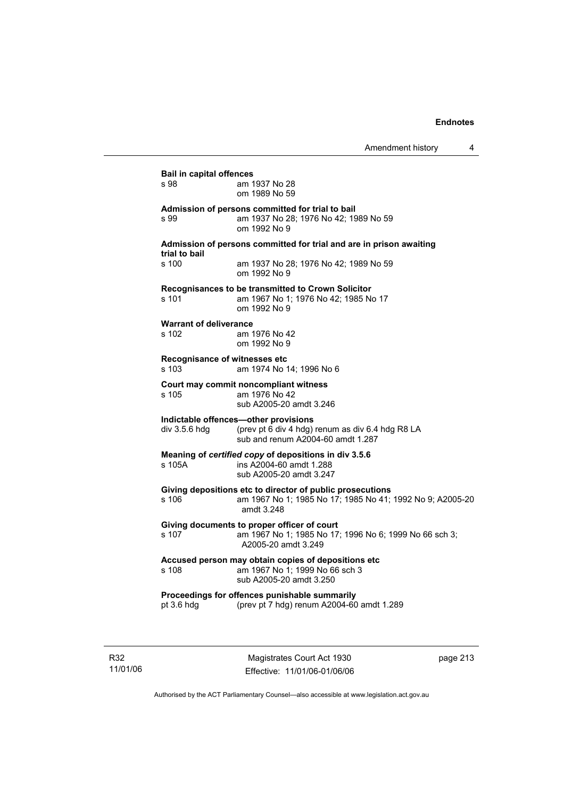| s 98                          | am 1937 No 28                                                       |
|-------------------------------|---------------------------------------------------------------------|
|                               | om 1989 No 59                                                       |
|                               | Admission of persons committed for trial to bail                    |
| s 99                          | am 1937 No 28; 1976 No 42; 1989 No 59                               |
|                               | om 1992 No 9                                                        |
| trial to bail                 | Admission of persons committed for trial and are in prison awaiting |
| s 100                         | am 1937 No 28; 1976 No 42; 1989 No 59<br>om 1992 No 9               |
|                               | Recognisances to be transmitted to Crown Solicitor                  |
| s 101                         | am 1967 No 1; 1976 No 42; 1985 No 17                                |
|                               | om 1992 No 9                                                        |
| <b>Warrant of deliverance</b> |                                                                     |
| s 102                         | am 1976 No 42                                                       |
|                               | om 1992 No 9                                                        |
|                               | Recognisance of witnesses etc                                       |
| s 103                         | am 1974 No 14: 1996 No 6                                            |
|                               | Court may commit noncompliant witness                               |
| s 105                         | am 1976 No 42                                                       |
|                               | sub A2005-20 amdt 3.246                                             |
|                               | Indictable offences-other provisions                                |
| div 3.5.6 hdg                 | (prev pt 6 div 4 hdg) renum as div 6.4 hdg R8 LA                    |
|                               | sub and renum A2004-60 amdt 1.287                                   |
|                               | Meaning of certified copy of depositions in div 3.5.6               |
| s 105A                        | ins A2004-60 amdt 1.288                                             |
|                               | sub A2005-20 amdt 3.247                                             |
|                               | Giving depositions etc to director of public prosecutions           |
| s 106                         | am 1967 No 1; 1985 No 17; 1985 No 41; 1992 No 9; A2005-20           |
|                               | amdt 3.248                                                          |
|                               | Giving documents to proper officer of court                         |
| s 107                         | am 1967 No 1; 1985 No 17; 1996 No 6; 1999 No 66 sch 3;              |
|                               | A2005-20 amdt 3.249                                                 |
|                               | Accused person may obtain copies of depositions etc                 |
| s 108                         | am 1967 No 1; 1999 No 66 sch 3                                      |
|                               | sub A2005-20 amdt 3.250                                             |
|                               | Proceedings for offences punishable summarily                       |
| pt 3.6 hdg                    | (prev pt 7 hdg) renum A2004-60 amdt 1.289                           |

R32 11/01/06

Magistrates Court Act 1930 Effective: 11/01/06-01/06/06 page 213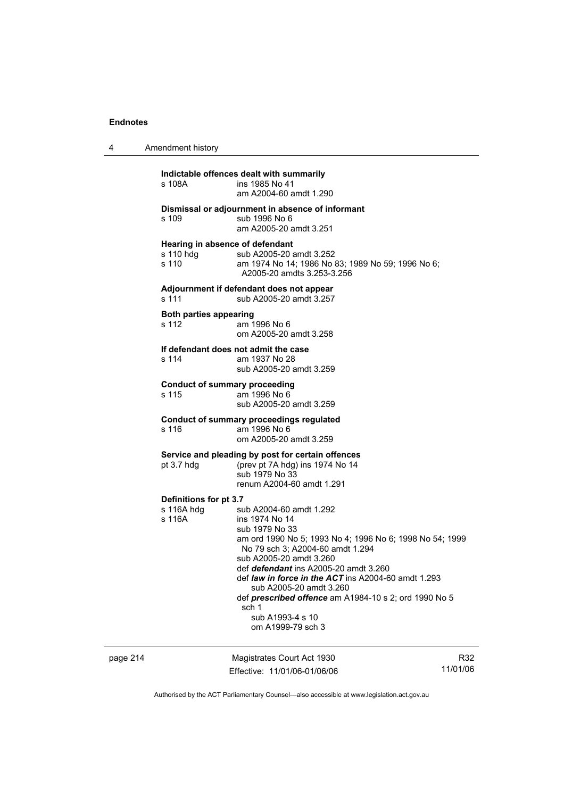| 4 | Amendment history                                     |                                                                                                                                                                                                                                                                                                                                                                                                                                     |
|---|-------------------------------------------------------|-------------------------------------------------------------------------------------------------------------------------------------------------------------------------------------------------------------------------------------------------------------------------------------------------------------------------------------------------------------------------------------------------------------------------------------|
|   | s 108A                                                | Indictable offences dealt with summarily<br>ins 1985 No 41<br>am A2004-60 amdt 1.290                                                                                                                                                                                                                                                                                                                                                |
|   | s 109                                                 | Dismissal or adjournment in absence of informant<br>sub 1996 No 6<br>am A2005-20 amdt 3.251                                                                                                                                                                                                                                                                                                                                         |
|   | Hearing in absence of defendant<br>s 110 hdg<br>s 110 | sub A2005-20 amdt 3.252<br>am 1974 No 14; 1986 No 83; 1989 No 59; 1996 No 6;<br>A2005-20 amdts 3.253-3.256                                                                                                                                                                                                                                                                                                                          |
|   | s 111                                                 | Adjournment if defendant does not appear<br>sub A2005-20 amdt 3.257                                                                                                                                                                                                                                                                                                                                                                 |
|   | <b>Both parties appearing</b><br>s 112                | am 1996 No 6<br>om A2005-20 amdt 3.258                                                                                                                                                                                                                                                                                                                                                                                              |
|   | s 114                                                 | If defendant does not admit the case<br>am 1937 No 28<br>sub A2005-20 amdt 3.259                                                                                                                                                                                                                                                                                                                                                    |
|   | <b>Conduct of summary proceeding</b><br>s 115         | am 1996 No 6<br>sub A2005-20 amdt 3.259                                                                                                                                                                                                                                                                                                                                                                                             |
|   | s 116                                                 | <b>Conduct of summary proceedings regulated</b><br>am 1996 No 6<br>om A2005-20 amdt 3.259                                                                                                                                                                                                                                                                                                                                           |
|   | pt 3.7 hdg                                            | Service and pleading by post for certain offences<br>(prev pt 7A hdg) ins 1974 No 14<br>sub 1979 No 33<br>renum A2004-60 amdt 1.291                                                                                                                                                                                                                                                                                                 |
|   | Definitions for pt 3.7<br>s 116A hdg<br>s 116A        | sub A2004-60 amdt 1.292<br>ins 1974 No 14<br>sub 1979 No 33<br>am ord 1990 No 5; 1993 No 4; 1996 No 6; 1998 No 54; 1999<br>No 79 sch 3; A2004-60 amdt 1.294<br>sub A2005-20 amdt 3.260<br>def defendant ins A2005-20 amdt 3.260<br>def <i>law in force in the ACT</i> ins A2004-60 amdt 1.293<br>sub A2005-20 amdt 3.260<br>def prescribed offence am A1984-10 s 2; ord 1990 No 5<br>sch 1<br>sub A1993-4 s 10<br>om A1999-79 sch 3 |

page 214 Magistrates Court Act 1930 Effective: 11/01/06-01/06/06

R32 11/01/06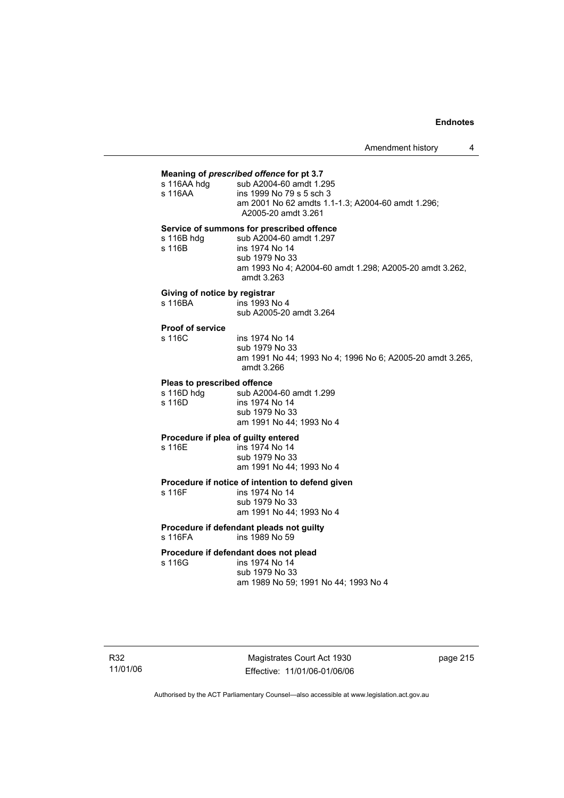Amendment history 4

#### **Meaning of** *prescribed offence* **for pt 3.7**

| s 116AA hdg                               | sub A2004-60 amdt 1.295                                                  |  |
|-------------------------------------------|--------------------------------------------------------------------------|--|
| s 116AA                                   | ins 1999 No 79 s 5 sch 3                                                 |  |
|                                           | am 2001 No 62 amdts 1.1-1.3; A2004-60 amdt 1.296;<br>A2005-20 amdt 3.261 |  |
| Service of summons for prescribed offence |                                                                          |  |

s 116B hdg sub A2004-60 amdt 1.297<br>s 116B s ins 1974 No 14 ins 1974 No 14 sub 1979 No 33 am 1993 No 4; A2004-60 amdt 1.298; A2005-20 amdt 3.262, amdt 3.263

#### **Giving of notice by registrar**

| s 116BA | ins 1993 No 4           |
|---------|-------------------------|
|         | sub A2005-20 amdt 3.264 |

# **Proof of service**

ins 1974 No 14 sub 1979 No 33 am 1991 No 44; 1993 No 4; 1996 No 6; A2005-20 amdt 3.265, amdt 3.266

#### **Pleas to prescribed offence**

s 116D hdg sub A2004-60 amdt 1.299<br>s 116D ins 1974 No 14 ins 1974 No 14 sub 1979 No 33 am 1991 No 44; 1993 No 4

#### **Procedure if plea of guilty entered**

s 116E ins 1974 No 14 sub 1979 No 33 am 1991 No 44; 1993 No 4

# **Procedure if notice of intention to defend given**

ins 1974 No 14 sub 1979 No 33 am 1991 No 44; 1993 No 4

#### **Procedure if defendant pleads not guilty**  s 116FA ins 1989 No 59

#### **Procedure if defendant does not plead**

s 116G ins 1974 No 14 sub 1979 No 33 am 1989 No 59; 1991 No 44; 1993 No 4

Magistrates Court Act 1930 Effective: 11/01/06-01/06/06 page 215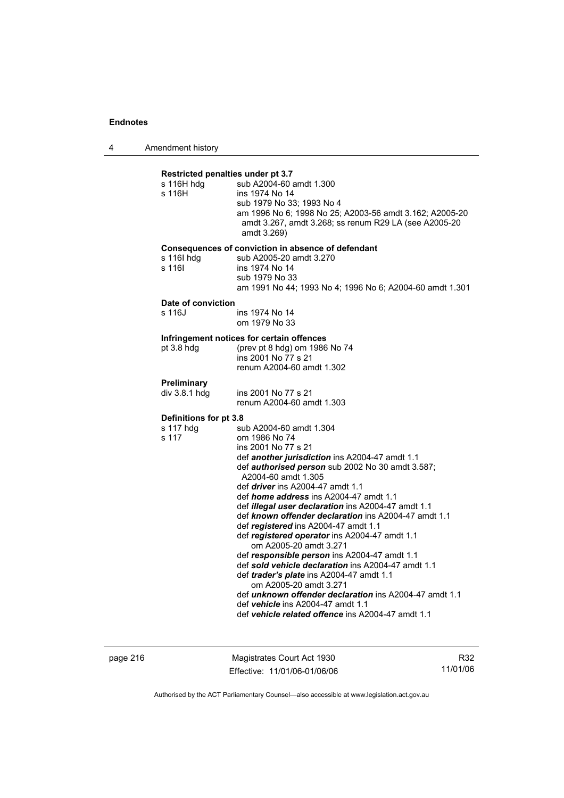4 Amendment history

| s 116H hdg<br>s 116H         | Restricted penalties under pt 3.7<br>sub A2004-60 amdt 1.300<br>ins 1974 No 14<br>sub 1979 No 33; 1993 No 4<br>am 1996 No 6; 1998 No 25; A2003-56 amdt 3.162; A2005-20<br>amdt 3.267, amdt 3.268; ss renum R29 LA (see A2005-20<br>amdt 3.269)                                                                                                                                                                                                                                                                                                                                                                                                                                                                                                                                                                                                                          |
|------------------------------|-------------------------------------------------------------------------------------------------------------------------------------------------------------------------------------------------------------------------------------------------------------------------------------------------------------------------------------------------------------------------------------------------------------------------------------------------------------------------------------------------------------------------------------------------------------------------------------------------------------------------------------------------------------------------------------------------------------------------------------------------------------------------------------------------------------------------------------------------------------------------|
| s 116I hdg<br>s 116I         | Consequences of conviction in absence of defendant<br>sub A2005-20 amdt 3.270<br>ins 1974 No 14<br>sub 1979 No 33<br>am 1991 No 44; 1993 No 4; 1996 No 6; A2004-60 amdt 1.301                                                                                                                                                                                                                                                                                                                                                                                                                                                                                                                                                                                                                                                                                           |
| Date of conviction<br>s 116J | ins 1974 No 14                                                                                                                                                                                                                                                                                                                                                                                                                                                                                                                                                                                                                                                                                                                                                                                                                                                          |
|                              | om 1979 No 33                                                                                                                                                                                                                                                                                                                                                                                                                                                                                                                                                                                                                                                                                                                                                                                                                                                           |
| $pt$ 3.8 hdg                 | Infringement notices for certain offences<br>(prev pt 8 hdg) om 1986 No 74<br>ins 2001 No 77 s 21<br>renum A2004-60 amdt 1.302                                                                                                                                                                                                                                                                                                                                                                                                                                                                                                                                                                                                                                                                                                                                          |
| Preliminary                  |                                                                                                                                                                                                                                                                                                                                                                                                                                                                                                                                                                                                                                                                                                                                                                                                                                                                         |
| div 3.8.1 hdg                | ins 2001 No 77 s 21<br>renum A2004-60 amdt 1.303                                                                                                                                                                                                                                                                                                                                                                                                                                                                                                                                                                                                                                                                                                                                                                                                                        |
| Definitions for pt 3.8       |                                                                                                                                                                                                                                                                                                                                                                                                                                                                                                                                                                                                                                                                                                                                                                                                                                                                         |
| s 117 hdg<br>s 117           | sub A2004-60 amdt 1.304<br>om 1986 No 74<br>ins 2001 No 77 s 21<br>def another jurisdiction ins A2004-47 amdt 1.1<br>def <i>authorised person</i> sub 2002 No 30 amdt 3.587;<br>A2004-60 amdt 1.305<br>def <i>driver</i> ins A2004-47 amdt 1.1<br>def <i>home address</i> ins A2004-47 amdt 1.1<br>def illegal user declaration ins A2004-47 amdt 1.1<br>def known offender declaration ins A2004-47 amdt 1.1<br>def registered ins A2004-47 amdt 1.1<br>def registered operator ins A2004-47 amdt 1.1<br>om A2005-20 amdt 3.271<br>def responsible person ins A2004-47 amdt 1.1<br>def sold vehicle declaration ins A2004-47 amdt 1.1<br>def trader's plate ins A2004-47 amdt 1.1<br>om A2005-20 amdt 3.271<br>def <i>unknown offender declaration</i> ins A2004-47 amdt 1.1<br>def vehicle ins A2004-47 amdt 1.1<br>def vehicle related offence ins A2004-47 amdt 1.1 |

page 216 Magistrates Court Act 1930 Effective: 11/01/06-01/06/06

R32 11/01/06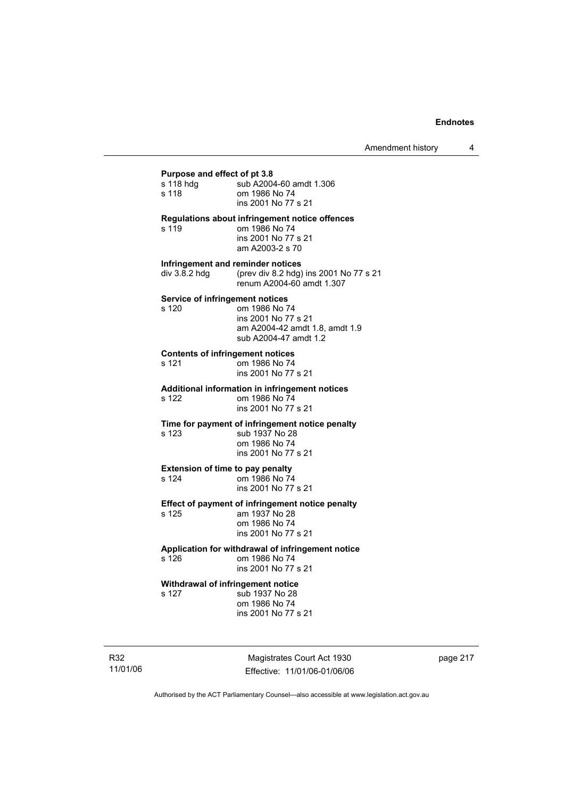### **Purpose and effect of pt 3.8**

| ι αιρυσσ απα σπουι οι ρι σ.υ            |                                                                                                                  |
|-----------------------------------------|------------------------------------------------------------------------------------------------------------------|
| s 118 hdg                               | sub A2004-60 amdt 1.306                                                                                          |
| s 118                                   | om 1986 No 74                                                                                                    |
|                                         | ins 2001 No 77 s 21                                                                                              |
| s 119                                   | <b>Regulations about infringement notice offences</b><br>om 1986 No 74<br>ins 2001 No 77 s 21<br>am A2003-2 s 70 |
| Infringement and reminder notices       |                                                                                                                  |
| div 3.8.2 hdg                           | (prev div 8.2 hdg) ins 2001 No 77 s 21<br>renum A2004-60 amdt 1.307                                              |
| <b>Service of infringement notices</b>  |                                                                                                                  |
| s 120                                   | om 1986 No 74                                                                                                    |
|                                         | ins 2001 No 77 s 21                                                                                              |
|                                         | am A2004-42 amdt 1.8, amdt 1.9<br>sub A2004-47 amdt 1.2                                                          |
|                                         |                                                                                                                  |
| <b>Contents of infringement notices</b> |                                                                                                                  |
| s 121                                   | om 1986 No 74                                                                                                    |
|                                         | ins 2001 No 77 s 21                                                                                              |
|                                         | <b>Additional information in infringement notices</b>                                                            |
| s 122                                   | om 1986 No 74                                                                                                    |
|                                         | ins 2001 No 77 s 21                                                                                              |
|                                         | Time for payment of infringement notice penalty                                                                  |
| s 123                                   | sub 1937 No 28                                                                                                   |
|                                         | om 1986 No 74                                                                                                    |
|                                         | ins 2001 No 77 s 21                                                                                              |
| <b>Extension of time to pay penalty</b> |                                                                                                                  |
| s 124                                   | om 1986 No 74                                                                                                    |
|                                         | ins 2001 No 77 s 21                                                                                              |
|                                         | Effect of payment of infringement notice penalty                                                                 |
| s 125                                   | am 1937 No 28                                                                                                    |
|                                         | om 1986 No 74                                                                                                    |
|                                         | ins 2001 No 77 s 21                                                                                              |
|                                         | Application for withdrawal of infringement notice                                                                |
| s 126                                   | om 1986 No 74                                                                                                    |
|                                         | ins 2001 No 77 s 21                                                                                              |
| Withdrawal of infringement notice       |                                                                                                                  |
| s 127                                   | sub 1937 No 28                                                                                                   |

 om 1986 No 74 ins 2001 No 77 s 21

R32 11/01/06

Magistrates Court Act 1930 Effective: 11/01/06-01/06/06 page 217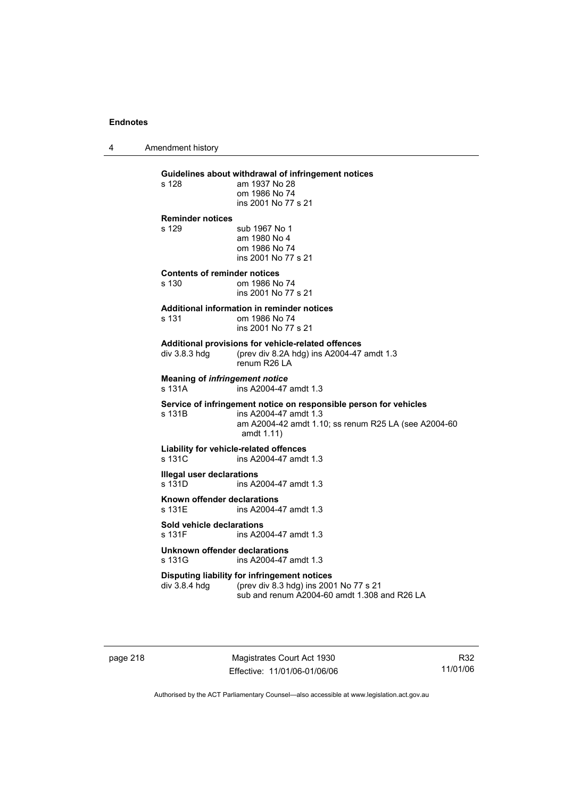4 Amendment history

# **Guidelines about withdrawal of infringement notices**

am 1937 No 28 om 1986 No 74 ins 2001 No 77 s 21

### **Reminder notices**

s 129 sub 1967 No 1 am 1980 No 4 om 1986 No 74 ins 2001 No 77 s 21

# **Contents of reminder notices**

om 1986 No 74 ins 2001 No 77 s 21

### **Additional information in reminder notices**

| s 131 | om 1986 No 74       |
|-------|---------------------|
|       | ins 2001 No 77 s 21 |

### **Additional provisions for vehicle-related offences**

div 3.8.3 hdg (prev div 8.2A hdg) ins A2004-47 amdt 1.3 renum R26 LA

**Meaning of** *infringement notice*<br>s 131A ins A2004-47 ins A2004-47 amdt 1.3

#### **Service of infringement notice on responsible person for vehicles**  s 131B ins A2004-47 amdt 1.3

 am A2004-42 amdt 1.10; ss renum R25 LA (see A2004-60 amdt 1.11)

# **Liability for vehicle-related offences**

s 131C ins A2004-47 amdt 1.3

# **Illegal user declarations**

ins A2004-47 amdt 1.3

**Known offender declarations**  s 131E ins A2004-47 amdt 1.3

# **Sold vehicle declarations**

ins A2004-47 amdt 1.3

### **Unknown offender declarations**  s 131G ins A2004-47 amdt 1.3

#### **Disputing liability for infringement notices**<br>div 3.8.4 hdg (prev div 8.3 hdg) ins 200 (prev div 8.3 hdg) ins 2001 No 77 s 21

sub and renum A2004-60 amdt 1.308 and R26 LA

page 218 Magistrates Court Act 1930 Effective: 11/01/06-01/06/06

R32 11/01/06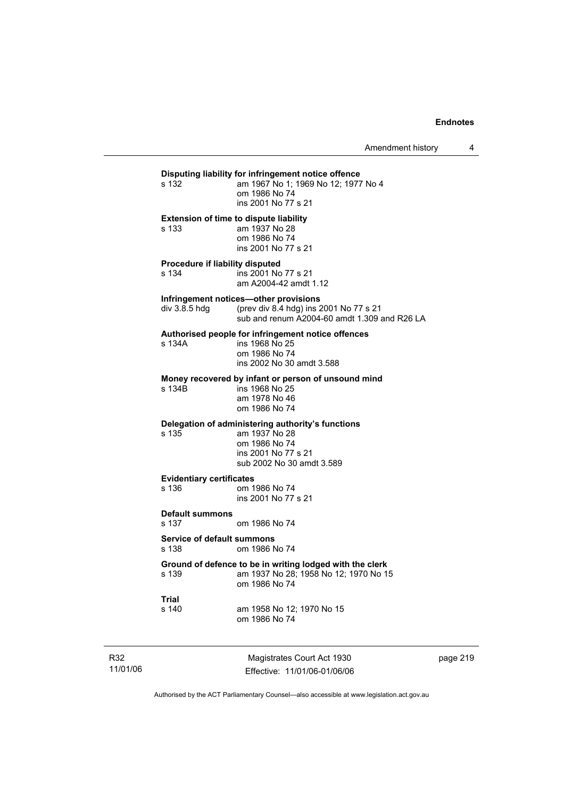# **Disputing liability for infringement notice offence**  am 1967 No 1; 1969 No 12; 1977 No 4 om 1986 No 74 ins 2001 No 77 s 21 **Extension of time to dispute liability**  s 133 am 1937 No 28 om 1986 No 74 ins 2001 No 77 s 21 **Procedure if liability disputed**  s 134 ins 2001 No 77 s 21 am A2004-42 amdt 1.12 **Infringement notices—other provisions**<br>div 3.8.5 hdg (prev div 8.4 hdg) ins 2 (prev div 8.4 hdg) ins 2001 No 77 s 21 sub and renum A2004-60 amdt 1.309 and R26 LA **Authorised people for infringement notice offences**  s 134A ins 1968 No 25 om 1986 No 74 ins 2002 No 30 amdt 3.588 **Money recovered by infant or person of unsound mind**  ins 1968 No 25 am 1978 No 46 om 1986 No 74 **Delegation of administering authority's functions**  s 135 am 1937 No 28 om 1986 No 74 ins 2001 No 77 s 21 sub 2002 No 30 amdt 3.589 **Evidentiary certificates**  s 136 om 1986 No 74 ins 2001 No 77 s 21 **Default summons**  s 137 om 1986 No 74 **Service of default summons**  s 138 om 1986 No 74 **Ground of defence to be in writing lodged with the clerk**  s 139 am 1937 No 28; 1958 No 12; 1970 No 15 om 1986 No 74 **Trial**  s 140 am 1958 No 12; 1970 No 15 om 1986 No 74

R32 11/01/06

Magistrates Court Act 1930 Effective: 11/01/06-01/06/06 page 219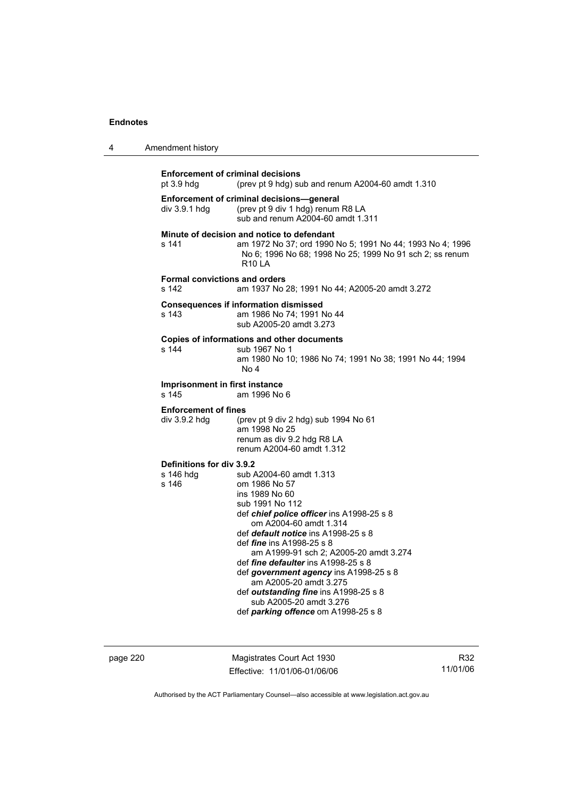|  | Amendment history |
|--|-------------------|
|--|-------------------|

| <b>Enforcement of criminal decisions</b><br>pt $3.9$ hdg | (prev pt 9 hdg) sub and renum A2004-60 amdt 1.310                                                                                                                                                                                                                                                                                                                                                                                                                                                      |
|----------------------------------------------------------|--------------------------------------------------------------------------------------------------------------------------------------------------------------------------------------------------------------------------------------------------------------------------------------------------------------------------------------------------------------------------------------------------------------------------------------------------------------------------------------------------------|
| div 3.9.1 hdg                                            | Enforcement of criminal decisions-general<br>(prev pt 9 div 1 hdg) renum R8 LA<br>sub and renum A2004-60 amdt 1.311                                                                                                                                                                                                                                                                                                                                                                                    |
| s 141                                                    | Minute of decision and notice to defendant<br>am 1972 No 37; ord 1990 No 5; 1991 No 44; 1993 No 4; 1996<br>No 6; 1996 No 68; 1998 No 25; 1999 No 91 sch 2; ss renum<br><b>R10 LA</b>                                                                                                                                                                                                                                                                                                                   |
| <b>Formal convictions and orders</b><br>s 142            | am 1937 No 28; 1991 No 44; A2005-20 amdt 3.272                                                                                                                                                                                                                                                                                                                                                                                                                                                         |
| s 143                                                    | <b>Consequences if information dismissed</b><br>am 1986 No 74; 1991 No 44<br>sub A2005-20 amdt 3.273                                                                                                                                                                                                                                                                                                                                                                                                   |
| s 144                                                    | Copies of informations and other documents<br>sub 1967 No 1<br>am 1980 No 10; 1986 No 74; 1991 No 38; 1991 No 44; 1994<br>No 4                                                                                                                                                                                                                                                                                                                                                                         |
| Imprisonment in first instance<br>s 145                  | am 1996 No 6                                                                                                                                                                                                                                                                                                                                                                                                                                                                                           |
| <b>Enforcement of fines</b><br>div 3.9.2 hdg             | (prev pt 9 div 2 hdg) sub 1994 No 61<br>am 1998 No 25<br>renum as div 9.2 hdg R8 LA<br>renum A2004-60 amdt 1.312                                                                                                                                                                                                                                                                                                                                                                                       |
| Definitions for div 3.9.2<br>s 146 hdq<br>s 146          | sub A2004-60 amdt 1.313<br>om 1986 No 57<br>ins 1989 No 60<br>sub 1991 No 112<br>def chief police officer ins A1998-25 s 8<br>om A2004-60 amdt 1.314<br>def <i>default notice</i> ins A1998-25 s 8<br>def <i>fine</i> ins A1998-25 s 8<br>am A1999-91 sch 2; A2005-20 amdt 3.274<br>def fine defaulter ins A1998-25 s 8<br>def government agency ins A1998-25 s 8<br>am A2005-20 amdt 3.275<br>def outstanding fine ins A1998-25 s 8<br>sub A2005-20 amdt 3.276<br>def parking offence om A1998-25 s 8 |

page 220 Magistrates Court Act 1930 Effective: 11/01/06-01/06/06

R32 11/01/06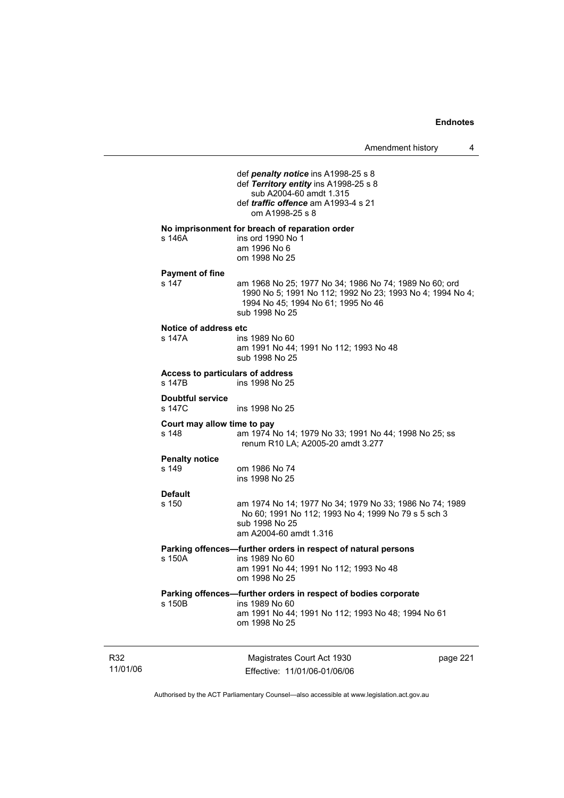|                                            | def penalty notice ins A1998-25 s 8<br>def Territory entity ins A1998-25 s 8<br>sub A2004-60 amdt 1.315<br>def <i>traffic</i> offence am A1993-4 s 21<br>om A1998-25 s 8    |          |
|--------------------------------------------|-----------------------------------------------------------------------------------------------------------------------------------------------------------------------------|----------|
| s 146A                                     | No imprisonment for breach of reparation order<br>ins ord 1990 No 1<br>am 1996 No 6<br>om 1998 No 25                                                                        |          |
| <b>Payment of fine</b><br>s 147            | am 1968 No 25; 1977 No 34; 1986 No 74; 1989 No 60; ord<br>1990 No 5; 1991 No 112; 1992 No 23; 1993 No 4; 1994 No 4;<br>1994 No 45; 1994 No 61; 1995 No 46<br>sub 1998 No 25 |          |
| Notice of address etc<br>s 147A            | ins 1989 No 60<br>am 1991 No 44; 1991 No 112; 1993 No 48<br>sub 1998 No 25                                                                                                  |          |
| Access to particulars of address<br>s 147B | ins 1998 No 25                                                                                                                                                              |          |
| <b>Doubtful service</b><br>s 147C          | ins 1998 No 25                                                                                                                                                              |          |
| Court may allow time to pay<br>s 148       | am 1974 No 14; 1979 No 33; 1991 No 44; 1998 No 25; ss<br>renum R10 LA; A2005-20 amdt 3.277                                                                                  |          |
| <b>Penalty notice</b><br>s 149             | om 1986 No 74<br>ins 1998 No 25                                                                                                                                             |          |
| <b>Default</b><br>s 150                    | am 1974 No 14; 1977 No 34; 1979 No 33; 1986 No 74; 1989<br>No 60; 1991 No 112; 1993 No 4; 1999 No 79 s 5 sch 3<br>sub 1998 No 25<br>am A2004-60 amdt 1.316                  |          |
| s 150A                                     | Parking offences-further orders in respect of natural persons<br>ins 1989 No 60<br>am 1991 No 44; 1991 No 112; 1993 No 48<br>om 1998 No 25                                  |          |
| s 150B                                     | Parking offences-further orders in respect of bodies corporate<br>ins 1989 No 60<br>am 1991 No 44; 1991 No 112; 1993 No 48; 1994 No 61<br>om 1998 No 25                     |          |
|                                            | Magistrates Court Act 1930<br>Effective: 11/01/06-01/06/06                                                                                                                  | page 221 |

Authorised by the ACT Parliamentary Counsel—also accessible at www.legislation.act.gov.au

R32 11/01/06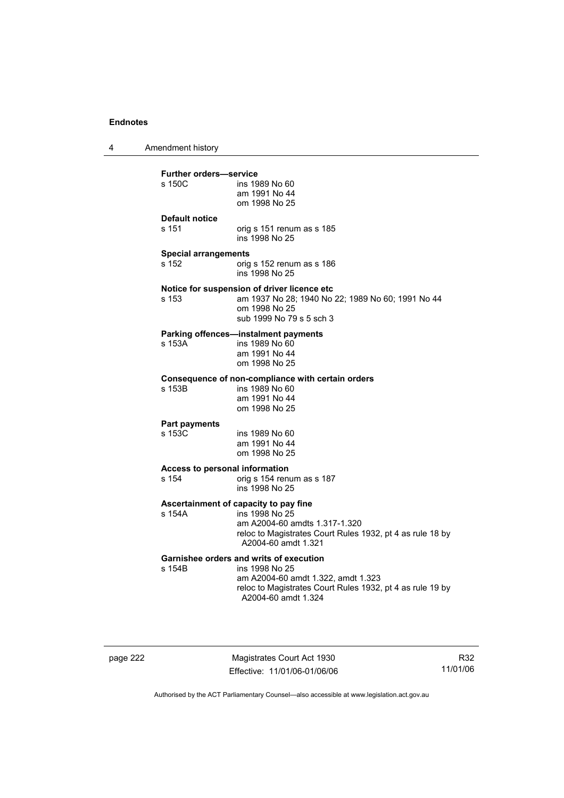4 Amendment history

| <b>Further orders-service</b>  |                                                                                                 |
|--------------------------------|-------------------------------------------------------------------------------------------------|
| s 150C                         | ins 1989 No 60<br>am 1991 No 44                                                                 |
|                                | om 1998 No 25                                                                                   |
| <b>Default notice</b>          |                                                                                                 |
| s 151                          | orig s 151 renum as s 185<br>ins 1998 No 25                                                     |
| <b>Special arrangements</b>    |                                                                                                 |
| s 152                          | orig s 152 renum as s 186<br>ins 1998 No 25                                                     |
|                                | Notice for suspension of driver licence etc                                                     |
| s 153                          | am 1937 No 28; 1940 No 22; 1989 No 60; 1991 No 44<br>om 1998 No 25                              |
|                                | sub 1999 No 79 s 5 sch 3                                                                        |
|                                | Parking offences-instalment payments                                                            |
| s 153A                         | ins 1989 No 60                                                                                  |
|                                | am 1991 No 44<br>om 1998 No 25                                                                  |
|                                |                                                                                                 |
| s 153B                         | Consequence of non-compliance with certain orders<br>ins 1989 No 60                             |
|                                | am 1991 No 44                                                                                   |
|                                | om 1998 No 25                                                                                   |
| <b>Part payments</b>           |                                                                                                 |
| s 153C                         | ins 1989 No 60                                                                                  |
|                                | am 1991 No 44<br>om 1998 No 25                                                                  |
| Access to personal information |                                                                                                 |
| s 154                          | orig s 154 renum as s 187                                                                       |
|                                | ins 1998 No 25                                                                                  |
|                                | Ascertainment of capacity to pay fine                                                           |
| s 154A                         | ins 1998 No 25<br>am A2004-60 amdts 1.317-1.320                                                 |
|                                | reloc to Magistrates Court Rules 1932, pt 4 as rule 18 by                                       |
|                                | A2004-60 amdt 1.321                                                                             |
|                                | <b>Garnishee orders and writs of execution</b>                                                  |
| s 154B                         | ins 1998 No 25                                                                                  |
|                                | am A2004-60 amdt 1.322, amdt 1.323<br>reloc to Magistrates Court Rules 1932, pt 4 as rule 19 by |
|                                |                                                                                                 |

page 222 Magistrates Court Act 1930 Effective: 11/01/06-01/06/06

R32 11/01/06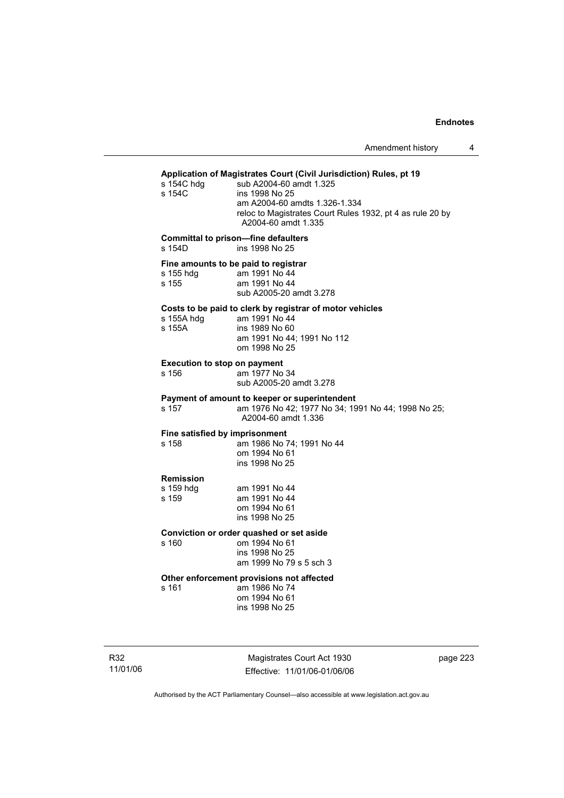### **Application of Magistrates Court (Civil Jurisdiction) Rules, pt 19**  s 154C hdg sub A2004-60 amdt 1.325

| S 1540 NO.<br>s 154C                         | sub A2004-60 amut 1.325<br>ins 1998 No 25<br>am A2004-60 amdts 1.326-1.334<br>reloc to Magistrates Court Rules 1932, pt 4 as rule 20 by<br>A2004-60 amdt 1.335 |
|----------------------------------------------|----------------------------------------------------------------------------------------------------------------------------------------------------------------|
| s 154D                                       | <b>Committal to prison-fine defaulters</b><br>ins 1998 No 25                                                                                                   |
| s 155 hdg<br>s 155                           | Fine amounts to be paid to registrar<br>am 1991 No 44<br>am 1991 No 44<br>sub A2005-20 amdt 3.278                                                              |
| s 155A hdg<br>s 155A                         | Costs to be paid to clerk by registrar of motor vehicles<br>am 1991 No 44<br>ins 1989 No 60<br>am 1991 No 44; 1991 No 112<br>om 1998 No 25                     |
| <b>Execution to stop on payment</b><br>s 156 | am 1977 No 34<br>sub A2005-20 amdt 3.278                                                                                                                       |
| s 157                                        | Payment of amount to keeper or superintendent<br>am 1976 No 42; 1977 No 34; 1991 No 44; 1998 No 25;<br>A2004-60 amdt 1.336                                     |
| Fine satisfied by imprisonment<br>s 158      | am 1986 No 74; 1991 No 44<br>om 1994 No 61<br>ins 1998 No 25                                                                                                   |
| <b>Remission</b><br>s 159 hdg<br>s 159       | am 1991 No 44<br>am 1991 No 44<br>om 1994 No 61<br>ins 1998 No 25                                                                                              |
| s 160                                        | Conviction or order quashed or set aside<br>om 1994 No 61<br>ins 1998 No 25<br>am 1999 No 79 s 5 sch 3                                                         |

# **Other enforcement provisions not affected**

am 1986 No 74 om 1994 No 61 ins 1998 No 25

R32 11/01/06

Magistrates Court Act 1930 Effective: 11/01/06-01/06/06 page 223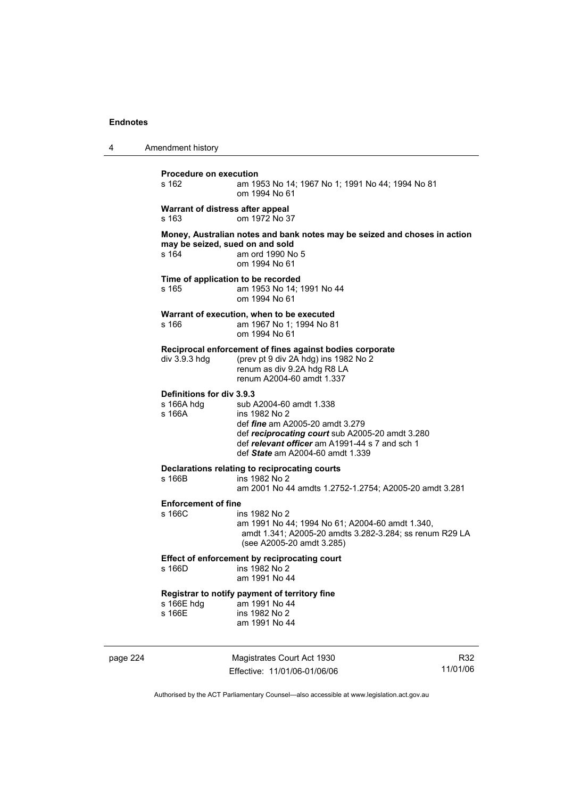| 4 | Amendment history                                 |                                                                                                                                                                                                                             |
|---|---------------------------------------------------|-----------------------------------------------------------------------------------------------------------------------------------------------------------------------------------------------------------------------------|
|   | <b>Procedure on execution</b><br>s 162            | am 1953 No 14; 1967 No 1; 1991 No 44; 1994 No 81<br>om 1994 No 61                                                                                                                                                           |
|   | Warrant of distress after appeal<br>s 163         | om 1972 No 37                                                                                                                                                                                                               |
|   | may be seized, sued on and sold<br>s 164          | Money, Australian notes and bank notes may be seized and choses in action<br>am ord 1990 No 5<br>om 1994 No 61                                                                                                              |
|   | Time of application to be recorded<br>s 165       | am 1953 No 14; 1991 No 44<br>om 1994 No 61                                                                                                                                                                                  |
|   | s 166                                             | Warrant of execution, when to be executed<br>am 1967 No 1; 1994 No 81<br>om 1994 No 61                                                                                                                                      |
|   | div 3.9.3 hdg                                     | Reciprocal enforcement of fines against bodies corporate<br>(prev pt 9 div 2A hdg) ins 1982 No 2<br>renum as div 9.2A hdg R8 LA<br>renum A2004-60 amdt 1.337                                                                |
|   | Definitions for div 3.9.3<br>s 166A hdg<br>s 166A | sub A2004-60 amdt 1.338<br>ins 1982 No 2<br>def <i>fine</i> am A2005-20 amdt 3.279<br>def reciprocating court sub A2005-20 amdt 3.280<br>def relevant officer am A1991-44 s 7 and sch 1<br>def State am A2004-60 amdt 1.339 |
|   | s 166B                                            | Declarations relating to reciprocating courts<br>ins 1982 No 2<br>am 2001 No 44 amdts 1.2752-1.2754; A2005-20 amdt 3.281                                                                                                    |
|   | <b>Enforcement of fine</b><br>s 166C              | ins 1982 No 2<br>am 1991 No 44; 1994 No 61; A2004-60 amdt 1.340,<br>amdt 1.341; A2005-20 amdts 3.282-3.284; ss renum R29 LA<br>(see A2005-20 amdt 3.285)                                                                    |
|   | s 166D                                            | Effect of enforcement by reciprocating court<br>ins 1982 No 2<br>am 1991 No 44                                                                                                                                              |
|   | s 166E hdg<br>s 166E                              | Registrar to notify payment of territory fine<br>am 1991 No 44<br>ins 1982 No 2<br>am 1991 No 44                                                                                                                            |
|   |                                                   |                                                                                                                                                                                                                             |

page 224 Magistrates Court Act 1930 Effective: 11/01/06-01/06/06

R32 11/01/06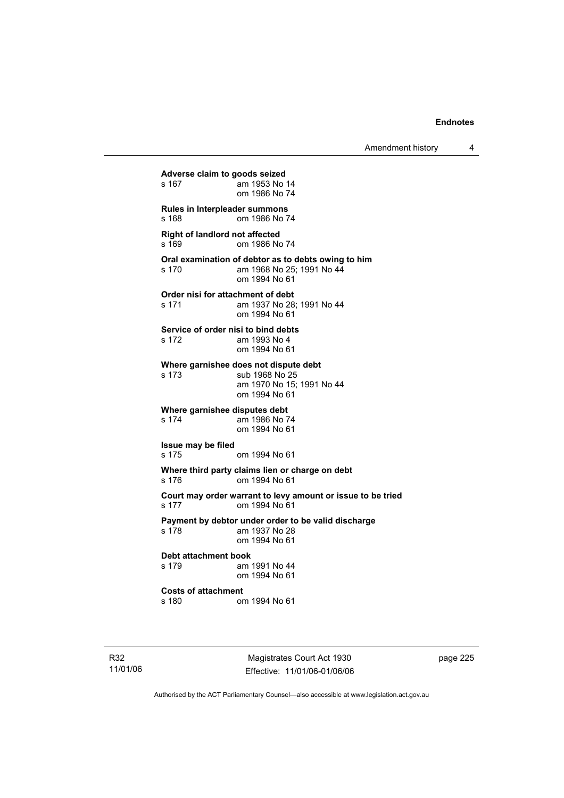Amendment history 4

**Adverse claim to goods seized**  am 1953 No 14 om 1986 No 74 **Rules in Interpleader summons**  s 168 om 1986 No 74 **Right of landlord not affected**  s 169 om 1986 No 74 **Oral examination of debtor as to debts owing to him**  s 170 am 1968 No 25; 1991 No 44 om 1994 No 61 **Order nisi for attachment of debt**<br>s 171 am 1937 No 28 am 1937 No 28; 1991 No 44 om 1994 No 61 **Service of order nisi to bind debts**  s 172 am 1993 No 4 om 1994 No 61 **Where garnishee does not dispute debt**  s 173 sub 1968 No 25 am 1970 No 15; 1991 No 44 om 1994 No 61 **Where garnishee disputes debt**  s 174 am 1986 No 74 om 1994 No 61 **Issue may be filed**  s 175 om 1994 No 61 **Where third party claims lien or charge on debt**  s 176 om 1994 No 61 **Court may order warrant to levy amount or issue to be tried**  s 177 om 1994 No 61 **Payment by debtor under order to be valid discharge**  s 178 am 1937 No 28 om 1994 No 61 **Debt attachment book**  s 179 am 1991 No 44 om 1994 No 61 **Costs of attachment**  s 180 om 1994 No 61

R32 11/01/06

Magistrates Court Act 1930 Effective: 11/01/06-01/06/06 page 225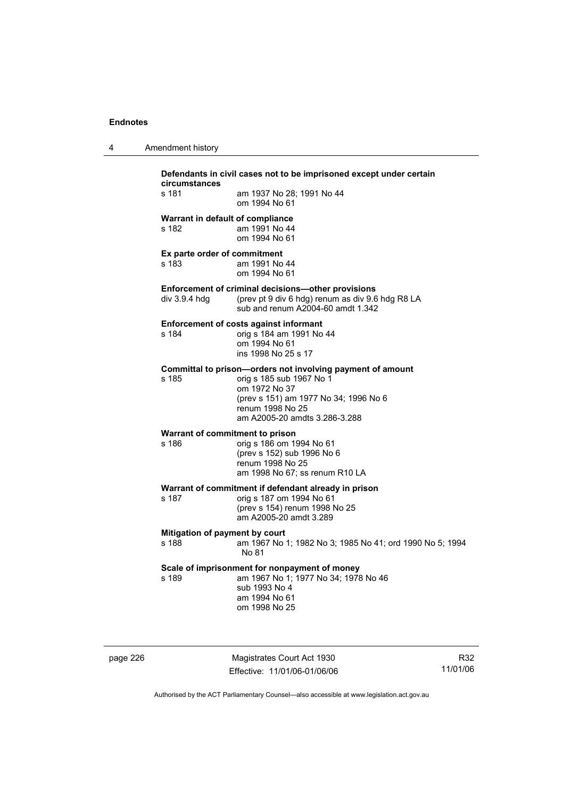| Amendment history |
|-------------------|
|                   |

| Defendants in civil cases not to be imprisoned except under certain<br>circumstances |                                                                                                                                                                                                       |  |
|--------------------------------------------------------------------------------------|-------------------------------------------------------------------------------------------------------------------------------------------------------------------------------------------------------|--|
| s 181                                                                                | am 1937 No 28; 1991 No 44<br>om 1994 No 61                                                                                                                                                            |  |
| Warrant in default of compliance<br>s 182                                            | am 1991 No 44<br>om 1994 No 61                                                                                                                                                                        |  |
| Ex parte order of commitment<br>s 183                                                | am 1991 No 44<br>om 1994 No 61                                                                                                                                                                        |  |
| div 3.9.4 hdg                                                                        | Enforcement of criminal decisions-other provisions<br>(prev pt 9 div 6 hdg) renum as div 9.6 hdg R8 LA<br>sub and renum A2004-60 amdt 1.342                                                           |  |
| s 184                                                                                | <b>Enforcement of costs against informant</b><br>orig s 184 am 1991 No 44<br>om 1994 No 61<br>ins 1998 No 25 s 17                                                                                     |  |
| s 185                                                                                | Committal to prison-orders not involving payment of amount<br>orig s 185 sub 1967 No 1<br>om 1972 No 37<br>(prev s 151) am 1977 No 34; 1996 No 6<br>renum 1998 No 25<br>am A2005-20 amdts 3.286-3.288 |  |
| Warrant of commitment to prison<br>s 186                                             | orig s 186 om 1994 No 61<br>(prev s 152) sub 1996 No 6<br>renum 1998 No 25<br>am 1998 No 67; ss renum R10 LA                                                                                          |  |
| s 187                                                                                | Warrant of commitment if defendant already in prison<br>orig s 187 om 1994 No 61<br>(prev s 154) renum 1998 No 25<br>am A2005-20 amdt 3.289                                                           |  |
| Mitigation of payment by court<br>s 188                                              | am 1967 No 1; 1982 No 3; 1985 No 41; ord 1990 No 5; 1994<br>No 81                                                                                                                                     |  |
| s 189                                                                                | Scale of imprisonment for nonpayment of money<br>am 1967 No 1; 1977 No 34; 1978 No 46<br>sub 1993 No 4<br>am 1994 No 61<br>om 1998 No 25                                                              |  |

page 226 Magistrates Court Act 1930 Effective: 11/01/06-01/06/06

R32 11/01/06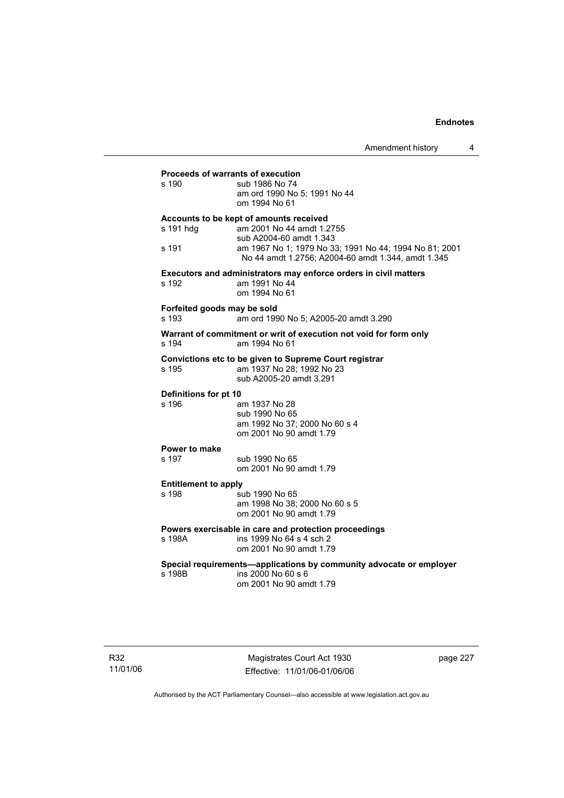| <b>Proceeds of warrants of execution</b>                            |                                                                                                                                         |  |  |
|---------------------------------------------------------------------|-----------------------------------------------------------------------------------------------------------------------------------------|--|--|
| s 190                                                               | sub 1986 No 74<br>am ord 1990 No 5; 1991 No 44<br>om 1994 No 61                                                                         |  |  |
| s 191 hdg                                                           | Accounts to be kept of amounts received<br>am 2001 No 44 amdt 1.2755                                                                    |  |  |
| s 191                                                               | sub A2004-60 amdt 1.343<br>am 1967 No 1; 1979 No 33; 1991 No 44; 1994 No 81; 2001<br>No 44 amdt 1.2756; A2004-60 amdt 1.344, amdt 1.345 |  |  |
|                                                                     | Executors and administrators may enforce orders in civil matters                                                                        |  |  |
| s 192                                                               | am 1991 No 44<br>om 1994 No 61                                                                                                          |  |  |
| Forfeited goods may be sold<br>s 193                                | am ord 1990 No 5: A2005-20 amdt 3.290                                                                                                   |  |  |
| s 194                                                               | Warrant of commitment or writ of execution not void for form only<br>am 1994 No 61                                                      |  |  |
| s 195                                                               | Convictions etc to be given to Supreme Court registrar<br>am 1937 No 28; 1992 No 23<br>sub A2005-20 amdt 3.291                          |  |  |
| Definitions for pt 10                                               |                                                                                                                                         |  |  |
| s 196                                                               | am 1937 No 28<br>sub 1990 No 65                                                                                                         |  |  |
|                                                                     | am 1992 No 37; 2000 No 60 s 4<br>om 2001 No 90 amdt 1.79                                                                                |  |  |
| Power to make                                                       |                                                                                                                                         |  |  |
| s 197                                                               | sub 1990 No 65<br>om 2001 No 90 amdt 1.79                                                                                               |  |  |
| <b>Entitlement to apply</b>                                         |                                                                                                                                         |  |  |
| s 198                                                               | sub 1990 No 65<br>am 1998 No 38; 2000 No 60 s 5<br>om 2001 No 90 amdt 1.79                                                              |  |  |
| Powers exercisable in care and protection proceedings               |                                                                                                                                         |  |  |
| s 198A                                                              | ins 1999 No 64 s 4 sch 2<br>om 2001 No 90 amdt 1.79                                                                                     |  |  |
| Special requirements-applications by community advocate or employer |                                                                                                                                         |  |  |
| s 198B                                                              | ins 2000 No 60 s 6<br>om 2001 No 90 amdt 1.79                                                                                           |  |  |
|                                                                     |                                                                                                                                         |  |  |

Magistrates Court Act 1930 Effective: 11/01/06-01/06/06 page 227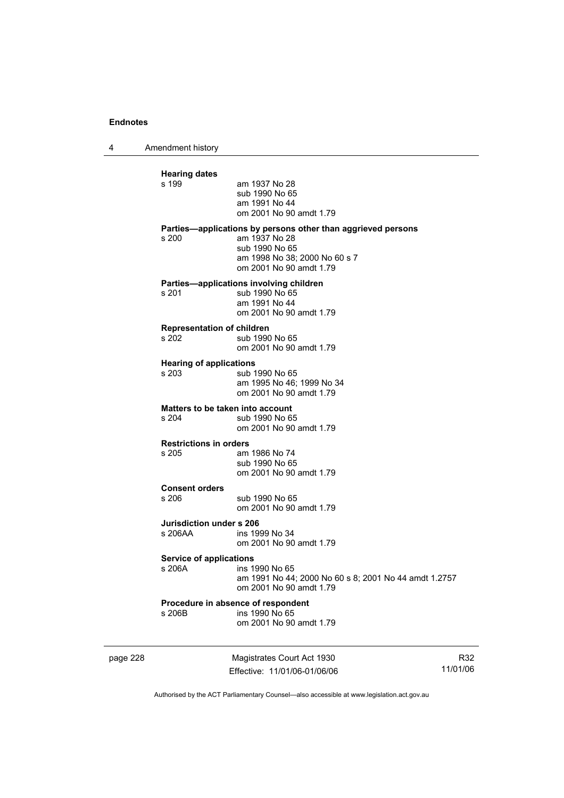4 Amendment history

| <b>Hearing dates</b><br>s 199             | am 1937 No 28<br>sub 1990 No 65<br>am 1991 No 44<br>om 2001 No 90 amdt 1.79                                                                                 |
|-------------------------------------------|-------------------------------------------------------------------------------------------------------------------------------------------------------------|
| s 200                                     | Parties—applications by persons other than aggrieved persons<br>am 1937 No 28<br>sub 1990 No 65<br>am 1998 No 38; 2000 No 60 s 7<br>om 2001 No 90 amdt 1.79 |
| s 201                                     | Parties-applications involving children<br>sub 1990 No 65<br>am 1991 No 44<br>om 2001 No 90 amdt 1.79                                                       |
| <b>Representation of children</b><br>s202 | sub 1990 No 65<br>om 2001 No 90 amdt 1.79                                                                                                                   |
| <b>Hearing of applications</b><br>s 203   | sub 1990 No 65<br>am 1995 No 46; 1999 No 34<br>om 2001 No 90 amdt 1.79                                                                                      |
| s 204                                     | Matters to be taken into account<br>sub 1990 No 65<br>om 2001 No 90 amdt 1.79                                                                               |
| <b>Restrictions in orders</b><br>s 205    | am 1986 No 74<br>sub 1990 No 65<br>om 2001 No 90 amdt 1.79                                                                                                  |
| <b>Consent orders</b><br>s 206            | sub 1990 No 65<br>om 2001 No 90 amdt 1.79                                                                                                                   |
| Jurisdiction under s 206<br>s 206AA       | ins 1999 No 34<br>om 2001 No 90 amdt 1.79                                                                                                                   |
| <b>Service of applications</b><br>s 206A  | ins 1990 No 65<br>am 1991 No 44; 2000 No 60 s 8; 2001 No 44 amdt 1.2757<br>om 2001 No 90 amdt 1.79                                                          |
| s 206B                                    | Procedure in absence of respondent<br>ins 1990 No 65<br>om 2001 No 90 amdt 1.79                                                                             |

page 228 Magistrates Court Act 1930 Effective: 11/01/06-01/06/06

R32 11/01/06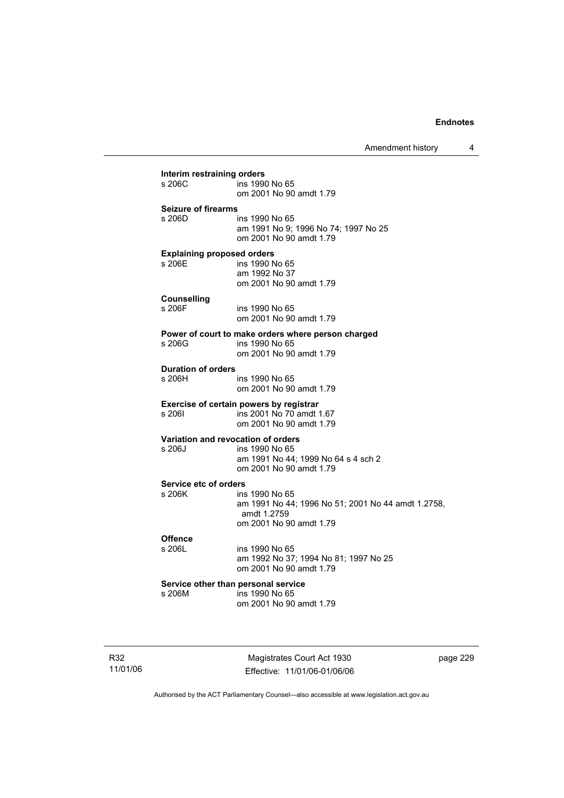Amendment history 4

| s 206C                              | Interim restraining orders<br>ins 1990 No 65                      |
|-------------------------------------|-------------------------------------------------------------------|
|                                     | om 2001 No 90 amdt 1.79                                           |
| <b>Seizure of firearms</b>          |                                                                   |
| s 206D                              | ins 1990 No 65                                                    |
|                                     | am 1991 No 9; 1996 No 74; 1997 No 25<br>om 2001 No 90 amdt 1.79   |
| <b>Explaining proposed orders</b>   |                                                                   |
| s 206E                              | ins 1990 No 65                                                    |
|                                     | am 1992 No 37<br>om 2001 No 90 amdt 1.79                          |
|                                     |                                                                   |
| <b>Counselling</b><br>s 206F        | ins 1990 No 65                                                    |
|                                     | om 2001 No 90 amdt 1.79                                           |
|                                     | Power of court to make orders where person charged                |
| s 206G                              | ins 1990 No 65                                                    |
|                                     | om 2001 No 90 amdt 1.79                                           |
| <b>Duration of orders</b><br>s 206H | ins 1990 No 65                                                    |
|                                     | om 2001 No 90 amdt 1.79                                           |
|                                     | Exercise of certain powers by registrar                           |
| s 2061                              | ins 2001 No 70 amdt 1.67                                          |
|                                     | om 2001 No 90 amdt 1.79                                           |
|                                     | Variation and revocation of orders                                |
| s 206J                              | ins 1990 No 65<br>am 1991 No 44; 1999 No 64 s 4 sch 2             |
|                                     | om 2001 No 90 amdt 1.79                                           |
| Service etc of orders               |                                                                   |
| s 206K                              | ins 1990 No 65                                                    |
|                                     | am 1991 No 44; 1996 No 51; 2001 No 44 amdt 1.2758,<br>amdt 1.2759 |
|                                     | om 2001 No 90 amdt 1.79                                           |
| <b>Offence</b>                      |                                                                   |
| s 206L                              | ins 1990 No 65                                                    |
|                                     | am 1992 No 37; 1994 No 81; 1997 No 25                             |
|                                     | om 2001 No 90 amdt 1.79                                           |
| s 206M                              | Service other than personal service<br>ins 1990 No 65             |
|                                     | om 2001 No 90 amdt 1.79                                           |

R32 11/01/06

Magistrates Court Act 1930 Effective: 11/01/06-01/06/06 page 229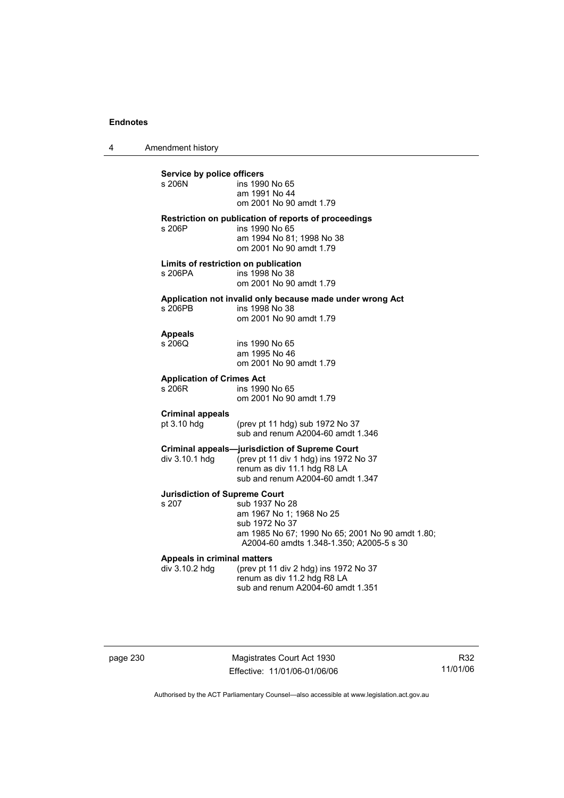4 Amendment history

**Service by police officers**  ins 1990 No 65 am 1991 No 44 om 2001 No 90 amdt 1.79 **Restriction on publication of reports of proceedings**  s 206P ins 1990 No 65 am 1994 No 81; 1998 No 38 om 2001 No 90 amdt 1.79 **Limits of restriction on publication**  s 206PA ins 1998 No 38 om 2001 No 90 amdt 1.79 **Application not invalid only because made under wrong Act**  ins 1998 No 38 om 2001 No 90 amdt 1.79 **Appeals**  ins 1990 No 65 am 1995 No 46 om 2001 No 90 amdt 1.79 **Application of Crimes Act**  ins 1990 No 65 om 2001 No 90 amdt 1.79 **Criminal appeals**  pt 3.10 hdg (prev pt 11 hdg) sub 1972 No 37 sub and renum A2004-60 amdt 1.346 **Criminal appeals—jurisdiction of Supreme Court**  div 3.10.1 hdg (prev pt 11 div 1 hdg) ins 1972 No 37 renum as div 11.1 hdg R8 LA sub and renum A2004-60 amdt 1.347 **Jurisdiction of Supreme Court**  sub 1937 No 28 am 1967 No 1; 1968 No 25 sub 1972 No 37 am 1985 No 67; 1990 No 65; 2001 No 90 amdt 1.80; A2004-60 amdts 1.348-1.350; A2005-5 s 30 **Appeals in criminal matters**  div 3.10.2 hdg (prev pt 11 div 2 hdg) ins 1972 No 37 renum as div 11.2 hdg R8 LA sub and renum A2004-60 amdt 1.351

page 230 Magistrates Court Act 1930 Effective: 11/01/06-01/06/06

R32 11/01/06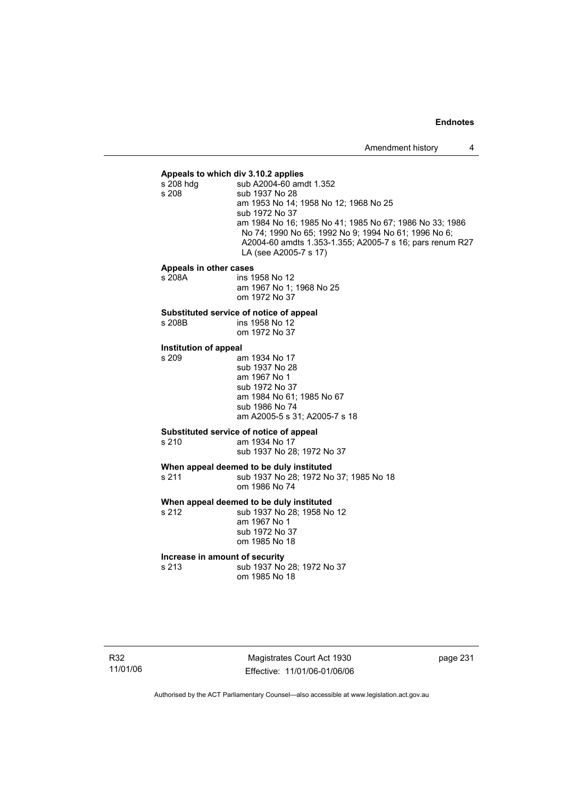**Appeals to which div 3.10.2 applies**  sub A2004-60 amdt 1.352 s 208 sub 1937 No 28 am 1953 No 14; 1958 No 12; 1968 No 25 sub 1972 No 37 am 1984 No 16; 1985 No 41; 1985 No 67; 1986 No 33; 1986 No 74; 1990 No 65; 1992 No 9; 1994 No 61; 1996 No 6; A2004-60 amdts 1.353-1.355; A2005-7 s 16; pars renum R27 LA (see A2005-7 s 17)

# **Appeals in other cases**

ins 1958 No 12 am 1967 No 1; 1968 No 25 om 1972 No 37

# **Substituted service of notice of appeal**

ins 1958 No 12

om 1972 No 37

# **Institution of appeal**

am 1934 No 17 sub 1937 No 28 am 1967 No 1 sub 1972 No 37 am 1984 No 61; 1985 No 67 sub 1986 No 74 am A2005-5 s 31; A2005-7 s 18

# **Substituted service of notice of appeal**

am 1934 No 17

sub 1937 No 28; 1972 No 37

**When appeal deemed to be duly instituted**  s 211 sub 1937 No 28; 1972 No 37; 1985 No 18 om 1986 No 74

**When appeal deemed to be duly instituted**<br>s 212 **by 1937 No 28: 1958 No** 

sub 1937 No 28; 1958 No 12 am 1967 No 1 sub 1972 No 37 om 1985 No 18

# **Increase in amount of security**<br>s 213 **ID** Sub 1937 No

sub 1937 No 28: 1972 No 37 om 1985 No 18

Magistrates Court Act 1930 Effective: 11/01/06-01/06/06 page 231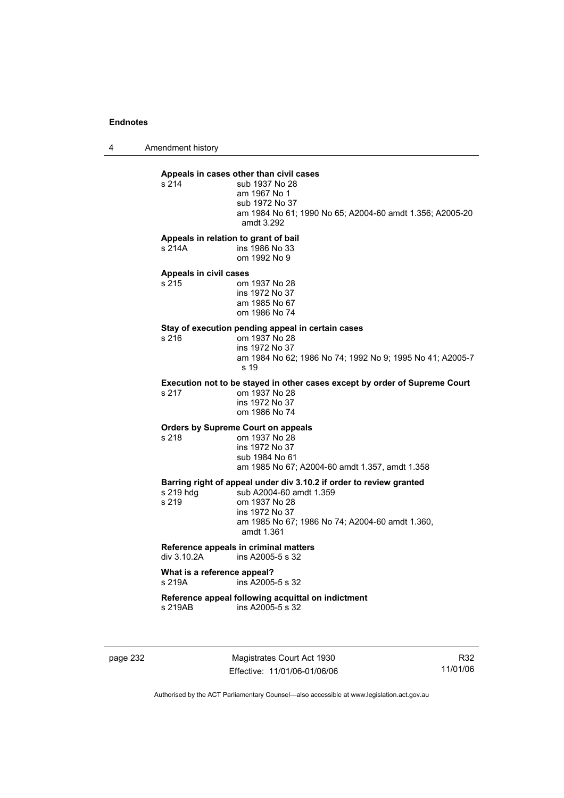4 Amendment history

**Appeals in cases other than civil cases**  sub 1937 No 28 am 1967 No 1 sub 1972 No 37 am 1984 No 61; 1990 No 65; A2004-60 amdt 1.356; A2005-20 amdt 3.292

#### **Appeals in relation to grant of bail**

s 214A ins 1986 No 33 om 1992 No 9

#### **Appeals in civil cases**

| s 215 | om 1937 No 28  |
|-------|----------------|
|       | ins 1972 No 37 |
|       | am 1985 No 67  |
|       | om 1986 No 74  |

# **Stay of execution pending appeal in certain cases**

 $\frac{1}{2}$  om 1937 No 28 ins 1972 No 37 am 1984 No 62; 1986 No 74; 1992 No 9; 1995 No 41; A2005-7 s 19

#### **Execution not to be stayed in other cases except by order of Supreme Court**

s 217 om 1937 No 28 ins 1972 No 37 om 1986 No 74

#### **Orders by Supreme Court on appeals**

s 218 om 1937 No 28 ins 1972 No 37 sub 1984 No 61

am 1985 No 67; A2004-60 amdt 1.357, amdt 1.358

**Barring right of appeal under div 3.10.2 if order to review granted**  .<br>sub A2004-60 amdt 1.359 s 219 om 1937 No 28 ins 1972 No 37 am 1985 No 67; 1986 No 74; A2004-60 amdt 1.360, amdt 1.361

#### **Reference appeals in criminal matters**<br>div 3.10.2A ins A2005-5 s.32  $ins A2005-5 s 32$

#### **What is a reference appeal?**  s 219A ins A2005-5 s 32

#### **Reference appeal following acquittal on indictment**   $ins A2005-5 s 32$

page 232 Magistrates Court Act 1930 Effective: 11/01/06-01/06/06

R32 11/01/06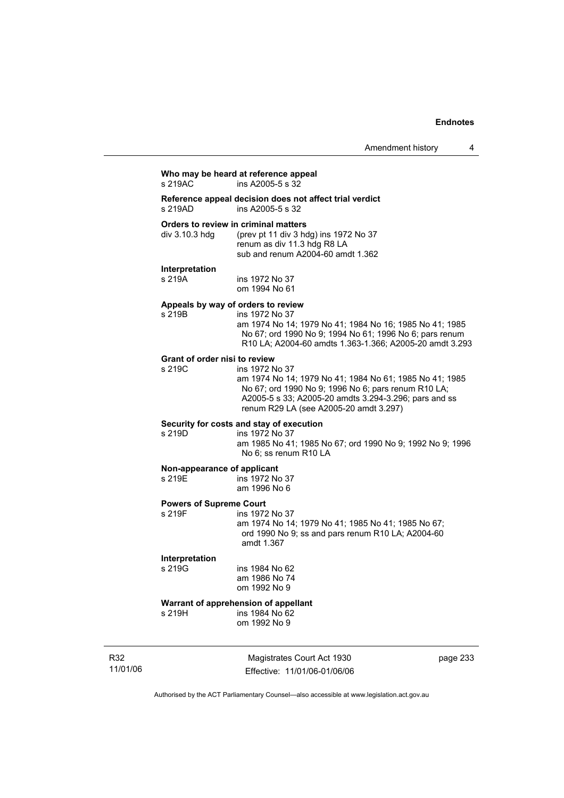# **Who may be heard at reference appeal**

 $ins$  A2005-5 s  $32$ 

**Reference appeal decision does not affect trial verdict**   $ins A2005-5 s 32$ 

**Orders to review in criminal matters**<br>div 3.10.3 hdg (prev pt 11 div 3 hd (prev pt 11 div 3 hdg) ins 1972 No  $37$  renum as div 11.3 hdg R8 LA sub and renum A2004-60 amdt 1.362

### **Interpretation**

s 219B

s 219A ins 1972 No 37 om 1994 No 61

#### **Appeals by way of orders to review**

| s 219B | ins 1972 No 37                                                                                |
|--------|-----------------------------------------------------------------------------------------------|
|        | am 1974 No 14: 1979 No 41: 1984 No 16: 1985 No 41: 1985                                       |
|        | No 67; ord 1990 No 9; 1994 No 61; 1996 No 6; pars renum                                       |
|        | R <sub>10</sub> LA: A <sub>2004</sub> -60 amdts 1.363-1.366; A <sub>2005</sub> -20 amdt 3.293 |

#### **Grant of order nisi to review**

s 219C ins 1972 No 37 am 1974 No 14; 1979 No 41; 1984 No 61; 1985 No 41; 1985 No 67; ord 1990 No 9; 1996 No 6; pars renum R10 LA; A2005-5 s 33; A2005-20 amdts 3.294-3.296; pars and ss renum R29 LA (see A2005-20 amdt 3.297)

### **Security for costs and stay of execution**

s 219D ins 1972 No 37 am 1985 No 41; 1985 No 67; ord 1990 No 9; 1992 No 9; 1996 No 6; ss renum R10 LA

#### **Non-appearance of applicant**

s 219E ins 1972 No 37 am 1996 No 6

# **Powers of Supreme Court**

ins 1972 No 37 am 1974 No 14; 1979 No 41; 1985 No 41; 1985 No 67; ord 1990 No 9; ss and pars renum R10 LA; A2004-60 amdt 1.367

# **Interpretation**

ins 1984 No 62 am 1986 No 74 om 1992 No 9

# **Warrant of apprehension of appellant**<br>s 219H **ins 1984 No 62**

 $ins$  1984 No 62 om 1992 No 9

R32 11/01/06

Magistrates Court Act 1930 Effective: 11/01/06-01/06/06 page 233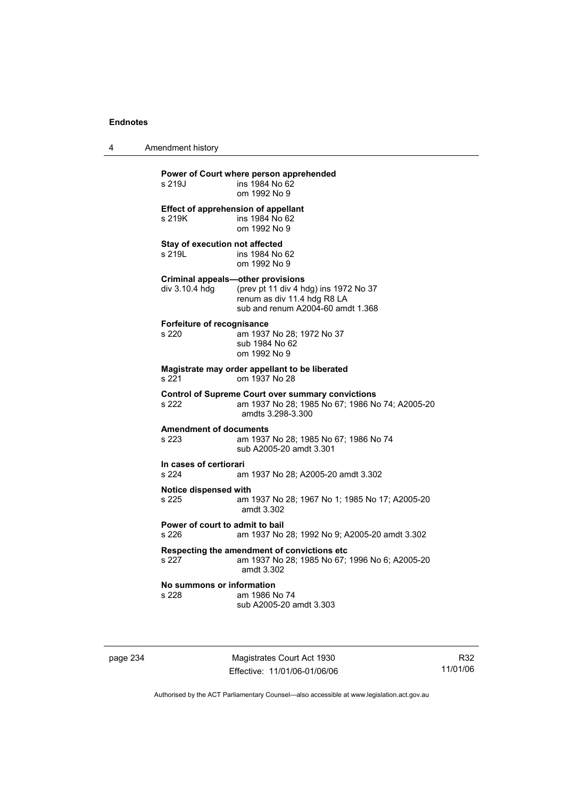4 Amendment history

| s 219J                                                     | Power of Court where person apprehended<br>ins 1984 No 62<br>om 1992 No 9                                                        |
|------------------------------------------------------------|----------------------------------------------------------------------------------------------------------------------------------|
| <b>Effect of apprehension of appellant</b><br>s 219K       | ins 1984 No 62<br>om 1992 No 9                                                                                                   |
| Stay of execution not affected<br>s 219I                   | ins 1984 No 62<br>om 1992 No 9                                                                                                   |
| <b>Criminal appeals-other provisions</b><br>div 3.10.4 hdg | (prev pt 11 div 4 hdg) ins 1972 No 37<br>renum as div 11.4 hdg R8 LA<br>sub and renum A2004-60 amdt 1.368                        |
| Forfeiture of recognisance<br>s220                         | am 1937 No 28; 1972 No 37<br>sub 1984 No 62<br>om 1992 No 9                                                                      |
| s 221                                                      | Magistrate may order appellant to be liberated<br>om 1937 No 28                                                                  |
| s 222                                                      | <b>Control of Supreme Court over summary convictions</b><br>am 1937 No 28; 1985 No 67; 1986 No 74; A2005-20<br>amdts 3.298-3.300 |
| <b>Amendment of documents</b><br>s 223                     | am 1937 No 28; 1985 No 67; 1986 No 74<br>sub A2005-20 amdt 3.301                                                                 |
| In cases of certiorari<br>s 224                            | am 1937 No 28; A2005-20 amdt 3.302                                                                                               |
| Notice dispensed with<br>s 225                             | am 1937 No 28; 1967 No 1; 1985 No 17; A2005-20<br>amdt 3.302                                                                     |
| Power of court to admit to bail<br>s 226                   | am 1937 No 28; 1992 No 9; A2005-20 amdt 3.302                                                                                    |
| s 227                                                      | Respecting the amendment of convictions etc<br>am 1937 No 28; 1985 No 67; 1996 No 6; A2005-20<br>amdt 3.302                      |
| No summons or information<br>s 228                         | am 1986 No 74<br>sub A2005-20 amdt 3.303                                                                                         |

page 234 Magistrates Court Act 1930 Effective: 11/01/06-01/06/06

R32 11/01/06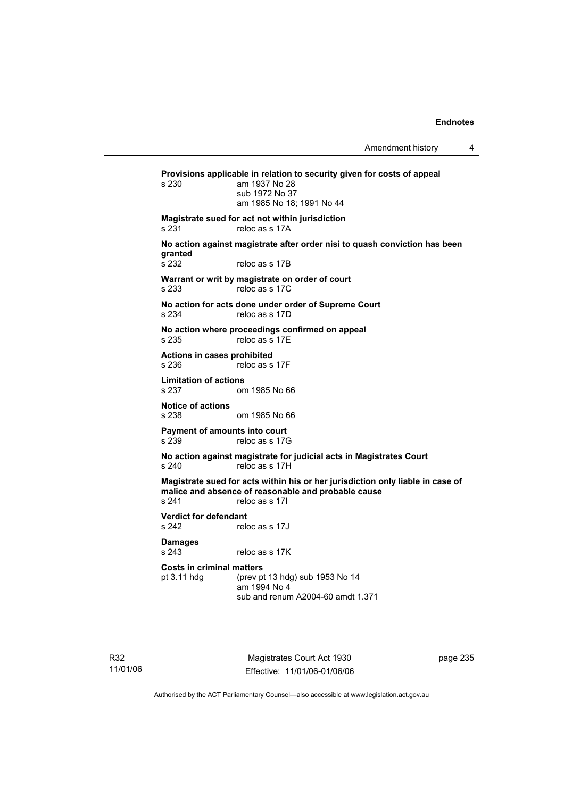Amendment history 4

**Provisions applicable in relation to security given for costs of appeal**  am 1937 No 28 sub 1972 No 37 am 1985 No 18; 1991 No 44 **Magistrate sued for act not within jurisdiction**  s 231 reloc as s 17A **No action against magistrate after order nisi to quash conviction has been granted**  reloc as s 17B **Warrant or writ by magistrate on order of court**  s 233 reloc as s 17C **No action for acts done under order of Supreme Court**  s 234 reloc as s 17D **No action where proceedings confirmed on appeal**  s 235 reloc as s 17E **Actions in cases prohibited**  s 236 reloc as s 17F **Limitation of actions**  s 237 om 1985 No 66 **Notice of actions**  s 238 om 1985 No 66 **Payment of amounts into court**  s 239 reloc as s 17G **No action against magistrate for judicial acts in Magistrates Court**  s 240 reloc as s 17H **Magistrate sued for acts within his or her jurisdiction only liable in case of malice and absence of reasonable and probable cause**  s 241 reloc as s 17I **Verdict for defendant**  s 242 reloc as s 17J **Damages**  s 243 reloc as s 17K **Costs in criminal matters**  pt 3.11 hdg (prev pt 13 hdg) sub 1953 No 14 am 1994 No 4 sub and renum A2004-60 amdt 1.371

R32 11/01/06

Magistrates Court Act 1930 Effective: 11/01/06-01/06/06 page 235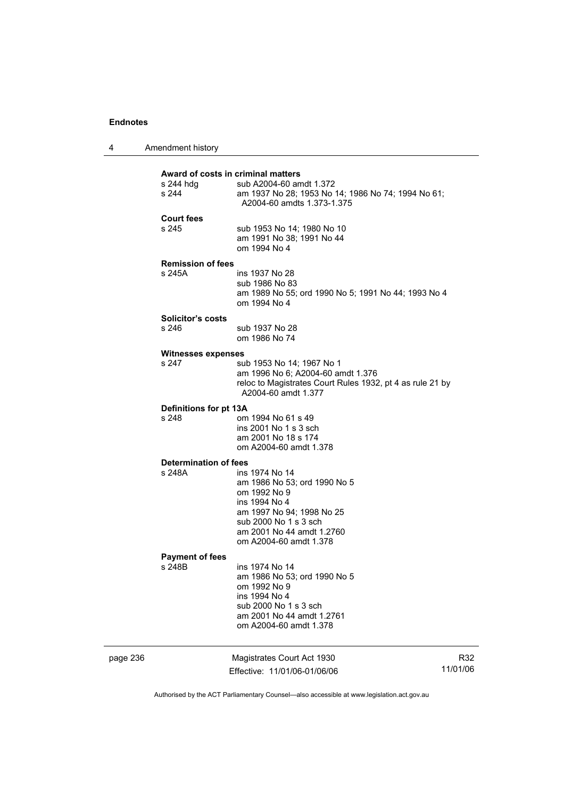| 4 | Amendment history |
|---|-------------------|
|---|-------------------|

|                            | Award of costs in criminal matters                                               |  |  |  |
|----------------------------|----------------------------------------------------------------------------------|--|--|--|
| s 244 hdq                  | sub A2004-60 amdt 1.372                                                          |  |  |  |
| s 244                      | am 1937 No 28; 1953 No 14; 1986 No 74; 1994 No 61;<br>A2004-60 amdts 1.373-1.375 |  |  |  |
|                            |                                                                                  |  |  |  |
| <b>Court fees</b><br>s 245 |                                                                                  |  |  |  |
|                            | sub 1953 No 14; 1980 No 10<br>am 1991 No 38; 1991 No 44                          |  |  |  |
|                            | om 1994 No 4                                                                     |  |  |  |
|                            |                                                                                  |  |  |  |
| <b>Remission of fees</b>   |                                                                                  |  |  |  |
| s 245A                     | ins 1937 No 28                                                                   |  |  |  |
|                            | sub 1986 No 83<br>am 1989 No 55; ord 1990 No 5; 1991 No 44; 1993 No 4            |  |  |  |
|                            | om 1994 No 4                                                                     |  |  |  |
|                            |                                                                                  |  |  |  |
| <b>Solicitor's costs</b>   |                                                                                  |  |  |  |
| s 246                      | sub 1937 No 28<br>om 1986 No 74                                                  |  |  |  |
|                            |                                                                                  |  |  |  |
| <b>Witnesses expenses</b>  |                                                                                  |  |  |  |
| s 247                      | sub 1953 No 14; 1967 No 1                                                        |  |  |  |
|                            | am 1996 No 6; A2004-60 amdt 1.376                                                |  |  |  |
|                            | reloc to Magistrates Court Rules 1932, pt 4 as rule 21 by<br>A2004-60 amdt 1.377 |  |  |  |
|                            |                                                                                  |  |  |  |
| Definitions for pt 13A     |                                                                                  |  |  |  |
| s 248                      | om 1994 No 61 s 49                                                               |  |  |  |
|                            | ins 2001 No 1 s 3 sch                                                            |  |  |  |
|                            | am 2001 No 18 s 174                                                              |  |  |  |
|                            | om A2004-60 amdt 1.378                                                           |  |  |  |
| Determination of fees      |                                                                                  |  |  |  |
| s 248A                     | ins 1974 No 14                                                                   |  |  |  |
|                            | am 1986 No 53; ord 1990 No 5                                                     |  |  |  |
|                            | om 1992 No 9                                                                     |  |  |  |
|                            | ins 1994 No 4<br>am 1997 No 94; 1998 No 25                                       |  |  |  |
|                            | sub 2000 No 1 s 3 sch                                                            |  |  |  |
|                            | am 2001 No 44 amdt 1.2760                                                        |  |  |  |
|                            | om A2004-60 amdt 1.378                                                           |  |  |  |
| <b>Payment of fees</b>     |                                                                                  |  |  |  |
| s 248B                     | ins 1974 No 14                                                                   |  |  |  |
|                            | am 1986 No 53; ord 1990 No 5                                                     |  |  |  |
|                            | om 1992 No 9                                                                     |  |  |  |
|                            |                                                                                  |  |  |  |

 ins 1994 No 4 sub 2000 No 1 s 3 sch am 2001 No 44 amdt 1.2761 om A2004-60 amdt 1.378

| aade |  |
|------|--|
|------|--|

page 236 Magistrates Court Act 1930 Effective: 11/01/06-01/06/06

R32 11/01/06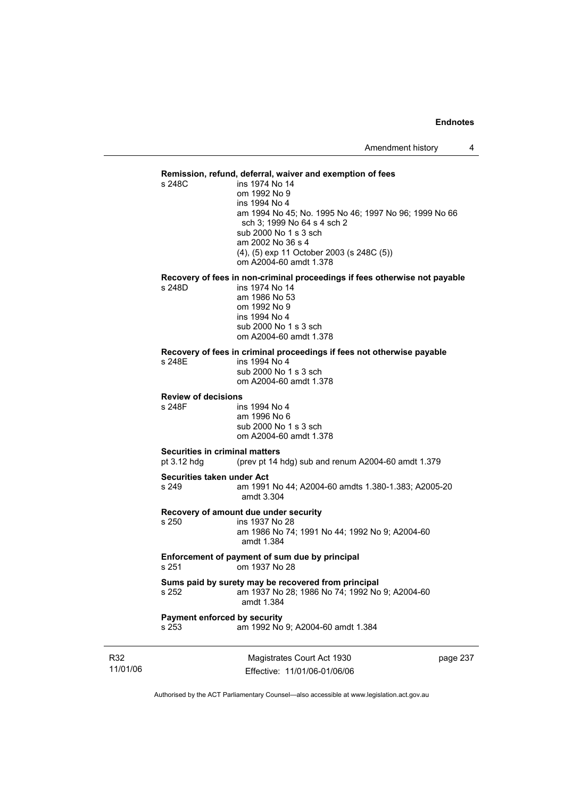### **Remission, refund, deferral, waiver and exemption of fees**

s 248C ins 1974 No 14 om 1992 No 9 ins 1994 No 4 am 1994 No 45; No. 1995 No 46; 1997 No 96; 1999 No 66 sch 3; 1999 No 64 s 4 sch 2 sub 2000 No 1 s 3 sch am 2002 No 36 s 4 (4), (5) exp 11 October 2003 (s 248C (5)) om A2004-60 amdt 1.378

## **Recovery of fees in non-criminal proceedings if fees otherwise not payable**

ins 1974 No 14 am 1986 No 53 om 1992 No 9 ins 1994 No 4 sub 2000 No 1 s 3 sch om A2004-60 amdt 1.378

### **Recovery of fees in criminal proceedings if fees not otherwise payable**

s 248E ins 1994 No 4 sub 2000 No 1 s 3 sch om A2004-60 amdt 1.378

### **Review of decisions**

s 248F ins 1994 No 4 am 1996 No 6 sub 2000 No 1 s 3 sch om A2004-60 amdt 1.378

### **Securities in criminal matters**

pt 3.12 hdg (prev pt 14 hdg) sub and renum A2004-60 amdt 1.379

#### **Securities taken under Act**

s 249 am 1991 No 44; A2004-60 amdts 1.380-1.383; A2005-20 amdt 3.304

**Recovery of amount due under security** 

### s 250 ins 1937 No 28 am 1986 No 74; 1991 No 44; 1992 No 9; A2004-60 amdt 1.384

**Enforcement of payment of sum due by principal**  s 251 om 1937 No 28

#### **Sums paid by surety may be recovered from principal**  s 252 am 1937 No 28; 1986 No 74; 1992 No 9; A2004-60 amdt 1.384

## **Payment enforced by security**

s 253 am 1992 No 9; A2004-60 amdt 1.384

R32 11/01/06

Magistrates Court Act 1930 Effective: 11/01/06-01/06/06 page 237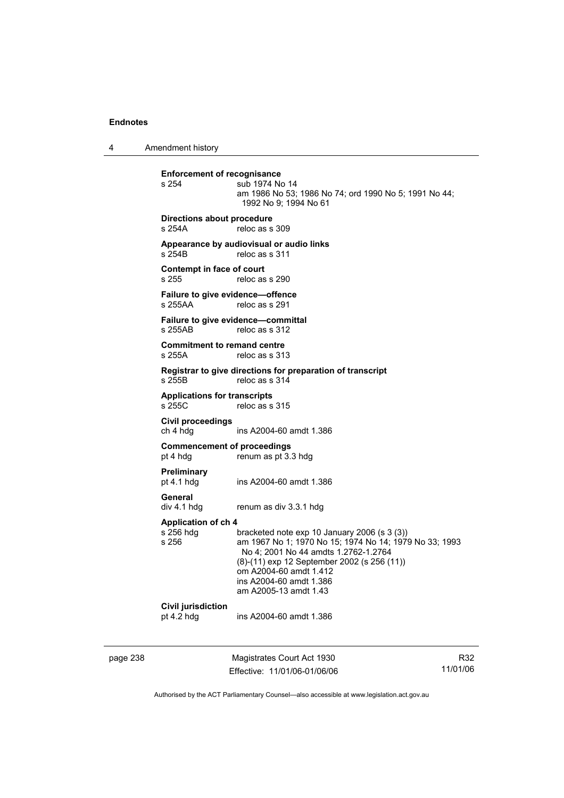4 Amendment history

**Enforcement of recognisance**<br>s 254 **Sub 1974** No sub 1974 No 14 am 1986 No 53; 1986 No 74; ord 1990 No 5; 1991 No 44; 1992 No 9; 1994 No 61 **Directions about procedure**  s 254A reloc as s 309 **Appearance by audiovisual or audio links**  s 254B reloc as s 311 **Contempt in face of court**  s 255 reloc as s 290 **Failure to give evidence—offence**  reloc as s 291 **Failure to give evidence—committal**  s 255AB reloc as s 312 **Commitment to remand centre**  s 255A reloc as s 313 **Registrar to give directions for preparation of transcript**  reloc as s 314 **Applications for transcripts**  reloc as s 315 **Civil proceedings**  ins A2004-60 amdt 1.386 **Commencement of proceedings**  pt 4 hdg renum as pt 3.3 hdg **Preliminary**  ins A2004-60 amdt 1.386 General<br>div 4.1 hdg renum as div 3.3.1 hdg **Application of ch 4**  s 256 hdg bracketed note exp 10 January 2006 (s 3 (3))<br>s 256 **bracketed note exp 10 January 2006 (s 3 (3)** am 1967 No 1; 1970 No 15; 1974 No 14; 1979 No 33; 1993 No 4; 2001 No 44 amdts 1.2762-1.2764 (8)-(11) exp 12 September 2002 (s 256 (11)) om A2004-60 amdt 1.412 ins A2004-60 amdt 1.386 am A2005-13 amdt 1.43 **Civil jurisdiction**  pt 4.2 hdg ins A2004-60 amdt 1.386

page 238 Magistrates Court Act 1930 Effective: 11/01/06-01/06/06

R32 11/01/06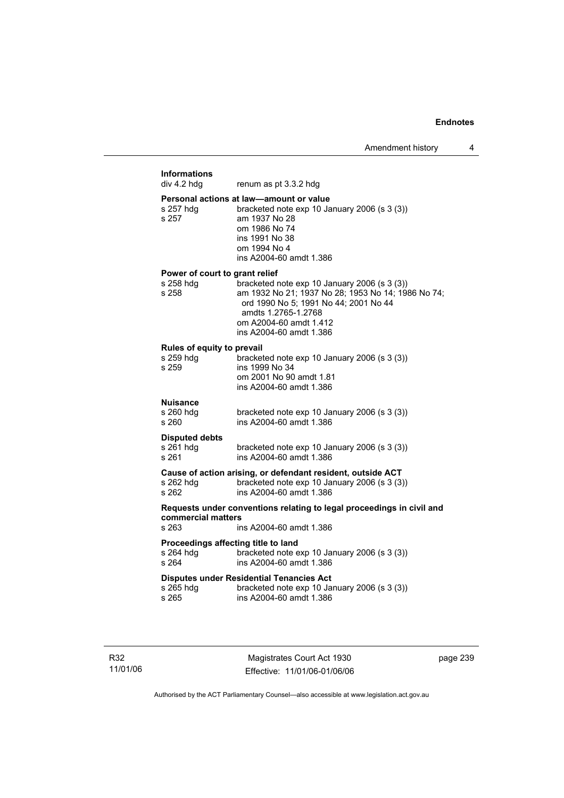## **Informations**  renum as pt 3.3.2 hdg **Personal actions at law—amount or value**<br>s 257 hdd bracketed note exp 10 Ja bracketed note exp 10 January 2006 (s  $3(3)$ ) s 257 am 1937 No 28 om 1986 No 74 ins 1991 No 38 om 1994 No 4 ins A2004-60 amdt 1.386 **Power of court to grant relief**<br>s 258 hdg bracketed r bracketed note exp 10 January 2006 (s 3 (3)) s 258 am 1932 No 21; 1937 No 28; 1953 No 14; 1986 No 74; ord 1990 No 5; 1991 No 44; 2001 No 44 amdts 1.2765-1.2768 om A2004-60 amdt 1.412 ins A2004-60 amdt 1.386 **Rules of equity to prevail**  s 259 hdg bracketed note exp 10 January 2006 (s 3 (3))<br>s 259 bins 1999 No 34 ins 1999 No 34 om 2001 No 90 amdt 1.81 ins A2004-60 amdt 1.386 **Nuisance**  bracketed note exp 10 January 2006 (s  $3(3)$ ) s 260 ins A2004-60 amdt 1.386 **Disputed debts**  s 261 hdg bracketed note exp 10 January 2006 (s 3 (3)) s 261 ins A2004-60 amdt 1.386 **Cause of action arising, or defendant resident, outside ACT**  s 262 hdg bracketed note exp 10 January 2006 (s 3 (3)) s 262 ins A2004-60 amdt 1.386 **Requests under conventions relating to legal proceedings in civil and commercial matters**  s 263 ins A2004-60 amdt 1.386 **Proceedings affecting title to land<br>s 264 hdg bracketed note e** s 264 hdg bracketed note exp 10 January 2006 (s 3 (3))<br>s 264 ins A2004-60 amdt 1.386 s 264 ins A2004-60 amdt 1.386 **Disputes under Residential Tenancies Act**  s 265 hdg bracketed note exp 10 January 2006 (s 3 (3)) s 265 ins A2004-60 amdt 1.386

R32 11/01/06

Magistrates Court Act 1930 Effective: 11/01/06-01/06/06 page 239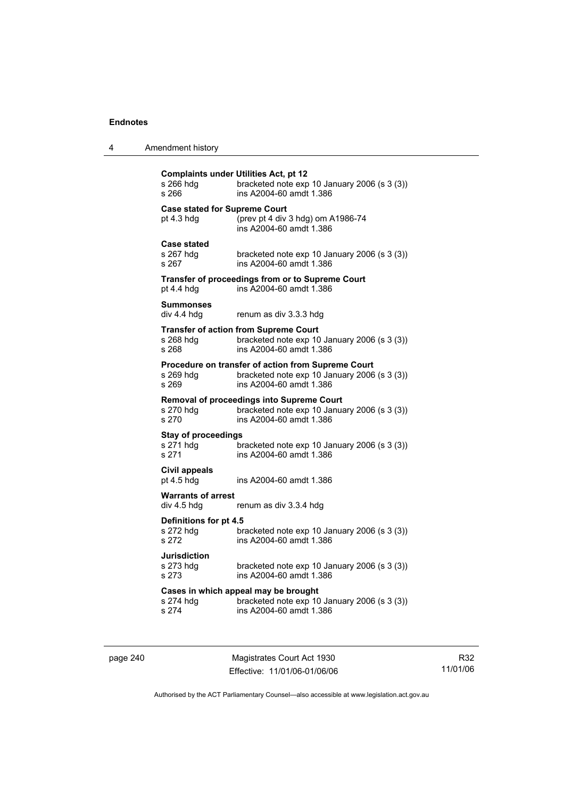| Amendment history<br>4 |  |
|------------------------|--|
|------------------------|--|

| s 266 hdq<br>s 266                                 | <b>Complaints under Utilities Act, pt 12</b><br>bracketed note exp 10 January 2006 (s 3 (3))<br>ins A2004-60 amdt 1.386       |
|----------------------------------------------------|-------------------------------------------------------------------------------------------------------------------------------|
| <b>Case stated for Supreme Court</b><br>pt 4.3 hdg | (prev pt 4 div 3 hdg) om A1986-74<br>ins A2004-60 amdt 1.386                                                                  |
| <b>Case stated</b><br>s 267 hdg<br>s 267           | bracketed note exp 10 January 2006 (s 3 (3))<br>ins A2004-60 amdt 1.386                                                       |
| pt $4.4$ hdg                                       | Transfer of proceedings from or to Supreme Court<br>ins A2004-60 amdt 1.386                                                   |
| <b>Summonses</b><br>div 4.4 hdg                    | renum as div 3.3.3 hdg                                                                                                        |
| s 268 hdg<br>s 268                                 | <b>Transfer of action from Supreme Court</b><br>bracketed note exp 10 January 2006 (s 3 (3))<br>ins A2004-60 amdt 1.386       |
| $s$ 269 hdg<br>s 269                               | Procedure on transfer of action from Supreme Court<br>bracketed note exp 10 January 2006 (s 3 (3))<br>ins A2004-60 amdt 1.386 |
| s 270 hdg<br>s 270                                 | Removal of proceedings into Supreme Court<br>bracketed note exp 10 January 2006 (s 3 (3))<br>ins A2004-60 amdt 1.386          |
| <b>Stay of proceedings</b><br>s 271 hdg<br>s 271   | bracketed note exp 10 January 2006 (s 3 (3))<br>ins A2004-60 amdt 1.386                                                       |
| Civil appeals<br>pt 4.5 hdg                        | ins A2004-60 amdt 1.386                                                                                                       |
| <b>Warrants of arrest</b><br>div 4.5 hdg           | renum as div 3.3.4 hdg                                                                                                        |
| Definitions for pt 4.5<br>s 272 hdg<br>s 272       | bracketed note exp 10 January 2006 (s 3 (3))<br>ins A2004-60 amdt 1.386                                                       |
| <b>Jurisdiction</b><br>s 273 hdg<br>s 273          | bracketed note exp 10 January 2006 (s 3 (3))<br>ins A2004-60 amdt 1.386                                                       |
| s 274 hdg<br>s 274                                 | Cases in which appeal may be brought<br>bracketed note exp 10 January 2006 (s 3 (3))<br>ins A2004-60 amdt 1.386               |

page 240 Magistrates Court Act 1930 Effective: 11/01/06-01/06/06

R32 11/01/06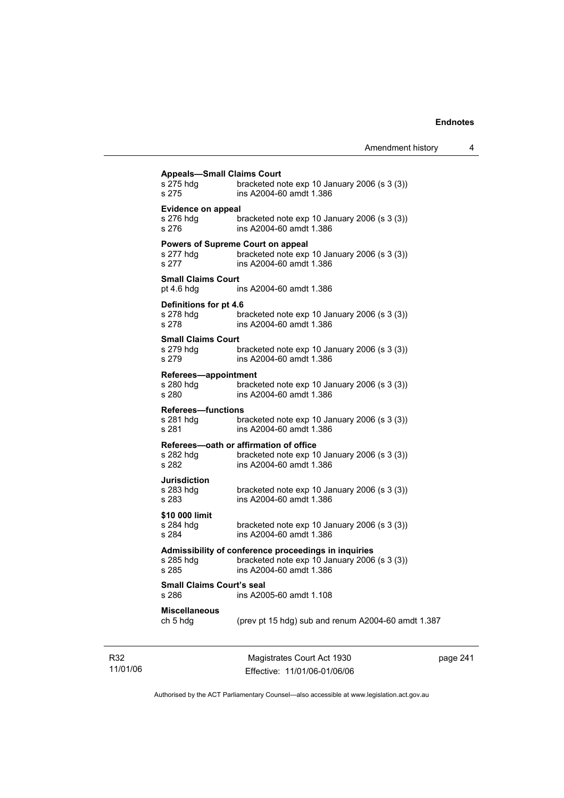| <b>Appeals-Small Claims Court</b> |                                                                           |
|-----------------------------------|---------------------------------------------------------------------------|
| s 275 hdg<br>s 275                | bracketed note exp 10 January 2006 (s 3 (3))<br>ins A2004-60 amdt 1.386   |
| <b>Evidence on appeal</b>         |                                                                           |
|                                   | bracketed note $exp 10$ January 2006 (s 3 (3))<br>ins A2004-60 amdt 1.386 |
|                                   | <b>Powers of Supreme Court on appeal</b>                                  |
| $s$ 277 hdg<br>s 277              | bracketed note exp 10 January 2006 (s 3 (3))<br>ins A2004-60 amdt 1.386   |
| <b>Small Claims Court</b>         |                                                                           |
| pt 4.6 hdg                        | ins A2004-60 amdt 1.386                                                   |
| Definitions for pt 4.6            |                                                                           |
| s 278 hdg<br>s 278                | bracketed note exp 10 January 2006 (s 3 (3))<br>ins A2004-60 amdt 1.386   |
| <b>Small Claims Court</b>         |                                                                           |
| s 279 hdg<br>s 279                | bracketed note exp 10 January 2006 (s 3 (3))<br>ins A2004-60 amdt 1.386   |
| Referees-appointment              |                                                                           |
| s 280 hdg<br>s 280                | bracketed note exp 10 January 2006 (s 3 (3))<br>ins A2004-60 amdt 1.386   |
| <b>Referees-functions</b>         |                                                                           |
| $s$ 281 hdg<br>s 281              | bracketed note exp 10 January 2006 (s 3 (3))<br>ins A2004-60 amdt 1.386   |
|                                   | Referees-oath or affirmation of office                                    |
| s 282 hda<br>s 282                | bracketed note exp 10 January 2006 (s 3 (3))<br>ins A2004-60 amdt 1.386   |
| <b>Jurisdiction</b>               |                                                                           |
| s 283 hdq<br>s 283                | bracketed note exp 10 January 2006 (s 3 (3))<br>ins A2004-60 amdt 1.386   |
| \$10 000 limit                    |                                                                           |
| s 284 hdg<br>s 284                | bracketed note exp 10 January 2006 (s 3 (3))<br>ins A2004-60 amdt 1.386   |
|                                   | Admissibility of conference proceedings in inquiries                      |
| s 285 hdg<br>s 285                | bracketed note exp 10 January 2006 (s 3 (3))<br>ins A2004-60 amdt 1.386   |
| <b>Small Claims Court's seal</b>  |                                                                           |
| s 286                             | ins A2005-60 amdt 1.108                                                   |
| <b>Miscellaneous</b><br>ch 5 hdg  | (prev pt 15 hdg) sub and renum A2004-60 amdt 1.387                        |
|                                   |                                                                           |
|                                   |                                                                           |

R32 11/01/06

Magistrates Court Act 1930 Effective: 11/01/06-01/06/06 page 241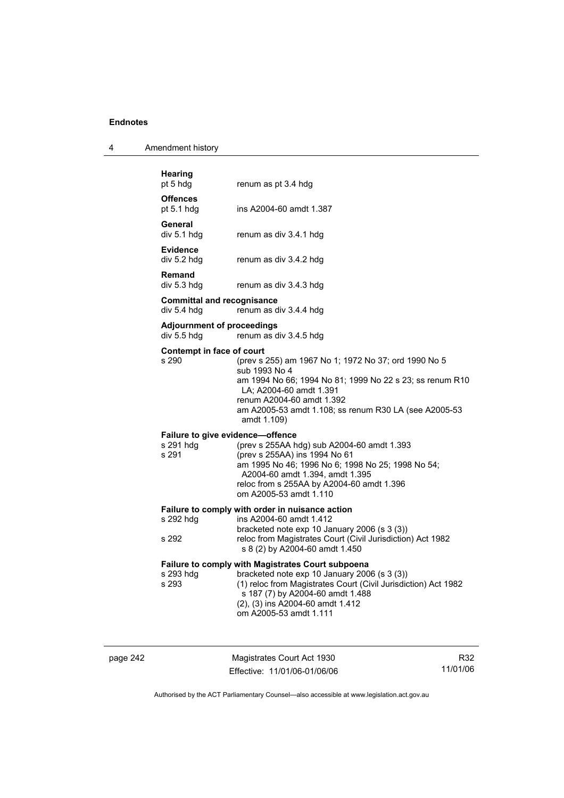| 4 | Amendment history |
|---|-------------------|
|---|-------------------|

| Hearing<br>pt 5 hdg                                    | renum as pt 3.4 hdg                                                                                                                                                                                                                                               |
|--------------------------------------------------------|-------------------------------------------------------------------------------------------------------------------------------------------------------------------------------------------------------------------------------------------------------------------|
| <b>Offences</b><br>pt $5.1$ hdg                        | ins A2004-60 amdt 1.387                                                                                                                                                                                                                                           |
| General<br>div 5.1 hdg                                 | renum as div 3.4.1 hdg                                                                                                                                                                                                                                            |
| <b>Evidence</b><br>div 5.2 hdg                         | renum as div 3.4.2 hdg                                                                                                                                                                                                                                            |
| Remand<br>div 5.3 hdg                                  | renum as div 3.4.3 hdg                                                                                                                                                                                                                                            |
| <b>Committal and recognisance</b><br>div 5.4 hdg       | renum as div 3.4.4 hdg                                                                                                                                                                                                                                            |
| <b>Adjournment of proceedings</b><br>div 5.5 hdg       | renum as div 3.4.5 hdg                                                                                                                                                                                                                                            |
| Contempt in face of court<br>s 290                     | (prev s 255) am 1967 No 1; 1972 No 37; ord 1990 No 5<br>sub 1993 No 4<br>am 1994 No 66; 1994 No 81; 1999 No 22 s 23; ss renum R10<br>LA; A2004-60 amdt 1.391<br>renum A2004-60 amdt 1.392<br>am A2005-53 amdt 1.108; ss renum R30 LA (see A2005-53<br>amdt 1.109) |
| Failure to give evidence-offence<br>s 291 hdg<br>s 291 | (prev s 255AA hdg) sub A2004-60 amdt 1.393<br>(prev s 255AA) ins 1994 No 61<br>am 1995 No 46; 1996 No 6; 1998 No 25; 1998 No 54;<br>A2004-60 amdt 1.394, amdt 1.395<br>reloc from s 255AA by A2004-60 amdt 1.396<br>om A2005-53 amdt 1.110                        |
| s 292 hdg                                              | Failure to comply with order in nuisance action<br>ins A2004-60 amdt 1.412                                                                                                                                                                                        |
| s 292                                                  | bracketed note exp 10 January 2006 (s 3 (3))<br>reloc from Magistrates Court (Civil Jurisdiction) Act 1982<br>s 8 (2) by A2004-60 amdt 1.450                                                                                                                      |
| s 293 hdg<br>s 293                                     | <b>Failure to comply with Magistrates Court subpoena</b><br>bracketed note exp 10 January 2006 (s 3 (3))<br>(1) reloc from Magistrates Court (Civil Jurisdiction) Act 1982                                                                                        |
|                                                        | s 187 (7) by A2004-60 amdt 1.488<br>(2), (3) ins A2004-60 amdt 1.412<br>om A2005-53 amdt 1.111                                                                                                                                                                    |
|                                                        |                                                                                                                                                                                                                                                                   |

page 242 Magistrates Court Act 1930 Effective: 11/01/06-01/06/06

R32 11/01/06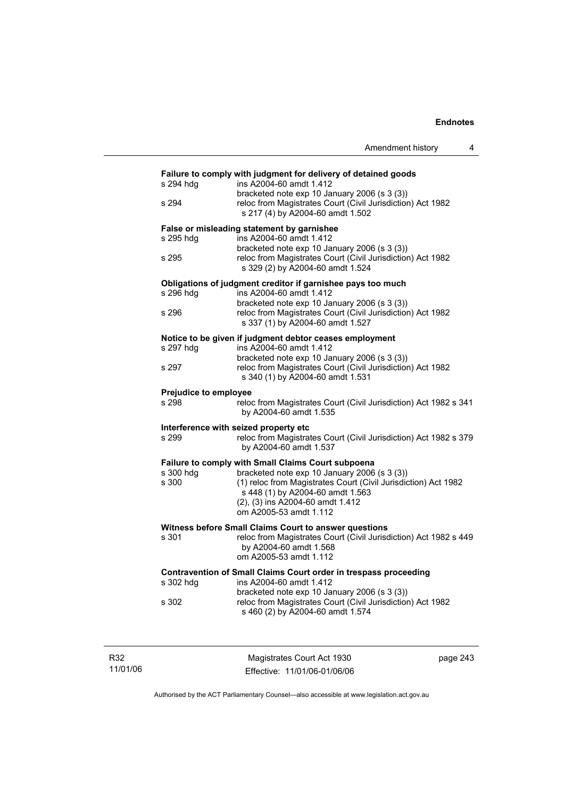|                       | Amendment history                                                                                                    |
|-----------------------|----------------------------------------------------------------------------------------------------------------------|
|                       | Failure to comply with judgment for delivery of detained goods                                                       |
| s 294 hdg             | ins A2004-60 amdt 1.412<br>bracketed note exp 10 January 2006 (s 3 (3))                                              |
| s 294                 | reloc from Magistrates Court (Civil Jurisdiction) Act 1982<br>s 217 (4) by A2004-60 amdt 1.502                       |
|                       | False or misleading statement by garnishee                                                                           |
| s 295 hdg             | ins A2004-60 amdt 1.412<br>bracketed note exp 10 January 2006 (s 3 (3))                                              |
| s 295                 | reloc from Magistrates Court (Civil Jurisdiction) Act 1982<br>s 329 (2) by A2004-60 amdt 1.524                       |
|                       | Obligations of judgment creditor if garnishee pays too much                                                          |
| s 296 hdg             | ins A2004-60 amdt 1.412<br>bracketed note exp 10 January 2006 (s 3 (3))                                              |
| s 296                 | reloc from Magistrates Court (Civil Jurisdiction) Act 1982<br>s 337 (1) by A2004-60 amdt 1.527                       |
|                       | Notice to be given if judgment debtor ceases employment                                                              |
| s 297 hdg             | ins A2004-60 amdt 1.412                                                                                              |
|                       | bracketed note exp 10 January 2006 (s 3 (3))                                                                         |
| s 297                 | reloc from Magistrates Court (Civil Jurisdiction) Act 1982<br>s 340 (1) by A2004-60 amdt 1.531                       |
| Prejudice to employee |                                                                                                                      |
| s 298                 | reloc from Magistrates Court (Civil Jurisdiction) Act 1982 s 341<br>by A2004-60 amdt 1.535                           |
|                       | Interference with seized property etc                                                                                |
| s 299                 | reloc from Magistrates Court (Civil Jurisdiction) Act 1982 s 379<br>by A2004-60 amdt 1.537                           |
|                       | Failure to comply with Small Claims Court subpoena                                                                   |
| s 300 hdg<br>s 300    | bracketed note exp 10 January 2006 (s 3 (3))<br>(1) reloc from Magistrates Court (Civil Jurisdiction) Act 1982       |
|                       | s 448 (1) by A2004-60 amdt 1.563                                                                                     |
|                       | (2), (3) ins A2004-60 amdt 1.412                                                                                     |
|                       | om A2005-53 amdt 1.112                                                                                               |
|                       | Witness before Small Claims Court to answer questions                                                                |
| s 301                 | reloc from Magistrates Court (Civil Jurisdiction) Act 1982 s 449<br>by A2004-60 amdt 1.568<br>om A2005-53 amdt 1.112 |
|                       | Contravention of Small Claims Court order in trespass proceeding                                                     |
| s 302 hdg             | ins A2004-60 amdt 1.412                                                                                              |
|                       | bracketed note exp 10 January 2006 (s 3 (3))                                                                         |
| s 302                 | reloc from Magistrates Court (Civil Jurisdiction) Act 1982<br>s 460 (2) by A2004-60 amdt 1.574                       |
|                       |                                                                                                                      |

11/01/06

R32

Magistrates Court Act 1930 Effective: 11/01/06-01/06/06 page 243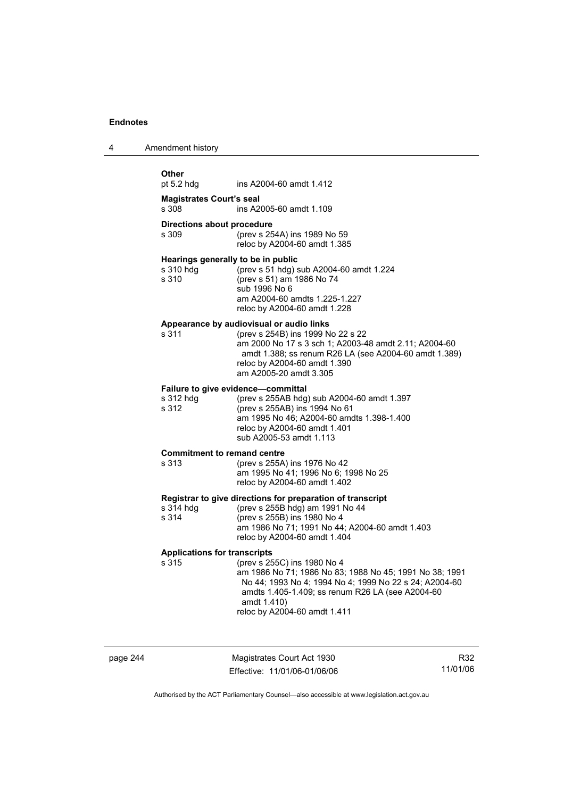| 4 | Amendment history |  |
|---|-------------------|--|
|---|-------------------|--|

| <b>Other</b>                                             |                                                                                                                                                                                                                                                           |
|----------------------------------------------------------|-----------------------------------------------------------------------------------------------------------------------------------------------------------------------------------------------------------------------------------------------------------|
| pt $5.2$ hdg                                             | ins A2004-60 amdt 1.412                                                                                                                                                                                                                                   |
| <b>Magistrates Court's seal</b><br>s 308                 | ins A2005-60 amdt 1.109                                                                                                                                                                                                                                   |
| Directions about procedure<br>s 309                      | (prev s 254A) ins 1989 No 59<br>reloc by A2004-60 amdt 1.385                                                                                                                                                                                              |
| Hearings generally to be in public<br>s 310 hdg<br>s 310 | (prev s 51 hdg) sub A2004-60 amdt 1.224<br>(prev s 51) am 1986 No 74<br>sub 1996 No 6<br>am A2004-60 amdts 1.225-1.227<br>reloc by A2004-60 amdt 1.228                                                                                                    |
| s 311                                                    | Appearance by audiovisual or audio links<br>(prev s 254B) ins 1999 No 22 s 22<br>am 2000 No 17 s 3 sch 1; A2003-48 amdt 2.11; A2004-60<br>amdt 1.388; ss renum R26 LA (see A2004-60 amdt 1.389)<br>reloc by A2004-60 amdt 1.390<br>am A2005-20 amdt 3.305 |
| s 312 hdg<br>s 312                                       | Failure to give evidence-committal<br>(prev s 255AB hdg) sub A2004-60 amdt 1.397<br>(prev s 255AB) ins 1994 No 61<br>am 1995 No 46; A2004-60 amdts 1.398-1.400<br>reloc by A2004-60 amdt 1.401<br>sub A2005-53 amdt 1.113                                 |
| <b>Commitment to remand centre</b><br>s 313              | (prev s 255A) ins 1976 No 42<br>am 1995 No 41; 1996 No 6; 1998 No 25<br>reloc by A2004-60 amdt 1.402                                                                                                                                                      |
| s 314 hdg<br>s 314                                       | Registrar to give directions for preparation of transcript<br>(prev s 255B hdg) am 1991 No 44<br>(prev s 255B) ins 1980 No 4<br>am 1986 No 71; 1991 No 44; A2004-60 amdt 1.403<br>reloc by A2004-60 amdt 1.404                                            |
| <b>Applications for transcripts</b><br>s 315             | (prev s 255C) ins 1980 No 4<br>am 1986 No 71; 1986 No 83; 1988 No 45; 1991 No 38; 1991<br>No 44; 1993 No 4; 1994 No 4; 1999 No 22 s 24; A2004-60<br>amdts 1.405-1.409; ss renum R26 LA (see A2004-60<br>amdt 1.410)<br>reloc by A2004-60 amdt 1.411       |

page 244 Magistrates Court Act 1930 Effective: 11/01/06-01/06/06

R32 11/01/06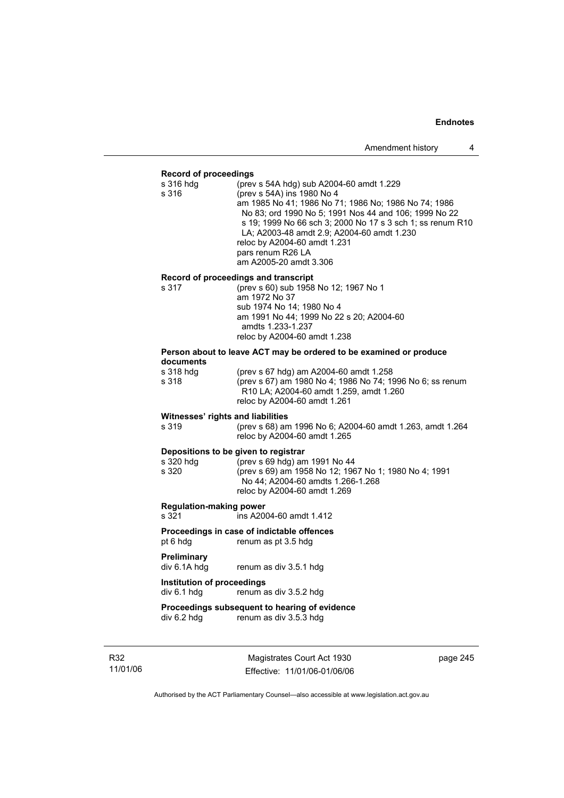### **Record of proceedings**

| s 316 hdg | (prev s 54A hdg) sub A2004-60 amdt 1.229                   |
|-----------|------------------------------------------------------------|
| s 316     | (prev s 54A) ins 1980 No 4                                 |
|           | am 1985 No 41; 1986 No 71; 1986 No; 1986 No 74; 1986       |
|           | No 83; ord 1990 No 5; 1991 Nos 44 and 106; 1999 No 22      |
|           | s 19: 1999 No 66 sch 3: 2000 No 17 s 3 sch 1: ss renum R10 |
|           | LA; A2003-48 amdt 2.9; A2004-60 amdt 1.230                 |
|           | reloc by A2004-60 amdt 1.231                               |
|           | pars renum R26 LA                                          |
|           | am A2005-20 amdt 3.306                                     |
|           |                                                            |

## **Record of proceedings and transcript**

| s 317 | (prev s 60) sub 1958 No 12; 1967 No 1    |
|-------|------------------------------------------|
|       | am 1972 No 37                            |
|       | sub 1974 No 14: 1980 No 4                |
|       | am 1991 No 44; 1999 No 22 s 20; A2004-60 |
|       | amdts 1.233-1.237                        |
|       | reloc by A2004-60 amdt 1.238             |
|       |                                          |

### **Person about to leave ACT may be ordered to be examined or produce documents**

| s 318 hdq | (prev s 67 hdg) am A2004-60 amdt 1.258                          |
|-----------|-----------------------------------------------------------------|
| s 318     | (prev s 67) am 1980 No 4; 1986 No 74; 1996 No 6; ss renum       |
|           | R <sub>10</sub> LA; A <sub>2004-60</sub> amdt 1.259, amdt 1.260 |
|           | reloc by A2004-60 amdt 1.261                                    |
|           |                                                                 |

## **Witnesses' rights and liabilities**<br>s 319 (prev s 68) am

s 319 (prev s 68) am 1996 No 6; A2004-60 amdt 1.263, amdt 1.264 reloc by A2004-60 amdt 1.265

### **Depositions to be given to registrar**

| s 320 hdq | (prev s 69 hdg) am 1991 No 44                         |
|-----------|-------------------------------------------------------|
| s 320     | (prev s 69) am 1958 No 12; 1967 No 1; 1980 No 4; 1991 |
|           | No 44: A2004-60 amdts 1.266-1.268                     |
|           | reloc by A2004-60 amdt 1.269                          |
|           |                                                       |

## **Regulation-making power**

ins A2004-60 amdt 1.412

## **Proceedings in case of indictable offences**

pt 6 hdg renum as pt 3.5 hdg

# **Preliminary**

renum as div 3.5.1 hdg

## **Institution of proceedings**

div 6.1 hdg renum as div 3.5.2 hdg

### **Proceedings subsequent to hearing of evidence**<br>div 6.2 hdg renum as div 3.5.3 hdg renum as div 3.5.3 hdg

R32 11/01/06

Magistrates Court Act 1930 Effective: 11/01/06-01/06/06 page 245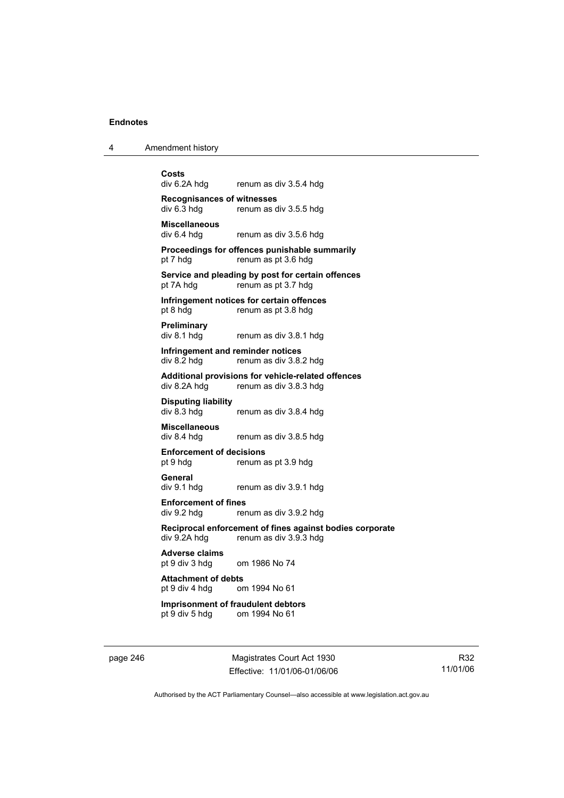4 Amendment history

**Costs**  renum as div 3.5.4 hdg **Recognisances of witnesses**  renum as div 3.5.5 hdg **Miscellaneous**  renum as div 3.5.6 hdg **Proceedings for offences punishable summarily**  pt 7 hdg renum as pt 3.6 hdg **Service and pleading by post for certain offences**  pt 7A hdg renum as pt 3.7 hdg **Infringement notices for certain offences**  pt 8 hdg renum as pt 3.8 hdg **Preliminary**  div 8.1 hdg renum as div 3.8.1 hdg **Infringement and reminder notices**<br>div 8.2 hdg renum as div 3.8. renum as div 3.8.2 hdg **Additional provisions for vehicle-related offences**  div 8.2A hdg renum as div 3.8.3 hdg **Disputing liability**  renum as div 3.8.4 hdg **Miscellaneous**  renum as div 3.8.5 hdg **Enforcement of decisions**  pt 9 hdg renum as pt 3.9 hdg **General**  div 9.1 hdg renum as div 3.9.1 hdg **Enforcement of fines**  div 9.2 hdg renum as div 3.9.2 hdg **Reciprocal enforcement of fines against bodies corporate**  renum as div  $3.9.3$  hdg **Adverse claims**  pt 9 div 3 hdg om 1986 No 74 **Attachment of debts** pt 9 div 4 hdg or om 1994 No 61 **Imprisonment of fraudulent debtors**  pt 9 div 5 hdg om 1994 No 61

page 246 Magistrates Court Act 1930 Effective: 11/01/06-01/06/06

R32 11/01/06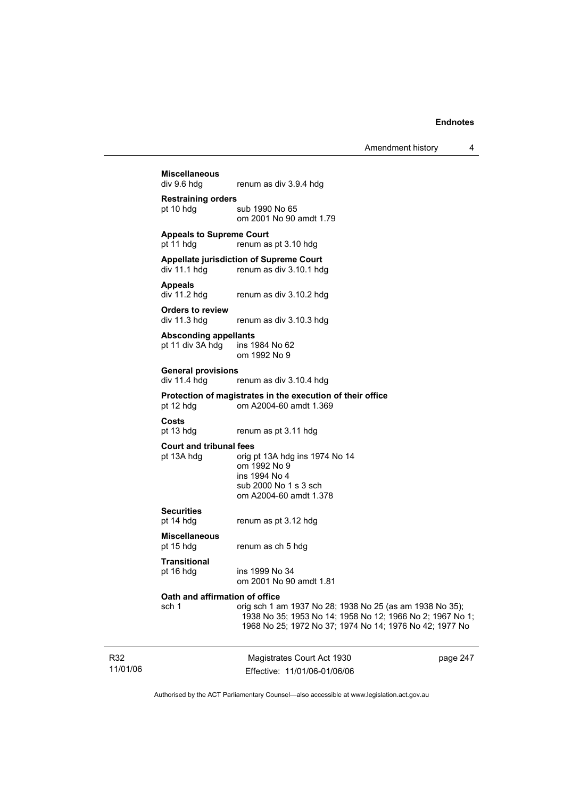Amendment history 4

Magistrates Court Act 1930 **Miscellaneous**  renum as div 3.9.4 hdg **Restraining orders**  pt 10 hdg sub 1990 No 65 om 2001 No 90 amdt 1.79 **Appeals to Supreme Court**  pt 11 hdg renum as pt 3.10 hdg **Appellate jurisdiction of Supreme Court**  renum as div 3.10.1 hdg **Appeals**  div 11.2 hdg renum as div 3.10.2 hdg **Orders to review**  div 11.3 hdg renum as div 3.10.3 hdg **Absconding appellants**  pt 11 div 3A hdg ins 1984 No 62 om 1992 No 9 **General provisions**  renum as div 3.10.4 hdg **Protection of magistrates in the execution of their office**  pt 12 hdg om A2004-60 amdt 1.369 **Costs**  renum as pt 3.11 hdg **Court and tribunal fees**  pt 13A hdg orig pt 13A hdg ins 1974 No 14 om 1992 No 9 ins 1994 No 4 sub 2000 No 1 s 3 sch om A2004-60 amdt 1.378 **Securities**  pt 14 hdg renum as pt 3.12 hdg **Miscellaneous**  renum as ch 5 hdg **Transitional**  pt 16 hdg ins 1999 No 34 om 2001 No 90 amdt 1.81 **Oath and affirmation of office**<br>sch 1 orig sch 1 a sch 1 orig sch 1 am 1937 No 28; 1938 No 25 (as am 1938 No 35); 1938 No 35; 1953 No 14; 1958 No 12; 1966 No 2; 1967 No 1; 1968 No 25; 1972 No 37; 1974 No 14; 1976 No 42; 1977 No

R32 11/01/06

Effective: 11/01/06-01/06/06

page 247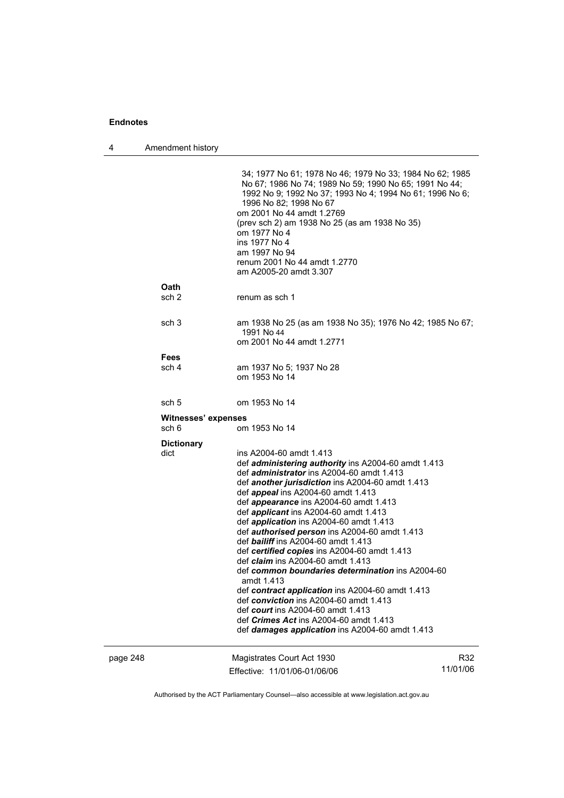4 Amendment history

|          |                              | 34; 1977 No 61; 1978 No 46; 1979 No 33; 1984 No 62; 1985<br>No 67; 1986 No 74; 1989 No 59; 1990 No 65; 1991 No 44;<br>1992 No 9; 1992 No 37; 1993 No 4; 1994 No 61; 1996 No 6;<br>1996 No 82; 1998 No 67<br>om 2001 No 44 amdt 1.2769<br>(prev sch 2) am 1938 No 25 (as am 1938 No 35)<br>om 1977 No 4<br>ins 1977 No 4<br>am 1997 No 94<br>renum 2001 No 44 amdt 1.2770<br>am A2005-20 amdt 3.307                                                                                                                                                                                                                                                                                                                                                                                                                                                                                                |                 |
|----------|------------------------------|---------------------------------------------------------------------------------------------------------------------------------------------------------------------------------------------------------------------------------------------------------------------------------------------------------------------------------------------------------------------------------------------------------------------------------------------------------------------------------------------------------------------------------------------------------------------------------------------------------------------------------------------------------------------------------------------------------------------------------------------------------------------------------------------------------------------------------------------------------------------------------------------------|-----------------|
|          | <b>Oath</b><br>sch 2         | renum as sch 1                                                                                                                                                                                                                                                                                                                                                                                                                                                                                                                                                                                                                                                                                                                                                                                                                                                                                    |                 |
|          | sch 3                        | am 1938 No 25 (as am 1938 No 35); 1976 No 42; 1985 No 67;<br>1991 No 44<br>om 2001 No 44 amdt 1.2771                                                                                                                                                                                                                                                                                                                                                                                                                                                                                                                                                                                                                                                                                                                                                                                              |                 |
|          | <b>Fees</b><br>sch 4         | am 1937 No 5; 1937 No 28<br>om 1953 No 14                                                                                                                                                                                                                                                                                                                                                                                                                                                                                                                                                                                                                                                                                                                                                                                                                                                         |                 |
|          | sch 5                        | om 1953 No 14                                                                                                                                                                                                                                                                                                                                                                                                                                                                                                                                                                                                                                                                                                                                                                                                                                                                                     |                 |
|          | Witnesses' expenses<br>sch 6 | om 1953 No 14                                                                                                                                                                                                                                                                                                                                                                                                                                                                                                                                                                                                                                                                                                                                                                                                                                                                                     |                 |
|          | <b>Dictionary</b><br>dict    | ins A2004-60 amdt 1.413<br>def <i>administering authority</i> ins A2004-60 amdt 1.413<br>def <i>administrator</i> ins A2004-60 amdt 1.413<br>def another jurisdiction ins A2004-60 amdt 1.413<br>def <i>appeal</i> ins A2004-60 amdt 1.413<br>def appearance ins A2004-60 amdt 1.413<br>def <i>applicant</i> ins A2004-60 amdt 1.413<br>def <i>application</i> ins A2004-60 amdt 1.413<br>def <i>authorised person</i> ins A2004-60 amdt 1.413<br>def bailiff ins A2004-60 amdt 1.413<br>def certified copies ins A2004-60 amdt 1.413<br>def <i>claim</i> ins A2004-60 amdt 1.413<br>def common boundaries determination ins A2004-60<br>amdt 1.413<br>def contract application ins A2004-60 amdt 1.413<br>def conviction ins A2004-60 amdt 1.413<br>def court ins A2004-60 amdt 1.413<br>def <i>Crimes Act</i> ins A2004-60 amdt 1.413<br>def <i>damages</i> application ins A2004-60 amdt 1.413 |                 |
| page 248 |                              | Magistrates Court Act 1930<br>Effective: 11/01/06-01/06/06                                                                                                                                                                                                                                                                                                                                                                                                                                                                                                                                                                                                                                                                                                                                                                                                                                        | R32<br>11/01/06 |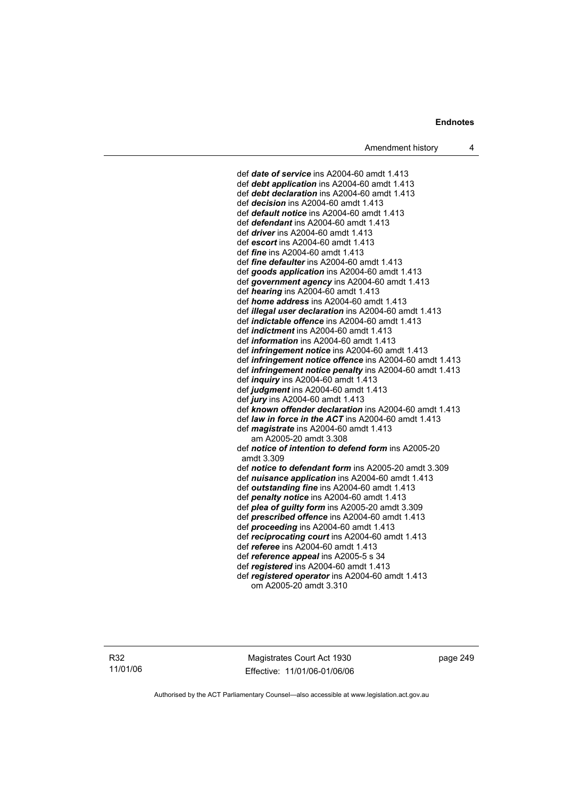def *date of service* ins A2004-60 amdt 1.413 def *debt application* ins A2004-60 amdt 1.413 def *debt declaration* ins A2004-60 amdt 1.413 def *decision* ins A2004-60 amdt 1.413 def *default notice* ins A2004-60 amdt 1.413 def *defendant* ins A2004-60 amdt 1.413 def *driver* ins A2004-60 amdt 1.413 def *escort* ins A2004-60 amdt 1.413 def *fine* ins A2004-60 amdt 1.413 def *fine defaulter* ins A2004-60 amdt 1.413 def *goods application* ins A2004-60 amdt 1.413 def *government agency* ins A2004-60 amdt 1.413 def *hearing* ins A2004-60 amdt 1.413 def *home address* ins A2004-60 amdt 1.413 def *illegal user declaration* ins A2004-60 amdt 1.413 def *indictable offence* ins A2004-60 amdt 1.413 def *indictment* ins A2004-60 amdt 1.413 def *information* ins A2004-60 amdt 1.413 def *infringement notice* ins A2004-60 amdt 1.413 def *infringement notice offence* ins A2004-60 amdt 1.413 def *infringement notice penalty* ins A2004-60 amdt 1.413 def *inquiry* ins A2004-60 amdt 1.413 def *judgment* ins A2004-60 amdt 1.413 def *jury* ins A2004-60 amdt 1.413 def *known offender declaration* ins A2004-60 amdt 1.413 def *law in force in the ACT* ins A2004-60 amdt 1.413 def *magistrate* ins A2004-60 amdt 1.413 am A2005-20 amdt 3.308 def *notice of intention to defend form* ins A2005-20 amdt 3.309 def *notice to defendant form* ins A2005-20 amdt 3.309 def *nuisance application* ins A2004-60 amdt 1.413 def *outstanding fine* ins A2004-60 amdt 1.413 def *penalty notice* ins A2004-60 amdt 1.413 def *plea of guilty form* ins A2005-20 amdt 3.309 def *prescribed offence* ins A2004-60 amdt 1.413 def *proceeding* ins A2004-60 amdt 1.413 def *reciprocating court* ins A2004-60 amdt 1.413 def *referee* ins A2004-60 amdt 1.413 def *reference appeal* ins A2005-5 s 34 def *registered* ins A2004-60 amdt 1.413 def *registered operator* ins A2004-60 amdt 1.413 om A2005-20 amdt 3.310

R32 11/01/06

Magistrates Court Act 1930 Effective: 11/01/06-01/06/06 page 249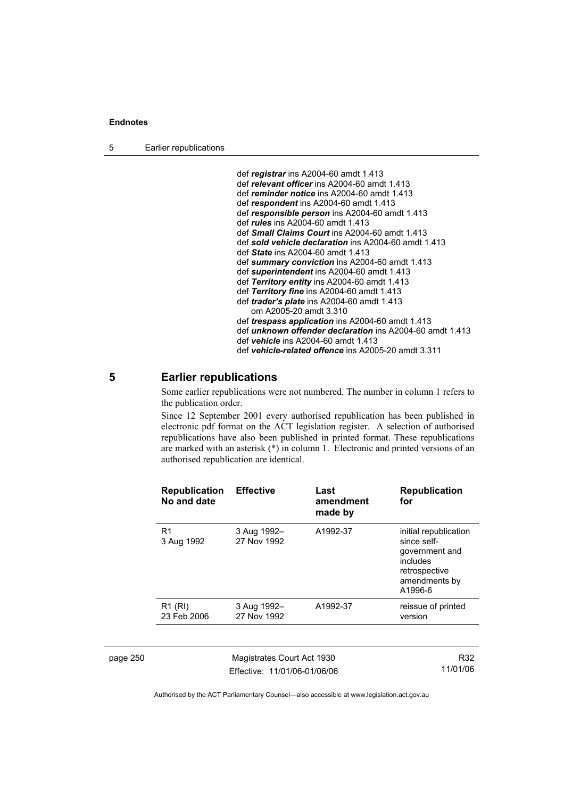5 Earlier republications

| def registrar ins A2004-60 amdt 1.413                           |
|-----------------------------------------------------------------|
| def relevant officer ins A2004-60 amdt 1.413                    |
| def reminder notice ins A2004-60 amdt 1.413                     |
| def respondent ins A2004-60 amdt 1.413                          |
| def responsible person ins A2004-60 amdt 1.413                  |
| def <i>rules</i> ins A2004-60 amdt 1.413                        |
| def Small Claims Court ins A2004-60 amdt 1.413                  |
| def sold vehicle declaration ins A2004-60 amdt 1.413            |
| def State ins A2004-60 amdt 1.413                               |
| def summary conviction ins A2004-60 amdt 1.413                  |
| def superintendent ins A2004-60 amdt 1.413                      |
| def Territory entity ins A2004-60 amdt 1.413                    |
| def Territory fine ins A2004-60 amdt 1.413                      |
| def <i>trader's plate</i> ins A2004-60 amdt 1.413               |
| om A2005-20 amdt 3.310                                          |
| def <i>trespass application</i> ins A2004-60 amdt 1.413         |
| def <i>unknown offender declaration</i> ins A2004-60 amdt 1.413 |
| def vehicle ins A2004-60 amdt 1.413                             |
| def vehicle-related offence ins A2005-20 amdt 3.311             |

## **5 Earlier republications**

Some earlier republications were not numbered. The number in column 1 refers to the publication order.

Since 12 September 2001 every authorised republication has been published in electronic pdf format on the ACT legislation register. A selection of authorised republications have also been published in printed format. These republications are marked with an asterisk (\*) in column 1. Electronic and printed versions of an authorised republication are identical.

|          | <b>Republication</b><br>No and date | <b>Effective</b>                                           | Last<br>amendment<br>made by | <b>Republication</b><br>for                                                                                     |
|----------|-------------------------------------|------------------------------------------------------------|------------------------------|-----------------------------------------------------------------------------------------------------------------|
|          | R1<br>3 Aug 1992                    | 3 Aug 1992-<br>27 Nov 1992                                 | A1992-37                     | initial republication<br>since self-<br>government and<br>includes<br>retrospective<br>amendments by<br>A1996-6 |
|          | $R1$ (RI)<br>23 Feb 2006            | 3 Aug 1992-<br>27 Nov 1992                                 | A1992-37                     | reissue of printed<br>version                                                                                   |
|          |                                     |                                                            |                              |                                                                                                                 |
| page 250 |                                     | Magistrates Court Act 1930<br>Effective: 11/01/06-01/06/06 |                              | R32<br>11/01/06                                                                                                 |
|          |                                     |                                                            |                              |                                                                                                                 |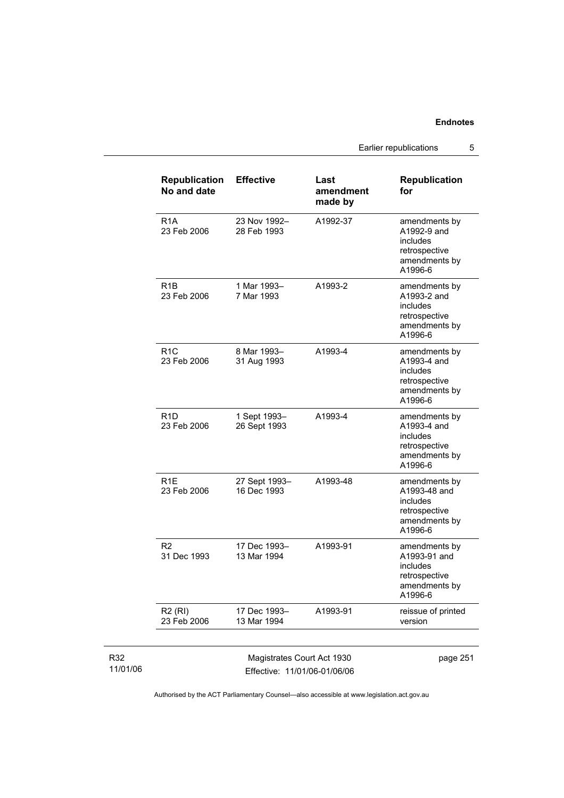Earlier republications 5

| <b>Republication</b><br>No and date           | <b>Effective</b>             | Last<br>amendment<br>made by | <b>Republication</b><br>for                                                            |
|-----------------------------------------------|------------------------------|------------------------------|----------------------------------------------------------------------------------------|
| R <sub>1</sub> A<br>23 Feb 2006               | 23 Nov 1992-<br>28 Feb 1993  | A1992-37                     | amendments by<br>A1992-9 and<br>includes<br>retrospective<br>amendments by<br>A1996-6  |
| R <sub>1</sub> B<br>23 Feb 2006               | 1 Mar 1993-<br>7 Mar 1993    | A1993-2                      | amendments by<br>A1993-2 and<br>includes<br>retrospective<br>amendments by<br>A1996-6  |
| R <sub>1</sub> C<br>23 Feb 2006               | 8 Mar 1993-<br>31 Aug 1993   | A1993-4                      | amendments by<br>A1993-4 and<br>includes<br>retrospective<br>amendments by<br>A1996-6  |
| R <sub>1</sub> D<br>23 Feb 2006               | 1 Sept 1993-<br>26 Sept 1993 | A1993-4                      | amendments by<br>A1993-4 and<br>includes<br>retrospective<br>amendments by<br>A1996-6  |
| R <sub>1</sub> E<br>23 Feb 2006               | 27 Sept 1993-<br>16 Dec 1993 | A1993-48                     | amendments by<br>A1993-48 and<br>includes<br>retrospective<br>amendments by<br>A1996-6 |
| R <sub>2</sub><br>31 Dec 1993                 | 17 Dec 1993-<br>13 Mar 1994  | A1993-91                     | amendments by<br>A1993-91 and<br>includes<br>retrospective<br>amendments by<br>A1996-6 |
| <b>R2 (RI)</b><br>23 Feb 2006                 | 17 Dec 1993-<br>13 Mar 1994  | A1993-91                     | reissue of printed<br>version                                                          |
| $\pm$ $\lambda$ $\pm$ $\lambda$ $\cap$ $\cap$ |                              |                              |                                                                                        |

R32 11/01/06

Magistrates Court Act 1930 Effective: 11/01/06-01/06/06 page 251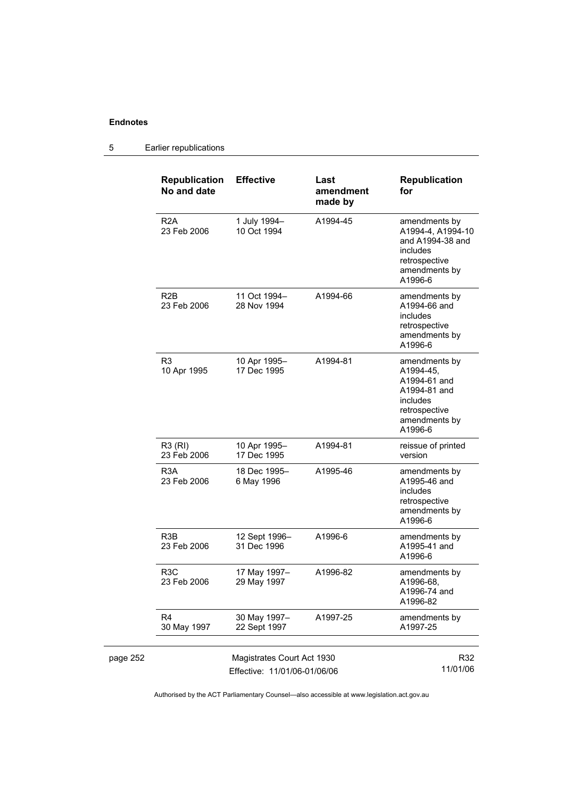#### page 252 Magistrates Court Act 1930 Effective: 11/01/06-01/06/06 R32 11/01/06 **Republication No and date Effective Last amendment made by Republication for**  R2A 23 Feb 2006 1 July 1994– 10 Oct 1994 A1994-45 amendments by A1994-4, A1994-10 and A1994-38 and includes retrospective amendments by A1996-6 R2B 23 Feb 2006 11 Oct 1994– 28 Nov 1994 A1994-66 amendments by A1994-66 and includes retrospective amendments by A1996-6 R3 10 Apr 1995 10 Apr 1995– 17 Dec 1995 A1994-81 amendments by A1994-45, A1994-61 and A1994-81 and includes retrospective amendments by A1996-6 R3 (RI) 23 Feb 2006 10 Apr 1995– 17 Dec 1995 A1994-81 reissue of printed version R3A 23 Feb 2006 18 Dec 1995– 6 May 1996 A1995-46 amendments by A1995-46 and includes retrospective amendments by A1996-6 R3B 23 Feb 2006 12 Sept 1996– 31 Dec 1996 A1996-6 amendments by A1995-41 and A1996-6 R3C 23 Feb 2006 17 May 1997– 29 May 1997 A1996-82 amendments by A1996-68, A1996-74 and A1996-82 R4 30 May 1997 30 May 1997– 22 Sept 1997 A1997-25 amendments by A1997-25

### 5 Earlier republications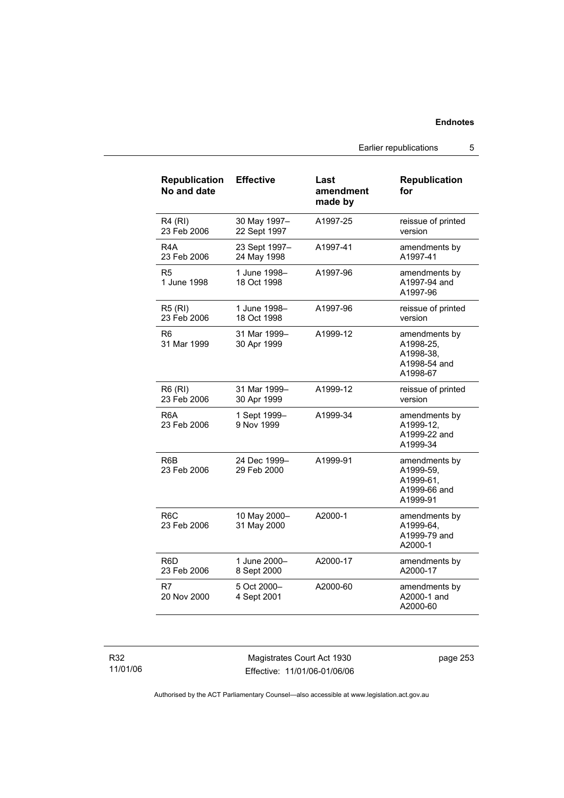Earlier republications 5

| <b>Republication</b><br>No and date | <b>Effective</b>             | Last<br>amendment<br>made by | <b>Republication</b><br>for                                         |
|-------------------------------------|------------------------------|------------------------------|---------------------------------------------------------------------|
| <b>R4 (RI)</b><br>23 Feb 2006       | 30 May 1997-<br>22 Sept 1997 | A1997-25                     | reissue of printed<br>version                                       |
| R4A<br>23 Feb 2006                  | 23 Sept 1997-<br>24 May 1998 | A1997-41                     | amendments by<br>A1997-41                                           |
| R5<br>1 June 1998                   | 1 June 1998-<br>18 Oct 1998  | A1997-96                     | amendments by<br>A1997-94 and<br>A1997-96                           |
| <b>R5 (RI)</b><br>23 Feb 2006       | 1 June 1998–<br>18 Oct 1998  | A1997-96                     | reissue of printed<br>version                                       |
| R6<br>31 Mar 1999                   | 31 Mar 1999-<br>30 Apr 1999  | A1999-12                     | amendments by<br>A1998-25.<br>A1998-38,<br>A1998-54 and<br>A1998-67 |
| R6 (RI)<br>23 Feb 2006              | 31 Mar 1999–<br>30 Apr 1999  | A1999-12                     | reissue of printed<br>version                                       |
| R6A<br>23 Feb 2006                  | 1 Sept 1999-<br>9 Nov 1999   | A1999-34                     | amendments by<br>A1999-12.<br>A1999-22 and<br>A1999-34              |
| R6B<br>23 Feb 2006                  | 24 Dec 1999-<br>29 Feb 2000  | A1999-91                     | amendments by<br>A1999-59,<br>A1999-61.<br>A1999-66 and<br>A1999-91 |
| R <sub>6</sub> C<br>23 Feb 2006     | 10 May 2000-<br>31 May 2000  | A2000-1                      | amendments by<br>A1999-64,<br>A1999-79 and<br>A2000-1               |
| R <sub>6</sub> D<br>23 Feb 2006     | 1 June 2000-<br>8 Sept 2000  | A2000-17                     | amendments by<br>A2000-17                                           |
| R7<br>20 Nov 2000                   | 5 Oct 2000-<br>4 Sept 2001   | A2000-60                     | amendments by<br>A2000-1 and<br>A2000-60                            |

R32 11/01/06

Magistrates Court Act 1930 Effective: 11/01/06-01/06/06 page 253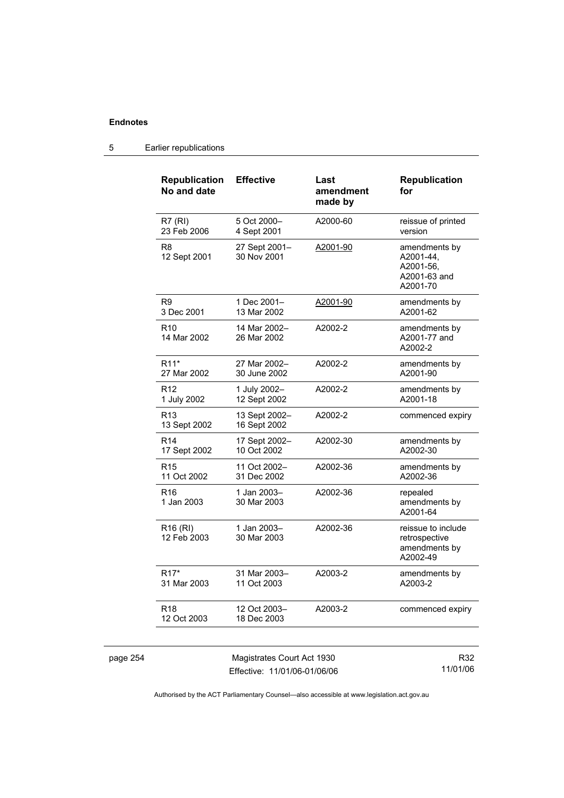| <b>Republication</b><br>No and date | <b>Effective</b>              | Last<br>amendment<br>made by | <b>Republication</b><br>for                                         |
|-------------------------------------|-------------------------------|------------------------------|---------------------------------------------------------------------|
| R7(RI)<br>23 Feb 2006               | 5 Oct 2000-<br>4 Sept 2001    | A2000-60                     | reissue of printed<br>version                                       |
| R <sub>8</sub><br>12 Sept 2001      | 27 Sept 2001-<br>30 Nov 2001  | A2001-90                     | amendments by<br>A2001-44,<br>A2001-56,<br>A2001-63 and<br>A2001-70 |
| R <sub>9</sub><br>3 Dec 2001        | 1 Dec 2001-<br>13 Mar 2002    | A2001-90                     | amendments by<br>A2001-62                                           |
| R <sub>10</sub><br>14 Mar 2002      | 14 Mar 2002-<br>26 Mar 2002   | A2002-2                      | amendments by<br>A2001-77 and<br>A2002-2                            |
| R <sub>11</sub> *<br>27 Mar 2002    | 27 Mar 2002-<br>30 June 2002  | A2002-2                      | amendments by<br>A2001-90                                           |
| R <sub>12</sub><br>1 July 2002      | 1 July 2002-<br>12 Sept 2002  | A2002-2                      | amendments by<br>A2001-18                                           |
| R <sub>13</sub><br>13 Sept 2002     | 13 Sept 2002-<br>16 Sept 2002 | A2002-2                      | commenced expiry                                                    |
| R <sub>14</sub><br>17 Sept 2002     | 17 Sept 2002-<br>10 Oct 2002  | A2002-30                     | amendments by<br>A2002-30                                           |
| R <sub>15</sub><br>11 Oct 2002      | 11 Oct 2002-<br>31 Dec 2002   | A2002-36                     | amendments by<br>A2002-36                                           |
| R <sub>16</sub><br>1 Jan 2003       | 1 Jan 2003-<br>30 Mar 2003    | A2002-36                     | repealed<br>amendments by<br>A2001-64                               |
| R <sub>16</sub> (RI)<br>12 Feb 2003 | 1 Jan 2003-<br>30 Mar 2003    | A2002-36                     | reissue to include<br>retrospective<br>amendments by<br>A2002-49    |
| R <sub>17</sub> *<br>31 Mar 2003    | 31 Mar 2003-<br>11 Oct 2003   | A2003-2                      | amendments by<br>A2003-2                                            |
| R18<br>12 Oct 2003                  | 12 Oct 2003-<br>18 Dec 2003   | A2003-2                      | commenced expiry                                                    |
|                                     |                               |                              |                                                                     |

### 5 Earlier republications

| page 254 |  |
|----------|--|
|----------|--|

page 254 Magistrates Court Act 1930 Effective: 11/01/06-01/06/06

R32 11/01/06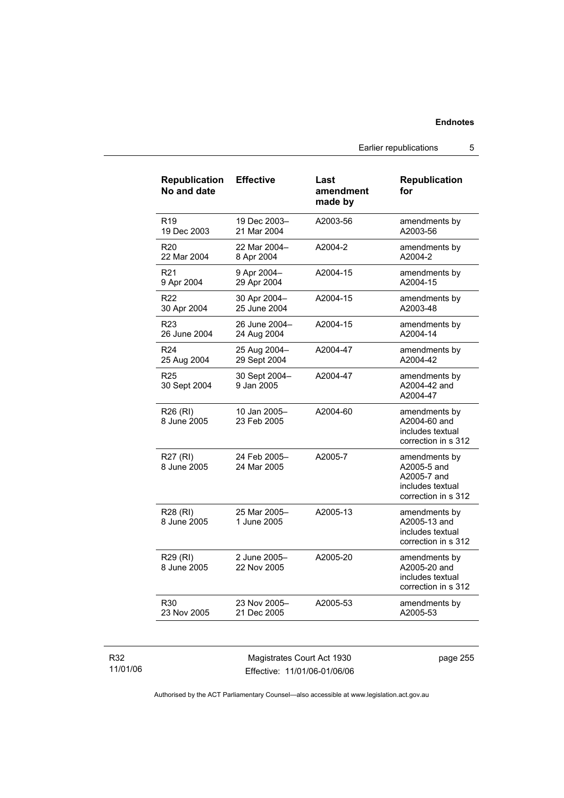Earlier republications 5

| <b>Republication</b><br>No and date | <b>Effective</b>            | Last<br>amendment<br>made by | <b>Republication</b><br>for                                                            |
|-------------------------------------|-----------------------------|------------------------------|----------------------------------------------------------------------------------------|
| R <sub>19</sub>                     | 19 Dec 2003-                | A2003-56                     | amendments by                                                                          |
| 19 Dec 2003                         | 21 Mar 2004                 |                              | A2003-56                                                                               |
| R <sub>20</sub>                     | 22 Mar 2004-                | A2004-2                      | amendments by                                                                          |
| 22 Mar 2004                         | 8 Apr 2004                  |                              | A2004-2                                                                                |
| R <sub>21</sub>                     | 9 Apr 2004-                 | A2004-15                     | amendments by                                                                          |
| 9 Apr 2004                          | 29 Apr 2004                 |                              | A2004-15                                                                               |
| R <sub>22</sub>                     | 30 Apr 2004-                | A2004-15                     | amendments by                                                                          |
| 30 Apr 2004                         | 25 June 2004                |                              | A2003-48                                                                               |
| R23                                 | 26 June 2004-               | A2004-15                     | amendments by                                                                          |
| 26 June 2004                        | 24 Aug 2004                 |                              | A2004-14                                                                               |
| R <sub>24</sub>                     | 25 Aug 2004-                | A2004-47                     | amendments by                                                                          |
| 25 Aug 2004                         | 29 Sept 2004                |                              | A2004-42                                                                               |
| R <sub>25</sub><br>30 Sept 2004     | 30 Sept 2004-<br>9 Jan 2005 | A2004-47                     | amendments by<br>A2004-42 and<br>A2004-47                                              |
| R26 (RI)<br>8 June 2005             | 10 Jan 2005-<br>23 Feb 2005 | A2004-60                     | amendments by<br>A2004-60 and<br>includes textual<br>correction in s 312               |
| R27 (RI)<br>8 June 2005             | 24 Feb 2005-<br>24 Mar 2005 | A2005-7                      | amendments by<br>A2005-5 and<br>A2005-7 and<br>includes textual<br>correction in s 312 |
| R28 (RI)<br>8 June 2005             | 25 Mar 2005-<br>1 June 2005 | A2005-13                     | amendments by<br>A2005-13 and<br>includes textual<br>correction in s 312               |
| R29 (RI)<br>8 June 2005             | 2 June 2005-<br>22 Nov 2005 | A2005-20                     | amendments by<br>A2005-20 and<br>includes textual<br>correction in s 312               |
| R30                                 | 23 Nov 2005-                | A2005-53                     | amendments by                                                                          |
| 23 Nov 2005                         | 21 Dec 2005                 |                              | A2005-53                                                                               |

### R32 11/01/06

Magistrates Court Act 1930 Effective: 11/01/06-01/06/06 page 255